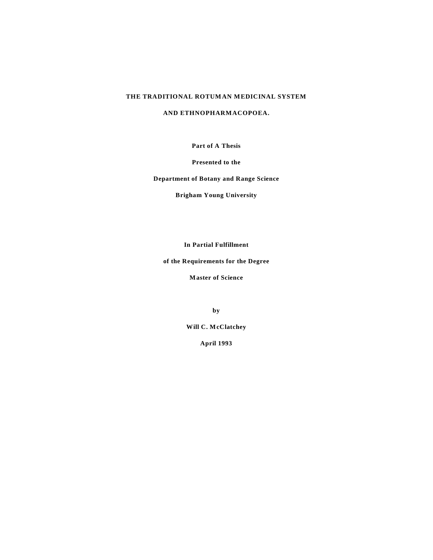# **THE TRADITIONAL ROTUMAN MEDICINAL SYSTEM**

# **AND ETHNOPHARMACOPOEA.**

**Part of A Thesis**

**Presented to the**

**Department of Botany and Range Science**

**Brigham Young University**

**In Partial Fulfillment**

**of the Requirements for the Degree**

**Master of Science**

**by**

**Will C. McClatchey**

**April 1993**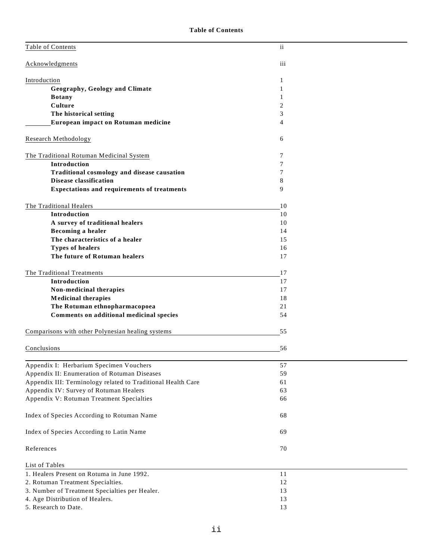| Table of Contents                                            | $\mathbf{ii}$ |  |
|--------------------------------------------------------------|---------------|--|
|                                                              |               |  |
|                                                              | iii           |  |
| Acknowledgments                                              |               |  |
|                                                              |               |  |
| Introduction                                                 | 1             |  |
| Geography, Geology and Climate                               | 1             |  |
| <b>Botany</b>                                                | 1             |  |
| Culture                                                      | 2             |  |
| The historical setting                                       | 3             |  |
| European impact on Rotuman medicine                          | 4             |  |
|                                                              |               |  |
| <b>Research Methodology</b>                                  | 6             |  |
|                                                              |               |  |
|                                                              | 7             |  |
| The Traditional Rotuman Medicinal System                     |               |  |
| Introduction                                                 | 7             |  |
| Traditional cosmology and disease causation                  | 7             |  |
| <b>Disease classification</b>                                | 8             |  |
| Expectations and requirements of treatments                  | 9             |  |
|                                                              |               |  |
| The Traditional Healers                                      | 10            |  |
| Introduction                                                 | 10            |  |
| A survey of traditional healers                              | 10            |  |
| <b>Becoming a healer</b>                                     | 14            |  |
| The characteristics of a healer                              | 15            |  |
| <b>Types of healers</b>                                      | 16            |  |
| The future of Rotuman healers                                |               |  |
|                                                              | 17            |  |
|                                                              |               |  |
| The Traditional Treatments                                   | 17            |  |
| Introduction                                                 | 17            |  |
| Non-medicinal therapies                                      | 17            |  |
| <b>Medicinal therapies</b>                                   | 18            |  |
| The Rotuman ethnopharmacopoea                                | 21            |  |
| Comments on additional medicinal species                     | 54            |  |
|                                                              |               |  |
| Comparisons with other Polynesian healing systems            | 55            |  |
|                                                              |               |  |
| Conclusions                                                  | 56            |  |
|                                                              |               |  |
| Appendix I: Herbarium Specimen Vouchers                      | 57            |  |
| Appendix II: Enumeration of Rotuman Diseases                 | 59            |  |
| Appendix III: Terminology related to Traditional Health Care | 61            |  |
|                                                              | 63            |  |
| Appendix IV: Survey of Rotuman Healers                       |               |  |
| Appendix V: Rotuman Treatment Specialties                    | 66            |  |
|                                                              |               |  |
| Index of Species According to Rotuman Name                   | 68            |  |
|                                                              |               |  |
| Index of Species According to Latin Name                     | 69            |  |
|                                                              |               |  |
| References                                                   | 70            |  |
|                                                              |               |  |
| List of Tables                                               |               |  |
| 1. Healers Present on Rotuma in June 1992.                   | 11            |  |
| 2. Rotuman Treatment Specialties.                            | 12            |  |
| 3. Number of Treatment Specialties per Healer.               | 13            |  |
| 4. Age Distribution of Healers.                              | 13            |  |
| 5. Research to Date.                                         | 13            |  |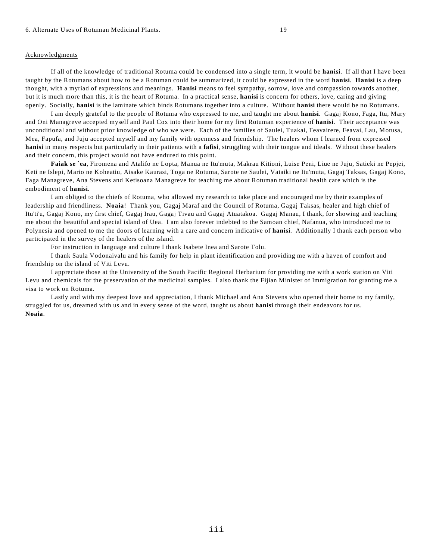#### 6. Alternate Uses of Rotuman Medicinal Plants. 19

### Acknowledgments

If all of the knowledge of traditional Rotuma could be condensed into a single term, it would be **hanisi**. If all that I have been taught by the Rotumans about how to be a Rotuman could be summarized, it could be expressed in the word **hanisi**. **Hanisi** is a deep thought, with a myriad of expressions and meanings. **Hanisi** means to feel sympathy, sorrow, love and compassion towards another, but it is much more than this, it is the heart of Rotuma. In a practical sense, **hanisi** is concern for others, love, caring and giving openly. Socially, **hanisi** is the laminate which binds Rotumans together into a culture. Without **hanisi** there would be no Rotumans.

I am deeply grateful to the people of Rotuma who expressed to me, and taught me about **hanisi**. Gagaj Kono, Faga, Itu, Mary and Oni Managreve accepted myself and Paul Cox into their home for my first Rotuman experience of **hanisi**. Their acceptance was unconditional and without prior knowledge of who we were. Each of the families of Saulei, Tuakai, Feavairere, Feavai, Lau, Motusa, Mea, Fapufa, and Juju accepted myself and my family with openness and friendship. The healers whom I learned from expressed **hanisi** in many respects but particularly in their patients with a **fafisi**, struggling with their tongue and ideals. Without these healers and their concern, this project would not have endured to this point.

**Faiak se `ea**, Firomena and Atalifo ne Lopta, Manua ne Itu'muta, Makrau Kitioni, Luise Peni, Liue ne Juju, Satieki ne Pepjei, Keti ne Islepi, Mario ne Koheatiu, Aisake Kaurasi, Toga ne Rotuma, Sarote ne Saulei, Vataiki ne Itu'muta, Gagaj Taksas, Gagaj Kono, Faga Managreve, Ana Stevens and Ketisoana Managreve for teaching me about Rotuman traditional health care which is the embodiment of **hanisi**.

I am obliged to the chiefs of Rotuma, who allowed my research to take place and encouraged me by their examples of leadership and friendliness. **Noaia**! Thank you, Gagaj Maraf and the Council of Rotuma, Gagaj Taksas, healer and high chief of Itu'ti'u, Gagaj Kono, my first chief, Gagaj Irau, Gagaj Tivau and Gagaj Atuatakoa. Gagaj Manau, I thank, for showing and teaching me about the beautiful and special island of Uea. I am also forever indebted to the Samoan chief, Nafanua, who introduced me to Polynesia and opened to me the doors of learning with a care and concern indicative of **hanisi**. Additionally I thank each person who participated in the survey of the healers of the island.

For instruction in language and culture I thank Isabete Inea and Sarote Tolu.

I thank Saula Vodonaivalu and his family for help in plant identification and providing me with a haven of comfort and friendship on the island of Viti Levu.

I appreciate those at the University of the South Pacific Regional Herbarium for providing me with a work station on Viti Levu and chemicals for the preservation of the medicinal samples. I also thank the Fijian Minister of Immigration for granting me a visa to work on Rotuma.

Lastly and with my deepest love and appreciation, I thank Michael and Ana Stevens who opened their home to my family, struggled for us, dreamed with us and in every sense of the word, taught us about **hanisi** through their endeavors for us. **Noaia**.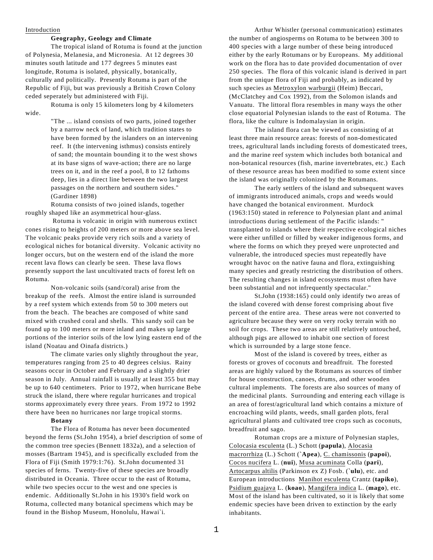### Introduction

# **Geography, Geology and Climate**

The tropical island of Rotuma is found at the junction of Polynesia, Melanesia, and Micronesia. At 12 degrees 30 minutes south latitude and 177 degrees 5 minutes east longitude, Rotuma is isolated, physically, botanically, culturally and politically. Presently Rotuma is part of the Republic of Fiji, but was previously a British Crown Colony ceded seperately but administered with Fiji.

Rotuma is only 15 kilometers long by 4 kilometers wide.

> "The ... island consists of two parts, joined together by a narrow neck of land, which tradition states to have been formed by the islanders on an intervening reef. It (the intervening isthmus) consists entirely of sand; the mountain bounding it to the west shows at its base signs of wave-action; there are no large trees on it, and in the reef a pool, 8 to 12 fathoms deep, lies in a direct line between the two largest passages on the northern and southern sides." (Gardiner 1898)

Rotuma consists of two joined islands, together roughly shaped like an asymmetrical hour-glass.

 Rotuma is volcanic in origin with numerous extinct cones rising to heights of 200 meters or more above sea level. The volcanic peaks provide very rich soils and a variety of ecological niches for botanical diversity. Volcanic activity no longer occurs, but on the western end of the island the more recent lava flows can clearly be seen. These lava flows presently support the last uncultivated tracts of forest left on Rotuma.

Non-volcanic soils (sand/coral) arise from the breakup of the reefs. Almost the entire island is surrounded by a reef system which extends from 50 to 300 meters out from the beach. The beaches are composed of white sand mixed with crushed coral and shells. This sandy soil can be found up to 100 meters or more inland and makes up large portions of the interior soils of the low lying eastern end of the island (Noatau and Oinafa districts.)

The climate varies only slightly throughout the year, temperatures ranging from 25 to 40 degrees celsius. Rainy seasons occur in October and February and a slightly drier season in July. Annual rainfall is usually at least 355 but may be up to 640 centimeters. Prior to 1972, when hurricane Bebe struck the island, there where regular hurricanes and tropical storms approximately every three years. From 1972 to 1992 there have been no hurricanes nor large tropical storms.

# **Botany**

The Flora of Rotuma has never been documented beyond the ferns (St.John 1954), a brief description of some of the common tree species (Bennett 1832a), and a selection of mosses (Bartram 1945), and is specifically excluded from the Flora of Fiji (Smith 1979:1:76). St.John documented 31 species of ferns. Twenty-five of these species are broadly distributed in Oceania. Three occur to the east of Rotuma, while two species occur to the west and one species is endemic. Additionally St.John in his 1930's field work on Rotuma, collected many botanical specimens which may be found in the Bishop Museum, Honolulu, Hawai`i.

Arthur Whistler (personal communication) estimates the number of angiosperms on Rotuma to be between 300 to 400 species with a large number of these being introduced either by the early Rotumans or by Europeans. My additional work on the flora has to date provided documentation of over 250 species. The flora of this volcanic island is derived in part from the unique flora of Fiji and probably, as indicated by such species as Metroxylon warburgii (Heim) Beccari, (McClatchey and Cox 1992), from the Solomon islands and Vanuatu. The littoral flora resembles in many ways the other close equatorial Polynesian islands to the east of Rotuma. The flora, like the culture is Indomalaysian in origin.

The island flora can be viewed as consisting of at least three main resource areas: forests of non-domesticated trees, agricultural lands including forests of domesticated trees, and the marine reef system which includes both botanical and non-botanical resources (fish, marine invertebrates, etc.) Each of these resource areas has been modified to some extent since the island was originally colonized by the Rotumans.

The early settlers of the island and subsequent waves of immigrants introduced animals, crops and weeds would have changed the botanical environment. Murdock (1963:150) stated in reference to Polynesian plant and animal introductions during settlement of the Pacific islands: " transplanted to islands where their respective ecological niches were either unfilled or filled by weaker indigenous forms, and where the forms on which they preyed were unprotected and vulnerable, the introduced species must repeatedly have wrought havoc on the native fauna and flora, extinguishing many species and greatly restricting the distribution of others. The resulting changes in island ecosystems must often have been substantial and not infrequently spectacular."

St.John (1938:165) could only identify two areas of the island covered with dense forest comprising about five percent of the entire area. These areas were not converted to agriculture because they were on very rocky terrain with no soil for crops. These two areas are still relatively untouched, although pigs are allowed to inhabit one section of forest which is surrounded by a large stone fence.

Most of the island is covered by trees, either as forests or groves of coconuts and breadfruit. The forested areas are highly valued by the Rotumans as sources of timber for house construction, canoes, drums, and other wooden cultural implements. The forests are also sources of many of the medicinal plants. Surrounding and entering each village is an area of forest/agricultural land which contains a mixture of encroaching wild plants, weeds, small garden plots, feral agricultural plants and cultivated tree crops such as coconuts, breadfruit and sago.

Rotuman crops are a mixture of Polynesian staples, Colocasia esculenta (L.) Schott (**papula**), Alocasia macrorrhiza (L.) Schott (**`Apea**), C. chamissonis (**papoi**), Cocos nucifera L. (**nui**), Musa acuminata Colla (**pari**), Artocarpus altilis (Parkinson ex Z) Fosb. (**`ulu**), etc. and European introductions Manihot esculenta Crantz (**tapiko**), Psidium guajava L. (**koao**), Mangifera indica L. (**mago**), etc. Most of the island has been cultivated, so it is likely that some endemic species have been driven to extinction by the early inhabitants.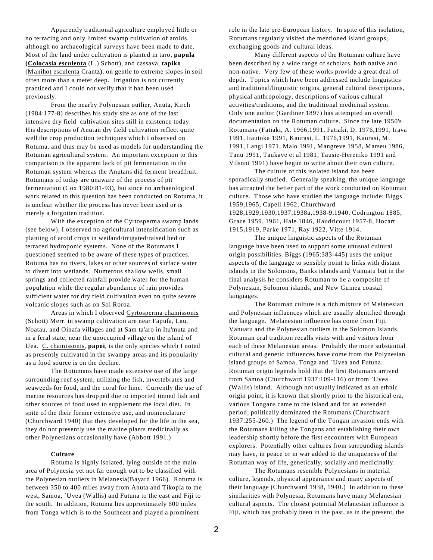Apparently traditional agriculture employed little or no terracing and only limited swamp cultivation of aroids, although no archaeological surveys have been made to date. Most of the land under cultivation is planted in taro, **papula (Colocasia esculenta** (L.) Schott), and cassava, **tapiko** (Manihot esculenta Crantz), on gentle to extreme slopes in soil often more than a meter deep. Irrigation is not currently practiced and I could not verify that it had been used previously.

From the nearby Polynesian outlier, Anuta, Kirch (1984:177-8) describes his study site as one of the last intensive dry field cultivation sites still in existence today. His descriptions of Anutan dry field cultivation reflect quite well the crop production techniques which I observed on Rotuma, and thus may be used as models for understanding the Rotuman agricultural system. An important exception to this comparison is the apparent lack of pit fermentation in the Rotuman system whereas the Anutans did ferment breadfruit. Rotumans of today are unaware of the process of pit fermentation (Cox 1980:81-93), but since no archaeological work related to this question has been conducted on Rotuma, it is unclear whether the process has never been used or is merely a forgotten tradition.

With the exception of the Cyrtosperma swamp lands (see below), I observed no agricultural intensification such as planting of aroid crops in wetland/irrigated/raised bed or terraced hydroponic systems. None of the Rotumans I questioned seemed to be aware of these types of practices. Rotuma has no rivers, lakes or other sources of surface water to divert into wetlands. Numerous shallow wells, small springs and collected rainfall provide water for the human population while the regular abundance of rain provides sufficient water for dry field cultivation even on quite severe volcanic slopes such as on Sol Roroa.

Areas in which I observed Cyrtosperma chamissonis (Schott) Merr. in swamp cultivation are near Fapufa, Lau, Noatau, and Oinafa villages and at Sam ta'aro in Itu'muta and in a feral state, near the unoccupied village on the island of Uea. C. chamissonis, **papoi**, is the only species which I noted as presently cultivated in the swampy areas and its popularity as a food source is on the decline.

The Rotumans have made extensive use of the large surrounding reef system, utilizing the fish, invertebrates and seaweeds for food, and the coral for lime. Currently the use of marine resources has dropped due to imported tinned fish and other sources of food used to supplement the local diet. In spite of the their former extensive use, and nomenclature (Churchward 1940) that they developed for the life in the sea, they do not presently use the marine plants medicinally as other Polynesians occasionally have (Abbott 1991.)

## **Culture**

Rotuma is highly isolated, lying outside of the main area of Polynesia yet not far enough out to be classified with the Polynesian outliers in Melanesia(Bayard 1966). Rotuma is between 350 to 400 miles away from Anuta and Tikopia to the west, Samoa, `Uvea (Wallis) and Futuna to the east and Fiji to the south. In addition, Rotuma lies approximately 600 miles from Tonga which is to the Southeast and played a prominent

role in the late pre-European history. In spite of this isolation, Rotumans regularly visited the mentioned island groups, exchanging goods and cultural ideas.

Many different aspects of the Rotuman culture have been described by a wide range of scholars, both native and non-native. Very few of these works provide a great deal of depth. Topics which have been addressed include linguistics and traditional/linguistic origins, general cultural descriptions, physical anthropology, descriptions of various cultural activities/traditions, and the traditional medicinal system. Only one author (Gardiner 1897) has attempted an overall documentation on the Rotuman culture. Since the late 1950's Rotumans (Fatiaki, A. 1966,1991, Fatiaki, D. 1976,1991, Irava 1991, Itautoka 1991, Kaurasi, L. 1976,1991, Kaurasi, M. 1991, Langi 1971, Malo 1991, Mangreve 1958, Marseu 1986, Tanu 1991, Taukave et al 1981, Tausie-Hereniko 1991 and Vilsoni 1991) have begun to write about their own culture.

The culture of this isolated island has been sporadically studied. Generally speaking, the unique language has attracted the better part of the work conducted on Rotuman culture. Those who have studied the language include: Biggs 1959,1965, Capell 1962, Churchward 1928,1929,1930,1937,1938a,1938-9,1940, Codrington 1885, Grace 1959, 1961, Hale 1846, Haudricourt 1957-8, Hocart 1915,1919, Parke 1971, Ray 1922, Vitte 1914.

The unique linguistic aspects of the Rotuman language have been used to support some unusual cultural origin possibilities. Biggs (1965:383-445) uses the unique aspects of the language to sensibly point to links with distant islands in the Solomons, Banks islands and Vanuatu but in the final analysis he considers Rotuman to be a composite of Polynesian, Solomon islands, and New Guinea coastal languages.

The Rotuman culture is a rich mixture of Melanesian and Polynesian influences which are usually identified through the language. Melanesian influence has come from Fiji, Vanuatu and the Polynesian outliers in the Solomon Islands. Rotuman oral tradition recalls visits with and visitors from each of these Melanesian areas. Probably the more substantial cultural and genetic influences have come from the Polynesian island groups of Samoa, Tonga and `Uvea and Futuna. Rotuman origin legends hold that the first Rotumans arrived from Samoa (Churchward 1937:109-116) or from `Uvea (Wallis) island. Although not usually indicated as an ethnic origin point, it is known that shortly prior to the historical era, various Tongans came to the island and for an extended period, politically dominated the Rotumans (Churchward 1937:255-260.) The legend of the Tongan invasion ends with the Rotumans killing the Tongans and establishing their own leadership shortly before the first encounters with European explorers. Potentially other cultures from surrounding islands may have, in peace or in war added to the uniqueness of the Rotuman way of life, genetically, socially and medicinally.

The Rotumans resemble Polynesians in material culture, legends, physical appearance and many aspects of their language (Churchward 1938, 1940.) In addition to these similarities with Polynesia, Rotumans have many Melanesian cultural aspects. The closest potential Melanesian influence is Fiji, which has probably been in the past, as in the present, the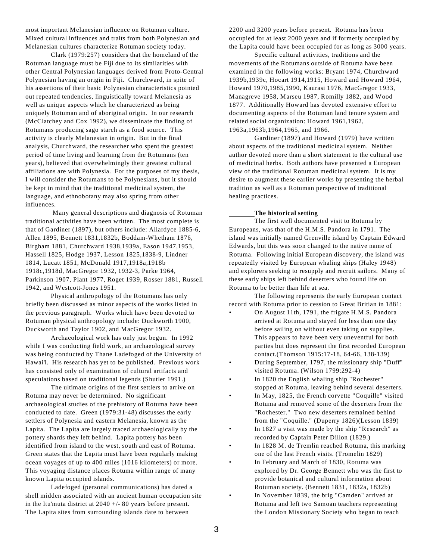most important Melanesian influence on Rotuman culture. Mixed cultural influences and traits from both Polynesian and Melanesian cultures characterize Rotuman society today.

Clark (1979:257) considers that the homeland of the Rotuman language must be Fiji due to its similarities with other Central Polynesian languages derived from Proto-Central Polynesian having an origin in Fiji. Churchward, in spite of his assertions of their basic Polynesian characteristics pointed out repeated tendencies, linguistically toward Melanesia as well as unique aspects which he characterized as being uniquely Rotuman and of aboriginal origin. In our research (McClatchey and Cox 1992), we disseminate the finding of Rotumans producing sago starch as a food source. This activity is clearly Melanesian in origin. But in the final analysis, Churchward, the researcher who spent the greatest period of time living and learning from the Rotumans (ten years), believed that overwhelmingly their greatest cultural affiliations are with Polynesia. For the purposes of my thesis, I will consider the Rotumans to be Polynesians, but it should be kept in mind that the traditional medicinal system, the language, and ethnobotany may also spring from other influences.

 Many general descriptions and diagnosis of Rotuman traditional activities have been written. The most complete is that of Gardiner (1897), but others include: Allardyce 1885-6, Allen 1895, Bennett 1831,1832b, Boddam-Whetham 1876, Birgham 1881, Churchward 1938,1939a, Eason 1947,1953, Hassell 1825, Hodge 1937, Lesson 1825,1838-9, Lindner 1814, Lucatt 1851, McDonald 1917,1918a,1918b 1918c,1918d, MacGregor 1932, 1932-3, Parke 1964, Parkinson 1907, Plant 1977, Roget 1939, Rosser 1881, Russell 1942, and Westcott-Jones 1951.

Physical anthropology of the Rotumans has only briefly been discussed as minor aspects of the works listed in the previous paragraph. Works which have been devoted to Rotuman physical anthropology include: Duckworth 1900, Duckworth and Taylor 1902, and MacGregor 1932.

Archaeological work has only just begun. In 1992 while I was conducting field work, an archaeological survey was being conducted by Thane Ladefoged of the University of Hawai'i. His research has yet to be published. Previous work has consisted only of examination of cultural artifacts and speculations based on traditional legends (Shutler 1991.)

The ultimate origins of the first settlers to arrive on Rotuma may never be determined. No significant archaeological studies of the prehistory of Rotuma have been conducted to date. Green (1979:31-48) discusses the early settlers of Polynesia and eastern Melanesia, known as the Lapita. The Lapita are largely traced archaeologically by the pottery shards they left behind. Lapita pottery has been identified from island to the west, south and east of Rotuma. Green states that the Lapita must have been regularly making ocean voyages of up to 400 miles (1016 kilometers) or more. This voyaging distance places Rotuma within range of many known Lapita occupied islands.

Ladefoged (personal communications) has dated a shell midden associated with an ancient human occupation site in the Itu'muta district at 2040 +/- 80 years before present. The Lapita sites from surrounding islands date to between

2200 and 3200 years before present. Rotuma has been occupied for at least 2000 years and if formerly occupied by the Lapita could have been occupied for as long as 3000 years.

Specific cultural activities, traditions and the movements of the Rotumans outside of Rotuma have been examined in the following works: Bryant 1974, Churchward 1939b,1939c, Hocart 1914,1915, Howard and Howard 1964, Howard 1970,1985,1990, Kaurasi 1976, MacGregor 1933, Managreve 1958, Marseu 1987, Romilly 1882, and Wood 1877. Additionally Howard has devoted extensive effort to documenting aspects of the Rotuman land tenure system and related social organization: Howard 1961,1962, 1963a,1963b,1964,1965, and 1966.

Gardiner (1897) and Howard (1979) have written about aspects of the traditional medicinal system. Neither author devoted more than a short statement to the cultural use of medicinal herbs. Both authors have presented a European view of the traditional Rotuman medicinal system. It is my desire to augment these earlier works by presenting the herbal tradition as well as a Rotuman perspective of traditional healing practices.

## **The historical setting**

The first well documented visit to Rotuma by Europeans, was that of the H.M.S. Pandora in 1791. The island was initially named Grenville island by Captain Edward Edwards, but this was soon changed to the native name of Rotuma. Following initial European discovery, the island was repeatedly visited by European whaling ships (Haley 1948) and explorers seeking to resupply and recruit sailors. Many of these early ships left behind deserters who found life on Rotuma to be better than life at sea.

The following represents the early European contact record with Rotuma prior to cession to Great Britian in 1881:

- On August 11th, 1791, the frigate H.M.S. Pandora arrived at Rotuma and stayed for less than one day before sailing on without even taking on supplies. This appears to have been very uneventful for both parties but does represent the first recorded European contact.(Thomson 1915:17-18, 64-66, 138-139) • During September, 1797, the missionary ship "Duff"
- visited Rotuma. (Wilson 1799:292-4)
- In 1820 the English whaling ship "Rochester" stopped at Rotuma, leaving behind several deserters.
- In May, 1825, the French corvette "Coquille" visited Rotuma and removed some of the deserters from the "Rochester." Two new deserters remained behind from the "Coquille." (Duperry 1826)(Lesson 1839)
- In 1827 a visit was made by the ship "Research" as recorded by Captain Peter Dillon (1829.)
- In 1828 M. de Tremlin reached Rotuma, this marking one of the last French visits. (Tromelin 1829)
- In February and March of 1830, Rotuma was explored by Dr. George Bennett who was the first to provide botanical and cultural information about Rotuman society. (Bennett 1831, 1832a, 1832b)
- In November 1839, the brig "Camden" arrived at Rotuma and left two Samoan teachers representing the London Missionary Society who began to teach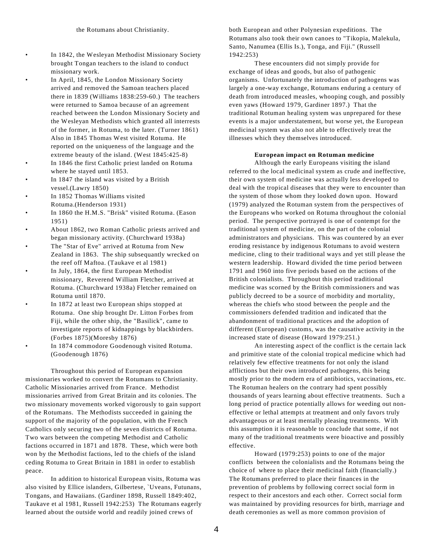- In 1842, the Wesleyan Methodist Missionary Society brought Tongan teachers to the island to conduct missionary work.
- In April, 1845, the London Missionary Society arrived and removed the Samoan teachers placed there in 1839 (Williams 1838:259-60.) The teachers were returned to Samoa because of an agreement reached between the London Missionary Society and the Wesleyan Methodists which granted all interrests of the former, in Rotuma, to the later. (Turner 1861) Also in 1845 Thomas West visited Rotuma. He reported on the uniqueness of the language and the extreme beauty of the island. (West 1845:425-8)
- In 1846 the first Catholic priest landed on Rotuma where he stayed until 1853.
- In 1847 the island was visited by a British vessel.(Lawry 1850)
- In 1852 Thomas Williams visited Rotuma.(Henderson 1931)
- In 1860 the H.M.S. "Brisk" visited Rotuma. (Eason 1951)
- About 1862, two Roman Catholic priests arrived and began missionary activity. (Churchward 1938a)
- The "Star of Eve" arrived at Rotuma from New Zealand in 1863. The ship subsequantly wrecked on the reef off Maftoa. (Taukave et al 1981)
- In July, 1864, the first European Methodist missionary, Reverend William Fletcher, arrived at Rotuma. (Churchward 1938a) Fletcher remained on Rotuma until 1870.
- In 1872 at least two European ships stopped at Rotuma. One ship brought Dr. Litton Forbes from Fiji, while the other ship, the "Basilick", came to investigate reports of kidnappings by blackbirders. (Forbes 1875)(Moresby 1876)
- In 1874 commodore Goodenough visited Rotuma. (Goodenough 1876)

Throughout this period of European expansion missionaries worked to convert the Rotumans to Christianity. Catholic Missionaries arrived from France. Methodist missionaries arrived from Great Britain and its colonies. The two missionary movements worked vigorously to gain support of the Rotumans. The Methodists succeeded in gaining the support of the majority of the population, with the French Catholics only securing two of the seven districts of Rotuma. Two wars between the competing Methodist and Catholic factions occurred in 1871 and 1878. These, which were both won by the Methodist factions, led to the chiefs of the island ceding Rotuma to Great Britain in 1881 in order to establish peace.

In addition to historical European visits, Rotuma was also visited by Ellice islanders, Gilbertese, `Uveans, Futunans, Tongans, and Hawaiians. (Gardiner 1898, Russell 1849:402, Taukave et al 1981, Russell 1942:253) The Rotumans eagerly learned about the outside world and readily joined crews of

both European and other Polynesian expeditions. The Rotumans also took their own canoes to "Tikopia, Malekula, Santo, Nanumea (Ellis Is.), Tonga, and Fiji." (Russell 1942:253)

These encounters did not simply provide for exchange of ideas and goods, but also of pathogenic organisms. Unfortunately the introduction of pathogens was largely a one-way exchange, Rotumans enduring a century of death from introduced measles, whooping cough, and possibly even yaws (Howard 1979, Gardiner 1897.) That the traditional Rotuman healing system was unprepared for these events is a major understatement, but worse yet, the European medicinal system was also not able to effectively treat the illnesses which they themselves introduced.

## **European impact on Rotuman medicine**

Although the early Europeans visiting the island referred to the local medicinal system as crude and ineffective, their own system of medicine was actually less developed to deal with the tropical diseases that they were to encounter than the system of those whom they looked down upon. Howard (1979) analyzed the Rotuman system from the perspectives of the Europeans who worked on Rotuma throughout the colonial period. The perspective portrayed is one of contempt for the traditional system of medicine, on the part of the colonial administrators and physicians. This was countered by an ever eroding resistance by indigenous Rotumans to avoid western medicine, cling to their traditional ways and yet still please the western leadership. Howard divided the time period between 1791 and 1960 into five periods based on the actions of the British colonialists. Throughout this period traditional medicine was scorned by the British commissioners and was publicly decreed to be a source of morbidity and mortality, whereas the chiefs who stood between the people and the commissioners defended tradition and indicated that the abandonment of traditional practices and the adoption of different (European) customs, was the causative activity in the increased state of disease (Howard 1979:251.)

An interesting aspect of the conflict is the certain lack and primitive state of the colonial tropical medicine which had relatively few effective treatments for not only the island afflictions but their own introduced pathogens, this being mostly prior to the modern era of antibiotics, vaccinations, etc. The Rotuman healers on the contrary had spent possibly thousands of years learning about effective treatments. Such a long period of practice potentially allows for weeding out noneffective or lethal attempts at treatment and only favors truly advantageous or at least mentally pleasing treatments. With this assumption it is reasonable to conclude that some, if not many of the traditional treatments were bioactive and possibly effective.

Howard (1979:253) points to one of the major conflicts between the colonialists and the Rotumans being the choice of where to place their medicinal faith (financially.) The Rotumans preferred to place their finances in the prevention of problems by following correct social form in respect to their ancestors and each other. Correct social form was maintained by providing resources for birth, marriage and death ceremonies as well as more common provision of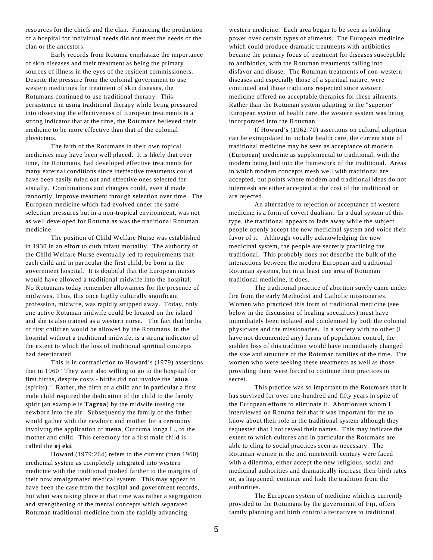resources for the chiefs and the clan. Financing the production of a hospital for individual needs did not meet the needs of the clan or the ancestors.

Early records from Rotuma emphasize the importance of skin diseases and their treatment as being the primary sources of illness in the eyes of the resident commissioners. Despite the pressure from the colonial government to use western medicines for treatment of skin diseases, the Rotumans continued to use traditional therapy. This persistence in using traditional therapy while being pressured into observing the effectiveness of European treatments is a strong indicator that at the time, the Rotumans believed their medicine to be more effective than that of the colonial physicians.

The faith of the Rotumans in their own topical medicines may have been well placed. It is likely that over time, the Rotumans, had developed effective treatments for many external conditions since ineffective treatments could have been easily ruled out and effective ones selected for visually. Combinations and changes could, even if made randomly, improve treatment through selection over time. The European medicine which had evolved under the same selection pressures but in a non-tropical environment, was not as well developed for Rotuma as was the traditional Rotuman medicine.

The position of Child Welfare Nurse was established in 1930 in an effort to curb infant mortality. The authority of the Child Welfare Nurse eventually led to requirements that each child and in particular the first child, be born in the government hospital. It is doubtful that the European nurses would have allowed a traditional midwife into the hospital. No Rotumans today remember allowances for the presence of midwives. Thus, this once highly culturally significant profession, midwife, was rapidly stripped away. Today, only one active Rotuman midwife could be located on the island and she is also trained as a western nurse. The fact that births of first children would be allowed by the Rotumans, in the hospital without a traditional midwife, is a strong indicator of the extent to which the loss of traditional spiritual concepts had deteriorated.

This is in contradiction to Howard's (1979) assertions that in 1960 "They were also willing to go to the hospital for first births, despite costs - births did not involve the **`atua** (spirits)." Rather, the birth of a child and in particular a first male child required the dedication of the child to the family spirit (an example is **Tagroa**) by the midwife tossing the newborn into the air. Subsequently the family of the father would gather with the newborn and mother for a ceremony involving the application of **mena**, Curcuma longa L., to the mother and child. This ceremony for a first male child is called the **oj eki**.

Howard (1979:264) refers to the current (then 1960) medicinal system as completely integrated into western medicine with the traditional pushed farther to the margins of their now amalgamated medical system. This may appear to have been the case from the hospital and government records, but what was taking place at that time was rather a segregation and strengthening of the mental concepts which separated Rotuman traditional medicine from the rapidly advancing

western medicine. Each area began to be seen as holding power over certain types of ailments. The European medicine which could produce dramatic treatments with antibiotics became the primary focus of treatment for diseases susceptible to antibiotics, with the Rotuman treatments falling into disfavor and disuse. The Rotuman treatments of non-western diseases and especially those of a spiritual nature, were continued and those traditions respected since western medicine offered no acceptable therapies for these ailments. Rather than the Rotuman system adapting to the "superior" European system of health care, the western system was being incorporated into the Rotuman.

If Howard's (1962:70) assertions on cultural adoption can be extrapolated to include health care, the current state of traditional medicine may be seen as acceptance of modern (European) medicine as supplemental to traditional, with the modern being laid into the framework of the traditional. Areas in which modern concepts mesh well with traditional are accepted, but points where modern and traditional ideas do not intermesh are either accepted at the cost of the traditional or are rejected.

An alternative to rejection or acceptance of western medicine is a form of covert dualism. In a dual system of this type, the traditional appears to fade away while the subject people openly accept the new medicinal system and voice their favor of it. Although vocally acknowledging the new medicinal system, the people are secretly practicing the traditional. This probably does not describe the bulk of the interactions between the modern European and traditional Rotuman systems, but in at least one area of Rotuman traditional medicine, it does.

The traditional practice of abortion surely came under fire from the early Methodist and Catholic missionaries. Women who practiced this form of traditional medicine (see below in the discussion of healing specialties) must have immediately been isolated and condemned by both the colonial physicians and the missionaries. In a society with no other (I have not documented any) forms of population control, the sudden loss of this tradition would have immediately changed the size and structure of the Rotuman families of the time. The women who were seeking these treatments as well as those providing them were forced to continue their practices in secret.

This practice was so important to the Rotumans that it has survived for over one-hundred and fifty years in spite of the European efforts to eliminate it. Abortionists whom I interviewed on Rotuma felt that it was important for me to know about their role in the traditional system although they requested that I not reveal their names. This may indicate the extent to which cultures and in particular the Rotumans are able to cling to social practices seen as necessary. The Rotuman women in the mid nineteenth century were faced with a dilemma, either accept the new religious, social and medicinal authorities and dramatically increase their birth rates or, as happened, continue and hide the tradition from the authorities.

The European system of medicine which is currently provided to the Rotumans by the government of Fiji, offers family planning and birth control alternatives to traditional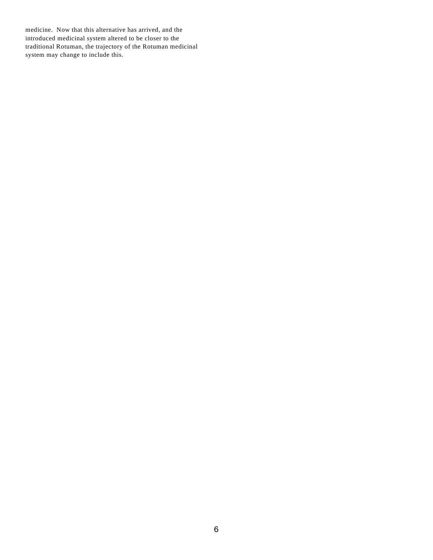medicine. Now that this alternative has arrived, and the introduced medicinal system altered to be closer to the traditional Rotuman, the trajectory of the Rotuman medicinal system may change to include this.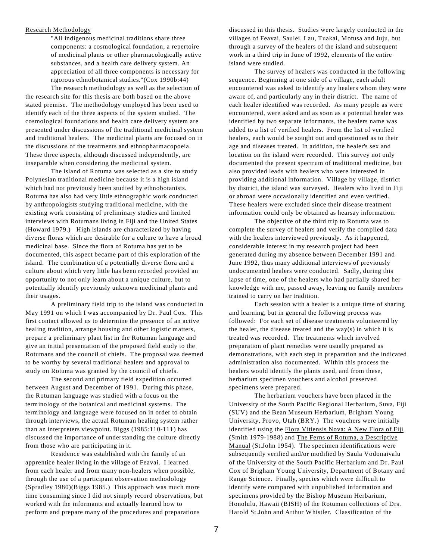### Research Methodology

"All indigenous medicinal traditions share three components: a cosmological foundation, a repertoire of medicinal plants or other pharmacologically active substances, and a health care delivery system. An appreciation of all three components is necessary for rigorous ethnobotanical studies."(Cox 1990b:44)

The research methodology as well as the selection of the research site for this thesis are both based on the above stated premise. The methodology employed has been used to identify each of the three aspects of the system studied. The cosmological foundations and health care delivery system are presented under discussions of the traditional medicinal system and traditional healers. The medicinal plants are focused on in the discussions of the treatments and ethnopharmacopoeia. These three aspects, although discussed independently, are inseparable when considering the medicinal system.

The island of Rotuma was selected as a site to study Polynesian traditional medicine because it is a high island which had not previously been studied by ethnobotanists. Rotuma has also had very little ethnographic work conducted by anthropologists studying traditional medicine, with the existing work consisting of preliminary studies and limited interviews with Rotumans living in Fiji and the United States (Howard 1979.) High islands are characterized by having diverse floras which are desirable for a culture to have a broad medicinal base. Since the flora of Rotuma has yet to be documented, this aspect became part of this exploration of the island. The combination of a potentially diverse flora and a culture about which very little has been recorded provided an opportunity to not only learn about a unique culture, but to potentially identify previously unknown medicinal plants and their usages.

A preliminary field trip to the island was conducted in May 1991 on which I was accompanied by Dr. Paul Cox. This first contact allowed us to determine the presence of an active healing tradition, arrange housing and other logistic matters, prepare a preliminary plant list in the Rotuman language and give an initial presentation of the proposed field study to the Rotumans and the council of chiefs. The proposal was deemed to be worthy by several traditional healers and approval to study on Rotuma was granted by the council of chiefs.

The second and primary field expedition occurred between August and December of 1991. During this phase, the Rotuman language was studied with a focus on the terminology of the botanical and medicinal systems. The terminology and language were focused on in order to obtain through interviews, the actual Rotuman healing system rather than an interpreters viewpoint. Biggs (1985:110-111) has discussed the importance of understanding the culture directly from those who are participating in it.

Residence was established with the family of an apprentice healer living in the village of Feavai. I learned from each healer and from many non-healers when possible, through the use of a participant observation methodology (Spradley 1980)(Biggs 1985.) This approach was much more time consuming since I did not simply record observations, but worked with the informants and actually learned how to perform and prepare many of the procedures and preparations

discussed in this thesis. Studies were largely conducted in the villages of Feavai, Saulei, Lau, Tuakai, Motusa and Juju, but through a survey of the healers of the island and subsequent work in a third trip in June of 1992, elements of the entire island were studied.

The survey of healers was conducted in the following sequence. Beginning at one side of a village, each adult encountered was asked to identify any healers whom they were aware of, and particularly any in their district. The name of each healer identified was recorded. As many people as were encountered, were asked and as soon as a potential healer was identified by two separate informants, the healers name was added to a list of verified healers. From the list of verified healers, each would be sought out and questioned as to their age and diseases treated. In addition, the healer's sex and location on the island were recorded. This survey not only documented the present spectrum of traditional medicine, but also provided leads with healers who were interested in providing additional information. Village by village, district by district, the island was surveyed. Healers who lived in Fiji or abroad were occasionally identified and even verified. These healers were excluded since their disease treatment information could only be obtained as hearsay information.

The objective of the third trip to Rotuma was to complete the survey of healers and verify the compiled data with the healers interviewed previously. As it happened, considerable interest in my research project had been generated during my absence between December 1991 and June 1992, thus many additional interviews of previously undocumented healers were conducted. Sadly, during this lapse of time, one of the healers who had partially shared her knowledge with me, passed away, leaving no family members trained to carry on her tradition.

Each session with a healer is a unique time of sharing and learning, but in general the following process was followed: For each set of disease treatments volunteered by the healer, the disease treated and the  $way(s)$  in which it is treated was recorded. The treatments which involved preparation of plant remedies were usually prepared as demonstrations, with each step in preparation and the indicated administration also documented. Within this process the healers would identify the plants used, and from these, herbarium specimen vouchers and alcohol preserved specimens were prepared.

The herbarium vouchers have been placed in the University of the South Pacific Regional Herbarium, Suva, Fiji (SUV) and the Bean Museum Herbarium, Brigham Young University, Provo, Utah (BRY.) The vouchers were initially identified using the Flora Vitiensis Nova: A New Flora of Fiji (Smith 1979-1988) and The Ferns of Rotuma, a Descriptive Manual (St.John 1954). The specimen identifications were subsequently verified and/or modified by Saula Vodonaivalu of the University of the South Pacific Herbarium and Dr. Paul Cox of Brigham Young University, Department of Botany and Range Science. Finally, species which were difficult to identify were compared with unpublished information and specimens provided by the Bishop Museum Herbarium, Honolulu, Hawaii (BISH) of the Rotuman collections of Drs. Harold St.John and Arthur Whistler. Classification of the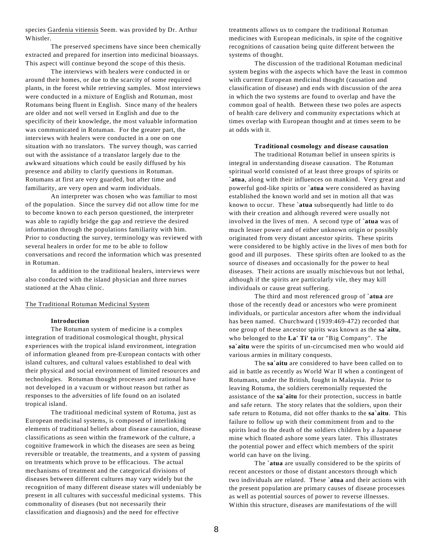species Gardenia vitiensis Seem. was provided by Dr. Arthur Whistler.

The preserved specimens have since been chemically extracted and prepared for insertion into medicinal bioassays. This aspect will continue beyond the scope of this thesis.

The interviews with healers were conducted in or around their homes, or due to the scarcity of some required plants, in the forest while retrieving samples. Most interviews were conducted in a mixture of English and Rotuman, most Rotumans being fluent in English. Since many of the healers are older and not well versed in English and due to the specificity of their knowledge, the most valuable information was communicated in Rotuman. For the greater part, the interviews with healers were conducted in a one on one situation with no translators. The survey though, was carried out with the assistance of a translator largely due to the awkward situations which could be easily diffused by his presence and ability to clarify questions in Rotuman. Rotumans at first are very guarded, but after time and familiarity, are very open and warm individuals.

An interpreter was chosen who was familiar to most of the population. Since the survey did not allow time for me to become known to each person questioned, the interpreter was able to rapidly bridge the gap and retrieve the desired information through the populations familiarity with him. Prior to conducting the survey, terminology was reviewed with several healers in order for me to be able to follow conversations and record the information which was presented in Rotuman.

In addition to the traditional healers, interviews were also conducted with the island physician and three nurses stationed at the Ahau clinic.

### The Traditional Rotuman Medicinal System

### **Introduction**

The Rotuman system of medicine is a complex integration of traditional cosmological thought, physical experiences with the tropical island environment, integration of information gleaned from pre-European contacts with other island cultures, and cultural values established to deal with their physical and social environment of limited resources and technologies. Rotuman thought processes and rational have not developed in a vacuum or without reason but rather as responses to the adversities of life found on an isolated tropical island.

The traditional medicinal system of Rotuma, just as European medicinal systems, is composed of interlinking elements of traditional beliefs about disease causation, disease classifications as seen within the framework of the culture, a cognitive framework in which the diseases are seen as being reversible or treatable, the treatments, and a system of passing on treatments which prove to be efficacious. The actual mechanisms of treatment and the categorical divisions of diseases between different cultures may vary widely but the recognition of many different disease states will undeniably be present in all cultures with successful medicinal systems. This commonality of diseases (but not necessarily their classification and diagnosis) and the need for effective

treatments allows us to compare the traditional Rotuman medicines with European medicinals, in spite of the cognitive recognitions of causation being quite different between the systems of thought.

The discussion of the traditional Rotuman medicinal system begins with the aspects which have the least in common with current European medicinal thought (causation and classification of disease) and ends with discussion of the area in which the two systems are found to overlap and have the common goal of health. Between these two poles are aspects of health care delivery and community expectations which at times overlap with European thought and at times seem to be at odds with it.

### **Traditional cosmology and disease causation**

The traditional Rotuman belief in unseen spirits is integral in understanding disease causation. The Rotuman spiritual world consisted of at least three groups of spirits or **`atua**, along with their influences on mankind. Very great and powerful god-like spirits or **`atua** were considered as having established the known world and set in motion all that was known to occur. These **`atua** subsequently had little to do with their creation and although revered were usually not involved in the lives of men. A second type of **`atua** was of much lesser power and of either unknown origin or possibly originated from very distant ancestor spirits. These spirits were considered to be highly active in the lives of men both for good and ill purposes. These spirits often are looked to as the source of diseases and occasionally for the power to heal diseases. Their actions are usually mischievous but not lethal, although if the spirits are particularly vile, they may kill individuals or cause great suffering.

The third and most referenced group of **`atua** are those of the recently dead or ancestors who were prominent individuals, or particular ancestors after whom the individual has been named. Churchward (1939:469-472) recorded that one group of these ancestor spirits was known as the **sa`aitu**, who belonged to the **La' Ti' ta** or "Big Company". The **sa`aitu** were the spirits of un-circumcised men who would aid various armies in military conquests.

The **sa`aitu** are considered to have been called on to aid in battle as recently as World War II when a contingent of Rotumans, under the British, fought in Malaysia. Prior to leaving Rotuma, the soldiers ceremonially requested the assistance of the **sa`aitu** for their protection, success in battle and safe return. The story relates that the soldiers, upon their safe return to Rotuma, did not offer thanks to the **sa`aitu**. This failure to follow up with their commitment from and to the spirits lead to the death of the soldiers children by a Japanese mine which floated ashore some years later. This illustrates the potential power and effect which members of the spirit world can have on the living.

The **`atua** are usually considered to be the spirits of recent ancestors or those of distant ancestors through which two individuals are related. These **`atua** and their actions with the present population are primary causes of disease processes as well as potential sources of power to reverse illnesses. Within this structure, diseases are manifestations of the will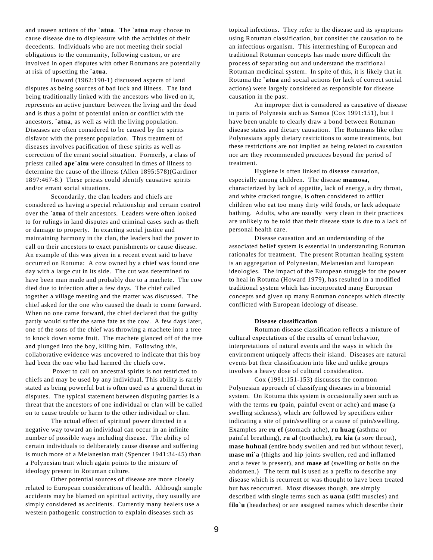and unseen actions of the **`atua**. The **`atua** may choose to cause disease due to displeasure with the activities of their decedents. Individuals who are not meeting their social obligations to the community, following custom, or are involved in open disputes with other Rotumans are potentially at risk of upsetting the **`atua**.

Howard (1962:190-1) discussed aspects of land disputes as being sources of bad luck and illness. The land being traditionally linked with the ancestors who lived on it, represents an active juncture between the living and the dead and is thus a point of potential union or conflict with the ancestors, **`atua**, as well as with the living population. Diseases are often considered to be caused by the spirits disfavor with the present population. Thus treatment of diseases involves pacification of these spirits as well as correction of the errant social situation. Formerly, a class of priests called **ape`aitu** were consulted in times of illness to determine the cause of the illness (Allen 1895:578)(Gardiner 1897:467-8.) These priests could identify causative spirits and/or errant social situations.

Secondarily, the clan leaders and chiefs are considered as having a special relationship and certain control over the **`atua** of their ancestors. Leaders were often looked to for rulings in land disputes and criminal cases such as theft or damage to property. In exacting social justice and maintaining harmony in the clan, the leaders had the power to call on their ancestors to exact punishments or cause disease. An example of this was given in a recent event said to have occurred on Rotuma: A cow owned by a chief was found one day with a large cut in its side. The cut was determined to have been man made and probably due to a machete. The cow died due to infection after a few days. The chief called together a village meeting and the matter was discussed. The chief asked for the one who caused the death to come forward. When no one came forward, the chief declared that the guilty partly would suffer the same fate as the cow. A few days later, one of the sons of the chief was throwing a machete into a tree to knock down some fruit. The machete glanced off of the tree and plunged into the boy, killing him. Following this, collaborative evidence was uncovered to indicate that this boy had been the one who had harmed the chiefs cow.

 Power to call on ancestral spirits is not restricted to chiefs and may be used by any individual. This ability is rarely stated as being powerful but is often used as a general threat in disputes. The typical statement between disputing parties is a threat that the ancestors of one individual or clan will be called on to cause trouble or harm to the other individual or clan.

The actual effect of spiritual power directed in a negative way toward an individual can occur in an infinite number of possible ways including disease. The ability of certain individuals to deliberately cause disease and suffering is much more of a Melanesian trait (Spencer 1941:34-45) than a Polynesian trait which again points to the mixture of ideology present in Rotuman culture.

Other potential sources of disease are more closely related to European considerations of health. Although simple accidents may be blamed on spiritual activity, they usually are simply considered as accidents. Currently many healers use a western pathogenic construction to explain diseases such as

topical infections. They refer to the disease and its symptoms using Rotuman classification, but consider the causation to be an infectious organism. This intermeshing of European and traditional Rotuman concepts has made more difficult the process of separating out and understand the traditional Rotuman medicinal system. In spite of this, it is likely that in Rotuma the **`atua** and social actions (or lack of correct social actions) were largely considered as responsible for disease causation in the past.

An improper diet is considered as causative of disease in parts of Polynesia such as Samoa (Cox 1991:151), but I have been unable to clearly draw a bond between Rotuman disease states and dietary causation. The Rotumans like other Polynesians apply dietary restrictions to some treatments, but these restrictions are not implied as being related to causation nor are they recommended practices beyond the period of treatment.

Hygiene is often linked to disease causation, especially among children. The disease **mamosa**, characterized by lack of appetite, lack of energy, a dry throat, and white cracked tongue, is often considered to afflict children who eat too many dirty wild foods, or lack adequate bathing. Adults, who are usually very clean in their practices are unlikely to be told that their disease state is due to a lack of personal health care.

Disease causation and an understanding of the associated belief system is essential in understanding Rotuman rationales for treatment. The present Rotuman healing system is an aggregation of Polynesian, Melanesian and European ideologies. The impact of the European struggle for the power to heal in Rotuma (Howard 1979), has resulted in a modified traditional system which has incorporated many European concepts and given up many Rotuman concepts which directly conflicted with European ideology of disease.

### **Disease classification**

Rotuman disease classification reflects a mixture of cultural expectations of the results of errant behavior, interpretations of natural events and the ways in which the environment uniquely affects their island. Diseases are natural events but their classification into like and unlike groups involves a heavy dose of cultural consideration.

Cox (1991:151-153) discusses the common Polynesian approach of classifying diseases in a binomial system. On Rotuma this system is occasionally seen such as with the terms **ru** (pain, painful event or ache) and **mase** (a swelling sickness), which are followed by specifiers either indicating a site of pain/swelling or a cause of pain/swelling. Examples are **ru ef** (stomach ache), **ru huag** (asthma or painful breathing), **ru al** (toothache), **ru kia** (a sore throat), **mase huhual** (entire body swollen and red but without fever), **mase mi`a** (thighs and hip joints swollen, red and inflamed and a fever is present), and **mase af** (swelling or boils on the abdomen.) The term **tui** is used as a prefix to describe any disease which is recurrent or was thought to have been treated but has reoccurred. Most diseases though, are simply described with single terms such as **uaua** (stiff muscles) and **filo`u** (headaches) or are assigned names which describe their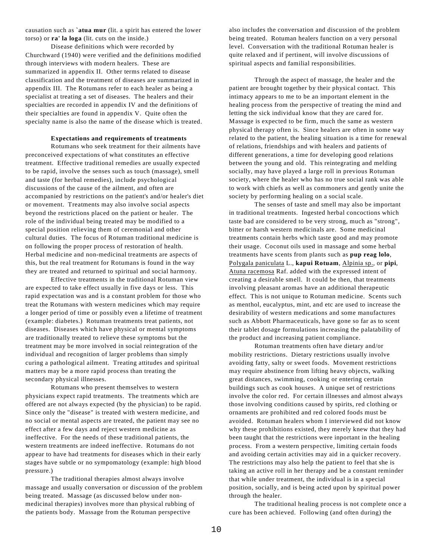causation such as **`atua mur** (lit. a spirit has entered the lower torso) or **ra' la loga** (lit. cuts on the inside.)

Disease definitions which were recorded by Churchward (1940) were verified and the definitions modified through interviews with modern healers. These are summarized in appendix II. Other terms related to disease classification and the treatment of diseases are summarized in appendix III. The Rotumans refer to each healer as being a specialist at treating a set of diseases. The healers and their specialties are recorded in appendix IV and the definitions of their specialties are found in appendix V. Quite often the specialty name is also the name of the disease which is treated.

## **Expectations and requirements of treatments**

Rotumans who seek treatment for their ailments have preconceived expectations of what constitutes an effective treatment. Effective traditional remedies are usually expected to be rapid, involve the senses such as touch (massage), smell and taste (for herbal remedies), include psychological discussions of the cause of the ailment, and often are accompanied by restrictions on the patient's and/or healer's diet or movement. Treatments may also involve social aspects beyond the restrictions placed on the patient or healer. The role of the individual being treated may be modified to a special position relieving them of ceremonial and other cultural duties. The focus of Rotuman traditional medicine is on following the proper process of restoration of health. Herbal medicine and non-medicinal treatments are aspects of this, but the real treatment for Rotumans is found in the way they are treated and returned to spiritual and social harmony.

Effective treatments in the traditional Rotuman view are expected to take effect usually in five days or less. This rapid expectation was and is a constant problem for those who treat the Rotumans with western medicines which may require a longer period of time or possibly even a lifetime of treatment (example: diabetes.) Rotuman treatments treat patients, not diseases. Diseases which have physical or mental symptoms are traditionally treated to relieve these symptoms but the treatment may be more involved in social reintegration of the individual and recognition of larger problems than simply curing a pathological ailment. Treating attitudes and spiritual matters may be a more rapid process than treating the secondary physical illnesses.

Rotumans who present themselves to western physicians expect rapid treatments. The treatments which are offered are not always expected (by the physician) to be rapid. Since only the "disease" is treated with western medicine, and no social or mental aspects are treated, the patient may see no effect after a few days and reject western medicine as ineffective. For the needs of these traditional patients, the western treatments are indeed ineffective. Rotumans do not appear to have had treatments for diseases which in their early stages have subtle or no sympomatology (example: high blood pressure.)

The traditional therapies almost always involve massage and usually conversation or discussion of the problem being treated. Massage (as discussed below under nonmedicinal therapies) involves more than physical rubbing of the patients body. Massage from the Rotuman perspective

also includes the conversation and discussion of the problem being treated. Rotuman healers function on a very personal level. Conversation with the traditional Rotuman healer is quite relaxed and if pertinent, will involve discussions of spiritual aspects and familial responsibilities.

Through the aspect of massage, the healer and the patient are brought together by their physical contact. This intimacy appears to me to be an important element in the healing process from the perspective of treating the mind and letting the sick individual know that they are cared for. Massage is expected to be firm, much the same as western physical therapy often is. Since healers are often in some way related to the patient, the healing situation is a time for renewal of relations, friendships and with healers and patients of different generations, a time for developing good relations between the young and old. This reintegrating and melding socially, may have played a large roll in previous Rotuman society, where the healer who has no true social rank was able to work with chiefs as well as commoners and gently unite the society by performing healing on a social scale.

The senses of taste and smell may also be important in traditional treatments. Ingested herbal concoctions which taste bad are considered to be very strong, much as "strong", bitter or harsh western medicinals are. Some medicinal treatments contain herbs which taste good and may promote their usage. Coconut oils used in massage and some herbal treatments have scents from plants such as **pup reag lolo**, Polygala paniculata L., **kapui Rotuam**, Alpinia sp., or **pipi**, Atuna racemosa Raf. added with the expressed intent of creating a desirable smell. It could be then, that treatments involving pleasant aromas have an additional therapeutic effect. This is not unique to Rotuman medicine. Scents such as menthol, eucalyptus, mint, and etc are used to increase the desirability of western medications and some manufactures such as Abbott Pharmaceuticals, have gone so far as to scent their tablet dosage formulations increasing the palatability of the product and increasing patient compliance.

Rotuman treatments often have dietary and/or mobility restrictions. Dietary restrictions usually involve avoiding fatty, salty or sweet foods. Movement restrictions may require abstinence from lifting heavy objects, walking great distances, swimming, cooking or entering certain buildings such as cook houses. A unique set of restrictions involve the color red. For certain illnesses and almost always those involving conditions caused by spirits, red clothing or ornaments are prohibited and red colored foods must be avoided. Rotuman healers whom I interviewed did not know why these prohibitions existed, they merely knew that they had been taught that the restrictions were inportant in the healing process. From a western perspective, limiting certain foods and avoiding certain activities may aid in a quicker recovery. The restrictions may also help the patient to feel that she is taking an active roll in her therapy and be a constant reminder that while under treatment, the individual is in a special position, socially, and is being acted upon by spiritual power through the healer.

The traditional healing process is not complete once a cure has been achieved. Following (and often during) the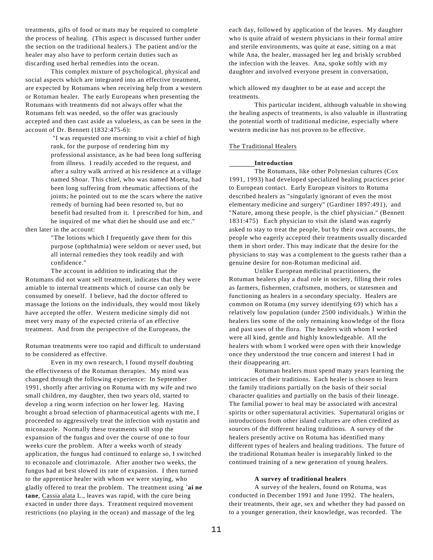treatments, gifts of food or mats may be required to complete the process of healing. (This aspect is discussed further under the section on the traditional healers.) The patient and/or the healer may also have to perform certain duties such as discarding used herbal remedies into the ocean.

This complex mixture of psychological, physical and social aspects which are integrated into an effective treatment, are expected by Rotumans when receiving help from a western or Rotuman healer. The early Europeans when presenting the Rotumans with treatments did not always offer what the Rotumans felt was needed, so the offer was graciously accepted and then cast aside as valueless, as can be seen in the account of Dr. Bennett (1832:475-6):

> "I was requested one morning to visit a chief of high rank, for the purpose of rendering him my professional assistance, as he had been long suffering from illness. I readily acceded to the request, and after a sultry walk arrived at his residence at a village named Shoar. This chief, who was named Moeta, had been long suffering from rheumatic affections of the joints; he pointed out to me the scars where the native remedy of burning had been resorted to, but no benefit had resulted from it. I prescribed for him, and he inquired of me what diet he should use and etc."

then later in the account:

"The lotions which I frequently gave them for this purpose (ophthalmia) were seldom or never used, but all internal remedies they took readily and with confidence."

The account in addition to indicating that the Rotumans did not want self treatment, indicates that they were amiable to internal treatments which of course can only be consumed by oneself. I believe, had the doctor offered to massage the lotions on the individuals, they would most likely have accepted the offer. Western medicine simply did not meet very many of the expected criteria of an effective treatment. And from the perspective of the Europeans, the

Rotuman treatments were too rapid and difficult to understand to be considered as effective.

Even in my own research, I found myself doubting the effectiveness of the Rotuman therapies. My mind was changed through the following experience: In September 1991, shortly after arriving on Rotuma with my wife and two small children, my daughter, then two years old, started to develop a ring worm infection on her lower leg. Having brought a broad selection of pharmaceutical agents with me, I proceeded to aggressively treat the infection with nystatin and miconazole. Normally these treatments will stop the expansion of the fungus and over the course of one to four weeks cure the problem. After a weeks worth of steady application, the fungus had continued to enlarge so, I switched to econazole and clotrimazole. After another two weeks, the fungus had at best slowed its rate of expansion. I then turned to the apprentice healer with whom we were staying, who gladly offered to treat the problem. The treatment using **`ai ne tane**, Cassia alata L., leaves was rapid, with the cure being exacted in under three days. Treatment required movement restrictions (no playing in the ocean) and massage of the leg

each day, followed by application of the leaves. My daughter who is quite afraid of western physicians in their formal attire and sterile environments, was quite at ease, sitting on a mat while Ana, the healer, massaged her leg and briskly scrubbed the infection with the leaves. Ana, spoke softly with my daughter and involved everyone present in conversation,

which allowed my daughter to be at ease and accept the treatments.

This particular incident, although valuable in showing the healing aspects of treatments, is also valuable in illustrating the potential worth of traditional medicine, especially where western medicine has not proven to be effective.

## The Traditional Healers

### **Introduction**

The Rotumans, like other Polynesian cultures (Cox 1991, 1993) had developed specialized healing practices prior to European contact. Early European visitors to Rotuma described healers as "singularly ignorant of even the most elementary medicine and surgery" (Gardiner 1897:491), and "Nature, among these people, is the chief physician." (Bennett 1831:475) Each physician to visit the island was eagerly asked to stay to treat the people, but by their own accounts, the people who eagerly accepted their treatments usually discarded them in short order. This may indicate that the desire for the physicians to stay was a complement to the guests rather than a genuine desire for non-Rotuman medicinal aid.

Unlike European medicinal practitioners, the Rotuman healers play a dual role in society, filling their roles as farmers, fishermen, craftsmen, mothers, or statesmen and functioning as healers in a secondary specialty. Healers are common on Rotuma (my survey identifying 69) which has a relatively low population (under 2500 individuals.) Within the healers lies some of the only remaining knowledge of the flora and past uses of the flora. The healers with whom I worked were all kind, gentle and highly knowledgeable. All the healers with whom I worked were open with their knowledge once they understood the true concern and interest I had in their disappearing art.

Rotuman healers must spend many years learning the intricacies of their traditions. Each healer is chosen to learn the family traditions partially on the basis of their social character qualities and partially on the basis of their lineage. The familial power to heal may be associated with ancestral spirits or other supernatural activities. Supernatural origins or introductions from other island cultures are often credited as sources of the different healing traditions. A survey of the healers presently active on Rotuma has identified many different types of healers and healing traditions. The future of the traditional Rotuman healer is inseparably linked to the continued training of a new generation of young healers.

### **A survey of traditional healers**

A survey of the healers, found on Rotuma, was conducted in December 1991 and June 1992. The healers, their treatments, their age, sex and whether they had passed on to a younger generation, their knowledge, was recorded. The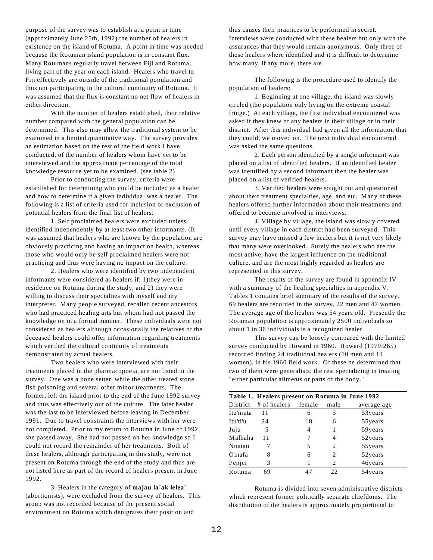purpose of the survey was to establish at a point in time (approximately June 25th, 1992) the number of healers in existence on the island of Rotuma. A point in time was needed because the Rotuman island population is in constant flux. Many Rotumans regularly travel between Fiji and Rotuma, living part of the year on each island. Healers who travel to Fiji effectively are outside of the traditional population and thus not participating in the cultural continuity of Rotuma. It was assumed that the flux is constant no net flow of healers in either direction.

With the number of healers established, their relative number compared with the general population can be determined. This also may allow the traditional system to be examined in a limited quantitative way. The survey provides an estimation based on the rest of the field work I have conducted, of the number of healers whom have yet to be interviewed and the approximate percentage of the total knowledge resource yet to be examined. (see table 2)

Prior to conducting the survey, criteria were established for determining who could be included as a healer and how to determine if a given individual was a healer. The following is a list of criteria used for inclusion or exclusion of potential healers from the final list of healers:

1. Self proclaimed healers were excluded unless identified independently by at least two other informants. (It was assumed that healers who are known by the population are obviously practicing and having an impact on health, whereas those who would only be self proclaimed healers were not practicing and thus were having no impact on the culture.

2. Healers who were identified by two independent informants were considered as healers if: 1)they were in residence on Rotuma during the study, and 2) they were willing to discuss their specialties with myself and my interpreter. Many people surveyed, recalled recent ancestors who had practiced healing arts but whom had not passed the knowledge on in a formal manner. These individuals were not considered as healers although occasionally the relatives of the deceased healers could offer information regarding treatments which verified the cultural continuity of treatments demonstrated by actual healers.

Two healers who were interviewed with their treatments placed in the pharmacopoeia, are not listed in the survey. One was a bone setter, while the other treated stone fish poisoning and several other minor treatments. The former, left the island prior to the end of the June 1992 survey and thus was effectively out of the culture. The later healer was the last to be interviewed before leaving in December 1991. Due to travel constraints the interviews with her were not completed. Prior to my return to Rotuma in June of 1992, she passed away. She had not passed on her knowledge so I could not record the remainder of her treatments. Both of these healers, although participating in this study, were not present on Rotuma through the end of the study and thus are not listed here as part of the record of healers present in June 1992.

3. Healers in the category of **majau la`ak lelea'** (abortionists), were excluded from the survey of healers. This group was not recorded because of the present social environment on Rotuma which denigrates their position and

thus causes their practices to be performed in secret. Interviews were conducted with these healers but only with the assurances that they would remain anonymous. Only three of these healers where identified and it is difficult to determine how many, if any more, there are.

The following is the procedure used to identify the population of healers:

1. Beginning at one village, the island was slowly circled (the population only living on the extreme coastal fringe.) At each village, the first individual encountered was asked if they knew of any healers in their village or in their district. After this individual had given all the information that they could, we moved on. The next individual encountered was asked the same questions.

2. Each person identified by a single informant was placed on a list of identified healers. If an identified healer was identified by a second informant then the healer was placed on a list of verified healers.

3. Verified healers were sought out and questioned about their treatment specialties, age, and etc. Many of these healers offered further information about their treatments and offered to become involved in interviews.

4. Village by village, the island was slowly covered until every village in each district had been surveyed. This survey may have missed a few healers but it is not very likely that many were overlooked. Surely the healers who are the most active, have the largest influence on the traditional culture, and are the most highly regarded as healers are represented in this survey.

The results of the survey are found in appendix IV with a summary of the healing specialties in appendix V. Tables 1 contains brief summary of the results of the survey. 69 healers are recorded in the survey, 22 men and 47 women. The average age of the healers was 54 years old. Presently the Rotuman population is approximately 2500 individuals so about 1 in 36 individuals is a recognized healer.

This survey can be loosely compared with the limited survey conducted by Howard in 1960. Howard (1979:265) recorded finding 24 traditional healers (10 men and 14 women), in his 1960 field work. Of these he determined that two of them were generalists; the rest specializing in treating "either particular ailments or parts of the body."

|          | Table 1. Healers present on Rotuma in June 1992 |        |                               |             |
|----------|-------------------------------------------------|--------|-------------------------------|-------------|
| District | # of healers                                    | female | male                          | average age |
| Itu'muta | 11                                              | 6      | 5                             | 53 years    |
| Itu'ti'u | 24                                              | 18     | 6                             | 55 years    |
| Juju     | 5                                               | 4      |                               | 59 years    |
| Malhaha  | 11                                              | 7      | 4                             | 52 years    |
| Noatau   |                                                 | 5      | $\mathfrak{D}_{\mathfrak{p}}$ | 55 years    |
| Oinafa   | 8                                               | 6      | 2                             | 52 years    |
| Pepjei   | 3                                               |        | 2                             | 46years     |
| Rotuma   | 69                                              | 47     | 22                            | 54 years    |

Rotuma is divided into seven administrative districts which represent former politically separate chiefdoms. The distribution of the healers is approximately proportional to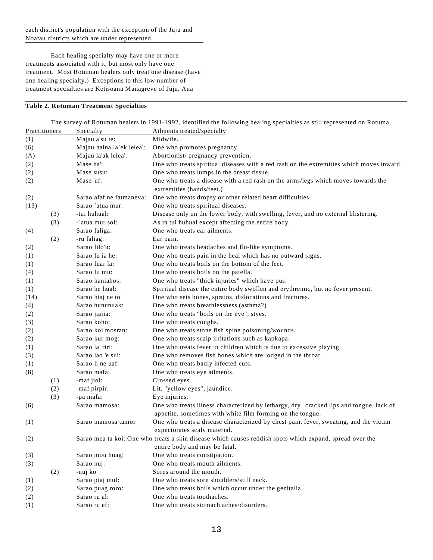Each healing specialty may have one or more treatments associated with it, but most only have one treatment. Most Rotuman healers only treat one disease (have one healing specialty.) Exceptions to this low number of treatment specialties are Ketisoana Managreve of Juju, Ana

# **Table 2. Rotuman Treatment Specialties**

The survey of Rotuman healers in 1991-1992, identified the following healing specialties as still represented on Rotuma.<br>A ilments treated/specialty

| Practitioners |     | Specialty                 | Ailments treated/specialty                                                                               |
|---------------|-----|---------------------------|----------------------------------------------------------------------------------------------------------|
| (1)           |     | Majau a'su te:            | Midwife.                                                                                                 |
| (6)           |     | Majau haina la`ek lelea': | One who promotes pregnancy.                                                                              |
| (A)           |     | Majau la'ak lelea':       | Abortionist/ pregnancy prevention.                                                                       |
| (2)           |     | Mase ha':                 | One who treats spiritual diseases with a red rash on the extremities which moves inward.                 |
| (2)           |     | Mase susu:                | One who treats lumps in the breast tissue.                                                               |
| (2)           |     | Mase 'uf:                 | One who treats a disease with a red rash on the arms/legs which moves towards the                        |
|               |     |                           | extremities (hands/feet.)                                                                                |
| (2)           |     | Sarao afaf ne fatmaneva:  | One who treats dropsy or other related heart difficulties.                                               |
| (13)          |     | Sarao `atua mur:          | One who treats spiritual diseases.                                                                       |
|               | (3) | -tui huhual:              | Disease only on the lower body, with swelling, fever, and no external blistering.                        |
|               | (3) | -`atua mur sol:           | As in tui huhual except affecting the entire body.                                                       |
| (4)           |     | Sarao faliga:             | One who treats ear ailments.                                                                             |
|               | (2) | -ru faliag:               | Ear pain.                                                                                                |
| (2)           |     | Sarao filo'u:             | One who treats headaches and flu-like symptoms.                                                          |
| (1)           |     | Sarao fu ia he:           | One who treats pain in the heal which has no outward signs.                                              |
| (1)           |     | Sarao fuar la:            | One who treats boils on the bottom of the feet.                                                          |
| (4)           |     | Sarao fu mu:              | One who treats boils on the patella.                                                                     |
| (1)           |     | Sarao haniahos:           | One who treats "thick injuries" which have pus.                                                          |
| (1)           |     | Sarao he hual:            | Spiritual disease the entire body swollen and erythremic, but no fever present.                          |
| (14)          |     | Sarao hiaj ne to'         | One who sets bones, sprains, dislocations and fractures.                                                 |
| (4)           |     | Sarao hununuak:           | One who treats breathlessness (asthma?)                                                                  |
| (2)           |     | Sarao jiajia:             | One who treats "boils on the eye", styes.                                                                |
| (3)           |     | Sarao koho:               | One who treats coughs.                                                                                   |
| (2)           |     | Sarao koi mosran:         | One who treats stone fish spine poisoning/wounds.                                                        |
| (2)           |     | Sarao kur mog:            | One who treats scalp irritations such as kapkapa.                                                        |
| (1)           |     | Sarao la' riri:           | One who treats fever in children which is due to excessive playing.                                      |
| (3)           |     | Sarao lao 'e sui:         | One who removes fish bones which are lodged in the throat.                                               |
| (1)           |     | Sarao li ne uaf:          | One who treats badly infected cuts.                                                                      |
| (8)           |     | Sarao mafa:               | One who treats eye ailments.                                                                             |
|               | (1) | -maf jiol:                | Crossed eyes.                                                                                            |
|               | (2) | -maf pirpir:              | Lit. "yellow eyes", jaundice.                                                                            |
|               | (3) | -pa mafa:                 | Eye injuries.                                                                                            |
| (6)           |     | Sarao mamosa:             | One who treats illness characterized by lethargy, dry cracked lips and tongue, lack of                   |
|               |     |                           | appetite, sometimes with white film forming on the tongue.                                               |
| (1)           |     | Sarao mamosa tamor        | One who treats a disease characterized by chest pain, fever, sweating, and the victim                    |
|               |     |                           | expectorates scaly material.                                                                             |
| (2)           |     |                           | Sarao mea ta koi: One who treats a skin disease which causes reddish spots which expand, spread over the |
|               |     |                           | entire body and may be fatal.                                                                            |
| (3)           |     | Sarao mou huag:           | One who treats constipation.                                                                             |
| (3)           |     | Sarao nuj:                | One who treats mouth ailments.                                                                           |
|               | (2) | -nuj ko'                  | Sores around the mouth.                                                                                  |
| (1)           |     | Sarao piaj mul:           | One who treats sore shoulders/stiff neck.                                                                |
| (2)           |     | Sarao puag roro:          | One who treats boils which occur under the genitalia.                                                    |
| (2)           |     | Sarao ru al:              | One who treats toothaches.                                                                               |
| (1)           |     | Sarao ru ef:              | One who treats stomach aches/disorders.                                                                  |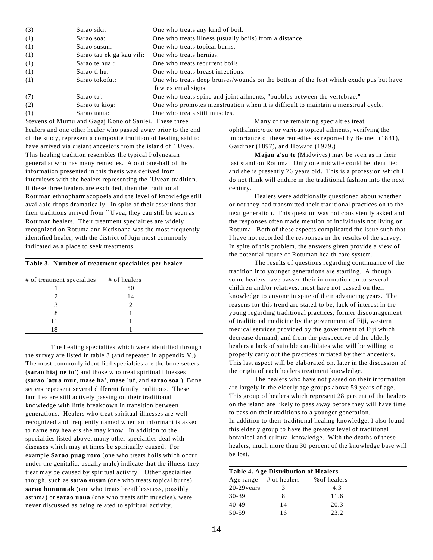| (3) | Sarao siki:               | One who treats any kind of boil.                                                                             |
|-----|---------------------------|--------------------------------------------------------------------------------------------------------------|
| (1) | Sarao soa:                | One who treats illness (usually boils) from a distance.                                                      |
| (1) | Sarao susun:              | One who treats topical burns.                                                                                |
| (1) | Sarao tau ek ga kau vili: | One who treats hernias.                                                                                      |
| (1) | Sarao te hual:            | One who treats recurrent boils.                                                                              |
| (1) | Sarao ti hu:              | One who treats breast infections.                                                                            |
| (1) | Sarao tokofut:            | One who treats deep bruises/wounds on the bottom of the foot which exude pus but have<br>few external signs. |
| (7) | Sarao tu':                | One who treats spine and joint ailments, "bubbles between the vertebrae."                                    |
| (2) | Sarao tu kiog:            | One who promotes menstruation when it is difficult to maintain a menstrual cycle.                            |
| (1) | Sarao uaua:               | One who treats stiff muscles.                                                                                |
|     |                           |                                                                                                              |

Stevens of Mumu and Gagaj Kono of Saulei. These three healers and one other healer who passed away prior to the end of the study, represent a composite tradition of healing said to have arrived via distant ancestors from the island of ``Uvea. This healing tradition resembles the typical Polynesian generalist who has many remedies. About one-half of the information presented in this thesis was derived from interviews with the healers representing the `Uvean tradition. If these three healers are excluded, then the traditional Rotuman ethnopharmacopoeia and the level of knowledge still available drops dramatically. In spite of their assertions that their traditions arrived from ``Uvea, they can still be seen as Rotuman healers. Their treatment specialties are widely recognized on Rotuma and Ketisoana was the most frequently identified healer, with the district of Juju most commonly indicated as a place to seek treatments.

## **Table 3. Number of treatment specialties per healer**

| # of treatment specialties # of healers |    |
|-----------------------------------------|----|
|                                         | 50 |
|                                         | 14 |
| 3                                       |    |
|                                         |    |
| 11                                      |    |
| 18                                      |    |

The healing specialties which were identified through the survey are listed in table 3 (and repeated in appendix V.) The most commonly identified specialties are the bone setters (**sarao hiaj ne to'**) and those who treat spiritual illnesses (s**arao `atua mur**, **mase ha'**, **mase `uf**, and **sarao soa**.) Bone setters represent several different family traditions. These families are still actively passing on their traditional knowledge with little breakdown in transition between generations. Healers who treat spiritual illnesses are well recognized and frequently named when an informant is asked to name any healers she may know. In addition to the specialties listed above, many other specialties deal with diseases which may at times be spiritually caused. For example **Sarao puag roro** (one who treats boils which occur under the genitalia, usually male) indicate that the illness they treat may be caused by spiritual activity. Other specialties though, such as **sarao susun** (one who treats topical burns), **sarao hununuak** (one who treats breathlessness, possibly asthma) or **sarao uaua** (one who treats stiff muscles), were never discussed as being related to spiritual activity.

Many of the remaining specialties treat ophthalmic/otic or various topical ailments, verifying the importance of these remedies as reported by Bennett (1831), Gardiner (1897), and Howard (1979.)

**Majau a'su te** (Midwives) may be seen as in their last stand on Rotuma. Only one midwife could be identified and she is presently 76 years old. This is a profession which I do not think will endure in the traditional fashion into the next century.

Healers were additionally questioned about whether or not they had transmitted their traditional practices on to the next generation. This question was not consistently asked and the responses often made mention of individuals not living on Rotuma. Both of these aspects complicated the issue such that I have not recorded the responses in the results of the survey. In spite of this problem, the answers given provide a view of the potential future of Rotuman health care system.

The results of questions regarding continuance of the tradition into younger generations are startling. Although some healers have passed their information on to several children and/or relatives, most have not passed on their knowledge to anyone in spite of their advancing years. The reasons for this trend are stated to be; lack of interest in the young regarding traditional practices, former discouragement of traditional medicine by the government of Fiji, western medical services provided by the government of Fiji which decrease demand, and from the perspective of the elderly healers a lack of suitable candidates who will be willing to properly carry out the practices initiated by their ancestors. This last aspect will be elaborated on, later in the discussion of the origin of each healers treatment knowledge.

The healers who have not passed on their information are largely in the elderly age groups above 59 years of age. This group of healers which represent 28 percent of the healers on the island are likely to pass away before they will have time to pass on their traditions to a younger generation. In addition to their traditional healing knowledge, I also found this elderly group to have the greatest level of traditional botanical and cultural knowledge. With the deaths of these healers, much more than 30 percent of the knowledge base will be lost.

| <b>Table 4. Age Distribution of Healers</b> |              |              |  |
|---------------------------------------------|--------------|--------------|--|
| Age range                                   | # of healers | % of healers |  |
| $20-29$ years                               | 3            | 4.3          |  |
| $30-39$                                     | 8            | 11.6         |  |
| $40 - 49$                                   | 14           | 20.3         |  |
| 50-59                                       | 16           | 23.2         |  |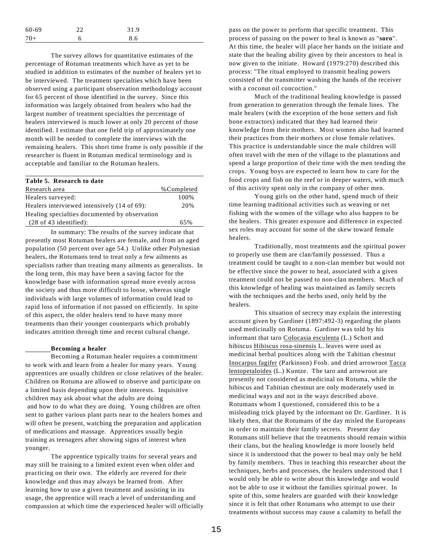| 60-69 | つつ | 31.9 |
|-------|----|------|
| $70+$ |    | 8.6  |

The survey allows for quantitative estimates of the percentage of Rotuman treatments which have as yet to be studied in addition to estimates of the number of healers yet to be interviewed. The treatment specialties which have been observed using a participant observation methodology account for 65 percent of those identified in the survey. Since this information was largely obtained from healers who had the largest number of treatment specialties the percentage of healers interviewed is much lower at only 20 percent of those identified. I estimate that one field trip of approximately one month will be needed to complete the interviews with the remaining healers. This short time frame is only possible if the researcher is fluent in Rotuman medical terminology and is acceptable and familiar to the Rotuman healers.

| Table 5. Research to date                     |             |
|-----------------------------------------------|-------------|
| Research area                                 | % Completed |
| Healers surveyed:                             | 100%        |
| Healers interviewed intensively (14 of 69):   | 20%         |
| Healing specialties documented by observation |             |
| $(28 \text{ of } 43 \text{ identified})$ :    | 65%         |

In summary: The results of the survey indicate that presently most Rotuman healers are female, and from an aged population (50 percent over age 54.) Unlike other Polynesian healers, the Rotumans tend to treat only a few ailments as specialists rather than treating many ailments as generalists. In the long term, this may have been a saving factor for the knowledge base with information spread more evenly across the society and thus more difficult to loose, whereas single individuals with large volumes of information could lead to rapid loss of information if not passed on efficiently. In spite of this aspect, the older healers tend to have many more treatments than their younger counterparts which probably indicates attrition through time and recent cultural change.

### **Becoming a healer**

Becoming a Rotuman healer requires a commitment to work with and learn from a healer for many years. Young apprentices are usually children or close relatives of the healer. Children on Rotuma are allowed to observe and participate on a limited basis depending upon their interests. Inquisitive children may ask about what the adults are doing and how to do what they are doing. Young children are often sent to gather various plant parts near to the healers homes and will often be present, watching the preparation and application of medications and massage. Apprentices usually begin training as teenagers after showing signs of interest when younger.

The apprentice typically trains for several years and may still be training to a limited extent even when older and practicing on their own. The elderly are revered for their knowledge and thus may always be learned from. After learning how to use a given treatment and assisting in its usage, the apprentice will reach a level of understanding and compassion at which time the experienced healer will officially pass on the power to perform that specific treatment. This process of passing on the power to heal is known as "**soro**". At this time, the healer will place her hands on the initiate and state that the healing ability given by their ancestors to heal is now given to the initiate. Howard (1979:270) described this process: "The ritual employed to transmit healing powers consisted of the transmitter washing the hands of the receiver with a coconut oil concoction."

Much of the traditional healing knowledge is passed from generation to generation through the female lines. The male healers (with the exception of the bone setters and fish bone extractors) indicated that they had learned their knowledge from their mothers. Most women also had learned their practices from their mothers or close female relatives. This practice is understandable since the male children will often travel with the men of the village to the plantations and spend a large proportion of their time with the men tending the crops. Young boys are expected to learn how to care for the food crops and fish on the reef or in deeper waters, with much of this activity spent only in the company of other men.

Young girls on the other hand, spend much of their time learning traditional activities such as weaving or net fishing with the women of the village who also happen to be the healers. This greater exposure and difference in expected sex roles may account for some of the skew toward female healers.

Traditionally, most treatments and the spiritual power to properly use them are clan/family possessed. Thus a treatment could be taught to a non-clan member but would not be effective since the power to heal, associated with a given treatment could not be passed to non-clan members. Much of this knowledge of healing was maintained as family secrets with the techniques and the herbs used, only held by the healers.

This situation of secrecy may explain the interesting account given by Gardiner (1897:492-3) regarding the plants used medicinally on Rotuma. Gardiner was told by his informant that taro Colocasia esculenta (L.) Schott and hibiscus Hibiscus rosa-sinensis L. leaves were used as medicinal herbal poultices along with the Tahitian chestnut Inocarpus fagifer (Parkinson) Fosb. and dried arrowroot Tacca lentopetaloides (L.) Kuntze. The taro and arrowroot are presently not considered as medicinal on Rotuma, while the hibiscus and Tahitian chestnut are only moderately used in medicinal ways and not in the ways described above. Rotumans whom I questioned, considered this to be a misleading trick played by the informant on Dr. Gardiner. It is likely then, that the Rotumans of the day misled the Europeans in order to maintain their family secrets. Present day Rotumans still believe that the treatments should remain within their clans, but the healing knowledge is more loosely held since it is understood that the power to heal may only be held by family members. Thus in teaching this researcher about the techniques, herbs and processes, the healers understood that I would only be able to write about this knowledge and would not be able to use it without the families spiritual power. In spite of this, some healers are guarded with their knowledge since it is felt that other Rotumans who attempt to use their treatments without success may cause a calamity to befall the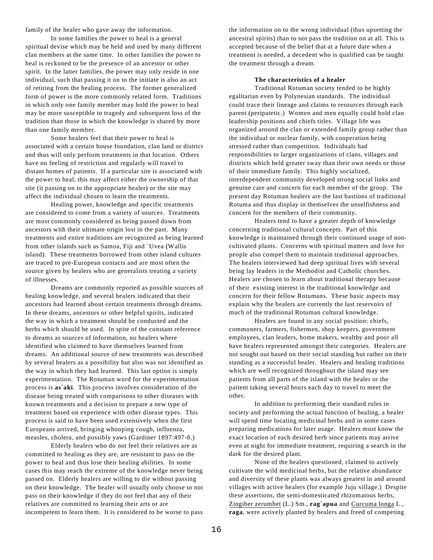family of the healer who gave away the information.

In some families the power to heal is a general spiritual devise which may be held and used by many different clan members at the same time. In other families the power to heal is reckoned to be the presence of an ancestor or other spirit. In the latter families, the power may only reside in one individual, such that passing it on to the initiate is also an act of retiring from the healing process. The former generalized form of power is the more commonly related form. Traditions in which only one family member may hold the power to heal may be more susceptible to tragedy and subsequent loss of the tradition than those in which the knowledge is shared by more than one family member.

Some healers feel that their power to heal is associated with a certain house foundation, clan land or district and thus will only perform treatments in that location. Others have no feeling of restriction and regularly will travel to distant homes of patients. If a particular site is associated with the power to heal, this may affect either the ownership of that site (it passing on to the appropriate healer) or the site may affect the individual chosen to learn the treatments.

Healing power, knowledge and specific treatments are considered to come from a variety of sources. Treatments are most commonly considered as being passed down from ancestors with their ultimate origin lost in the past. Many treatments and entire traditions are recognized as being learned from other islands such as Samoa, Fiji and `Uvea (Wallis island). These treatments borrowed from other island cultures are traced to pre-European contacts and are most often the source given by healers who are generalists treating a variety of illnesses.

Dreams are commonly reported as possible sources of healing knowledge, and several healers indicated that their ancestors had learned about certain treatments through dreams. In these dreams, ancestors or other helpful spirits, indicated the way in which a treatment should be conducted and the herbs which should be used. In spite of the constant reference to dreams as sources of information, no healers where identified who claimed to have themselves learned from dreams. An additional source of new treatments was described by several healers as a possibility but also was not identified as the way in which they had learned. This last option is simply experimentation. The Rotuman word for the experimentation process is **as`aki**. This process involves consideration of the disease being treated with comparisons to other diseases with known treatments and a decision to prepare a new type of treatment based on experience with other disease types. This process is said to have been used extensively when the first Europeans arrived, bringing whooping cough, influenza, measles, cholera, and possibly yaws (Gardiner 1897:497-8.)

Elderly healers who do not feel their relatives are as committed to healing as they are, are resistant to pass on the power to heal and thus lose their healing abilities. In some cases this may reach the extreme of the knowledge never being passed on. Elderly healers are willing to die without passing on their knowledge. The healer will usually only choose to not pass on their knowledge if they do not feel that any of their relatives are committed to learning their arts or are incompetent to learn them. It is considered to be worse to pass

the information on to the wrong individual (thus upsetting the ancestral spirits) than to not pass the tradition on at all. This is accepted because of the belief that at a future date when a treatment is needed, a decedent who is qualified can be taught the treatment through a dream.

## **The characteristics of a healer**

Traditional Rotuman society tended to be highly egalitarian even by Polynesian standards. The individual could trace their lineage and claims to resources through each parent (peripatetic.) Women and men equally could hold clan leadership positions and chiefs titles. Village life was organized around the clan or extended family group rather than the individual or nuclear family, with cooperation being stressed rather than competition. Individuals had responsibilities to larger organizations of clans, villages and districts which held greater sway than their own needs or those of their immediate family. This highly socialized, interdependent community developed strong social links and genuine care and concern for each member of the group. The present day Rotuman healers are the last bastions of traditional Rotuma and thus display in themselves the unselfishness and concern for the members of their community.

Healers tend to have a greater depth of knowledge concerning traditional cultural concepts. Part of this knowledge is maintained through their continued usage of noncultivated plants. Concerns with spiritual matters and love for people also compel them to maintain traditional approaches. The healers interviewed had deep spiritual lives with several being lay leaders in the Methodist and Catholic churches. Healers are chosen to learn about traditional therapy because of their existing interest in the traditional knowledge and concern for their fellow Rotumans. These basic aspects may explain why the healers are currently the last reservoirs of much of the traditional Rotuman cultural knowledge.

Healers are found in any social position: chiefs, commoners, farmers, fishermen, shop keepers, government employees, clan leaders, home makers, wealthy and poor all have healers represented amongst their categories. Healers are not sought out based on their social standing but rather on their standing as a successful healer. Healers and healing traditions which are well recognized throughout the island may see patients from all parts of the island with the healer or the patient taking several hours each day to travel to meet the other.

In addition to performing their standard roles in society and performing the actual function of healing, a healer will spend time locating medicinal herbs and in some cases preparing medications for later usage. Healers must know the exact location of each desired herb since patients may arrive even at night for immediate treatment, requiring a search in the dark for the desired plant.

None of the healers questioned, claimed to actively cultivate the wild medicinal herbs, but the relative abundance and diversity of these plants was always greatest in and around villages with active healers (for example Juju village.) Despite these assertions, the semi-domesticated rhizomatous herbs, Zingiber zerumbet (L.) Sm., **rag`apua** and Curcuma longa L., **raga**, were actively planted by healers and freed of competing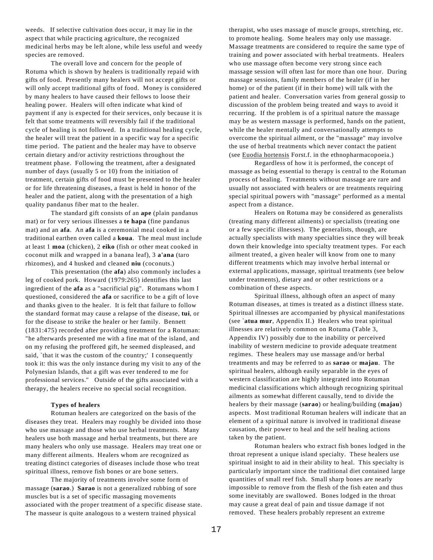weeds. If selective cultivation does occur, it may lie in the aspect that while practicing agriculture, the recognized medicinal herbs may be left alone, while less useful and weedy species are removed.

 The overall love and concern for the people of Rotuma which is shown by healers is traditionally repaid with gifts of food. Presently many healers will not accept gifts or will only accept traditional gifts of food. Money is considered by many healers to have caused their fellows to loose their healing power. Healers will often indicate what kind of payment if any is expected for their services, only because it is felt that some treatments will reversibly fail if the traditional cycle of healing is not followed. In a traditional healing cycle, the healer will treat the patient in a specific way for a specific time period. The patient and the healer may have to observe certain dietary and/or activity restrictions throughout the treatment phase. Following the treatment, after a designated number of days (usually 5 or 10) from the initiation of treatment, certain gifts of food must be presented to the healer or for life threatening diseases, a feast is held in honor of the healer and the patient, along with the presentation of a high quality pandanus fiber mat to the healer.

The standard gift consists of an **ape** (plain pandanus mat) or for very serious illnesses a **te hapa** (fine pandanus mat) and an **afa**. An **afa** is a ceremonial meal cooked in a traditional earthen oven called a **koua**. The meal must include at least 1 **moa** (chicken), 2 **eiko** (fish or other meat cooked in coconut milk and wrapped in a banana leaf), 3 **a'ana** (taro rhizomes), and 4 husked and cleaned **niu** (coconuts.)

This presentation (the **afa**) also commonly includes a leg of cooked pork. Howard (1979:265) identifies this last ingredient of the **afa** as a "sacrificial pig". Rotumans whom I questioned, considered the **afa** or sacrifice to be a gift of love and thanks given to the healer. It is felt that failure to follow the standard format may cause a relapse of the disease, **tui**, or for the disease to strike the healer or her family. Bennett (1831:475) recorded after providing treatment for a Rotuman: "he afterwards presented me with a fine mat of the island, and on my refusing the proffered gift, he seemed displeased, and said, `that it was the custom of the country;' I consequently took it: this was the only instance during my visit to any of the Polynesian Islands, that a gift was ever tendered to me for professional services." Outside of the gifts associated with a therapy, the healers receive no special social recognition.

## **Types of healers**

Rotuman healers are categorized on the basis of the diseases they treat. Healers may roughly be divided into those who use massage and those who use herbal treatments. Many healers use both massage and herbal treatments, but there are many healers who only use massage. Healers may treat one or many different ailments. Healers whom are recognized as treating distinct categories of diseases include those who treat spiritual illness, remove fish bones or are bone setters.

The majority of treatments involve some form of massage (**sarao**.) **Sarao** is not a generalized rubbing of sore muscles but is a set of specific massaging movements associated with the proper treatment of a specific disease state. The masseur is quite analogous to a western trained physical

therapist, who uses massage of muscle groups, stretching, etc. to promote healing. Some healers may only use massage. Massage treatments are considered to require the same type of training and power associated with herbal treatments. Healers who use massage often become very strong since each massage session will often last for more than one hour. During massage sessions, family members of the healer (if in her home) or of the patient (if in their home) will talk with the patient and healer. Conversation varies from general gossip to discussion of the problem being treated and ways to avoid it recurring. If the problem is of a spiritual nature the massage may be as western massage is performed, hands on the patient, while the healer mentally and conversationally attempts to overcome the spiritual ailment, or the "massage" may involve the use of herbal treatments which never contact the patient (see Euodia hortensis Forst.f. in the ethnopharmacopoeia.)

Regardless of how it is performed, the concept of massage as being essential to therapy is central to the Rotuman process of healing. Treatments without massage are rare and usually not associated with healers or are treatments requiring special spiritual powers with "massage" performed as a mental aspect from a distance.

Healers on Rotuma may be considered as generalists (treating many different ailments) or specialists (treating one or a few specific illnesses). The generalists, though, are actually specialists with many specialties since they will break down their knowledge into specialty treatment types. For each ailment treated, a given healer will know from one to many different treatments which may involve herbal internal or external applications, massage, spiritual treatments (see below under treatments), dietary and or other restrictions or a combination of these aspects.

Spiritual illness, although often an aspect of many Rotuman diseases, at times is treated as a distinct illness state. Spiritual illnesses are accompanied by physical manifestations (see `**atua mur**, Appendix II.) Healers who treat spiritual illnesses are relatively common on Rotuma (Table 3, Appendix IV) possibly due to the inability or perceived inability of western medicine to provide adequate treatment regimes. These healers may use massage and/or herbal treatments and may be referred to as **sarao** or **majau**. The spiritual healers, although easily separable in the eyes of western classification are highly integrated into Rotuman medicinal classifications which although recognizing spiritual ailments as somewhat different causally, tend to divide the healers by their massage (**sarao**) or healing/building (**majau**) aspects. Most traditional Rotuman healers will indicate that an element of a spiritual nature is involved in traditional disease causation, their power to heal and the self healing actions taken by the patient.

Rotuman healers who extract fish bones lodged in the throat represent a unique island specialty. These healers use spiritual insight to aid in their ability to heal. This specialty is particularly important since the traditional diet contained large quantities of small reef fish. Small sharp bones are nearly impossible to remove from the flesh of the fish eaten and thus some inevitably are swallowed. Bones lodged in the throat may cause a great deal of pain and tissue damage if not removed. These healers probably represent an extreme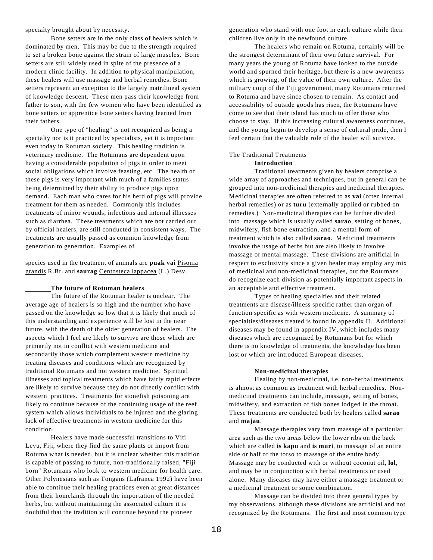specialty brought about by necessity.

Bone setters are in the only class of healers which is dominated by men. This may be due to the strength required to set a broken bone against the strain of large muscles. Bone setters are still widely used in spite of the presence of a modern clinic facility. In addition to physical manipulation, these healers will use massage and herbal remedies. Bone setters represent an exception to the largely matrilineal system of knowledge descent. These men pass their knowledge from father to son, with the few women who have been identified as bone setters or apprentice bone setters having learned from their fathers.

One type of "healing" is not recognized as being a specialty nor is it practiced by specialists, yet it is important even today in Rotuman society. This healing tradition is veterinary medicine. The Rotumans are dependent upon having a considerable population of pigs in order to meet social obligations which involve feasting, etc. The health of these pigs is very important with much of a families status being determined by their ability to produce pigs upon demand. Each man who cares for his herd of pigs will provide treatment for them as needed. Commonly this includes treatments of minor wounds, infections and internal illnesses such as diarrhea. These treatments which are not carried out by official healers, are still conducted in consistent ways. The treatments are usually passed as common knowledge from generation to generation. Examples of

species used in the treatment of animals are **puak vai** Pisonia grandis R.Br. and **saurag** Centosteca lappacea (L.) Desv.

## **The future of Rotuman healers**

The future of the Rotuman healer is unclear. The average age of healers is so high and the number who have passed on the knowledge so low that it is likely that much of this understanding and experience will be lost in the near future, with the death of the older generation of healers. The aspects which I feel are likely to survive are those which are primarily not in conflict with western medicine and secondarily those which complement western medicine by treating diseases and conditions which are recognized by traditional Rotumans and not western medicine. Spiritual illnesses and topical treatments which have fairly rapid effects are likely to survive because they do not directly conflict with western practices. Treatments for stonefish poisoning are likely to continue because of the continuing usage of the reef system which allows individuals to be injured and the glaring lack of effective treatments in western medicine for this condition.

Healers have made successful transitions to Viti Levu, Fiji, where they find the same plants or import from Rotuma what is needed, but it is unclear whether this tradition is capable of passing to future, non-traditionally raised, "Fiji born" Rotumans who look to western medicine for health care. Other Polynesians such as Tongans (Lafranca 1992) have been able to continue their healing practices even at great distances from their homelands through the importation of the needed herbs, but without maintaining the associated culture it is doubtful that the tradition will continue beyond the pioneer

generation who stand with one foot in each culture while their children live only in the newfound culture.

The healers who remain on Rotuma, certainly will be the strongest determinant of their own future survival. For many years the young of Rotuma have looked to the outside world and spurned their heritage, but there is a new awareness which is growing, of the value of their own culture. After the military coup of the Fiji government, many Rotumans returned to Rotuma and have since chosen to remain. As contact and accessability of outside goods has risen, the Rotumans have come to see that their island has much to offer those who choose to stay. If this increasing cultural awareness continues, and the young begin to develop a sense of cultural pride, then I feel certain that the valuable role of the healer will survive.

### The Traditional Treatments

# **Introduction**

Traditional treatments given by healers comprise a wide array of approaches and techniques, but in general can be grouped into non-medicinal therapies and medicinal therapies. Medicinal therapies are often referred to as **vai** (often internal herbal remedies) or as **turu** (externally applied or rubbed on remedies.) Non-medicinal therapies can be further divided into massage which is usually called **sarao**, setting of bones, midwifery, fish bone extraction, and a mental form of treatment which is also called **sarao**. Medicinal treatments involve the usage of herbs but are also likely to involve massage or mental massage. These divisions are artificial in respect to exclusivity since a given healer may employ any mix of medicinal and non-medicinal therapies, but the Rotumans do recognize each division as potentially important aspects in an acceptable and effective treatment.

Types of healing specialties and their related treatments are disease/illness specific rather than organ of function specific as with western medicine. A summary of specialties/diseases treated is found in appendix II. Additional diseases may be found in appendix IV, which includes many diseases which are recognized by Rotumans but for which there is no knowledge of treatments, the knowledge has been lost or which are introduced European diseases.

#### **Non-medicinal therapies**

Healing by non-medicinal, i.e. non-herbal treatments is almost as common as treatment with herbal remedies. Nonmedicinal treatments can include, massage, setting of bones, midwifery, and extraction of fish bones lodged in the throat. These treatments are conducted both by healers called **sarao** and **majau**.

Massage therapies vary from massage of a particular area such as the two areas below the lower ribs on the back which are called **is kapu** and **is muri**, to massage of an entire side or half of the torso to massage of the entire body. Massage may be conducted with or without coconut oil, **lol**, and may be in conjunction with herbal treatments or used alone. Many diseases may have either a massage treatment or a medicinal treatment or some combination.

Massage can be divided into three general types by my observations, although these divisions are artificial and not recognized by the Rotumans. The first and most common type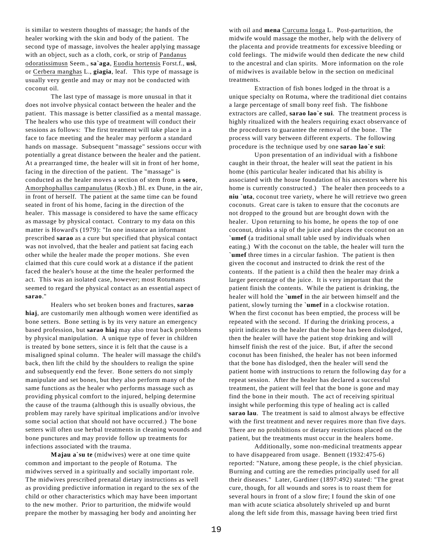is similar to western thoughts of massage; the hands of the healer working with the skin and body of the patient. The second type of massage, involves the healer applying massage with an object, such as a cloth, cork, or strip of Pandanus odoratissimusn Seem., **sa`aga**, Euodia hortensis Forst.f., **usi**, or Cerbera manghas L., **giagia**, leaf. This type of massage is usually very gentle and may or may not be conducted with coconut oil.

The last type of massage is more unusual in that it does not involve physical contact between the healer and the patient. This massage is better classified as a mental massage. The healers who use this type of treatment will conduct their sessions as follows: The first treatment will take place in a face to face meeting and the healer may perform a standard hands on massage. Subsequent "massage" sessions occur with potentially a great distance between the healer and the patient. At a prearranged time, the healer will sit in front of her home, facing in the direction of the patient. The "massage" is conducted as the healer moves a section of stem from a **soro**, Amorphophallus campanulatus (Roxb.) Bl. ex Dune, in the air, in front of herself. The patient at the same time can be found seated in front of his home, facing in the direction of the healer. This massage is considered to have the same efficacy as massage by physical contact. Contrary to my data on this matter is Howard's (1979): "In one instance an informant prescribed **sarao** as a cure but specified that physical contact was not involved, that the healer and patient sat facing each other while the healer made the proper motions. She even claimed that this cure could work at a distance if the patient faced the healer's house at the time the healer performed the act. This was an isolated case, however; most Rotumans seemed to regard the physical contact as an essential aspect of **sarao**."

Healers who set broken bones and fractures, **sarao hiaj**, are customarily men although women were identified as bone setters. Bone setting is by its very nature an emergency based profession, but **sarao hiaj** may also treat back problems by physical manipulation. A unique type of fever in children is treated by bone setters, since it is felt that the cause is a misaligned spinal column. The healer will massage the child's back, then lift the child by the shoulders to realign the spine and subsequently end the fever. Bone setters do not simply manipulate and set bones, but they also perform many of the same functions as the healer who performs massage such as providing physical comfort to the injured, helping determine the cause of the trauma (although this is usually obvious, the problem may rarely have spiritual implications and/or involve some social action that should not have occurred.) The bone setters will often use herbal treatments in cleaning wounds and bone punctures and may provide follow up treatments for infections associated with the trauma.

**Majau a`su te** (midwives) were at one time quite common and important to the people of Rotuma. The midwives served in a spiritually and socially important role. The midwives prescribed prenatal dietary instructions as well as providing predictive information in regard to the sex of the child or other characteristics which may have been important to the new mother. Prior to parturition, the midwife would prepare the mother by massaging her body and anointing her

with oil and **mena** Curcuma longa L. Post-parturition, the midwife would massage the mother, help with the delivery of the placenta and provide treatments for excessive bleeding or cold feelings. The midwife would then dedicate the new child to the ancestral and clan spirits. More information on the role of midwives is available below in the section on medicinal treatments.

Extraction of fish bones lodged in the throat is a unique specialty on Rotuma, where the traditional diet contains a large percentage of small bony reef fish. The fishbone extractors are called, **sarao lao`e sui**. The treatment process is highly ritualized with the healers requiring exact observance of the procedures to guarantee the removal of the bone. The process will vary between different experts. The following procedure is the technique used by one **sarao lao`e sui**:

Upon presentation of an individual with a fishbone caught in their throat, the healer will seat the patient in his home (this particular healer indicated that his ability is associated with the house foundation of his ancestors where his home is currently constructed.) The healer then proceeds to a **niu `uta**, coconut tree variety, where he will retrieve two green coconuts. Great care is taken to ensure that the coconuts are not dropped to the ground but are brought down with the healer. Upon returning to his home, he opens the top of one coconut, drinks a sip of the juice and places the coconut on an **`umef** (a traditional small table used by individuals when eating.) With the coconut on the table, the healer will turn the **`umef** three times in a circular fashion. The patient is then given the coconut and instructed to drink the rest of the contents. If the patient is a child then the healer may drink a larger percentage of the juice. It is very important that the patient finish the contents. While the patient is drinking, the healer will hold the **`umef** in the air between himself and the patient, slowly turning the **`umef** in a clockwise rotation. When the first coconut has been emptied, the process will be repeated with the second. If during the drinking process, a spirit indicates to the healer that the bone has been dislodged, then the healer will have the patient stop drinking and will himself finish the rest of the juice. But, if after the second coconut has been finished, the healer has not been informed that the bone has dislodged, then the healer will send the patient home with instructions to return the following day for a repeat session. After the healer has declared a successful treatment, the patient will feel that the bone is gone and may find the bone in their mouth. The act of receiving spiritual insight while performing this type of healing act is called **sarao lau**. The treatment is said to almost always be effective with the first treatment and never requires more than five days. There are no prohibitions or dietary restrictions placed on the patient, but the treatments must occur in the healers home.

Additionally, some non-medicinal treatments appear to have disappeared from usage. Bennett (1932:475-6) reported: "Nature, among these people, is the chief physician. Burning and cutting are the remedies principally used for all their diseases." Later, Gardiner (1897:492) stated: "The great cure, though, for all wounds and sores is to roast them for several hours in front of a slow fire; I found the skin of one man with acute sciatica absolutely shriveled up and burnt along the left side from this, massage having been tried first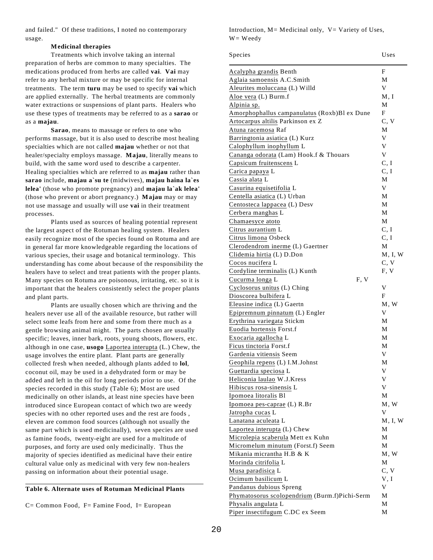and failed." Of these traditions, I noted no contemporary usage.

# **Medicinal therapies**

Treatments which involve taking an internal preparation of herbs are common to many specialties. The medications produced from herbs are called **vai**. **Vai** may refer to any herbal mixture or may be specific for internal treatments. The term **turu** may be used to specify **vai** which are applied externally. The herbal treatments are commonly water extractions or suspensions of plant parts. Healers who use these types of treatments may be referred to as a **sarao** or as a **majau**.

**Sarao**, means to massage or refers to one who performs massage, but it is also used to describe most healing specialties which are not called **majau** whether or not that healer/specialty employs massage. **Majau**, literally means to build, with the same word used to describe a carpenter. Healing specialties which are referred to as **majau** rather than **sarao** include, **majau a`su te** (midwives), **majau haina la`es lelea'** (those who promote pregnancy) and **majau la`ak lelea'** (those who prevent or abort pregnancy.) **Majau** may or may not use massage and usually will use **vai** in their treatment processes.

Plants used as sources of healing potential represent the largest aspect of the Rotuman healing system. Healers easily recognize most of the species found on Rotuma and are in general far more knowledgeable regarding the locations of various species, their usage and botanical terminology. This understanding has come about because of the responsibility the healers have to select and treat patients with the proper plants. Many species on Rotuma are poisonous, irritating, etc. so it is important that the healers consistently select the proper plants and plant parts.

Plants are usually chosen which are thriving and the healers never use all of the available resource, but rather will select some leafs from here and some from there much as a gentle browsing animal might. The parts chosen are usually specific; leaves, inner bark, roots, young shoots, flowers, etc. although in one case, **usogo** Laportea interupta (L.) Chew, the usage involves the entire plant. Plant parts are generally collected fresh when needed, although plants added to **lol**, coconut oil, may be used in a dehydrated form or may be added and left in the oil for long periods prior to use. Of the species recorded in this study (Table 6); Most are used medicinally on other islands, at least nine species have been introduced since European contact of which two are weedy species with no other reported uses and the rest are foods , eleven are common food sources (although not usually the same part which is used medicinally), seven species are used as famine foods, twenty-eight are used for a multitude of purposes, and forty are used only medicinally. Thus the majority of species identified as medicinal have their entire cultural value only as medicinal with very few non-healers passing on information about their potential usage.

## **Table 6. Alternate uses of Rotuman Medicinal Plants**

C= Common Food, F= Famine Food, I= European

Introduction,  $M=$  Medicinal only,  $V=$  Variety of Uses, W= Weedy

| Species                                       | Uses    |
|-----------------------------------------------|---------|
| Acalypha grandis Benth                        | F       |
| Aglaia samoensis A.C.Smith                    | М       |
| Aleurites moluccana (L) Willd                 | V       |
| Aloe vera (L) Burm.f                          | M, I    |
| Alpinia sp.                                   | М       |
| Amorphophallus campanulatus (Roxb)Bl ex Dune  | F       |
| Artocarpus altilis Parkinson ex Z             | C, V    |
| Atuna racemosa Raf                            | М       |
| Barringtonia asiatica (L) Kurz                | V       |
| Calophyllum inophyllum L                      | V       |
| Cananga odorata (Lam) Hook.f & Thouars        | V       |
| Capsicum fruitenscens L                       | C, I    |
| Carica papaya L                               | C, I    |
| Cassia alata L                                | M       |
| Casurina equisetifolia L                      | V       |
| Centella asiatica (L) Urban                   | М       |
| Centosteca lappacea (L) Desv                  | М       |
| Cerbera manghas L                             | М       |
| Chamaesyce atoto                              | М       |
| Citrus aurantium L                            | C, I    |
| Citrus limona Osbeck                          | C, I    |
| Clerodendrom inerme (L) Gaertner              | М       |
| Clidemia hirtia (L) D.Don                     | M, I, W |
| Cocos nucifera L                              | C, V    |
| Cordyline terminalis (L) Kunth                | F, V    |
| F, V<br>Cucurma longa L                       |         |
| Cyclosorus unitus (L) Ching                   | V       |
| Dioscorea bulbifera L                         | F       |
| Eleusine indica (L) Gaertn                    | M, W    |
| Epipremnum pinnatum (L) Engler                | V       |
| Erythrina variegata Stickm                    | М       |
| Euodia hortensis Forst.f                      | М       |
| Exocaria agallocha L                          | М       |
| Ficus tinctoria Forst.f                       | М       |
| Gardenia vitiensis Seem                       | V       |
| Geophila repens (L) I.M.Johnst                | М       |
| Guettardia speciosa L                         | V       |
| Heliconia laulao W.J.Kress                    | V       |
| Hibiscus rosa-sinensis L                      | V       |
| Ipomoea litoralis Bl                          | М       |
| Ipomoea pes-caprae $(L)$ R.Br                 | M, W    |
| Jatropha cucas L                              | V       |
| Lanatana aculeata L                           | M, I, W |
| Laportea interupta (L) Chew                   | М       |
| Microlepia scaberula Mett ex Kuhn             | М       |
| Micromelum minutum (Forst.f) Seem             | М       |
| <u>Mikania micrantha</u> H.B & K              | M, W    |
| <u>Morinda citrifolia</u> L                   | М       |
| Musa paradisica L                             | C, V    |
| Ocimum basilicum L                            | V, I    |
| Pandanus dubious Spreng                       | V       |
| Phymatosorus scolopendrium (Burm.f)Pichi-Serm | М       |
| Physalis angulata L                           | М       |
| Piper insectifugum C.DC ex Seem               | М       |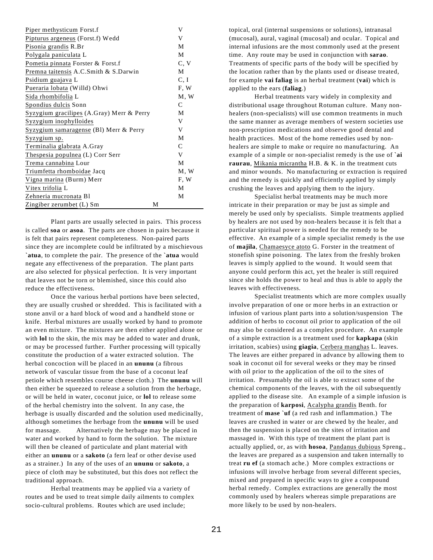| Piper methysticum Forst.f                 |   | V    |
|-------------------------------------------|---|------|
| Pipturus argeneus (Forst.f) Wedd          |   | V    |
| Pisonia grandis R.Br                      |   | M    |
| Polygala paniculata L                     |   | M    |
| Pometia pinnata Forster & Forst.f         |   | C, V |
| Premna taitensis A.C.Smith & S.Darwin     |   | M    |
| Psidium guajava L                         |   | C, I |
| Pueraria lobata (Willd) Ohwi              |   | F, W |
| Sida rhombifolia L                        |   | M, W |
| Spondius dulcis Sonn                      |   | C    |
| Syzygium gracilipes (A.Gray) Merr & Perry |   | M    |
| Syzygium inophylloides                    |   | V    |
| Syzygium samaragense (Bl) Merr & Perry    |   | V    |
| Syzygium sp.                              |   | M    |
| Terminalia glabrata A.Gray                |   | C    |
| Thespesia populnea (L) Corr Serr          |   | V    |
| Trema cannabina Lour                      |   | M    |
| Triumfetta rhomboidae Jacq                |   | M, W |
| Vigna marina (Burm) Merr                  |   | F, W |
| Vitex trifolia L                          |   | M    |
| Zehneria mucronata Bl                     |   | M    |
| Zingiber zerumbet (L) Sm                  | М |      |

Plant parts are usually selected in pairs. This process is called **soa** or **asoa**. The parts are chosen in pairs because it is felt that pairs represent completeness. Non-paired parts since they are incomplete could be infiltrated by a mischievous **`atua**, to complete the pair. The presence of the **`atua** would negate any effectiveness of the preparation. The plant parts are also selected for physical perfection. It is very important that leaves not be torn or blemished, since this could also reduce the effectiveness.

Once the various herbal portions have been selected, they are usually crushed or shredded. This is facilitated with a stone anvil or a hard block of wood and a handheld stone or knife. Herbal mixtures are usually worked by hand to promote an even mixture. The mixtures are then either applied alone or with **lol** to the skin, the mix may be added to water and drunk, or may be processed further. Further processing will typically constitute the production of a water extracted solution. The herbal concoction will be placed in an **ununu** (a fibrous network of vascular tissue from the base of a coconut leaf petiole which resembles course cheese cloth.) The **ununu** will then either be squeezed to release a solution from the herbage, or will be held in water, coconut juice, or **lol** to release some of the herbal chemistry into the solvent. In any case, the herbage is usually discarded and the solution used medicinally, although sometimes the herbage from the **ununu** will be used for massage. Alternatively the herbage may be placed in water and worked by hand to form the solution. The mixture will then be cleaned of particulate and plant material with either an **ununu** or a **sakoto** (a fern leaf or other devise used as a strainer.) In any of the uses of an **ununu** or **sakoto**, a piece of cloth may be substituted, but this does not reflect the traditional approach.

Herbal treatments may be applied via a variety of routes and be used to treat simple daily ailments to complex socio-cultural problems. Routes which are used include;

topical, oral (internal suspensions or solutions), intranasal (mucosal), aural, vaginal (mucosal) and ocular. Topical and internal infusions are the most commonly used at the present time. Any route may be used in conjunction with **sarao**. Treatments of specific parts of the body will be specified by the location rather than by the plants used or disease treated, for example **vai faliag** is an herbal treatment (**vai**) which is applied to the ears (**faliag**.)

Herbal treatments vary widely in complexity and distributional usage throughout Rotuman culture. Many nonhealers (non-specialists) will use common treatments in much the same manner as average members of western societies use non-prescription medications and observe good dental and health practices. Most of the home remedies used by nonhealers are simple to make or require no manufacturing. An example of a simple or non-specialist remedy is the use of **`ai raurau**, Mikania micrantha H.B. & K. in the treatment cuts and minor wounds. No manufacturing or extraction is required and the remedy is quickly and efficiently applied by simply crushing the leaves and applying them to the injury.

Specialist herbal treatments may be much more intricate in their preparation or may be just as simple and merely be used only by specialists. Simple treatments applied by healers are not used by non-healers because it is felt that a particular spiritual power is needed for the remedy to be effective. An example of a simple specialist remedy is the use of **majila**, Chamaesyce atoto G. Forster in the treatment of stonefish spine poisoning. The latex from the freshly broken leaves is simply applied to the wound. It would seem that anyone could perform this act, yet the healer is still required since she holds the power to heal and thus is able to apply the leaves with effectiveness.

Specialist treatments which are more complex usually involve preparation of one or more herbs in an extraction or infusion of various plant parts into a solution/suspension The addition of herbs to coconut oil prior to application of the oil may also be considered as a complex procedure. An example of a simple extraction is a treatment used for **kapkapa** (skin irritation, scabies) using **giagia**, Cerbera manghas L. leaves. The leaves are either prepared in advance by allowing them to soak in coconut oil for several weeks or they may be rinsed with oil prior to the application of the oil to the sites of irritation. Presumably the oil is able to extract some of the chemical components of the leaves, with the oil subsequently applied to the disease site. An example of a simple infusion is the preparation of **karposi**, Acalypha grandis Benth. for treatment of **mase `uf** (a red rash and inflammation.) The leaves are crushed in water or are chewed by the healer, and then the suspension is placed on the sites of irritation and massaged in. With this type of treatment the plant part is actually applied, or, as with **hosoa**, Pandanus dubious Spreng., the leaves are prepared as a suspension and taken internally to treat **ru ef** (a stomach ache.) More complex extractions or infusions will involve herbage from several different species, mixed and prepared in specific ways to give a compound herbal remedy. Complex extractions are generally the most commonly used by healers whereas simple preparations are more likely to be used by non-healers.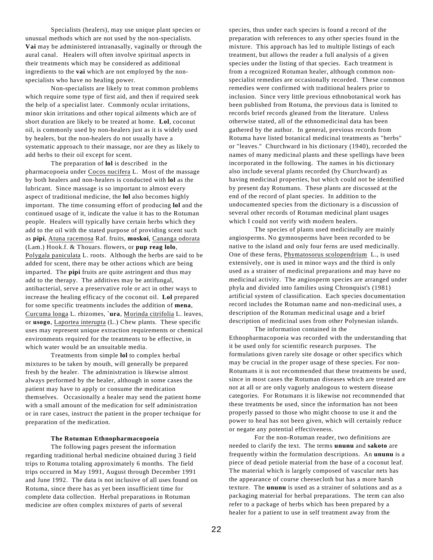Specialists (healers), may use unique plant species or unusual methods which are not used by the non-specialists. **Vai** may be administered intranasally, vaginally or through the aural canal. Healers will often involve spiritual aspects in their treatments which may be considered as additional ingredients to the **vai** which are not employed by the nonspecialists who have no healing power.

Non-specialists are likely to treat common problems which require some type of first aid, and then if required seek the help of a specialist later. Commonly ocular irritations, minor skin irritations and other topical ailments which are of short duration are likely to be treated at home. **Lol**, coconut oil, is commonly used by non-healers just as it is widely used by healers, but the non-healers do not usually have a systematic approach to their massage, nor are they as likely to add herbs to their oil except for scent.

The preparation of **lol** is described in the pharmacopoeia under Cocos nucifera L. Most of the massage by both healers and non-healers is conducted with **lol** as the lubricant. Since massage is so important to almost every aspect of traditional medicine, the **lol** also becomes highly important. The time consuming effort of producing **lol** and the continued usage of it, indicate the value it has to the Rotuman people. Healers will typically have certain herbs which they add to the oil with the stated purpose of providing scent such as **pipi**, Atuna racemosa Raf. fruits, **moskoi**, Cananga odorata (Lam.) Hook.f. & Thouars. flowers, or **pup reag lolo**, Polygala paniculata L. roots. Although the herbs are said to be added for scent, there may be other actions which are being imparted. The **pipi** fruits are quite astringent and thus may add to the therapy. The additives may be antifungal, antibacterial, serve a preservative role or act in other ways to increase the healing efficacy of the coconut oil. **Lol** prepared for some specific treatments includes the addition of **mena**, Curcuma longa L. rhizomes, **`ura**, Morinda citrifolia L. leaves, or **usogo**, Laportea interupta (L.) Chew plants. These specific uses may represent unique extraction requirements or chemical environments required for the treatments to be effective, in which water would be an unsuitable media.

Treatments from simple **lol** to complex herbal mixtures to be taken by mouth, will generally be prepared fresh by the healer. The administration is likewise almost always performed by the healer, although in some cases the patient may have to apply or consume the medication themselves. Occasionally a healer may send the patient home with a small amount of the medication for self administration or in rare cases, instruct the patient in the proper technique for preparation of the medication.

### **The Rotuman Ethnopharmacopoeia**

The following pages present the information regarding traditional herbal medicine obtained during 3 field trips to Rotuma totaling approximately 6 months. The field trips occurred in May 1991, August through December 1991 and June 1992. The data is not inclusive of all uses found on Rotuma, since there has as yet been insufficient time for complete data collection. Herbal preparations in Rotuman medicine are often complex mixtures of parts of several

species, thus under each species is found a record of the preparation with references to any other species found in the mixture. This approach has led to multiple listings of each treatment, but allows the reader a full analysis of a given species under the listing of that species. Each treatment is from a recognized Rotuman healer, although common nonspecialist remedies are occasionally recorded. These common remedies were confirmed with traditional healers prior to inclusion. Since very little previous ethnobotanical work has been published from Rotuma, the previous data is limited to records brief records gleaned from the literature. Unless otherwise stated, all of the ethnomedicinal data has been gathered by the author. In general, previous records from Rotuma have listed botanical medicinal treatments as "herbs" or "leaves." Churchward in his dictionary (1940), recorded the names of many medicinal plants and these spellings have been incorporated in the following. The names in his dictionary also include several plants recorded (by Churchward) as having medicinal properties, but which could not be identified by present day Rotumans. These plants are discussed at the end of the record of plant species. In addition to the undocumented species from the dictionary is a discussion of several other records of Rotuman medicinal plant usages which I could not verify with modern healers.

The species of plants used medicinally are mainly angiosperms. No gymnosperms have been recorded to be native to the island and only four ferns are used medicinally. One of these ferns, Phymatosorus scolopendrium L., is used extensively, one is used in minor ways and the third is only used as a strainer of medicinal preparations and may have no medicinal activity. The angiosperm species are arranged under phyla and divided into families using Chronquist's (1981) artificial system of classification. Each species documentation record includes the Rotuman name and non-medicinal uses, a description of the Rotuman medicinal usage and a brief description of medicinal uses from other Polynesian islands.

The information contained in the Ethnopharmacopoeia was recorded with the understanding that it be used only for scientific research purposes. The formulations given rarely site dosage or other specifics which may be crucial in the proper usage of these species. For non-Rotumans it is not recommended that these treatments be used, since in most cases the Rotuman diseases which are treated are not at all or are only vaguely analogous to western disease categories. For Rotumans it is likewise not recommended that these treatments be used, since the information has not been properly passed to those who might choose to use it and the power to heal has not been given, which will certainly reduce or negate any potential effectiveness.

For the non-Rotuman reader, two definitions are needed to clarify the text. The terms **ununu** and **sakoto** are frequently within the formulation descriptions. An **ununu** is a piece of dead petiole material from the base of a coconut leaf. The material which is largely composed of vascular nets has the appearance of course cheesecloth but has a more harsh texture. The **ununu** is used as a strainer of solutions and as a packaging material for herbal preparations. The term can also refer to a package of herbs which has been prepared by a healer for a patient to use in self treatment away from the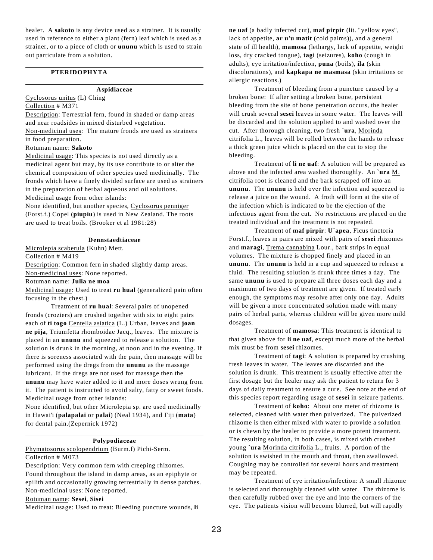healer. A **sakoto** is any device used as a strainer. It is usually used in reference to either a plant (fern) leaf which is used as a strainer, or to a piece of cloth or **ununu** which is used to strain out particulate from a solution.

# **PTERIDOPHYTA**

### **Aspidiaceae**

Cyclosorus unitus (L) Ching

Collection # M371

Description: Terrestrial fern, found in shaded or damp areas and near roadsides in mixed disturbed vegetation.

Non-medicinal uses: The mature fronds are used as strainers in food preparation.

## Rotuman name: **Sakoto**

Medicinal usage: This species is not used directly as a medicinal agent but may, by its use contribute to or alter the chemical composition of other species used medicinally. The fronds which have a finely divided surface are used as strainers in the preparation of herbal aqueous and oil solutions. Medicinal usage from other islands:

None identified, but another species, Cyclosorus penniger (Forst.f.) Copel (**piupiu**) is used in New Zealand. The roots are used to treat boils. (Brooker et al 1981:28)

# **Dennstaedtiaceae**

Microlepia scaberula (Kuhn) Mett.

Collection # M419

Description: Common fern in shaded slightly damp areas.

Non-medicinal uses: None reported.

## Rotuman name: **Julia ne moa**

Medicinal usage: Used to treat **ru hual** (generalized pain often focusing in the chest.)

Treatment of **ru hual**: Several pairs of unopened fronds (croziers) are crushed together with six to eight pairs each of **ti togo** Centella asiatica (L.) Urban, leaves and **joan ne pija**, Triumfetta rhomboidae Jacq., leaves. The mixture is placed in an **ununu** and squeezed to release a solution. The solution is drunk in the morning, at noon and in the evening. If there is soreness associated with the pain, then massage will be performed using the dregs from the **ununu** as the massage lubricant. If the dregs are not used for massage then the **ununu** may have water added to it and more doses wrung from it. The patient is instructed to avoid salty, fatty or sweet foods. Medicinal usage from other islands:

None identified, but other Microlepia sp. are used medicinally in Hawai'i (**palapalai** or **palai**) (Neal 1934), and Fiji (**mata**) for dental pain.(Zepernick 1972)

# **Polypodiaceae**

Phymatosorus scolopendrium (Burm.f) Pichi-Serm. Collection # M073

Description: Very common fern with creeping rhizomes. Found throughout the island in damp areas, as an epiphyte or epilith and occasionally growing terrestrially in dense patches. Non-medicinal uses: None reported.

#### Rotuman name: **Sesei**, **Sisei**

Medicinal usage: Used to treat: Bleeding puncture wounds, **li**

**ne uaf** (a badly infected cut), **maf pirpir** (lit. "yellow eyes", lack of appetite, **ar u'u matit** (cold palms)), and a general state of ill health), **mamosa** (lethargy, lack of appetite, weight loss, dry cracked tongue), **tagi** (seizures), **koho** (cough in adults), eye irritation/infection, **puna** (boils), **ila** (skin discolorations), and **kapkapa ne masmasa** (skin irritations or allergic reactions.)

Treatment of bleeding from a puncture caused by a broken bone: If after setting a broken bone, persistent bleeding from the site of bone penetration occurs, the healer will crush several **sesei** leaves in some water. The leaves will be discarded and the solution applied to and washed over the cut. After thorough cleaning, two fresh **`ura**, Morinda citrifolia L., leaves will be rolled between the hands to release a thick green juice which is placed on the cut to stop the bleeding.

Treatment of **li ne uaf**: A solution will be prepared as above and the infected area washed thoroughly. An **`ura** M. citrifolia root is cleaned and the bark scrapped off into an **ununu**. The **ununu** is held over the infection and squeezed to release a juice on the wound. A froth will form at the site of the infection which is indicated to be the ejection of the infectious agent from the cut. No restrictions are placed on the treated individual and the treatment is not repeated.

Treatment of **maf pirpir**: **U`apea**, Ficus tinctoria Forst.f., leaves in pairs are mixed with pairs of **sesei** rhizomes and **maragi**, Trema cannabina Lour., bark strips in equal volumes. The mixture is chopped finely and placed in an **ununu**. The **ununu** is held in a cup and squeezed to release a fluid. The resulting solution is drunk three times a day. The same **ununu** is used to prepare all three doses each day and a maximum of two days of treatment are given. If treated early enough, the symptoms may resolve after only one day. Adults will be given a more concentrated solution made with many pairs of herbal parts, whereas children will be given more mild dosages.

Treatment of **mamosa**: This treatment is identical to that given above for **li ne uaf**, except much more of the herbal mix must be from **sesei** rhizomes.

Treatment of **tagi**: A solution is prepared by crushing fresh leaves in water. The leaves are discarded and the solution is drunk. This treatment is usually effective after the first dosage but the healer may ask the patient to return for 3 days of daily treatment to ensure a cure. See note at the end of this species report regarding usage of **sesei** in seizure patients.

Treatment of **koho**: About one meter of rhizome is selected, cleaned with water then pulverized. The pulverized rhizome is then either mixed with water to provide a solution or is chewn by the healer to provide a more potent treatment. The resulting solution, in both cases, is mixed with crushed young **`ura** Morinda citrifolia L., fruits. A portion of the solution is swished in the mouth and throat, then swallowed. Coughing may be controlled for several hours and treatment may be repeated.

Treatment of eye irritation/infection: A small rhizome is selected and thoroughly cleaned with water. The rhizome is then carefully rubbed over the eye and into the corners of the eye. The patients vision will become blurred, but will rapidly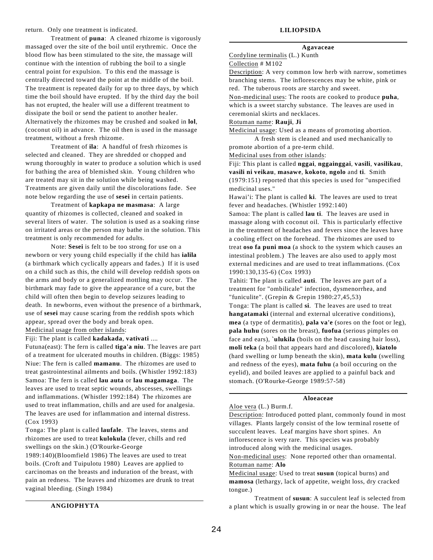return. Only one treatment is indicated.

Treatment of **puna**: A cleaned rhizome is vigorously massaged over the site of the boil until erythremic. Once the blood flow has been stimulated to the site, the massage will continue with the intention of rubbing the boil to a single central point for expulsion. To this end the massage is centrally directed toward the point at the middle of the boil. The treatment is repeated daily for up to three days, by which time the boil should have erupted. If by the third day the boil has not erupted, the healer will use a different treatment to dissipate the boil or send the patient to another healer. Alternatively the rhizomes may be crushed and soaked in **lol**, (coconut oil) in advance. The oil then is used in the massage treatment, without a fresh rhizome.

Treatment of **ila**: A handful of fresh rhizomes is selected and cleaned. They are shredded or chopped and wrung thoroughly in water to produce a solution which is used for bathing the area of blemished skin. Young children who are treated may sit in the solution while being washed. Treatments are given daily until the discolorations fade. See note below regarding the use of **sesei** in certain patients.

Treatment of **kapkapa ne masmasa**: A large quantity of rhizomes is collected, cleaned and soaked in several liters of water. The solution is used as a soaking rinse on irritated areas or the person may bathe in the solution. This treatment is only recommended for adults.

Note: **Sesei** is felt to be too strong for use on a newborn or very young child especially if the child has **ialila** (a birthmark which cyclically appears and fades.) If it is used on a child such as this, the child will develop reddish spots on the arms and body or a generalized mottling may occur. The birthmark may fade to give the appearance of a cure, but the child will often then begin to develop seizures leading to death. In newborns, even without the presence of a birthmark, use of **sesei** may cause scaring from the reddish spots which appear, spread over the body and break open. Medicinal usage from other islands:

Fiji: The plant is called **kadakada**, **vativati** ....

Futuna(east): The fern is called **tiga'a niu**. The leaves are part of a treatment for ulcerated mouths in children. (Biggs: 1985) Niue: The fern is called **mamanu**. The rhizomes are used to treat gastrointestinal ailments and boils. (Whistler 1992:183) Samoa: The fern is called **lau auta** or **lau magamaga**. The leaves are used to treat septic wounds, abscesses, swellings and inflammations. (Whistler 1992:184) The rhizomes are used to treat inflammation, chills and are used for analgesia. The leaves are used for inflammation and internal distress. (Cox 1993)

Tonga: The plant is called **laufale**. The leaves, stems and rhizomes are used to treat **kulokula** (fever, chills and red swellings on the skin.) (O'Rourke-George

1989:140)(Bloomfield 1986) The leaves are used to treat boils. (Croft and Tuipulotu 1980) Leaves are applied to carcinomas on the breasts and induration of the breast, with pain an redness. The leaves and rhizomes are drunk to treat vaginal bleeding. (Singh 1984)

## **LILIOPSIDA**

## **Agavaceae**

Cordyline terminalis (L.) Kunth Collection # M102

Description: A very common low herb with narrow, sometimes branching stems. The inflorescences may be white, pink or red. The tuberous roots are starchy and sweet.

Non-medicinal uses: The roots are cooked to produce **puha**, which is a sweet starchy substance. The leaves are used in ceremonial skirts and necklaces.

## Rotuman name: **Rauji**, **Ji**

Medicinal usage: Used as a means of promoting abortion. A fresh stem is cleaned and used mechanically to

promote abortion of a pre-term child.

Medicinal uses from other islands:

Fiji: This plant is called **nggai**, **nggainggai**, **vasili**, **vasilikau**, **vasili ni veikau**, **masawe**, **kokoto**, **ngolo** and **ti**. Smith

(1979:151) reported that this species is used for "unspecified medicinal uses."

Hawai'i: The plant is called **ki**. The leaves are used to treat fever and headaches. (Whistler 1992:140)

Samoa: The plant is called **lau ti**. The leaves are used in massage along with coconut oil. This is particularly effective in the treatment of headaches and fevers since the leaves have a cooling effect on the forehead. The rhizomes are used to treat **oso fa puni moa** (a shock to the system which causes an intestinal problem.) The leaves are also used to apply most external medicines and are used to treat inflammations. (Cox 1990:130,135-6) (Cox 1993)

Tahiti: The plant is called **auti**. The leaves are part of a treatment for "ombilicale" infection, dysmenorrhea, and "funiculite". (Grepin & Grepin 1980:27,45,53)

Tonga: The plant is called **si**. The leaves are used to treat **hangatamaki** (internal and external ulcerative conditions), **mea** (a type of dermatitis), **pala va'e** (sores on the foot or leg), **pala huhu** (sores on the breast), **fuofua** (serious pimples on face and ears), **`ulukila** (boils on the head causing hair loss), **moli teka** (a boil that appears hard and discolored), **kiatolo** (hard swelling or lump beneath the skin), **mata kulu** (swelling and redness of the eyes), **mata fuhu** (a boil occuring on the eyelid), and boiled leaves are applied to a painful back and stomach. (O'Rourke-George 1989:57-58)

## **Aloeaceae** Aloe vera (L.) Burm.f.

Description: Introduced potted plant, commonly found in most villages. Plants largely consist of the low terminal rosette of succulent leaves. Leaf margins have short spines. An inflorescence is very rare. This species was probably introduced along with the medicinal usages.

Non-medicinal uses: None reported other than ornamental. Rotuman name: **Alo**

Medicinal usage: Used to treat **susun** (topical burns) and **mamosa** (lethargy, lack of appetite, weight loss, dry cracked tongue.)

Treatment of **susun**: A succulent leaf is selected from a plant which is usually growing in or near the house. The leaf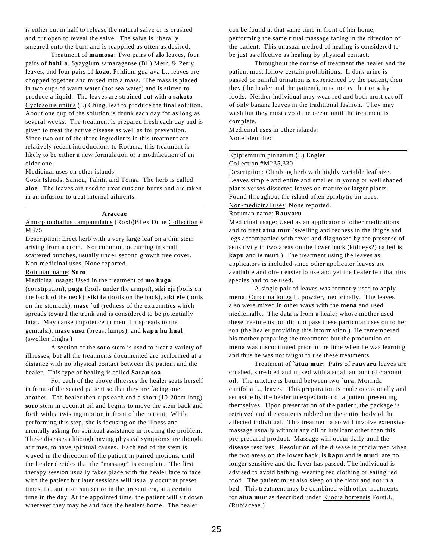is either cut in half to release the natural salve or is crushed and cut open to reveal the salve. The salve is liberally smeared onto the burn and is reapplied as often as desired.

Treatment of **mamosa**: Two pairs of **alo** leaves, four pairs of **hahi`a**, Syzygium samaragense (Bl.) Merr. & Perry, leaves, and four pairs of **koao**, Psidium guajava L., leaves are chopped together and mixed into a mass. The mass is placed in two cups of warm water (not sea water) and is stirred to produce a liquid. The leaves are strained out with a **sakoto** Cyclosorus unitus (L) Ching, leaf to produce the final solution. About one cup of the solution is drunk each day for as long as several weeks. The treatment is prepared fresh each day and is given to treat the active disease as well as for prevention. Since two out of the three ingredients in this treatment are relatively recent introductions to Rotuma, this treatment is likely to be either a new formulation or a modification of an older one.

## Medicinal uses on other islands

Cook Islands, Samoa, Tahiti, and Tonga: The herb is called **aloe**. The leaves are used to treat cuts and burns and are taken in an infusion to treat internal ailments.

#### **Araceae**

Amorphophallus campanulatus (Roxb)Bl ex Dune Collection # M375

Description: Erect herb with a very large leaf on a thin stem arising from a corm. Not common, occurring in small scattered bunches, usually under second growth tree cover. Non-medicinal uses: None reported.

### Rotuman name: **Soro**

Medicinal usage: Used in the treatment of **mo huga** (constipation), **puga** (boils under the armpit), **siki eji** (boils on the back of the neck), **siki fa** (boils on the back), **siki efe** (boils on the stomach), **mase `uf** (redness of the extremities which spreads toward the trunk and is considered to be potentially fatal. May cause impotence in men if it spreads to the genitals.), **mase susu** (breast lumps), and **kapu hu hual** (swollen thighs.)

A section of the **soro** stem is used to treat a variety of illnesses, but all the treatments documented are performed at a distance with no physical contact between the patient and the healer. This type of healing is called **Sarau soa**.

For each of the above illnesses the healer seats herself in front of the seated patient so that they are facing one another. The healer then dips each end a short (10-20cm long) **soro** stem in coconut oil and begins to move the stem back and forth with a twisting motion in front of the patient. While performing this step, she is focusing on the illness and mentally asking for spiritual assistance in treating the problem. These diseases although having physical symptoms are thought at times, to have spiritual causes. Each end of the stem is waved in the direction of the patient in paired motions, until the healer decides that the "massage" is complete. The first therapy session usually takes place with the healer face to face with the patient but later sessions will usually occur at preset times, i.e. sun rise, sun set or in the present era, at a certain time in the day. At the appointed time, the patient will sit down wherever they may be and face the healers home. The healer

can be found at that same time in front of her home, performing the same ritual massage facing in the direction of the patient. This unusual method of healing is considered to be just as effective as healing by physical contact.

Throughout the course of treatment the healer and the patient must follow certain prohibitions. If dark urine is passed or painful urination is experienced by the patient, then they (the healer and the patient), must not eat hot or salty foods. Neither individual may wear red and both must eat off of only banana leaves in the traditional fashion. They may wash but they must avoid the ocean until the treatment is complete.

Medicinal uses in other islands: None identified.

## Epipremnum pinnatum (L) Engler Collection #M235,330

Description: Climbing herb with highly variable leaf size. Leaves simple and entire and smaller in young or well shaded plants verses dissected leaves on mature or larger plants. Found throughout the island often epiphytic on trees. Non-medicinal uses: None reported.

# Rotuman name: **Rauvaru**

Medicinal usage: Used as an applicator of other medications and to treat **atua mur** (swelling and redness in the thighs and legs accompanied with fever and diagnosed by the presense of sensitivity in two areas on the lower back (kidneys?) called **is kapu** and **is muri**.) The treatment using the leaves as applicators is included since other applicator leaves are available and often easier to use and yet the healer felt that this species had to be used.

A single pair of leaves was formerly used to apply **mena**, Curcuma longa L. powder, medicinally. The leaves also were mixed in other ways with the **mena** and used medicinally. The data is from a healer whose mother used these treatments but did not pass these particular uses on to her son (the healer providing this information.) He remembered his mother preparing the treatments but the production of **mena** was discontinued prior to the time when he was learning and thus he was not taught to use these treatments.

Treatment of `**atua mur**: Pairs of **rauvaru** leaves are crushed, shredded and mixed with a small amount of coconut oil. The mixture is bound between two **`ura**, Morinda citrifolia L., leaves. This preparation is made occasionally and set aside by the healer in expectation of a patient presenting themselves. Upon presentation of the patient, the package is retrieved and the contents rubbed on the entire body of the affected individual. This treatment also will involve extensive massage usually without any oil or lubricant other than this pre-prepared product. Massage will occur daily until the disease resolves. Resolution of the disease is proclaimed when the two areas on the lower back, **is kapu** and **is muri**, are no longer sensitive and the fever has passed. The individual is advised to avoid bathing, wearing red clothing or eating red food. The patient must also sleep on the floor and not in a bed. This treatment may be combined with other treatments for **atua mur** as described under Euodia hortensis Forst.f., (Rubiaceae.)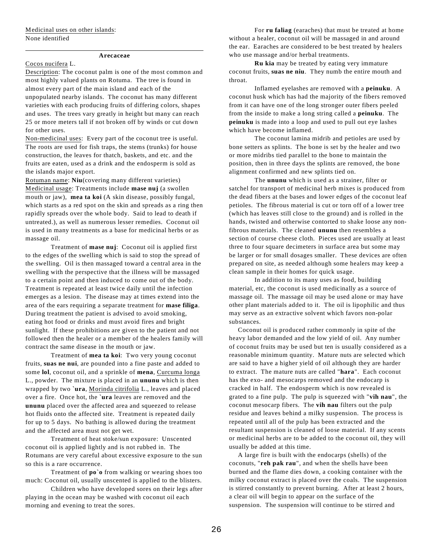### **Arecaceae**

# Cocos nucifera L.

Description: The coconut palm is one of the most common and most highly valued plants on Rotuma. The tree is found in almost every part of the main island and each of the unpopulated nearby islands. The coconut has many different varieties with each producing fruits of differing colors, shapes and uses. The trees vary greatly in height but many can reach 25 or more meters tall if not broken off by winds or cut down for other uses.

Non-medicinal uses: Every part of the coconut tree is useful. The roots are used for fish traps, the stems (trunks) for house construction, the leaves for thatch, baskets, and etc. and the fruits are eaten, used as a drink and the endosperm is sold as the islands major export.

Rotuman name: **Niu**(covering many different varieties) Medicinal usage: Treatments include **mase nuj** (a swollen mouth or jaw), **mea ta koi** (A skin disease, possibly fungal, which starts as a red spot on the skin and spreads as a ring then rapidly spreads over the whole body. Said to lead to death if untreated.), as well as numerous lesser remedies. Coconut oil is used in many treatments as a base for medicinal herbs or as massage oil.

Treatment of **mase nuj**: Coconut oil is applied first to the edges of the swelling which is said to stop the spread of the swelling. Oil is then massaged toward a central area in the swelling with the perspective that the illness will be massaged to a certain point and then induced to come out of the body. Treatment is repeated at least twice daily until the infection emerges as a lesion. The disease may at times extend into the area of the ears requiring a separate treatment for **mase filiga**. During treatment the patient is advised to avoid smoking, eating hot food or drinks and must avoid fires and bright sunlight. If these prohibitions are given to the patient and not followed then the healer or a member of the healers family will contract the same disease in the mouth or jaw.

Treatment of **mea ta koi**: Two very young coconut fruits, **suas ne nui**, are pounded into a fine paste and added to some **lol**, coconut oil, and a sprinkle of **mena**, Curcuma longa L., powder. The mixture is placed in an **ununu** which is then wrapped by two **`ura**, Morinda citrifolia L., leaves and placed over a fire. Once hot, the **`ura** leaves are removed and the **ununu** placed over the affected area and squeezed to release hot fluids onto the affected site. Treatment is repeated daily for up to 5 days. No bathing is allowed during the treatment and the affected area must not get wet.

Treatment of heat stoke/sun exposure: Unscented coconut oil is applied lightly and is not rubbed in. The Rotumans are very careful about excessive exposure to the sun so this is a rare occurrence.

Treatment of **po`o** from walking or wearing shoes too much: Coconut oil, usually unscented is applied to the blisters.

Children who have developed sores on their legs after playing in the ocean may be washed with coconut oil each morning and evening to treat the sores.

For **ru faliag** (earaches) that must be treated at home without a healer, coconut oil will be massaged in and around the ear. Earaches are considered to be best treated by healers who use massage and/or herbal treatments.

**Ru kia** may be treated by eating very immature coconut fruits, **suas ne niu**. They numb the entire mouth and throat.

Inflamed eyelashes are removed with a **peinuku**. A coconut husk which has had the majority of the fibers removed from it can have one of the long stronger outer fibers peeled from the inside to make a long string called a **peinuku**. The **peinuku** is made into a loop and used to pull out eye lashes which have become inflamed.

The coconut lamina midrib and petioles are used by bone setters as splints. The bone is set by the healer and two or more midribs tied parallel to the bone to maintain the position, then in three days the splints are removed, the bone alignment confirmed and new splints tied on.

The **ununu** which is used as a strainer, filter or satchel for transport of medicinal herb mixes is produced from the dead fibers at the bases and lower edges of the coconut leaf petioles. The fibrous material is cut or torn off of a lower tree (which has leaves still close to the ground) and is rolled in the hands, twisted and otherwise contorted to shake loose any nonfibrous materials. The cleaned **ununu** then resembles a section of course cheese cloth. Pieces used are usually at least three to four square decimeters in surface area but some may be larger or for small dosages smaller. These devices are often prepared on site, as needed although some healers may keep a clean sample in their homes for quick usage.

In addition to its many uses as food, building material, etc, the coconut is used medicinally as a source of massage oil. The massage oil may be used alone or may have other plant materials added to it. The oil is lipophilic and thus may serve as an extractive solvent which favors non-polar substances.

 Coconut oil is produced rather commonly in spite of the heavy labor demanded and the low yield of oil. Any number of coconut fruits may be used but ten is usually considered as a reasonable minimum quantity. Mature nuts are selected which are said to have a higher yield of oil although they are harder to extract. The mature nuts are called "**hara**". Each coconut has the exo- and mesocarps removed and the endocarp is cracked in half. The endosperm which is now revealed is grated to a fine pulp. The pulp is squeezed with "**vih nau**", the coconut mesocarp fibers. The **vih nau** filters out the pulp residue and leaves behind a milky suspension. The process is repeated until all of the pulp has been extracted and the resultant suspension is cleaned of loose material. If any scents or medicinal herbs are to be added to the coconut oil, they will usually be added at this time.

 A large fire is built with the endocarps (shells) of the coconuts, "**reh pak rau**", and when the shells have been burned and the flame dies down, a cooking container with the milky coconut extract is placed over the coals. The suspension is stirred constantly to prevent burning. After at least 2 hours, a clear oil will begin to appear on the surface of the suspension. The suspension will continue to be stirred and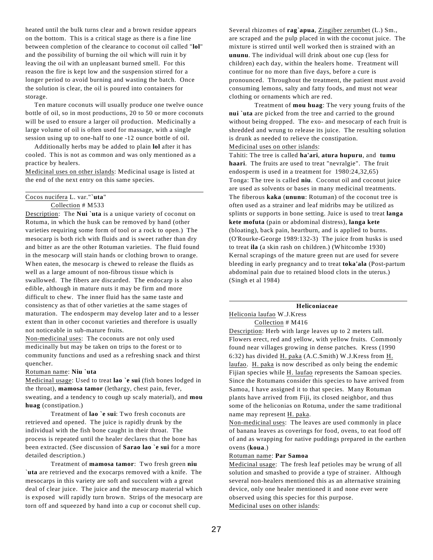heated until the bulk turns clear and a brown residue appears on the bottom. This is a critical stage as there is a fine line between completion of the clearance to coconut oil called "**lol**" and the possibility of burning the oil which will ruin it by leaving the oil with an unpleasant burned smell. For this reason the fire is kept low and the suspension stirred for a longer period to avoid burning and wasting the batch. Once the solution is clear, the oil is poured into containers for storage.

 Ten mature coconuts will usually produce one twelve ounce bottle of oil, so in most productions, 20 to 50 or more coconuts will be used to ensure a larger oil production. Medicinally a large volume of oil is often used for massage, with a single session using up to one-half to one -12 ounce bottle of oil.

 Additionally herbs may be added to plain **lol** after it has cooled. This is not as common and was only mentioned as a practice by healers.

Medicinal uses on other islands: Medicinal usage is listed at the end of the next entry on this same species.

## Cocos nucifera L. var."**`uta**" Collection # M533

Description: The **Nui `uta** is a unique variety of coconut on Rotuma, in which the husk can be removed by hand (other varieties requiring some form of tool or a rock to open.) The mesocarp is both rich with fluids and is sweet rather than dry and bitter as are the other Rotuman varieties. The fluid found in the mesocarp will stain hands or clothing brown to orange. When eaten, the mesocarp is chewed to release the fluids as well as a large amount of non-fibrous tissue which is swallowed. The fibers are discarded. The endocarp is also edible, although in mature nuts it may be firm and more difficult to chew. The inner fluid has the same taste and consistency as that of other varieties at the same stages of maturation. The endosperm may develop later and to a lesser extent than in other coconut varieties and therefore is usually not noticeable in sub-mature fruits.

Non-medicinal uses: The coconuts are not only used medicinally but may be taken on trips to the forest or to community functions and used as a refreshing snack and thirst quencher.

#### Rotuman name: **Niu `uta**

Medicinal usage: Used to treat **lao `e sui** (fish bones lodged in the throat), **mamosa tamor** (lethargy, chest pain, fever, sweating, and a tendency to cough up scaly material), and **mou huag** (constipation.)

Treatment of **lao `e sui**: Two fresh coconuts are retrieved and opened. The juice is rapidly drunk by the individual with the fish bone caught in their throat. The process is repeated until the healer declares that the bone has been extracted. (See discussion of **Sarao lao `e sui** for a more detailed description.)

Treatment of **mamosa tamor**: Two fresh green **niu** `**uta** are retrieved and the exocarps removed with a knife. The mesocarps in this variety are soft and succulent with a great deal of clear juice. The juice and the mesocarp material which is exposed will rapidly turn brown. Strips of the mesocarp are torn off and squeezed by hand into a cup or coconut shell cup.

Several rhizomes of **rag`apua**, Zingiber zerumbet (L.) Sm., are scraped and the pulp placed in with the coconut juice. The mixture is stirred until well worked then is strained with an **ununu**. The individual will drink about one cup (less for children) each day, within the healers home. Treatment will continue for no more than five days, before a cure is pronounced. Throughout the treatment, the patient must avoid consuming lemons, salty and fatty foods, and must not wear clothing or ornaments which are red.

Treatment of **mou huag**: The very young fruits of the **nui `uta** are picked from the tree and carried to the ground without being dropped. The exo- and mesocarp of each fruit is shredded and wrung to release its juice. The resulting solution is drunk as needed to relieve the constipation.

## Medicinal uses on other islands:

Tahiti: The tree is called **ha'ari**, **atura hupuru**, and **tumu haari**. The fruits are used to treat "nevralgie". The fruit endosperm is used in a treatment for 1980:24,32,65) Tonga: The tree is called **niu**. Coconut oil and coconut juice are used as solvents or bases in many medicinal treatments. The fiberous **kaka** (**ununu**: Rotuman) of the coconut tree is often used as a strainer and leaf midribs may be utilized as splints or supports in bone setting. Juice is used to treat **langa kete mofuta** (pain or abdominal distress), **langa kete** (bloating), back pain, heartburn, and is applied to burns. (O'Rourke-George 1989:132-3) The juice from husks is used to treat **ila** (a skin rash on children.) (Whitcombe 1930) Kernal scrapings of the mature green nut are used for severe bleeding in early pregnancy and to treat **toka'ala** (Post-partum abdominal pain due to retained blood clots in the uterus.) (Singh et al 1984)

# **Heliconiaceae**

Heliconia laufao W.J.Kress Collection # M416

Description: Herb with large leaves up to 2 meters tall. Flowers erect, red and yellow, with yellow fruits. Commonly found near villages growing in dense patches. Kress (1990 6:32) has divided H. paka (A.C.Smith) W.J.Kress from H. laufao. H. paka is now described as only being the endemic Fijian species while H. laufao represents the Samoan species. Since the Rotumans consider this species to have arrived from Samoa, I have assigned it to that species. Many Rotuman plants have arrived from Fiji, its closed neighbor, and thus some of the heliconias on Rotuma, under the same traditional name may represent H. paka.

Non-medicinal uses: The leaves are used commonly in place of banana leaves as coverings for food, ovens, to eat food off of and as wrapping for native puddings prepared in the earthen ovens (**koua**.)

## Rotuman name: **Par Samoa**

Medicinal usage: The fresh leaf petioles may be wrung of all solution and smashed to provide a type of strainer. Although several non-healers mentioned this as an alternative straining device, only one healer mentioned it and none ever were observed using this species for this purpose. Medicinal uses on other islands: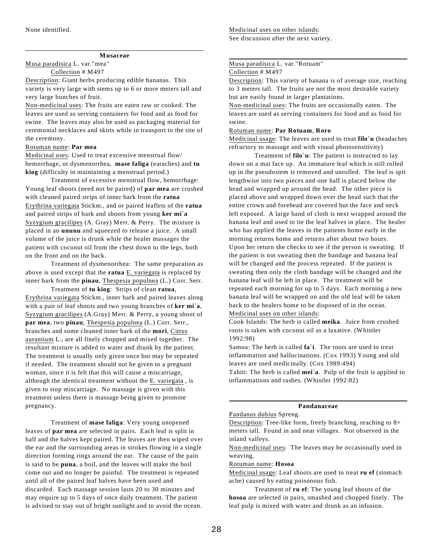#### **Musaceae**

Musa paradisica L. var."mea" Collection # M497

Description: Giant herbs producing edible bananas. This variety is very large with stems up to 6 or more meters tall and very large bunches of fruit.

Non-medicinal uses: The fruits are eaten raw or cooked. The leaves are used as serving containers for food and as food for swine. The leaves may also be used as packaging material for ceremonial necklaces and skirts while in transport to the site of the ceremony.

# Rotuman name: **Par mea**

Medicinal uses: Used to treat excessive menstrual flow/ hemorrhage, or dysmenorrhea, **mase faliga** (earaches) and **tu kiog** (difficulty in maintaining a menstrual period.)

Treatment of excessive menstrual flow, hemorrhage: Young leaf shoots (need not be paired) of **par mea** are crushed with cleaned paired strips of inner bark from the **ratua** Erythrina variegata Stickm., and or paired leaflets of the **ratua** and paired strips of bark and shoots from young **ker mi`a** Syzygium gracilipes (A. Gray) Merr. & Perry. The mixture is placed in an **ununu** and squeezed to release a juice. A small volume of the juice is drunk while the healer massages the patient with coconut oil from the chest down to the legs, both on the front and on the back.

Treatment of dysmenorrhea: The same preparation as above is used except that the **ratua** E. variegata is replaced by inner bark from the **pinau**, Thespesia populnea (L.) Corr. Serr.

Treatment of **tu kiog**: Strips of clean **ratua**, Erythrina variegata Stickm., inner bark and paired leaves along with a pair of leaf shoots and two young branches of **ker mi`a**, Syzygium gracilipes (A.Gray) Merr. & Perry, a young shoot of **par mea**, two **pinau**, Thespesia populnea (L.) Corr. Serr., branches and some cleaned inner bark of the **mori**, Citrus aurantium L., are all finely chopped and mixed together. The resultant mixture is added to water and drunk by the patient. The treatment is usually only given once but may be repeated if needed. The treatment should not be given to a pregnant woman, since it is felt that this will cause a miscarriage, although the identical treatment without the E. variegata , is given to stop miscarriage. No massage is given with this treatment unless there is massage being given to promote pregnancy.

Treatment of **mase faliga**: Very young unopened leaves of **par mea** are selected in pairs. Each leaf is split in half and the halves kept paired. The leaves are then wiped over the ear and the surrounding areas in strokes flowing in a single direction forming rings around the ear. The cause of the pain is said to be **puna**, a boil, and the leaves will make the boil come out and no longer be painful. The treatment is repeated until all of the paired leaf halves have been used and discarded. Each massage session lasts 20 to 30 minutes and may require up to 5 days of once daily treatment. The patient is advised to stay out of bright sunlight and to avoid the ocean.

Medicinal uses on other islands: See discussion after the next variety.

## Musa paradisica L. var."Rotuam" Collection # M497

Description: This variety of banana is of average size, reaching to 3 meters tall. The fruits are not the most desirable variety but are easily found in larger plantations.

Non-medicinal uses: The fruits are occasionally eaten. The leaves are used as serving containers for food and as food for swine.

### Rotuman name: **Par Rotuam**, **Roro**

Medicinal usage: The leaves are used to treat **filo`u** (headaches refractory to massage and with visual photosensitivity)

Treatment of **filo`u**: The patient is instructed to lay down on a mat face up. An immature leaf which is still rolled up in the pseudostem is removed and unrolled. The leaf is spit lengthwise into two pieces and one half is placed below the head and wrapped up around the head. The other piece is placed above and wrapped down over the head such that the entire crown and forehead are covered but the face and neck left exposed. A large band of cloth is next wrapped around the banana leaf and used to tie the leaf halves in place. The healer who has applied the leaves in the patients home early in the morning returns home and returns after about two hours. Upon her return she checks to see if the person is sweating. If the patient is not sweating then the bandage and banana leaf will be changed and the process repeated. If the patient is sweating then only the cloth bandage will be changed and the banana leaf will be left in place. The treatment will be repeated each morning for up to 5 days. Each morning a new banana leaf will be wrapped on and the old leaf will be taken back to the healers home to be disposed of in the ocean. Medicinal uses on other islands:

Cook Islands: The herb is called **meika**. Juice from crushed roots is taken with coconut oil as a laxative. (Whistler 1992:98)

Samoa: The herb is called **fa`i**. The roots are used to treat inflammation and hallucinations. (Cox 1993) Young and old leaves are used medicinally. (Cox 1989:494)

Tahiti: The herb is called **mei`a**. Pulp of the fruit is applied to inflammations and rashes. (Whistler 1992:82)

## **Pandanaceae**

#### Pandanus dubius Spreng.

Description: Tree-like form, freely branching, reaching to 8+ meters tall. Found in and near villages. Not observed in the inland valleys.

Non-medicinal uses: The leaves may be occasionally used in weaving.

#### Rotuman name: **Hosoa**

Medicinal usage: Leaf shoots are used to treat **ru ef** (stomach ache) caused by eating poisonous fish.

Treatment of **ru ef**: The young leaf shoots of the **hosoa** are selected in pairs, smashed and chopped finely. The leaf pulp is mixed with water and drunk as an infusion.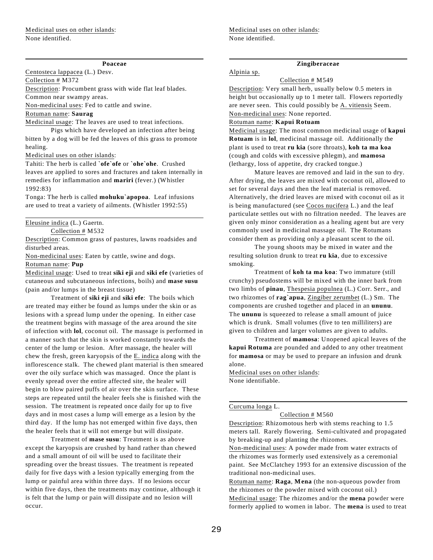### **Poaceae**

Centosteca lappacea (L.) Desv.

Collection # M372

Description: Procumbent grass with wide flat leaf blades. Common near swampy areas.

Non-medicinal uses: Fed to cattle and swine.

### Rotuman name: **Saurag**

Medicinal usage: The leaves are used to treat infections.

Pigs which have developed an infection after being bitten by a dog will be fed the leaves of this grass to promote healing.

Medicinal uses on other islands:

Tahiti: The herb is called **`ofe`ofe** or **`ohe`ohe**. Crushed leaves are applied to sores and fractures and taken internally in remedies for inflammation and **mariri** (fever.) (Whistler 1992:83)

Tonga: The herb is called **mohuku`apopoa**. Leaf infusions are used to treat a variety of ailments. (Whistler 1992:55)

# Eleusine indica (L.) Gaertn.

Collection # M532

Description: Common grass of pastures, lawns roadsides and disturbed areas.

Non-medicinal uses: Eaten by cattle, swine and dogs.

#### Rotuman name: **Pup**

Medicinal usage: Used to treat **siki eji** and **siki efe** (varieties of cutaneous and subcutaneous infections, boils) and **mase susu** (pain and/or lumps in the breast tissue)

Treatment of **siki eji** and **siki efe**: The boils which are treated may either be found as lumps under the skin or as lesions with a spread lump under the opening. In either case the treatment begins with massage of the area around the site of infection with **lol**, coconut oil. The massage is performed in a manner such that the skin is worked constantly towards the center of the lump or lesion. After massage, the healer will chew the fresh, green karyopsis of the E. indica along with the inflorescence stalk. The chewed plant material is then smeared over the oily surface which was massaged. Once the plant is evenly spread over the entire affected site, the healer will begin to blow paired puffs of air over the skin surface. These steps are repeated until the healer feels she is finished with the session. The treatment is repeated once daily for up to five days and in most cases a lump will emerge as a lesion by the third day. If the lump has not emerged within five days, then the healer feels that it will not emerge but will dissipate.

Treatment of **mase susu**: Treatment is as above except the karyopsis are crushed by hand rather than chewed and a small amount of oil will be used to facilitate their spreading over the breast tissues. The treatment is repeated daily for five days with a lesion typically emerging from the lump or painful area within three days. If no lesions occur within five days, then the treatments may continue, although it is felt that the lump or pain will dissipate and no lesion will occur.

Medicinal uses on other islands: None identified.

## **Zingiberaceae**

Alpinia sp.

Collection # M549 Description: Very small herb, usually below 0.5 meters in height but occasionally up to 1 meter tall. Flowers reportedly are never seen. This could possibly be A. vitiensis Seem. Non-medicinal uses: None reported.

### Rotuman name: **Kapui Rotuam**

Medicinal usage: The most common medicinal usage of **kapui Rotuam** is in **lol**, medicinal massage oil. Additionally the plant is used to treat **ru kia** (sore throats), **koh ta ma koa** (cough and colds with excessive phlegm), and **mamosa** (lethargy, loss of appetite, dry cracked tongue.)

Mature leaves are removed and laid in the sun to dry. After drying, the leaves are mixed with coconut oil, allowed to set for several days and then the leaf material is removed. Alternatively, the dried leaves are mixed with coconut oil as it is being manufactured (see Cocos nucifera L.) and the leaf particulate settles out with no filtration needed. The leaves are given only minor consideration as a healing agent but are very commonly used in medicinal massage oil. The Rotumans consider them as providing only a pleasant scent to the oil.

The young shoots may be mixed in water and the resulting solution drunk to treat **ru kia**, due to excessive smoking.

Treatment of **koh ta ma koa**: Two immature (still crunchy) pseudostems will be mixed with the inner bark from two limbs of **pinau**, Thespesia populnea (L.) Corr. Serr., and two rhizomes of **rag`apua**, Zingiber zerumbet (L.) Sm. The components are crushed together and placed in an **ununu**. The **ununu** is squeezed to release a small amount of juice which is drunk. Small volumes (five to ten milliliters) are given to children and larger volumes are given to adults.

Treatment of **mamosa**: Unopened apical leaves of the **kapui Rotuma** are pounded and added to any other treatment for **mamosa** or may be used to prepare an infusion and drunk alone.

Medicinal uses on other islands: None identifiable.

#### Curcuma longa L.

Collection # M560

Description: Rhizomotous herb with stems reaching to 1.5 meters tall. Rarely flowering. Semi-cultivated and propagated by breaking-up and planting the rhizomes.

Non-medicinal uses: A powder made from water extracts of the rhizomes was formerly used extensively as a ceremonial paint. See McClatchey 1993 for an extensive discussion of the traditional non-medicinal uses.

Rotuman name: **Raga**, **Mena** (the non-aqueous powder from the rhizomes or the powder mixed with coconut oil.) Medicinal usage: The rhizomes and/or the **mena** powder were formerly applied to women in labor. The **mena** is used to treat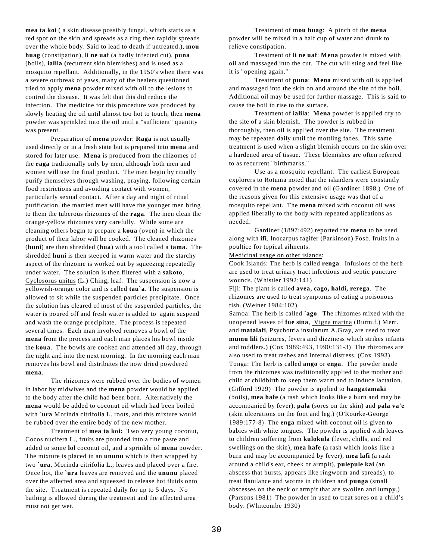**mea ta koi** ( a skin disease possibly fungal, which starts as a red spot on the skin and spreads as a ring then rapidly spreads over the whole body. Said to lead to death if untreated.), **mou huag** (constipation), **li ne uaf** (a badly infected cut), **puna** (boils), **ialila (**recurrent skin blemishes) and is used as a mosquito repellant. Additionally, in the 1950's when there was a severe outbreak of yaws, many of the healers questioned tried to apply **mena** powder mixed with oil to the lesions to control the disease. It was felt that this did reduce the infection. The medicine for this procedure was produced by slowly heating the oil until almost too hot to touch, then **mena** powder was sprinkled into the oil until a "sufficient" quantity was present.

Preparation of **mena** powder: **Raga** is not usually used directly or in a fresh state but is prepared into **mena** and stored for later use. **Mena** is produced from the rhizomes of the **raga** traditionally only by men, although both men and women will use the final product. The men begin by ritually purify themselves through washing, praying, following certain food restrictions and avoiding contact with women, particularly sexual contact. After a day and night of ritual purification, the married men will have the younger men bring to them the tuberous rhizomes of the **raga**. The men clean the orange-yellow rhizomes very carefully. While some are cleaning others begin to prepare a **koua** (oven) in which the product of their labor will be cooked. The cleaned rhizomes (**huni**) are then shredded (**hua**) with a tool called a **tama**. The shredded **huni** is then steeped in warm water and the starchy aspect of the rhizome is worked out by squeezing repeatedly under water. The solution is then filtered with a **sakoto**, Cyclosorus unitus (L.) Ching, leaf. The suspension is now a yellowish-orange color and is called **tau`a**. The suspension is allowed to sit while the suspended particles precipitate. Once the solution has cleared of most of the suspended particles, the water is poured off and fresh water is added to again suspend and wash the orange precipitate. The process is repeated several times. Each man involved removes a bowl of the **mena** from the process and each man places his bowl inside the **koua**. The bowls are cooked and attended all day, through the night and into the next morning. In the morning each man removes his bowl and distributes the now dried powdered **mena**.

The rhizomes were rubbed over the bodies of women in labor by midwives and the **mena** powder would be applied to the body after the child had been born. Alternatively the **mena** would be added to coconut oil which had been boiled with **`ura** Morinda citrifolia L. roots, and this mixture would be rubbed over the entire body of the new mother.

Treatment of **mea ta koi:** Two very young coconut, Cocos nucifera L., fruits are pounded into a fine paste and added to some **lol** coconut oil, and a sprinkle of **mena** powder. The mixture is placed in an **ununu** which is then wrapped by two **`ura**, Morinda citrifolia L., leaves and placed over a fire. Once hot, the **`ura** leaves are removed and the **ununu** placed over the affected area and squeezed to release hot fluids onto the site. Treatment is repeated daily for up to 5 days. No bathing is allowed during the treatment and the affected area must not get wet.

Treatment of **mou huag**: A pinch of the **mena** powder will be mixed in a half cup of water and drunk to relieve constipation.

Treatment of **li ne uaf**: **Mena** powder is mixed with oil and massaged into the cut. The cut will sting and feel like it is "opening again."

Treatment of **puna**: **Mena** mixed with oil is applied and massaged into the skin on and around the site of the boil. Additional oil may be used for further massage. This is said to cause the boil to rise to the surface.

Treatment of **ialila**: **Mena** powder is applied dry to the site of a skin blemish. The powder is rubbed in thoroughly, then oil is applied over the site. The treatment may be repeated daily until the mottling fades. This same treatment is used when a slight blemish occurs on the skin over a hardened area of tissue. These blemishes are often referred to as recurrent "birthmarks."

Use as a mosquito repellant: The earliest European explorers to Rotuma noted that the islanders were constantly covered in the **mena** powder and oil (Gardiner 1898.) One of the reasons given for this extensive usage was that of a mosquito repellant. The **mena** mixed with coconut oil was applied liberally to the body with repeated applications as needed.

Gardiner (1897:492) reported the **mena** to be used along with **ifi**, Inocarpus fagifer (Parkinson) Fosb. fruits in a poultice for topical ailments.

## Medicinal usage on other islands:

Cook Islands: The herb is called **renga**. Infusions of the herb are used to treat urinary tract infections and septic puncture wounds. (Whistler 1992:141)

Fiji: The plant is called **avea, cago, haldi, rerega**. The rhizomes are used to treat symptoms of eating a poisonous fish. (Weiner 1984:102)

Samoa: The herb is called **`ago**. The rhizomes mixed with the unopened leaves of **fue sina**, Vigna marina (Burm.f.) Merr. and **matalafi**, Psychotria insularum A.Gray, are used to treat **mumu lili** (seizures, fevers and dizziness which strikes infants and toddlers.) (Cox 1989:493, 1990:131-3) The rhizomes are also used to treat rashes and internal distress. (Cox 1993) Tonga: The herb is called **ango** or **enga**. The powder made from the rhizomes was traditionally applied to the mother and child at childbirth to keep them warm and to induce lactation. (Gifford 1929) The powder is applied to **hangatamaki** (boils), **mea hafe** (a rash which looks like a burn and may be accompanied by fever), **pala** (sores on the skin) and **pala va'e** (skin ulcerations on the foot and leg.) (O'Rourke-George 1989:177-8) The **enga** mixed with coconut oil is given to babies with white tongues. The powder is applied with leaves to children suffering from **kulokula** (fever, chills, and red swellings on the skin), **mea hafe** (a rash which looks like a burn and may be accompanied by fever), **mea lafi** (a rash around a child's ear, cheek or armpit), **pulepule kai** (an abscess that bursts, appears like ringworm and spreads), to treat flatulance and worms in children and **punga** (small abscesses on the neck or armpit that are swollen and lumpy.) (Parsons 1981) The powder in used to treat sores on a child's body. (Whitcombe 1930)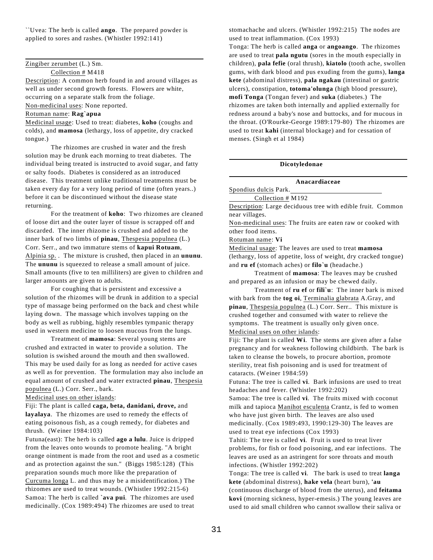``Uvea: The herb is called **ango**. The prepared powder is applied to sores and rashes. (Whistler 1992:141)

## Zingiber zerumbet (L.) Sm. Collection # M418

Description: A common herb found in and around villages as

well as under second growth forests. Flowers are white, occurring on a separate stalk from the foliage. Non-medicinal uses: None reported.

# Rotuman name: **Rag`apua**

Medicinal usage: Used to treat: diabetes, **koho** (coughs and colds), and **mamosa** (lethargy, loss of appetite, dry cracked tongue.)

The rhizomes are crushed in water and the fresh solution may be drunk each morning to treat diabetes. The individual being treated is instructed to avoid sugar, and fatty or salty foods. Diabetes is considered as an introduced disease. This treatment unlike traditional treatments must be taken every day for a very long period of time (often years..) before it can be discontinued without the disease state returning.

For the treatment of **koho**: Two rhizomes are cleaned of loose dirt and the outer layer of tissue is scrapped off and discarded. The inner rhizome is crushed and added to the inner bark of two limbs of **pinau**, Thespesia populnea (L.) Corr. Serr., and two immature stems of **kapui Rotuam**, Alpinia sp. . The mixture is crushed, then placed in an **ununu**. The **ununu** is squeezed to release a small amount of juice. Small amounts (five to ten milliliters) are given to children and larger amounts are given to adults.

For coughing that is persistent and excessive a solution of the rhizomes will be drunk in addition to a special type of massage being performed on the back and chest while laying down. The massage which involves tapping on the body as well as rubbing, highly resembles tympanic therapy used in western medicine to loosen mucous from the lungs.

Treatment of **mamosa**: Several young stems are crushed and extracted in water to provide a solution. The solution is swished around the mouth and then swallowed. This may be used daily for as long as needed for active cases as well as for prevention. The formulation may also include an equal amount of crushed and water extracted **pinau**, Thespesia populnea (L.) Corr. Serr., bark.

### Medicinal uses on other islands:

Fiji: The plant is called **caga, beta, danidani, drove,** and **layalaya**. The rhizomes are used to remedy the effects of eating poisonous fish, as a cough remedy, for diabetes and thrush. (Weiner 1984:103)

Futuna(east): The herb is called **ago a lulu**. Juice is dripped from the leaves onto wounds to promote healing. "A bright orange ointment is made from the root and used as a cosmetic and as protection against the sun." (Biggs 1985:128) (This preparation sounds much more like the preparation of Curcuma longa L. and thus may be a misidentification.) The rhizomes are used to treat wounds. (Whistler 1992:215-6) Samoa: The herb is called **`ava pui**. The rhizomes are used medicinally. (Cox 1989:494) The rhizomes are used to treat

stomachache and ulcers. (Whistler 1992:215) The nodes are used to treat inflammation. (Cox 1993)

Tonga: The herb is called **anga** or **angoango**. The rhizomes are used to treat **pala ngutu** (sores in the mouth especially in children), **pala fefie** (oral thrush), **kiatolo** (tooth ache, swollen gums, with dark blood and pus exuding from the gums), **langa kete** (abdominal distress), **pala ngakau** (intestinal or gastric ulcers), constipation, **totoma'olunga** (high blood pressure), **mofi Tonga** (Tongan fever) and **suka** (diabetes.) The rhizomes are taken both internally and applied externally for redness around a baby's nose and buttocks, and for mucous in the throat. (O'Rourke-George 1989:179-80) The rhizomes are used to treat **kahi** (internal blockage) and for cessation of menses. (Singh et al 1984)

### **Dicotyledonae**

## **Anacardiaceae**

Spondius dulcis Park. Collection # M192

Description: Large deciduous tree with edible fruit. Common near villages.

Non-medicinal uses: The fruits are eaten raw or cooked with other food items.

Rotuman name: **Vi**

Medicinal usage: The leaves are used to treat **mamosa** (lethargy, loss of appetite, loss of weight, dry cracked tongue) and **ru ef** (stomach aches) or **filo`u** (headache.)

Treatment of **mamosa**: The leaves may be crushed and prepared as an infusion or may be chewed daily.

Treatment of **ru ef** or **fili`u**: The inner bark is mixed with bark from the **tog oi**, Terminalia glabrata A.Gray, and **pinau**, Thespesia populnea (L.) Corr. Serr.. This mixture is crushed together and consumed with water to relieve the symptoms. The treatment is usually only given once. Medicinal uses on other islands:

Fiji: The plant is called **Wi**. The stems are given after a false pregnancy and for weakness following childbirth. The bark is taken to cleanse the bowels, to procure abortion, promote sterility, treat fish poisoning and is used for treatment of cataracts. (Weiner 1984:59)

Futuna: The tree is called **vi**. Bark infusions are used to treat headaches and fever. (Whistler 1992:202)

Samoa: The tree is called **vi**. The fruits mixed with coconut milk and tapioca Manihot esculenta Crantz, is fed to women who have just given birth. The leaves are also used medicinally. (Cox 1989:493, 1990:129-30) The leaves are used to treat eye infections (Cox 1993)

Tahiti: The tree is called **vi**. Fruit is used to treat liver problems, for fish or food poisoning, and ear infections. The leaves are used as an astringent for sore throats and mouth infections. (Whistler 1992:202)

Tonga: The tree is called **vi**. The bark is used to treat **langa kete** (abdominal distress), **hake vela** (heart burn), **'au** (continuous discharge of blood from the uterus), and **feitama kovi** (morning sickness, hyper-emesis.) The young leaves are used to aid small children who cannot swallow their saliva or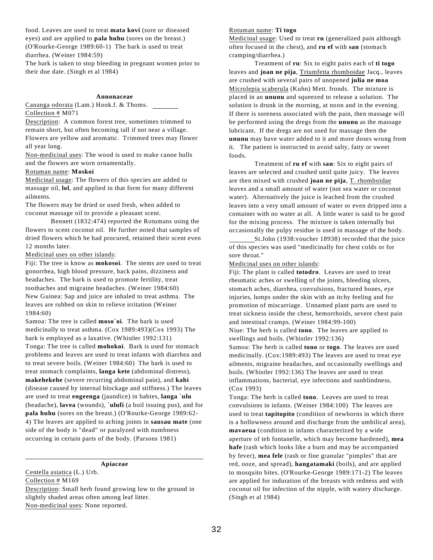food. Leaves are used to treat **mata kovi** (sore or diseased eyes) and are applied to **pala huhu** (sores on the breast.) (O'Rourke-George 1989:60-1) The bark is used to treat diarrhea. (Weiner 1984:59)

The bark is taken to stop bleeding in pregnant women prior to their due date. (Singh et al 1984)

### **Annonaceae**

Cananga odorata (Lam.) Hook.f. & Thoms. Collection # M071

Description: A common forest tree, sometimes trimmed to remain short, but often becoming tall if not near a village. Flowers are yellow and aromatic. Trimmed trees may flower all year long.

Non-medicinal uses: The wood is used to make canoe hulls and the flowers are worn ornamentally.

#### Rotuman name: **Moskoi**

Medicinal usage: The flowers of this species are added to massage oil, **lol**, and applied in that form for many different ailments.

The flowers may be dried or used fresh, when added to coconut massage oil to provide a pleasant scent.

Bennett (1832:474) reported the Rotumans using the flowers to scent coconut oil. He further noted that samples of dried flowers which he had procured, retained their scent even 12 months later.

Medicinal uses on other islands:

Fiji: The tree is know as **mokosoi**. The stems are used to treat gonorrhea, high blood pressure, back pains, dizziness and headaches. The bark is used to promote fertility, treat toothaches and migraine headaches. (Weiner 1984:60) New Guinea: Sap and juice are inhaled to treat asthma. The leaves are rubbed on skin to relieve irritation (Weiner 1984:60)

Samoa: The tree is called **moso`oi**. The bark is used medicinally to treat asthma. (Cox 1989:493)(Cox 1993) The bark is employed as a laxative. (Whistler 1992:131) Tonga: The tree is called **mohokoi**. Bark is used for stomach problems and leaves are used to treat infants with diarrhea and to treat severe boils. (Weiner 1984:60) The bark is used to treat stomach complaints, **langa kete** (abdominal distress), **makehekehe** (severe recurring abdominal pain), and **kahi** (disease caused by internal blockage and stiffness.) The leaves are used to treat **engeenga** (jaundice) in babies, **langa `ulu**

(headache), **lavea** (wounds), **`ulufi** (a boil issuing pus), and for **pala huhu** (sores on the breast.) (O'Rourke-George 1989:62- 4) The leaves are applied to aching joints in **sausau mate** (one side of the body is "dead" or paralyzed with numbness occurring in certain parts of the body. (Parsons 1981)

### **Apiaceae**

Centella asiatica (L.) Urb. Collection # M169

Description: Small herb found growing low to the ground in slightly shaded areas often among leaf litter. Non-medicinal uses: None reported.

## Rotuman name: **Ti togo**

Medicinal usage: Used to treat **ru** (generalized pain although often focused in the chest), and **ru ef** with **san** (stomach cramping/diarrhea.)

Treatment of **ru**: Six to eight pairs each of **ti togo** leaves and **joan ne pija**, Triumfetta rhomboidae Jacq., leaves are crushed with several pairs of unopened **julia ne moa** Microlepia scaberula (Kuhn) Mett. fronds. The mixture is placed in an **ununu** and squeezed to release a solution. The solution is drunk in the morning, at noon and in the evening. If there is soreness associated with the pain, then massage will be performed using the dregs from the **ununu** as the massage lubricant. If the dregs are not used for massage then the **ununu** may have water added to it and more doses wrung from it. The patient is instructed to avoid salty, fatty or sweet foods.

Treatment of **ru ef** with **san**: Six to eight pairs of leaves are selected and crushed until quite juicy. The leaves are then mixed with crushed **joan ne pija**, T. rhomboidae leaves and a small amount of water (not sea water or coconut water). Alternatively the juice is leached from the crushed leaves into a very small amount of water or even dripped into a container with no water at all. A little water is said to be good for the mixing process. The mixture is taken internally but occasionally the pulpy residue is used in massage of the body.

St.John (1938:voucher 18938) recorded that the juice of this species was used "medicinally for chest colds or for sore throat."

## Medicinal uses on other islands:

Fiji: The plant is called **totodro**. Leaves are used to treat rheumatic aches or swelling of the joints, bleeding ulcers, stomach aches, diarrhea, convulsions, fractured bones, eye injuries, lumps under the skin with an itchy feeling and for promotion of miscarriage. Unnamed plant parts are used to treat sickness inside the chest, hemorrhoids, severe chest pain and intestinal cramps. (Weiner 1984:99-100)

Niue: The herb is called **tono**. The leaves are applied to swellings and boils. (Whistler 1992:136)

Samoa: The herb is called **tono** or **togo**. The leaves are used medicinally. (Cox:1989:493) The leaves are used to treat eye ailments, migraine headaches, and occasionally swellings and boils. (Whistler 1992:136) The leaves are used to treat inflammations, bacterial, eye infections and sunblindness. (Cox 1993)

Tonga: The herb is called **tono**. Leaves are used to treat convulsions in infants. (Weiner 1984:100) The leaves are used to treat **tapitopito** (condition of newborns in which there is a hollowness around and discharge from the umbilical area), **mavaeua** (condition in infants characterized by a wide aperture of teh fontanelle, which may become hardened), **mea hafe** (rash which looks like a burn and may be accompanied by fever), **mea fele** (rash or fine granular "pimples" that are red, ooze, and spread), **hangatamaki** (boils), and are applied to mosquito bites. (O'Rourke-George 1989:171-2) The leaves are applied for induration of the breasts with redness and with coconut oil for infection of the nipple, with watery discharge. (Singh et al 1984)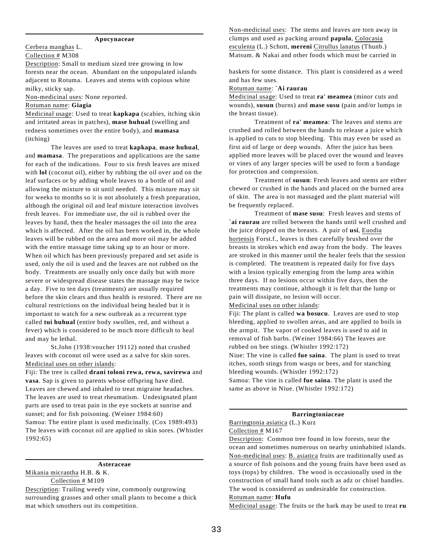#### **Apocynaceae**

Cerbera manghas L.

Collection # M308

Description: Small to medium sized tree growing in low forests near the ocean. Abundant on the unpopulated islands adjacent to Rotuma. Leaves and stems with copious white milky, sticky sap.

Non-medicinal uses: None reported.

### Rotuman name: **Giagia**

Medicinal usage: Used to treat **kapkapa** (scabies, itching skin and irritated areas in patches), **mase huhual** (swelling and redness sometimes over the entire body), and **mamasa** (itching)

The leaves are used to treat **kapkapa**, **mase huhual**, and **mamasa**. The preparations and applications are the same for each of the indications. Four to six fresh leaves are mixed with **lol** (coconut oil), either by rubbing the oil over and on the leaf surfaces or by adding whole leaves to a bottle of oil and allowing the mixture to sit until needed. This mixture may sit for weeks to months so it is not absolutely a fresh preparation, although the original oil and leaf mixture interaction involves fresh leaves. For immediate use, the oil is rubbed over the leaves by hand, then the healer massages the oil into the area which is affected. After the oil has been worked in, the whole leaves will be rubbed on the area and more oil may be added with the entire massage time taking up to an hour or more. When oil which has been previously prepared and set aside is used, only the oil is used and the leaves are not rubbed on the body. Treatments are usually only once daily but with more severe or widespread disease states the massage may be twice a day. Five to ten days (treatments) are usually required before the skin clears and thus health is restored. There are no cultural restrictions on the individual being healed but it is important to watch for a new outbreak as a recurrent type called **tui huhual** (entire body swollen, red, and without a fever) which is considered to be much more difficult to heal and may be lethal.

St.John (1938:voucher 19112) noted that crushed leaves with coconut oil were used as a salve for skin sores. Medicinal uses on other islands:

Fiji: The tree is called **drani toloni rewa, rewa, savirewa** and **vasa**. Sap is given to parents whose offspring have died. Leaves are chewed and inhaled to treat migraine headaches. The leaves are used to treat rheumatism. Undesignated plant parts are used to treat pain in the eye sockets at sunrise and sunset; and for fish poisoning. (Weiner 1984:60)

Samoa: The entire plant is used medicinally. (Cox 1989:493) The leaves with coconut oil are applied to skin sores. (Whistler 1992:65)

## **Asteraceae**

Mikania micrantha H.B. & K.

Collection # M109 Description: Trailing weedy vine, commonly outgrowing surrounding grasses and other small plants to become a thick mat which smothers out its competition.

Non-medicinal uses: The stems and leaves are torn away in clumps and used as packing around **papula**, Colocasia esculenta (L.) Schott, **mereni** Citrullus lanatus (Thunb.) Matsum. & Nakai and other foods which must be carried in

baskets for some distance. This plant is considered as a weed and has few uses.

## Rotuman name: **`Ai raurau**

Medicinal usage: Used to treat **ra' meamea** (minor cuts and wounds), **susun** (burns) and **mase susu** (pain and/or lumps in the breast tissue).

Treatment of **ra' meamea**: The leaves and stems are crushed and rolled between the hands to release a juice which is applied to cuts to stop bleeding. This may even be used as first aid of large or deep wounds. After the juice has been applied more leaves will be placed over the wound and leaves or vines of any larger species will be used to form a bandage for protection and compression.

Treatment of **susun**: Fresh leaves and stems are either chewed or crushed in the hands and placed on the burned area of skin. The area is not massaged and the plant material will be frequently replaced.

Treatment of **mase susu**: Fresh leaves and stems of **`ai raurau** are rolled between the hands until well crushed and the juice dripped on the breasts. A pair of **usi**, Euodia hortensis Forst.f., leaves is then carefully brushed over the breasts in strokes which end away from the body. The leaves are stroked in this manner until the healer feels that the session is completed. The treatment is repeated daily for five days with a lesion typically emerging from the lump area within three days. If no lesions occur within five days, then the treatments may continue, although it is felt that the lump or pain will dissipate, no lesion will occur.

## Medicinal uses on other islands:

Fiji: The plant is called **wa bosucu**. Leaves are used to stop bleeding, applied to swollen areas, and are applied to boils in the armpit. The vapor of cooked leaves is used to aid in removal of fish barbs. (Weiner 1984:66) The leaves are rubbed on bee stings. (Whistler 1992:172)

Niue: The vine is called **fue saina**. The plant is used to treat itches, sooth stings from wasps or bees, and for stanching bleeding wounds. (Whistler 1992:172)

Samoa: The vine is called **fue saina**. The plant is used the same as above in Niue. (Whistler 1992:172)

# **Barringtoniaceae**

Barringtonia asiatica (L.) Kurz Collection # M167

Description: Common tree found in low forests, near the ocean and sometimes numerous on nearby uninhabited islands. Non-medicinal uses: B. asiatica fruits are traditionally used as a source of fish poisons and the young fruits have been used as toys (tops) by children. The wood is occasionally used in the construction of small hand tools such as adz or chisel handles. The wood is considered as undesirable for construction.

# Rotuman name: **Hufu**

Medicinal usage: The fruits or the bark may be used to treat **ru**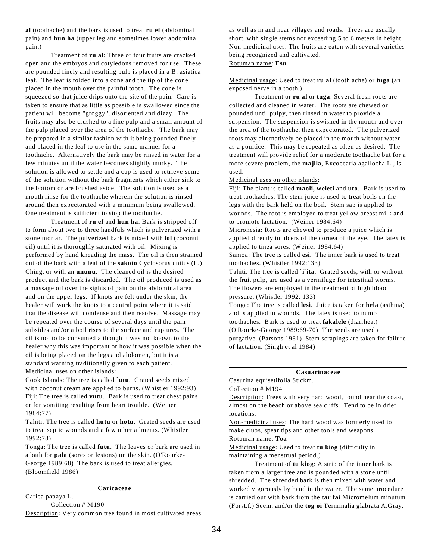**al** (toothache) and the bark is used to treat **ru ef** (abdominal pain) and **hun ha** (upper leg and sometimes lower abdominal pain.)

 Treatment of **ru al**: Three or four fruits are cracked open and the embryos and cotyledons removed for use. These are pounded finely and resulting pulp is placed in a B. asiatica leaf. The leaf is folded into a cone and the tip of the cone placed in the mouth over the painful tooth. The cone is squeezed so that juice drips onto the site of the pain. Care is taken to ensure that as little as possible is swallowed since the patient will become "groggy", disoriented and dizzy. The fruits may also be crushed to a fine pulp and a small amount of the pulp placed over the area of the toothache. The bark may be prepared in a similar fashion with it being pounded finely and placed in the leaf to use in the same manner for a toothache. Alternatively the bark may be rinsed in water for a few minutes until the water becomes slightly murky. The solution is allowed to settle and a cup is used to retrieve some of the solution without the bark fragments which either sink to the bottom or are brushed aside. The solution is used as a mouth rinse for the toothache wherein the solution is rinsed around then expectorated with a minimum being swallowed. One treatment is sufficient to stop the toothache.

Treatment of **ru ef** and **hun ha**: Bark is stripped off to form about two to three handfuls which is pulverized with a stone mortar. The pulverized bark is mixed with **lol** (coconut oil) until it is thoroughly saturated with oil. Mixing is performed by hand kneading the mass. The oil is then strained out of the bark with a leaf of the **sakoto** Cyclosorus unitus (L.) Ching, or with an **ununu**. The cleaned oil is the desired product and the bark is discarded. The oil produced is used as a massage oil over the sights of pain on the abdominal area and on the upper legs. If knots are felt under the skin, the healer will work the knots to a central point where it is said that the disease will condense and then resolve. Massage may be repeated over the course of several days until the pain subsides and/or a boil rises to the surface and ruptures. The oil is not to be consumed although it was not known to the healer why this was important or how it was possible when the oil is being placed on the legs and abdomen, but it is a standard warning traditionally given to each patient. Medicinal uses on other islands:

Cook Islands: The tree is called **`utu**. Grated seeds mixed with coconut cream are applied to burns. (Whistler 1992:93) Fiji: The tree is called **vutu**. Bark is used to treat chest pains or for vomiting resulting from heart trouble. (Weiner 1984:77)

Tahiti: The tree is called **hutu** or **hotu**. Grated seeds are used to treat septic wounds and a few other ailments. (Whistler 1992:78)

Tonga: The tree is called **futu**. The leaves or bark are used in a bath for **pala** (sores or lesions) on the skin. (O'Rourke-George 1989:68) The bark is used to treat allergies. (Bloomfield 1986)

#### **Caricaceae**

Carica papaya L.

Collection # M190

Description: Very common tree found in most cultivated areas

as well as in and near villages and roads. Trees are usually short, with single stems not exceeding 5 to 6 meters in height. Non-medicinal uses: The fruits are eaten with several varieties being recognized and cultivated. Rotuman name: **Esu**

Medicinal usage: Used to treat **ru al** (tooth ache) or **tuga** (an exposed nerve in a tooth.)

Treatment or **ru al** or **tuga**: Several fresh roots are collected and cleaned in water. The roots are chewed or pounded until pulpy, then rinsed in water to provide a suspension. The suspension is swished in the mouth and over the area of the toothache, then expectorated. The pulverized roots may alternatively be placed in the mouth without water as a poultice. This may be repeated as often as desired. The treatment will provide relief for a moderate toothache but for a more severe problem, the **majila**, Excoecaria agallocha L., is used.

#### Medicinal uses on other islands:

Fiji: The plant is called **maoli, weleti** and **uto**. Bark is used to treat toothaches. The stem juice is used to treat boils on the legs with the bark held on the boil. Stem sap is applied to wounds. The root is employed to treat yellow breast milk and to promote lactation. (Weiner 1984:64)

Micronesia: Roots are chewed to produce a juice which is applied directly to ulcers of the cornea of the eye. The latex is applied to tinea sores. (Weiner 1984:64)

Samoa: The tree is called **esi**. The inner bark is used to treat toothaches. (Whistler 1992:133)

Tahiti: The tree is called **`i`ita**. Grated seeds, with or without the fruit pulp, are used as a vermifuge for intestinal worms. The flowers are employed in the treatment of high blood pressure. (Whistler 1992: 133)

Tonga: The tree is called **lesi**. Juice is taken for **hela** (asthma) and is applied to wounds. The latex is used to numb toothaches. Bark is used to treat **fakalele** (diarrhea.) (O'Rourke-George 1989:69-70) The seeds are used a purgative. (Parsons 1981) Stem scrapings are taken for failure of lactation. (Singh et al 1984)

# **Casuarinaceae**

Casurina equisetifolia Stickm.

Collection # M194

Description: Trees with very hard wood, found near the coast, almost on the beach or above sea cliffs. Tend to be in drier locations.

Non-medicinal uses: The hard wood was formerly used to make clubs, spear tips and other tools and weapons. Rotuman name: **Toa**

Medicinal usage: Used to treat **tu kiog** (difficulty in maintaining a menstrual period.)

Treatment of **tu kiog**: A strip of the inner bark is taken from a larger tree and is pounded with a stone until shredded. The shredded bark is then mixed with water and worked vigorously by hand in the water. The same procedure is carried out with bark from the **tar fai** Micromelum minutum (Forst.f.) Seem. and/or the **tog oi** Terminalia glabrata A.Gray,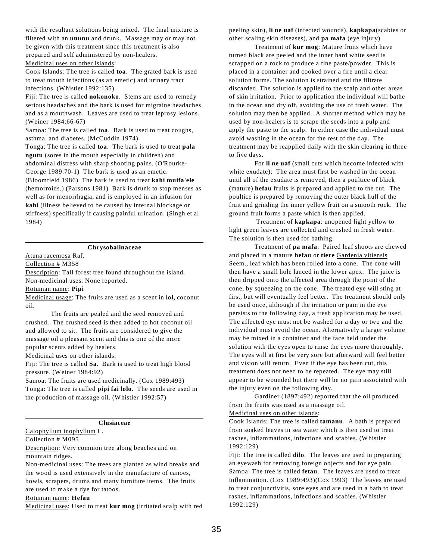with the resultant solutions being mixed. The final mixture is filtered with an **ununu** and drunk. Massage may or may not be given with this treatment since this treatment is also prepared and self administered by non-healers. Medicinal uses on other islands:

Cook Islands: The tree is called **toa**. The grated bark is used to treat mouth infections (as an emetic) and urinary tract infections. (Whistler 1992:135)

Fiji: The tree is called **nokonoko**. Stems are used to remedy serious headaches and the bark is used for migraine headaches and as a mouthwash. Leaves are used to treat leprosy lesions. (Weiner 1984:66-67)

Samoa: The tree is called **toa**. Bark is used to treat coughs, asthma, and diabetes. (McCuddin 1974)

Tonga: The tree is called **toa**. The bark is used to treat **pala ngutu** (sores in the mouth especially in children) and abdominal distress with sharp shooting pains. (O'Rourke-

George 1989:70-1) The bark is used as an emetic. (Bloomfield 1986) The bark is used to treat **kahi muifa'ele** (hemorroids.) (Parsons 1981) Bark is drunk to stop menses as well as for menorrhagia, and is employed in an infusion for **kahi** (illness believed to be caused by internal blockage or

stiffness) specifically if causing painful urination. (Singh et al 1984)

#### **Chrysobalinaceae**

Atuna racemosa Raf.

### Collection # M358

Description: Tall forest tree found throughout the island. Non-medicinal uses: None reported.

#### Rotuman name: **Pipi**

Medicinal usage: The fruits are used as a scent in **lol,** coconut oil.

The fruits are pealed and the seed removed and crushed. The crushed seed is then added to hot coconut oil and allowed to sit. The fruits are considered to give the massage oil a pleasant scent and this is one of the more popular scents added by healers.

#### Medicinal uses on other islands:

Fiji: The tree is called **Sa**. Bark is used to treat high blood pressure. (Weiner 1984:92)

Samoa: The fruits are used medicinally. (Cox 1989:493) Tonga: The tree is called **pipi fai lolo**. The seeds are used in the production of massage oil. (Whistler 1992:57)

#### **Clusiaceae**

Calophyllum inophyllum L.

### Collection # M095

Description: Very common tree along beaches and on mountain ridges.

Non-medicinal uses: The trees are planted as wind breaks and the wood is used extensively in the manufacture of canoes, bowls, scrapers, drums and many furniture items. The fruits are used to make a dye for tatoos.

#### Rotuman name: **Hefau**

Medicinal uses: Used to treat **kur mog** (irritated scalp with red

peeling skin), **li ne uaf** (infected wounds), **kapkapa**(scabies or other scaling skin diseases), and **pa mafa** (eye injury)

Treatment of **kur mog**: Mature fruits which have turned black are peeled and the inner hard white seed is scrapped on a rock to produce a fine paste/powder. This is placed in a container and cooked over a fire until a clear solution forms. The solution is strained and the filtrate discarded. The solution is applied to the scalp and other areas of skin irritation. Prior to application the individual will bathe in the ocean and dry off, avoiding the use of fresh water. The solution may then be applied. A shorter method which may be used by non-healers is to scrape the seeds into a pulp and apply the paste to the scalp. In either case the individual must avoid washing in the ocean for the rest of the day. The treatment may be reapplied daily with the skin clearing in three to five days.

For **li ne uaf** (small cuts which become infected with white exudate): The area must first be washed in the ocean until all of the exudate is removed, then a poultice of black (mature) **hefau** fruits is prepared and applied to the cut. The poultice is prepared by removing the outer black hull of the fruit and grinding the inner yellow fruit on a smooth rock. The ground fruit forms a paste which is then applied.

 Treatment of **kapkapa**: unopened light yellow to light green leaves are collected and crushed in fresh water. The solution is then used for bathing.

Treatment of **pa mafa**: Paired leaf shoots are chewed and placed in a mature **hefau** or **tiere** Gardenia vitiensis Seem., leaf which has been rolled into a cone. The cone will then have a small hole lanced in the lower apex. The juice is then dripped onto the affected area through the point of the cone, by squeezing on the cone. The treated eye will sting at first, but will eventually feel better. The treatment should only be used once, although if the irritation or pain in the eye persists to the following day, a fresh application may be used. The affected eye must not be washed for a day or two and the individual must avoid the ocean. Alternatively a larger volume may be mixed in a container and the face held under the solution with the eyes open to rinse the eyes more thoroughly. The eyes will at first be very sore but afterward will feel better and vision will return. Even if the eye has been cut, this treatment does not need to be repeated. The eye may still appear to be wounded but there will be no pain associated with the injury even on the following day.

Gardiner (1897:492) reported that the oil produced from the fruits was used as a massage oil.

### Medicinal uses on other islands:

Cook Islands: The tree is called **tamanu**. A bath is prepared from soaked leaves in sea water which is then used to treat rashes, inflammations, infections and scabies. (Whistler 1992:129)

Fiji: The tree is called **dilo**. The leaves are used in preparing an eyewash for removing foreign objects and for eye pain. Samoa: The tree is called **fetau**. The leaves are used to treat inflammation. (Cox 1989:493)(Cox 1993) The leaves are used to treat conjunctivitis, sore eyes and are used in a bath to treat rashes, inflammations, infections and scabies. (Whistler 1992:129)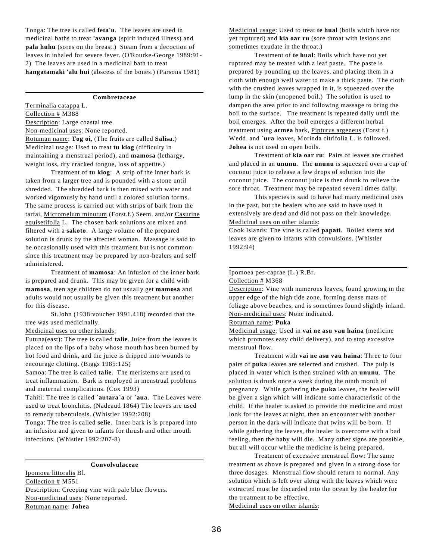Tonga: The tree is called **feta'u**. The leaves are used in medicinal baths to treat **'avanga** (spirit induced illness) and **pala huhu** (sores on the breast.) Steam from a decoction of leaves in inhaled for severe fever. (O'Rourke-George 1989:91- 2) The leaves are used in a medicinal bath to treat **hangatamaki 'alu hui** (abscess of the bones.) (Parsons 1981)

### **Combretaceae**

Terminalia catappa L. Collection # M388 Description: Large coastal tree. Non-medicinal uses: None reported. Rotuman name: **Tog oi**, (The fruits are called **Salisa**.) Medicinal usage: Used to treat **tu kiog** (difficulty in maintaining a menstrual period), and **mamosa** (lethargy, weight loss, dry cracked tongue, loss of appetite.)

Treatment of **tu kiog**: A strip of the inner bark is taken from a larger tree and is pounded with a stone until shredded. The shredded bark is then mixed with water and worked vigorously by hand until a colored solution forms. The same process is carried out with strips of bark from the tarfai, Micromelum minutum (Forst.f.) Seem. and/or Casurine equisetifolia L. The chosen bark solutions are mixed and filtered with a **sakoto**. A large volume of the prepared solution is drunk by the affected woman. Massage is said to be occasionally used with this treatment but is not common since this treatment may be prepared by non-healers and self administered.

Treatment of **mamosa**: An infusion of the inner bark is prepared and drunk. This may be given for a child with **mamosa**, teen age children do not usually get **mamosa** and adults would not usually be given this treatment but another for this disease.

St.John (1938:voucher 1991.418) recorded that the tree was used medicinally.

#### Medicinal uses on other islands:

Futuna(east): The tree is called **talie**. Juice from the leaves is placed on the lips of a baby whose mouth has been burned by hot food and drink, and the juice is dripped into wounds to encourage clotting. (Biggs 1985:125)

Samoa: The tree is called **talie**. The meristems are used to treat inflammation. Bark is employed in menstrual problems and maternal complications. (Cox 1993)

Tahiti: The tree is called **`autara`a** or **`aua**. The Leaves were used to treat bronchitis. (Nadeaud 1864) The leaves are used to remedy tuberculosis. (Whistler 1992:208)

Tonga: The tree is called **selie**. Inner bark is is prepared into an infusion and given to infants for thrush and other mouth infections. (Whistler 1992:207-8)

### **Convolvulaceae**

Ipomoea littoralis Bl. Collection # M551 Description: Creeping vine with pale blue flowers. Non-medicinal uses: None reported. Rotuman name: **Johea**

Medicinal usage: Used to treat **te hual** (boils which have not yet ruptured) and **kia oar ru** (sore throat with lesions and sometimes exudate in the throat.)

Treatment of **te hual**: Boils which have not yet ruptured may be treated with a leaf paste. The paste is prepared by pounding up the leaves, and placing them in a cloth with enough well water to make a thick paste. The cloth with the crushed leaves wrapped in it, is squeezed over the lump in the skin (unopened boil.) The solution is used to dampen the area prior to and following massage to bring the boil to the surface. The treatment is repeated daily until the boil emerges. After the boil emerges a different herbal treatment using **armea** bark, Pipturus argeneus (Forst f.) Wedd. and **`ura** leaves, Morinda citrifolia L. is followed. **Johea** is not used on open boils.

Treatment of **kia oar ru**: Pairs of leaves are crushed and placed in an **ununu**. The **ununu** is squeezed over a cup of coconut juice to release a few drops of solution into the coconut juice. The coconut juice is then drunk to relieve the sore throat. Treatment may be repeated several times daily.

This species is said to have had many medicinal uses in the past, but the healers who are said to have used it extensively are dead and did not pass on their knowledge. Medicinal uses on other islands:

Cook Islands: The vine is called **papati**. Boiled stems and leaves are given to infants with convulsions. (Whistler 1992:94)

### Ipomoea pes-caprae (L.) R.Br.

### Collection # M368

Description: Vine with numerous leaves, found growing in the upper edge of the high tide zone, forming dense mats of foliage above beaches, and is sometimes found slightly inland. Non-medicinal uses: None indicated.

#### Rotuman name: **Puka**

Medicinal usage: Used in **vai ne asu vau haina** (medicine which promotes easy child delivery), and to stop excessive menstrual flow.

Treatment with **vai ne asu vau haina**: Three to four pairs of **puka** leaves are selected and crushed. The pulp is placed in water which is then strained with an **ununu**. The solution is drunk once a week during the ninth month of pregnancy. While gathering the **puka** leaves, the healer will be given a sign which will indicate some characteristic of the child. If the healer is asked to provide the medicine and must look for the leaves at night, then an encounter with another person in the dark will indicate that twins will be born. If while gathering the leaves, the healer is overcome with a bad feeling, then the baby will die. Many other signs are possible, but all will occur while the medicine is being prepared.

Treatment of excessive menstrual flow: The same treatment as above is prepared and given in a strong dose for three dosages. Menstrual flow should return to normal. Any solution which is left over along with the leaves which were extracted must be discarded into the ocean by the healer for the treatment to be effective.

Medicinal uses on other islands: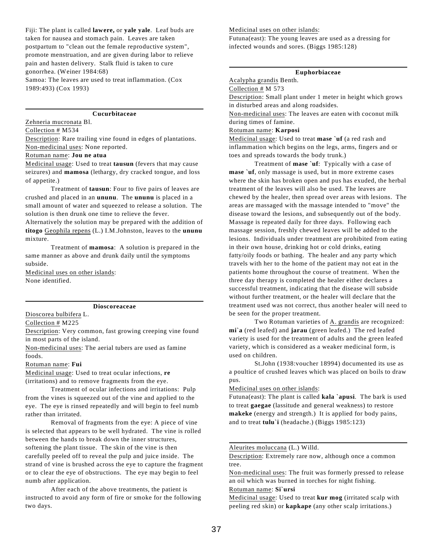Fiji: The plant is called **lawere,** or **yale yale**. Leaf buds are taken for nausea and stomach pain. Leaves are taken postpartum to "clean out the female reproductive system", promote menstruation, and are given during labor to relieve pain and hasten delivery. Stalk fluid is taken to cure gonorrhea. (Weiner 1984:68) Samoa: The leaves are used to treat inflammation. (Cox

1989:493) (Cox 1993)

### **Cucurbitaceae**

Zehneria mucronata Bl.

#### Collection # M534

Description: Rare trailing vine found in edges of plantations. Non-medicinal uses: None reported.

### Rotuman name: **Jou ne atua**

Medicinal usage: Used to treat **tausun** (fevers that may cause seizures) and **mamosa** (lethargy, dry cracked tongue, and loss of appetite.)

Treatment of **tausun**: Four to five pairs of leaves are crushed and placed in an **ununu**. The **ununu** is placed in a small amount of water and squeezed to release a solution. The solution is then drunk one time to relieve the fever.

Alternatively the solution may be prepared with the addition of **titogo** Geophila repens (L.) I.M.Johnston, leaves to the **ununu** mixture.

Treatment of **mamosa**: A solution is prepared in the same manner as above and drunk daily until the symptoms subside.

Medicinal uses on other islands: None identified.

#### **Dioscoreaceae**

Dioscorea bulbifera L.

### Collection # M225

Description: Very common, fast growing creeping vine found in most parts of the island.

Non-medicinal uses: The aerial tubers are used as famine foods.

#### Rotuman name: **Fui**

Medicinal usage: Used to treat ocular infections, **re** (irritations) and to remove fragments from the eye.

Treatment of ocular infections and irritations: Pulp from the vines is squeezed out of the vine and applied to the eye. The eye is rinsed repeatedly and will begin to feel numb rather than irritated.

Removal of fragments from the eye: A piece of vine is selected that appears to be well hydrated. The vine is rolled between the hands to break down the inner structures, softening the plant tissue. The skin of the vine is then carefully peeled off to reveal the pulp and juice inside. The strand of vine is brushed across the eye to capture the fragment or to clear the eye of obstructions. The eye may begin to feel numb after application.

After each of the above treatments, the patient is instructed to avoid any form of fire or smoke for the following two days.

Medicinal uses on other islands:

Futuna(east): The young leaves are used as a dressing for infected wounds and sores. (Biggs 1985:128)

### **Euphorbiaceae**

Acalypha grandis Benth.

Collection # M 573

Description: Small plant under 1 meter in height which grows in disturbed areas and along roadsides.

Non-medicinal uses: The leaves are eaten with coconut milk during times of famine.

### Rotuman name: **Karposi**

Medicinal usage: Used to treat **mase `uf** (a red rash and inflammation which begins on the legs, arms, fingers and or toes and spreads towards the body trunk.)

Treatment of **mase `uf**: Typically with a case of **mase `uf**, only massage is used, but in more extreme cases where the skin has broken open and pus has exuded, the herbal treatment of the leaves will also be used. The leaves are chewed by the healer, then spread over areas with lesions. The areas are massaged with the massage intended to "move" the disease toward the lesions, and subsequently out of the body. Massage is repeated daily for three days. Following each massage session, freshly chewed leaves will be added to the lesions. Individuals under treatment are prohibited from eating in their own house, drinking hot or cold drinks, eating fatty/oily foods or bathing. The healer and any party which travels with her to the home of the patient may not eat in the patients home throughout the course of treatment. When the three day therapy is completed the healer either declares a successful treatment, indicating that the disease will subside without further treatment, or the healer will declare that the treatment used was not correct, thus another healer will need to be seen for the proper treatment.

Two Rotuman varieties of A. grandis are recognized: **mi`a** (red leafed) and **jarau** (green leafed.) The red leafed variety is used for the treatment of adults and the green leafed variety, which is considered as a weaker medicinal form, is used on children.

St.John (1938:voucher 18994) documented its use as a poultice of crushed leaves which was placed on boils to draw pus.

#### Medicinal uses on other islands:

Futuna(east): The plant is called **kala `apusi**. The bark is used to treat **gaegae** (lassitude and general weakness) to restore **makeke** (energy and strength.) It is applied for body pains, and to treat **tulu`i** (headache.) (Biggs 1985:123)

### Aleurites moluccana (L.) Willd.

Description: Extremely rare now, although once a common tree.

Non-medicinal uses: The fruit was formerly pressed to release an oil which was burned in torches for night fishing.

Rotuman name: **Si`ursi**

Medicinal usage: Used to treat **kur mog** (irritated scalp with peeling red skin) or **kapkape** (any other scalp irritations.)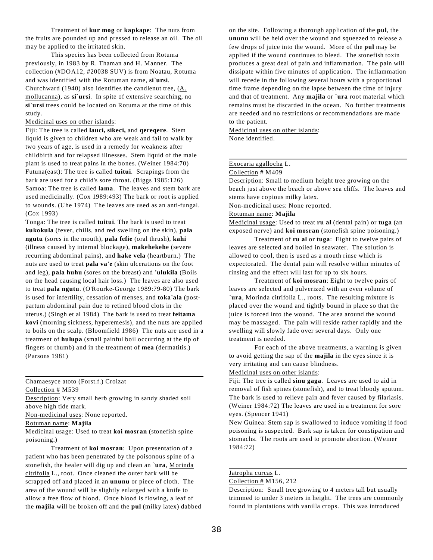Treatment of **kur mog** or **kapkape**: The nuts from the fruits are pounded up and pressed to release an oil. The oil may be applied to the irritated skin.

This species has been collected from Rotuma previously, in 1983 by R. Thaman and H. Manner. The collection (#DOA12, #20038 SUV) is from Noatau, Rotuma and was identified with the Rotuman name, **si`ursi**. Churchward (1940) also identifies the candlenut tree, (A. mollucanna), as **si`ursi**. In spite of extensive searching, no **si`ursi** trees could be located on Rotuma at the time of this study.

#### Medicinal uses on other islands:

Fiji: The tree is called **lauci, sikeci,** and **qereqere**. Stem liquid is given to children who are weak and fail to walk by two years of age, is used in a remedy for weakness after childbirth and for relapsed illnesses. Stem liquid of the male plant is used to treat pains in the bones. (Weiner 1984:70) Futuna(east): The tree is called **tuitui**. Scrapings from the bark are used for a child's sore throat. (Biggs 1985:126) Samoa: The tree is called **lama**. The leaves and stem bark are used medicinally. (Cox 1989:493) The bark or root is applied to wounds. (Uhe 1974) The leaves are used as an anti-fungal. (Cox 1993)

Tonga: The tree is called **tuitui**. The bark is used to treat **kukokula** (fever, chills, and red swelling on the skin), **pala ngutu** (sores in the mouth), **pala fefie** (oral thrush), **kahi** (illness caused by internal blockage), **makehekehe** (severe recurring abdominal pains), and **hake vela** (heartburn.) The nuts are used to treat **pala va'e** (skin ulcerations on the foot and leg), **pala huhu** (sores on the breast) and **'ulukila** (Boils on the head causing local hair loss.) The leaves are also used to treat **pala ngutu**. (O'Rourke-George 1989:79-80) The bark is used for infertility, cessation of menses, and **toka'ala** (postpartum abdominal pain due to retined blood clots in the uterus.) (Singh et al 1984) The bark is used to treat **feitama kovi** (morning sickness, hyperemesis), and the nuts are applied to boils on the scalp. (Bloomfield 1986) The nuts are used in a treatment of **hulupa** (small painful boil occurring at the tip of fingers or thumb) and in the treatment of **mea** (dermatitis.) (Parsons 1981)

### Chamaesyce atoto (Forst.f.) Croizat

Collection # M539

Description: Very small herb growing in sandy shaded soil above high tide mark.

Non-medicinal uses: None reported.

### Rotuman name: **Majila**

Medicinal usage: Used to treat **koi mosran** (stonefish spine poisoning.)

Treatment of **koi mosran**: Upon presentation of a patient who has been penetrated by the poisonous spine of a stonefish, the healer will dig up and clean an **`ura**, Morinda citrifolia L., root. Once cleaned the outer bark will be scrapped off and placed in an **ununu** or piece of cloth. The area of the wound will be slightly enlarged with a knife to allow a free flow of blood. Once blood is flowing, a leaf of the **majila** will be broken off and the **pul** (milky latex) dabbed on the site. Following a thorough application of the **pul**, the **ununu** will be held over the wound and squeezed to release a few drops of juice into the wound. More of the **pul** may be applied if the wound continues to bleed. The stonefish toxin produces a great deal of pain and inflammation. The pain will dissipate within five minutes of application. The inflammation will recede in the following several hours with a proportional time frame depending on the lapse between the time of injury and that of treatment. Any **majila** or **`ura** root material which remains must be discarded in the ocean. No further treatments are needed and no restrictions or recommendations are made to the patient.

Medicinal uses on other islands: None identified.

# Exocaria agallocha L.

Collection # M409

Description: Small to medium height tree growing on the beach just above the beach or above sea cliffs. The leaves and stems have copious milky latex.

Non-medicinal uses: None reported.

#### Rotuman name: **Majila**

Medicinal usage: Used to treat **ru al** (dental pain) or **tuga** (an exposed nerve) and **koi mosran** (stonefish spine poisoning.)

Treatment of **ru al** or **tuga**: Eight to twelve pairs of leaves are selected and boiled in seawater. The solution is allowed to cool, then is used as a mouth rinse which is expectorated. The dental pain will resolve within minutes of rinsing and the effect will last for up to six hours.

Treatment of **koi mosran**: Eight to twelve pairs of leaves are selected and pulverized with an even volume of **`ura**, Morinda citrifolia L., roots. The resulting mixture is placed over the wound and tightly bound in place so that the juice is forced into the wound. The area around the wound may be massaged. The pain will reside rather rapidly and the swelling will slowly fade over several days. Only one treatment is needed.

For each of the above treatments, a warning is given to avoid getting the sap of the **majila** in the eyes since it is very irritating and can cause blindness.

## Medicinal uses on other islands:

Fiji: The tree is called **sinu gaga**. Leaves are used to aid in removal of fish spines (stonefish), and to treat bloody sputum. The bark is used to relieve pain and fever caused by filariasis. (Weiner 1984:72) The leaves are used in a treatment for sore eyes. (Spencer 1941)

New Guinea: Stem sap is swallowed to induce vomiting if food poisoning is suspected. Bark sap is taken for constipation and stomachs. The roots are used to promote abortion. (Weiner 1984:72)

### Jatropha curcas L.

#### Collection # M156, 212

Description: Small tree growing to 4 meters tall but usually trimmed to under 3 meters in height. The trees are commonly found in plantations with vanilla crops. This was introduced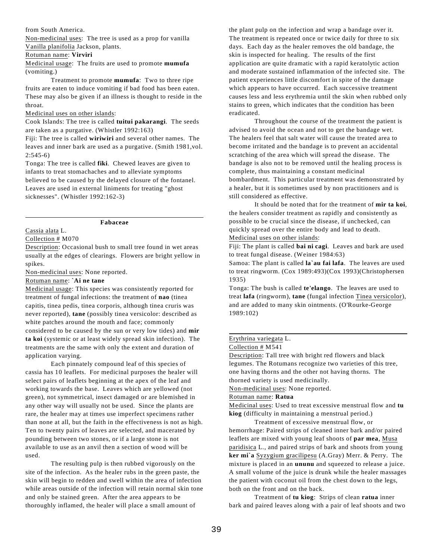#### from South America.

Non-medicinal uses: The tree is used as a prop for vanilla Vanilla planifolia Jackson, plants.

### Rotuman name: **Virviri**

Medicinal usage: The fruits are used to promote **mumufa** (vomiting.)

Treatment to promote **mumufa**: Two to three ripe fruits are eaten to induce vomiting if bad food has been eaten. These may also be given if an illness is thought to reside in the throat.

### Medicinal uses on other islands:

Cook Islands: The tree is called **tuitui pakarangi**. The seeds are taken as a purgative. (Whistler 1992:163)

Fiji: The tree is called **wiriwiri** and several other names. The leaves and inner bark are used as a purgative. (Smith 1981,vol.  $2:545-6$ 

Tonga: The tree is called **fiki**. Chewed leaves are given to infants to treat stomachaches and to alleviate symptoms believed to be caused by the delayed closure of the fontanel. Leaves are used in external liniments for treating "ghost sicknesses". (Whistler 1992:162-3)

**Fabaceae**

```
Cassia alata L.
```
Collection # M070

Description: Occasional bush to small tree found in wet areas usually at the edges of clearings. Flowers are bright yellow in spikes.

Non-medicinal uses: None reported.

### Rotuman name: **`Ai ne tane**

Medicinal usage: This species was consistently reported for treatment of fungal infections: the treatment of **nao** (tinea capitis, tinea pedis, tinea corporis, although tinea cruris was never reported), **tane** (possibly tinea versicolor: described as white patches around the mouth and face; commonly considered to be caused by the sun or very low tides) and **mir ta koi** (systemic or at least widely spread skin infection). The treatments are the same with only the extent and duration of application varying.

Each pinnately compound leaf of this species of cassia has 10 leaflets. For medicinal purposes the healer will select pairs of leaflets beginning at the apex of the leaf and working towards the base. Leaves which are yellowed (not green), not symmetrical, insect damaged or are blemished in any other way will usually not be used. Since the plants are rare, the healer may at times use imperfect specimens rather than none at all, but the faith in the effectiveness is not as high. Ten to twenty pairs of leaves are selected, and macerated by pounding between two stones, or if a large stone is not available to use as an anvil then a section of wood will be used.

The resulting pulp is then rubbed vigorously on the site of the infection. As the healer rubs in the green paste, the skin will begin to redden and swell within the area of infection while areas outside of the infection will retain normal skin tone and only be stained green. After the area appears to be thoroughly inflamed, the healer will place a small amount of

the plant pulp on the infection and wrap a bandage over it. The treatment is repeated once or twice daily for three to six days. Each day as the healer removes the old bandage, the skin is inspected for healing. The results of the first application are quite dramatic with a rapid keratolytic action and moderate sustained inflammation of the infected site. The patient experiences little discomfort in spite of the damage which appears to have occurred. Each successive treatment causes less and less erythremia until the skin when rubbed only stains to green, which indicates that the condition has been eradicated.

Throughout the course of the treatment the patient is advised to avoid the ocean and not to get the bandage wet. The healers feel that salt water will cause the treated area to become irritated and the bandage is to prevent an accidental scratching of the area which will spread the disease. The bandage is also not to be removed until the healing process is complete, thus maintaining a constant medicinal bombardment. This particular treatment was demonstrated by a healer, but it is sometimes used by non practitioners and is still considered as effective.

It should be noted that for the treatment of **mir ta koi**, the healers consider treatment as rapidly and consistently as possible to be crucial since the disease, if unchecked, can quickly spread over the entire body and lead to death.

#### Medicinal uses on other islands:

Fiji: The plant is called **bai ni cagi**. Leaves and bark are used to treat fungal disease. (Weiner 1984:63)

Samoa: The plant is called **la`au fai lafa**. The leaves are used to treat ringworm. (Cox 1989:493)(Cox 1993)(Christophersen 1935)

Tonga: The bush is called **te'elango**. The leaves are used to treat **lafa** (ringworm), **tane** (fungal infection Tinea versicolor), and are added to many skin ointments. (O'Rourke-George 1989:102)

# Erythrina variegata L.

Collection # M541

Description: Tall tree with bright red flowers and black legumes. The Rotumans recognize two varieties of this tree, one having thorns and the other not having thorns. The thorned variety is used medicinally.

Non-medicinal uses: None reported.

### Rotuman name: **Ratua**

Medicinal uses: Used to treat excessive menstrual flow and **tu kiog** (difficulty in maintaining a menstrual period.)

Treatment of excessive menstrual flow, or hemorrhage: Paired strips of cleaned inner bark and/or paired leaflets are mixed with young leaf shoots of **par mea**, Musa paridisica L., and paired strips of bark and shoots from young **ker mi`a** Syzygium gracilipesu (A.Gray) Merr. & Perry. The mixture is placed in an **ununu** and squeezed to release a juice. A small volume of the juice is drunk while the healer massages the patient with coconut oil from the chest down to the legs, both on the front and on the back.

Treatment of **tu kiog**: Strips of clean **ratua** inner bark and paired leaves along with a pair of leaf shoots and two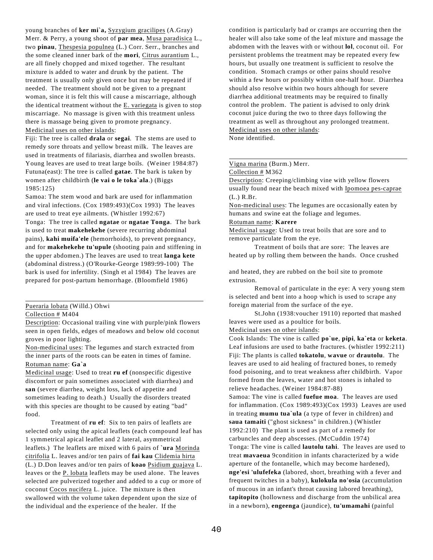young branches of **ker mi`a,** Syzygium gracilipes (A.Gray) Merr. & Perry, a young shoot of **par mea**, Musa paradisica L., two **pinau**, Thespesia populnea (L.) Corr. Serr., branches and the some cleaned inner bark of the **mori**, Citrus aurantium L., are all finely chopped and mixed together. The resultant mixture is added to water and drunk by the patient. The treatment is usually only given once but may be repeated if needed. The treatment should not be given to a pregnant woman, since it is felt this will cause a miscarriage, although the identical treatment without the E. variegata is given to stop miscarriage. No massage is given with this treatment unless there is massage being given to promote pregnancy. Medicinal uses on other islands:

Fiji: The tree is called **drala** or **segai**. The stems are used to remedy sore throats and yellow breast milk. The leaves are used in treatments of filariasis, diarrhea and swollen breasts. Young leaves are used to treat large boils. (Weiner 1984:87) Futuna(east): The tree is called **gatae**. The bark is taken by women after childbirth (**le vai o le toka`ala**.) (Biggs 1985:125)

Samoa: The stem wood and bark are used for inflammation and viral infections. (Cox 1989:493)(Cox 1993) The leaves are used to treat eye ailments. (Whistler 1992:67)

Tonga: The tree is called **ngatae** or **ngatae Tonga**. The bark is used to treat **makehekehe** (severe recurring abdominal pains), **kahi muifa'ele** (hemorrhoids), to prevent pregnancy, and for **makehekehe tu'upule** (shooting pain and stiffening in the upper abdomen.) The leaves are used to treat **langa kete** (abdominal distress.) (O'Rourke-George 1989:99-100) The bark is used for infertility. (Singh et al 1984) The leaves are prepared for post-partum hemorrhage. (Bloomfield 1986)

Pueraria lobata (Willd.) Ohwi

### Collection # M404

Description: Occasional trailing vine with purple/pink flowers seen in open fields, edges of meadows and below old coconut groves in poor lighting.

Non-medicinal uses: The legumes and starch extracted from the inner parts of the roots can be eaten in times of famine. Rotuman name: **Ga`a**

Medicinal usage: Used to treat **ru ef** (nonspecific digestive discomfort or pain sometimes associated with diarrhea) and **san** (severe diarrhea, weight loss, lack of appetite and sometimes leading to death.) Usually the disorders treated with this species are thought to be caused by eating "bad" food.

Treatment of **ru ef**: Six to ten pairs of leaflets are selected only using the apical leaflets (each compound leaf has 1 symmetrical apical leaflet and 2 lateral, asymmetrical leaflets.) The leaflets are mixed with 6 pairs of **`ura** Morinda citrifolia L. leaves and/or ten pairs of **fai kau** Clidemia hirta (L.) D.Don leaves and/or ten pairs of **koao** Psidium guajava L. leaves or the P. lobata leaflets may be used alone. The leaves selected are pulverized together and added to a cup or more of coconut Cocos nucifera L. juice. The mixture is then swallowed with the volume taken dependent upon the size of the individual and the experience of the healer. If the

condition is particularly bad or cramps are occurring then the healer will also take some of the leaf mixture and massage the abdomen with the leaves with or without **lol**, coconut oil. For persistent problems the treatment may be repeated every few hours, but usually one treatment is sufficient to resolve the condition. Stomach cramps or other pains should resolve within a few hours or possibly within one-half hour. Diarrhea should also resolve within two hours although for severe diarrhea additional treatments may be required to finally control the problem. The patient is advised to only drink coconut juice during the two to three days following the treatment as well as throughout any prolonged treatment. Medicinal uses on other islands:

None identified.

## Vigna marina (Burm.) Merr.

Collection # M362

Description: Creeping/climbing vine with yellow flowers usually found near the beach mixed with Ipomoea pes-caprae (L.) R.Br.

Non-medicinal uses: The legumes are occasionally eaten by humans and swine eat the foliage and legumes.

### Rotuman name: **Karere**

Medicinal usage: Used to treat boils that are sore and to remove particulate from the eye.

Treatment of boils that are sore: The leaves are heated up by rolling them between the hands. Once crushed

and heated, they are rubbed on the boil site to promote extrusion.

Removal of particulate in the eye: A very young stem is selected and bent into a hoop which is used to scrape any foreign material from the surface of the eye.

St.John (1938:voucher 19110) reported that mashed leaves were used as a poultice for boils.

Medicinal uses on other islands:

Cook Islands: The vine is called **po`ue**, **pipi**, **ka`eta** or **keketa**. Leaf infusions are used to bathe fractures. (whistler 1992:211) Fiji: The plants is called **tokatolu**, **wavue** or **drautolu**. The leaves are used to aid healing of fractured bones, to remedy food poisoning, and to treat weakness after childbirth. Vapor formed from the leaves, water and hot stones is inhaled to relieve headaches. (Weiner 1984:87-88)

Samoa: The vine is called **fuefue moa**. The leaves are used for inflammation. (Cox 1989:493)(Cox 1993) Leaves are used in treating **mumu tua`ula** (a type of fever in children) and **saua tamaiti** ("ghost sickness" in children.) (Whistler 1992:210) The plant is used as part of a remedy for carbuncles and deep abscesses. (McCuddin 1974) Tonga: The vine is called **lautolu tahi**. The leaves are used to treat **mavaeua** 9condition in infants characterized by a wide aperture of the fontanelle, which may become hardened), **nge'esi 'ulufefeka** (labored, short, breathing with a fever and frequent twitches in a baby), **kulokula no'osia** (accumulation of mucous in an infant's throat causing labored breathing), **tapitopito** (hollowness and discharge from the unbilical area in a newborn), **engeenga** (jaundice), **tu'umamahi** (painful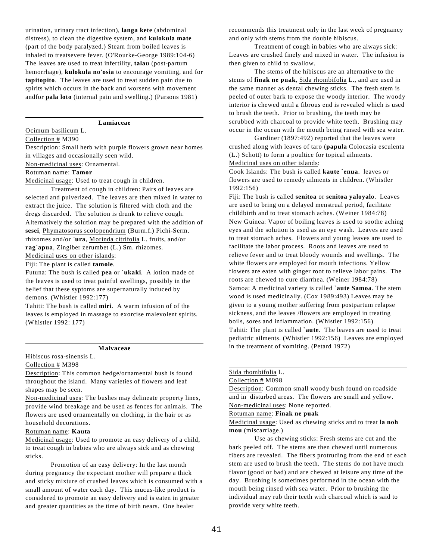urination, urinary tract infection), **langa kete** (abdominal distress), to clean the digestive system, and **kulokula mate** (part of the body paralyzed.) Steam from boiled leaves is inhaled to treatsevere fever. (O'Rourke-George 1989:104-6) The leaves are used to treat infertility, **talau** (post-partum hemorrhage), **kulokula no'osia** to encourage vomiting, and for **tapitopito**. The leaves are used to treat sudden pain due to spirits which occurs in the back and worsens with movement andfor **pala loto** (internal pain and swelling.) (Parsons 1981)

**Lamiaceae**

Ocimum basilicum L.

Collection # M390

Description: Small herb with purple flowers grown near homes in villages and occasionally seen wild.

Non-medicinal uses: Ornamental.

### Rotuman name: **Tamor**

Medicinal usage: Used to treat cough in children.

Treatment of cough in children: Pairs of leaves are selected and pulverized. The leaves are then mixed in water to extract the juice. The solution is filtered with cloth and the dregs discarded. The solution is drunk to relieve cough. Alternatively the solution may be prepared with the addition of **sesei**, Phymatosorus scolopendrium (Burm.f.) Pichi-Serm. rhizomes and/or **`ura**, Morinda citrifolia L. fruits, and/or **rag`apua**, Zingiber zerumbet (L.) Sm. rhizomes.

Medicinal uses on other islands:

Fiji: The plant is called **tamole**.

Futuna: The bush is called **pea** or **`ukaki**. A lotion made of the leaves is used to treat painful swellings, possibly in the belief that these syptoms are supernaturally induced by demons. (Whistler 1992:177)

Tahiti: The bush is called **miri**. A warm infusion of of the leaves is employed in massage to exorcise malevolent spirits. (Whistler 1992: 177)

#### **Malvaceae**

Hibiscus rosa-sinensis L.

#### Collection # M398

Description: This common hedge/ornamental bush is found throughout the island. Many varieties of flowers and leaf shapes may be seen.

Non-medicinal uses: The bushes may delineate property lines, provide wind breakage and be used as fences for animals. The flowers are used ornamentally on clothing, in the hair or as household decorations.

### Rotuman name: **Kauta**

Medicinal usage: Used to promote an easy delivery of a child, to treat cough in babies who are always sick and as chewing sticks.

Promotion of an easy delivery: In the last month during pregnancy the expectant mother will prepare a thick and sticky mixture of crushed leaves which is consumed with a small amount of water each day. This mucus-like product is considered to promote an easy delivery and is eaten in greater and greater quantities as the time of birth nears. One healer

recommends this treatment only in the last week of pregnancy and only with stems from the double hibiscus.

Treatment of cough in babies who are always sick: Leaves are crushed finely and mixed in water. The infusion is then given to child to swallow.

The stems of the hibiscus are an alternative to the stems of **finak ne puak**, Sida rhombifolia L., and are used in the same manner as dental chewing sticks. The fresh stem is peeled of outer bark to expose the woody interior. The woody interior is chewed until a fibrous end is revealed which is used to brush the teeth. Prior to brushing, the teeth may be scrubbed with charcoal to provide white teeth. Brushing may occur in the ocean with the mouth being rinsed with sea water.

Gardiner (1897:492) reported that the leaves were crushed along with leaves of taro (**papula** Colocasia esculenta (L.) Schott) to form a poultice for topical ailments.

Medicinal uses on other islands:

Cook Islands: The bush is called **kaute `enua**. leaves or flowers are used to remedy ailments in children. (Whistler 1992:156)

Fiji: The bush is called **senitoa** or **senitoa yaloyalo**. Leaves are used to bring on a delayed menstrual period, facilitate childbirth and to treat stomach aches. (Weiner 1984:78) New Guinea: Vapor of boiling leaves is used to soothe aching eyes and the solution is used as an eye wash. Leaves are used to treat stomach aches. Flowers and young leaves are used to facilitate the labor process. Roots and leaves are used to relieve fever and to treat bloody wounds and swellings. The white flowers are employed for mouth infections. Yellow flowers are eaten with ginger root to relieve labor pains. The roots are chewed to cure diarrhea. (Weiner 1984:78) Samoa: A medicinal variety is called **`aute Samoa**. The stem wood is used medicinally. (Cox 1989:493) Leaves may be given to a young mother suffering from postpartum relapse sickness, and the leaves /flowers are employed in treating boils, sores and inflammation. (Whistler 1992:156) Tahiti: The plant is called **`aute**. The leaves are used to treat pediatric ailments. (Whistler 1992:156) Leaves are employed in the treatment of vomiting. (Petard 1972)

### Sida rhombifolia L.

### Collection # M098

Description: Common small woody bush found on roadside and in disturbed areas. The flowers are small and yellow. Non-medicinal uses: None reported.

#### Rotuman name: **Finak ne puak**

Medicinal usage: Used as chewing sticks and to treat **la noh mou** (miscarriage.)

Use as chewing sticks: Fresh stems are cut and the bark peeled off. The stems are then chewed until numerous fibers are revealed. The fibers protruding from the end of each stem are used to brush the teeth. The stems do not have much flavor (good or bad) and are chewed at leisure any time of the day. Brushing is sometimes performed in the ocean with the mouth being rinsed with sea water. Prior to brushing the individual may rub their teeth with charcoal which is said to provide very white teeth.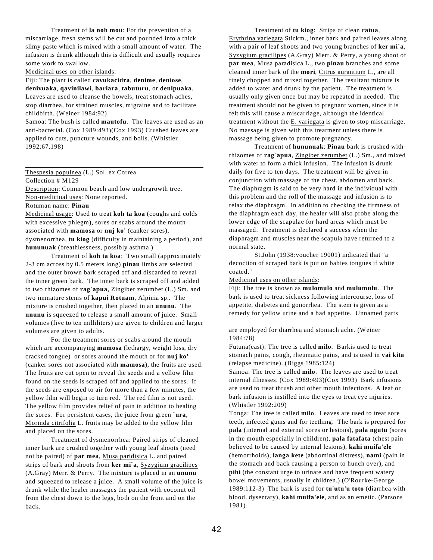Treatment of **la noh mou**: For the prevention of a miscarriage, fresh stems will be cut and pounded into a thick slimy paste which is mixed with a small amount of water. The infusion is drunk although this is difficult and usually requires some work to swallow.

Medicinal uses on other islands:

### Fiji: The plant is called **cavukacidra**, **denime**, **deniose**,

**denivuaka**, **qavinilawi**, **bariara**, **tabuturu**, or **denipuaka**. Leaves are used to cleanse the bowels, treat stomach aches, stop diarrhea, for strained muscles, migraine and to facilitate childbirth. (Weiner 1984:92)

Samoa: The bush is called **mautofu**. The leaves are used as an anti-bacterial. (Cox 1989:493)(Cox 1993) Crushed leaves are applied to cuts, puncture wounds, and boils. (Whistler 1992:67,198)

Thespesia populnea (L.) Sol. ex Correa Collection # M129

Description: Common beach and low undergrowth tree. Non-medicinal uses: None reported.

Rotuman name: **Pinau**

Medicinal usage: Used to treat **koh ta koa** (coughs and colds with excessive phlegm), sores or scabs around the mouth associated with **mamosa** or **nuj ko'** (canker sores), dysmenorrhea, **tu kiog** (difficulty in maintaining a period), and **hununuak** (breathlessness, possibly asthma.)

Treatment of **koh ta koa**: Two small (approximately 2-3 cm across by 0.5 meters long) **pinau** limbs are selected and the outer brown bark scraped off and discarded to reveal the inner green bark. The inner bark is scraped off and added to two rhizomes of **rag`apua**, Zingiber zerumbet (L.) Sm. and two immature stems of **kapui Rotuam**, Alpinia sp.. The mixture is crushed together, then placed in an **ununu**. The **ununu** is squeezed to release a small amount of juice. Small volumes (five to ten milliliters) are given to children and larger volumes are given to adults.

For the treatment sores or scabs around the mouth which are accompanying **mamosa** (lethargy, weight loss, dry cracked tongue) or sores around the mouth or for **nuj ko'** (canker sores not associated with **mamosa**), the fruits are used. The fruits are cut open to reveal the seeds and a yellow film found on the seeds is scraped off and applied to the sores. If the seeds are exposed to air for more than a few minutes, the yellow film will begin to turn red. The red film is not used. The yellow film provides relief of pain in addition to healing the sores. For persistent cases, the juice from green **`ura**, Morinda citrifolia L. fruits may be added to the yellow film and placed on the sores.

Treatment of dysmenorrhea: Paired strips of cleaned inner bark are crushed together with young leaf shoots (need not be paired) of **par mea**, Musa paridisica L. and paired strips of bark and shoots from **ker mi`a**, Syzygium gracilipes (A.Gray) Merr. & Perry. The mixture is placed in an **ununu** and squeezed to release a juice. A small volume of the juice is drunk while the healer massages the patient with coconut oil from the chest down to the legs, both on the front and on the back.

Treatment of **tu kiog**: Strips of clean **ratua**, Erythrina variegata Stickm., inner bark and paired leaves along with a pair of leaf shoots and two young branches of **ker mi`a**, Syzygium gracilipes (A.Gray) Merr. & Perry, a young shoot of **par mea**, Musa paradisica L., two **pinau** branches and some cleaned inner bark of the **mori**, Citrus aurantium L., are all finely chopped and mixed together. The resultant mixture is added to water and drunk by the patient. The treatment is usually only given once but may be repeated in needed. The treatment should not be given to pregnant women, since it is felt this will cause a miscarriage, although the identical treatment without the E. variegata is given to stop miscarriage. No massage is given with this treatment unless there is massage being given to promote pregnancy.

 Treatment of **hununuak**: **Pinau** bark is crushed with rhizomes of **rag`apua**, Zingiber zerumbet (L.) Sm., and mixed with water to form a thick infusion. The infusion is drunk daily for five to ten days. The treatment will be given in conjunction with massage of the chest, abdomen and back. The diaphragm is said to be very hard in the individual with this problem and the roll of the massage and infusion is to relax the diaphragm. In addition to checking the firmness of the diaphragm each day, the healer will also probe along the lower edge of the scapulae for hard areas which must be massaged. Treatment is declared a success when the diaphragm and muscles near the scapula have returned to a normal state.

St.John (1938:voucher 19001) indicated that "a decoction of scraped bark is put on babies tongues if white coated."

Medicinal uses on other islands:

Fiji: The tree is known as **mulomulo** and **mulumulu**. The bark is used to treat sickness following intercourse, loss of appetite, diabetes and gonorrhea. The stem is given as a remedy for yellow urine and a bad appetite. Unnamed parts

are employed for diarrhea and stomach ache. (Weiner 1984:78)

Futuna(east): The tree is called **milo**. Barkis used to treat stomach pains, cough, rheumatic pains, and is used in **vai kita** (relapse medicine). (Biggs 1985:124)

Samoa: The tree is called **milo**. The leaves are used to treat internal illnesses. (Cox 1989:493)(Cox 1993) Bark infusions are used to treat thrush and other mouth infections. A leaf or bark infusion is instilled into the eyes to treat eye injuries. (Whistler 1992:209)

Tonga: The tree is called **milo**. Leaves are used to treat sore teeth, infected gums and for teething. The bark is prepared for **pala** (internal and external sores or lesions), **pala ngutu** (sores in the mouth especially in children), **pala fatafata** (chest pain believed to be caused by internal lesions), **kahi muifa'ele** (hemorrhoids), **langa kete** (abdominal distress), **nami** (pain in the stomach and back causing a person to hunch over), and **pihi** (the constant urge to urinate and have frequent watery bowel movements, usually in children.) (O'Rourke-George 1989:112-3) The bark is used for **tu'utu'u toto** (diarrhea with blood, dysentary), **kahi muifa'ele**, and as an emetic. (Parsons 1981)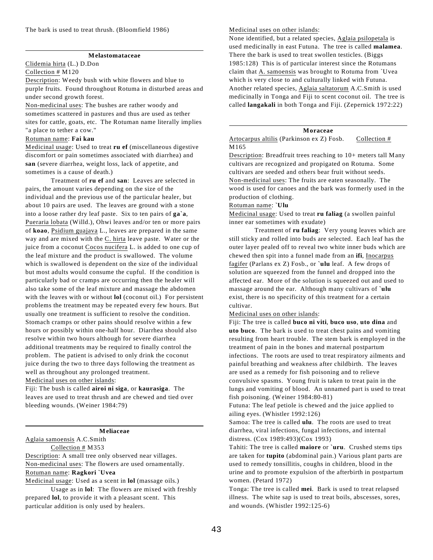#### **Melastomataceae**

Clidemia hirta (L.) D.Don

Collection # M120

Description: Weedy bush with white flowers and blue to purple fruits. Found throughout Rotuma in disturbed areas and under second growth forest.

Non-medicinal uses: The bushes are rather woody and sometimes scattered in pastures and thus are used as tether sites for cattle, goats, etc. The Rotuman name literally implies "a place to tether a cow."

### Rotuman name: **Fai kau**

Medicinal usage: Used to treat **ru ef** (miscellaneous digestive discomfort or pain sometimes associated with diarrhea) and **san** (severe diarrhea, weight loss, lack of appetite, and sometimes is a cause of death.)

Treatment of **ru ef** and **san**: Leaves are selected in pairs, the amount varies depending on the size of the individual and the previous use of the particular healer, but about 10 pairs are used. The leaves are ground with a stone into a loose rather dry leaf paste. Six to ten pairs of **ga`a**, Pueraria lobata (Willd.), Ohwi leaves and/or ten or more pairs of **koao**, Psidium guajava L., leaves are prepared in the same way and are mixed with the C. hirta leave paste. Water or the juice from a coconut Cocos nucifera L. is added to one cup of the leaf mixture and the product is swallowed. The volume which is swallowed is dependent on the size of the individual but most adults would consume the cupful. If the condition is particularly bad or cramps are occurring then the healer will also take some of the leaf mixture and massage the abdomen with the leaves with or without **lol** (coconut oil.) For persistent problems the treatment may be repeated every few hours. But usually one treatment is sufficient to resolve the condition. Stomach cramps or other pains should resolve within a few hours or possibly within one-half hour. Diarrhea should also resolve within two hours although for severe diarrhea additional treatments may be required to finally control the problem. The patient is advised to only drink the coconut juice during the two to three days following the treatment as well as throughout any prolonged treatment.

Medicinal uses on other islands:

Fiji: The bush is called **airoi ni siga**, or **kaurasiga**. The leaves are used to treat thrush and are chewed and tied over bleeding wounds. (Weiner 1984:79)

#### **Meliaceae**

Aglaia samoensis A.C.Smith

Collection # M353

Description: A small tree only observed near villages. Non-medicinal uses: The flowers are used ornamentally. Rotuman name: **Ragkori `Uvea**

Medicinal usage: Used as a scent in **lol** (massage oils.) Usage as in **lol**: The flowers are mixed with freshly

prepared **lol**, to provide it with a pleasant scent. This particular addition is only used by healers.

Medicinal uses on other islands:

None identified, but a related species, Aglaia psilopetala is used medicinally in east Futuna. The tree is called **malamea**. There the bark is used to treat swollen testicles. (Biggs 1985:128) This is of particular interest since the Rotumans claim that A. samoensis was brought to Rotuma from `Uvea which is very close to and culturally linked with Futuna. Another related species, Aglaia saltatorum A.C.Smith is used medicinally in Tonga and Fiji to scent coconut oil. The tree is called **langakali** in both Tonga and Fiji. (Zepernick 1972:22)

#### **Moraceae**

Artocarpus altilis (Parkinson ex Z) Fosb. Collection  $#$ M165

Description: Breadfruit trees reaching to 10+ meters tall Many cultivars are recognized and propigated on Rotuma. Some cultivars are seeded and others bear fruit without seeds. Non-medicinal uses: The fruits are eaten seasonally. The wood is used for canoes and the bark was formerly used in the production of clothing.

### Rotuman name: **`Ulu**

Medicinal usage: Used to treat **ru faliag** (a swollen painful inner ear sometimes with exudate)

Treatment of **ru faliag**: Very young leaves which are still sticky and rolled into buds are selected. Each leaf has the outer layer pealed off to reveal two white inner buds which are chewed then spit into a funnel made from an **ifi**, Inocarpus fagifer (Parlans ex Z) Fosb., or **`ulu** leaf. A few drops of solution are squeezed from the funnel and dropped into the affected ear. More of the solution is squeezed out and used to massage around the ear. Although many cultivars of **`ulu** exist, there is no specificity of this treatment for a certain cultivar.

Medicinal uses on other islands:

Fiji: The tree is called **buco ni viti**, **buco uso**, **uto dina** and **uto buco**. The bark is used to treat chest pains and vomiting resulting from heart trouble. The stem bark is employed in the treatment of pain in the bones and maternal postpartum infections. The roots are used to treat respiratory ailments and painful breathing and weakness after childbirth. The leaves are used as a remedy for fish poisoning and to relieve convulsive spasms. Young fruit is taken to treat pain in the lungs and vomiting of blood. An unnamed part is used to treat fish poisoning. (Weiner 1984:80-81)

Futuna: The leaf petiole is chewed and the juice applied to ailing eyes. (Whistler 1992:126)

Samoa: The tree is called **ulu**. The roots are used to treat diarrhea, viral infections, fungal infections, and internal distress. (Cox 1989:493)(Cox 1993)

Tahiti: The tree is called **maiore** or **`uru**. Crushed stems tips are taken for **tupito** (abdominal pain.) Various plant parts are used to remedy tonsillitis, coughs in children, blood in the urine and to promote expulsion of the afterbirth in postpartum women. (Petard 1972)

Tonga: The tree is called **mei**. Bark is used to treat relapsed illness. The white sap is used to treat boils, abscesses, sores, and wounds. (Whistler 1992:125-6)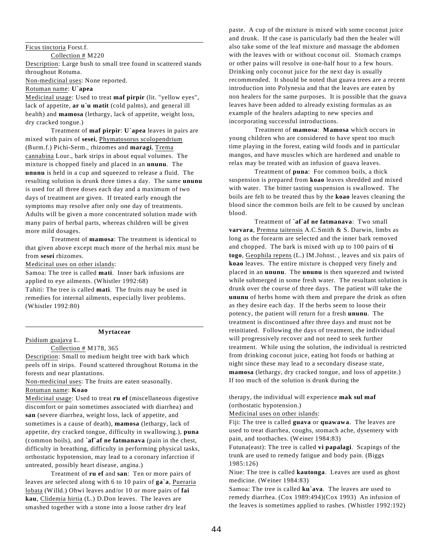### Ficus tinctoria Forst.f.

Collection # M220

Description: Large bush to small tree found in scattered stands throughout Rotuma.

Non-medicinal uses: None reported.

### Rotuman name: **U`apea**

Medicinal usage: Used to treat **maf pirpir** (lit. "yellow eyes", lack of appetite, **ar u`u matit** (cold palms), and general ill health) and **mamosa** (lethargy, lack of appetite, weight loss, dry cracked tongue.)

Treatment of **maf pirpir**: **U`apea** leaves in pairs are mixed with pairs of **sesei**, Phymatosorus scolopendrium (Burm.f.) Pichi-Serm., rhizomes and **maragi**, Trema cannabina Lour., bark strips in about equal volumes. The mixture is chopped finely and placed in an **ununu**. The **ununu** is held in a cup and squeezed to release a fluid. The resulting solution is drunk three times a day. The same **ununu** is used for all three doses each day and a maximum of two days of treatment are given. If treated early enough the symptoms may resolve after only one day of treatments. Adults will be given a more concentrated solution made with many pairs of herbal parts, whereas children will be given more mild dosages.

Treatment of **mamosa**: The treatment is identical to that given above except much more of the herbal mix must be from **sesei** rhizomes.

Medicinal uses on other islands:

Samoa: The tree is called **mati**. Inner bark infusions are applied to eye ailments. (Whistler 1992:68)

Tahiti: The tree is called **mati**. The fruits may be used in remedies for internal ailments, especially liver problems. (Whistler 1992:80)

#### **Myrtaceae**

Psidium guajava L.

Collection # M178, 365

Description: Small to medium height tree with bark which peels off in strips. Found scattered throughout Rotuma in the forests and near plantations.

Non-medicinal uses: The fruits are eaten seasonally.

### Rotuman name: **Koao**

Medicinal usage: Used to treat **ru ef** (miscellaneous digestive discomfort or pain sometimes associated with diarrhea) and **san** (severe diarrhea, weight loss, lack of appetite, and sometimes is a cause of death), **mamosa** (lethargy, lack of appetite, dry cracked tongue, difficulty in swallowing.), **puna** (common boils), and **`af`af ne fatmanava** (pain in the chest, difficulty in breathing, difficulty in performing physical tasks, orthostatic hypotension, may lead to a coronary infarction if untreated, possibly heart disease, angina.)

Treatment of **ru ef** and **san**: Ten or more pairs of leaves are selected along with 6 to 10 pairs of **ga`a**, Pueraria lobata (Willd.) Ohwi leaves and/or 10 or more pairs of **fai kau**, Clidemia hirtia (L.) D.Don leaves. The leaves are smashed together with a stone into a loose rather dry leaf

paste. A cup of the mixture is mixed with some coconut juice and drunk. If the case is particularly bad then the healer will also take some of the leaf mixture and massage the abdomen with the leaves with or without coconut oil. Stomach cramps or other pains will resolve in one-half hour to a few hours. Drinking only coconut juice for the next day is usually recommended. It should be noted that guava trees are a recent introduction into Polynesia and that the leaves are eaten by non healers for the same purposes. It is possible that the guava leaves have been added to already existing formulas as an example of the healers adapting to new species and incorporating successful introductions.

Treatment of **mamosa**: **Mamosa** which occurs in young children who are considered to have spent too much time playing in the forest, eating wild foods and in particular mangos, and have muscles which are hardened and unable to relax may be treated with an infusion of guava leaves.

Treatment of **puna**: For common boils, a thick suspension is prepared from **koao** leaves shredded and mixed with water. The bitter tasting suspension is swallowed. The boils are felt to be treated thus by the **koao** leaves cleaning the blood since the common boils are felt to be caused by unclean blood.

Treatment of **`af`af ne fatmanava**: Two small **varvara**, Premna taitensis A.C.Smith & S. Darwin, limbs as long as the forearm are selected and the inner bark removed and chopped. The bark is mixed with up to 100 pairs of **ti togo**, Geophila repens (L.) IM.Johnst. , leaves and six pairs of **koao** leaves. The entire mixture is chopped very finely and placed in an **ununu**. The **ununu** is then squeezed and twisted while submerged in some fresh water. The resultant solution is drunk over the course of three days. The patient will take the **ununu** of herbs home with them and prepare the drink as often as they desire each day. If the herbs seem to loose their potency, the patient will return for a fresh **ununu**. The treatment is discontinued after three days and must not be reinitiated. Following the days of treatment, the individual will progressively recover and not need to seek further treatment. While using the solution, the individual is restricted from drinking coconut juice, eating hot foods or bathing at night since these may lead to a secondary disease state, **mamosa** (lethargy, dry cracked tongue, and loss of appetite.) If too much of the solution is drunk during the

therapy, the individual will experience **mak sul maf** (orthostatic hypotension.)

Medicinal uses on other islands:

Fiji: The tree is called **guava** or **quawawa**. The leaves are used to treat diarrhea, coughs, stomach ache, dysentery with pain, and toothaches. (Weiner 1984:83)

Futuna(east): The tree is called **vi papalagi**. Scapings of the trunk are used to remedy fatigue and body pain. (Biggs 1985:126)

Niue: The tree is called **kautonga**. Leaves are used as ghost medicine. (Weiner 1984:83)

Samoa: The tree is called **ku`ava**. The leaves are used to remedy diarrhea. (Cox 1989:494)(Cox 1993) An infusion of the leaves is sometimes applied to rashes. (Whistler 1992:192)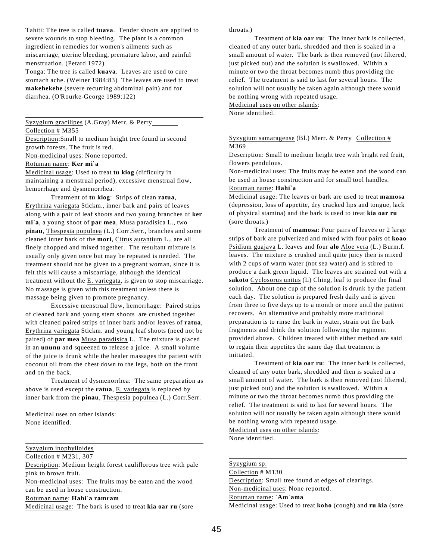Tahiti: The tree is called **tuava**. Tender shoots are applied to severe wounds to stop bleeding. The plant is a common ingredient in remedies for women's ailments such as miscarriage, uterine bleeding, premature labor, and painful menstruation. (Petard 1972)

Tonga: The tree is called **kuava**. Leaves are used to cure stomach ache. (Weiner 1984:83) The leaves are used to treat **makehekehe** (severe recurring abdominal pain) and for diarrhea. (O'Rourke-George 1989:122)

Syzygium gracilipes (A.Gray) Merr. & Perry Collection # M355

Description:Small to medium height tree found in second growth forests. The fruit is red. Non-medicinal uses: None reported.

Rotuman name: **Ker mi`a**

Medicinal usage: Used to treat **tu kiog** (difficulty in maintaining a menstrual period), excessive menstrual flow, hemorrhage and dysmenorrhea.

Treatment of **tu kiog**: Strips of clean **ratua**, Erythrina variegata Stickm., inner bark and pairs of leaves along with a pair of leaf shoots and two young branches of **ker mi`a**, a young shoot of **par mea**, Musa paradisica L., two **pinau**, Thespesia populnea (L.) Corr.Serr., branches and some cleaned inner bark of the **mori**, Citrus aurantium L., are all finely chopped and mixed together. The resultant mixture is usually only given once but may be repeated is needed. The treatment should not be given to a pregnant woman, since it is felt this will cause a miscarriage, although the identical treatment without the E. variegata, is given to stop miscarriage. No massage is given with this treatment unless there is massage being given to promote pregnancy.

Excessive menstrual flow, hemorrhage: Paired strips of cleaned bark and young stem shoots are crushed together with cleaned paired strips of inner bark and/or leaves of **ratua**, Erythrina variegata Stickm. and young leaf shoots (need not be paired) of **par mea** Musa paradisica L. The mixture is placed in an **ununu** and squeezed to release a juice. A small volume of the juice is drunk while the healer massages the patient with coconut oil from the chest down to the legs, both on the front and on the back.

Treatment of dysmenorrhea: The same preparation as above is used except the **ratua**, E. variegata is replaced by inner bark from the **pinau**, Thespesia populnea (L.) Corr.Serr.

Medicinal uses on other islands: None identified.

Syzygium inophylloides

Collection # M231, 307 Description: Medium height forest cauliflorous tree with pale pink to brown fruit.

Non-medicinal uses: The fruits may be eaten and the wood can be used in house construction.

Rotuman name: **Hahi`a ramram**

Medicinal usage: The bark is used to treat **kia oar ru** (sore

throats.)

Treatment of **kia oar ru**: The inner bark is collected, cleaned of any outer bark, shredded and then is soaked in a small amount of water. The bark is then removed (not filtered, just picked out) and the solution is swallowed. Within a minute or two the throat becomes numb thus providing the relief. The treatment is said to last for several hours. The solution will not usually be taken again although there would be nothing wrong with repeated usage.

Medicinal uses on other islands:

None identified.

Syzygium samaragense (Bl.) Merr. & Perry Collection # M369

Description: Small to medium height tree with bright red fruit, flowers pendulous.

Non-medicinal uses: The fruits may be eaten and the wood can be used in house construction and for small tool handles.

### Rotuman name: **Hahi`a**

Medicinal usage: The leaves or bark are used to treat **mamosa** (depression, loss of appetite, dry cracked lips and tongue, lack of physical stamina) and the bark is used to treat **kia oar ru** (sore throats.)

Treatment of **mamosa**: Four pairs of leaves or 2 large strips of bark are pulverized and mixed with four pairs of **koao** Psidium guajava L. leaves and four **alo** Aloe vera (L.) Burm.f. leaves. The mixture is crushed until quite juicy then is mixed with 2 cups of warm water (not sea water) and is stirred to produce a dark green liquid. The leaves are strained out with a **sakoto** Cyclosorus unitus (L) Ching, leaf to produce the final solution. About one cup of the solution is drunk by the patient each day. The solution is prepared fresh daily and is given from three to five days up to a month or more until the patient recovers. An alternative and probably more traditional preparation is to rinse the bark in water, strain out the bark fragments and drink the solution following the regiment provided above. Children treated with either method are said to regain their appetites the same day that treatment is initiated.

Treatment of **kia oar ru**: The inner bark is collected, cleaned of any outer bark, shredded and then is soaked in a small amount of water. The bark is then removed (not filtered, just picked out) and the solution is swallowed. Within a minute or two the throat becomes numb thus providing the relief. The treatment is said to last for several hours. The solution will not usually be taken again although there would be nothing wrong with repeated usage. Medicinal uses on other islands:

None identified.

Collection # M130 Description: Small tree found at edges of clearings. Non-medicinal uses: None reported. Rotuman name: **`Am`ama** Medicinal usage: Used to treat **koho** (cough) and **ru kia** (sore

Syzygium sp.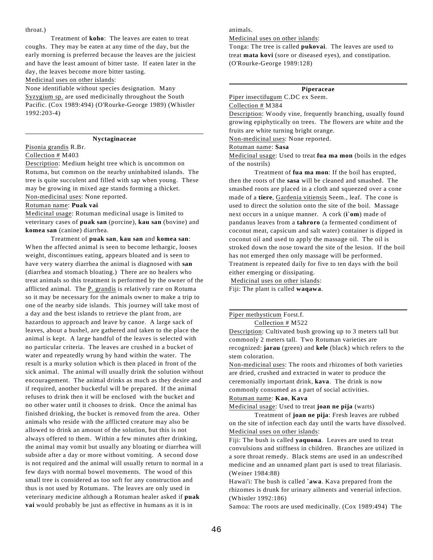#### throat.)

Treatment of **koho**: The leaves are eaten to treat coughs. They may be eaten at any time of the day, but the early morning is preferred because the leaves are the juiciest and have the least amount of bitter taste. If eaten later in the day, the leaves become more bitter tasting.

#### Medicinal uses on other islands:

None identifiable without species designation. Many Syzygium sp. are used medicinally throughout the South Pacific. (Cox 1989:494) (O'Rourke-George 1989) (Whistler 1992:203-4)

#### **Nyctaginaceae**

Pisonia grandis R.Br.

# Collection # M403

Description: Medium height tree which is uncommon on Rotuma, but common on the nearby uninhabited islands. The tree is quite succulent and filled with sap when young. These may be growing in mixed age stands forming a thicket. Non-medicinal uses: None reported.

#### Rotuman name: **Puak vai**

Medicinal usage: Rotuman medicinal usage is limited to veterinary cases of **puak san** (porcine), **kau san** (bovine) and **komea san** (canine) diarrhea.

Treatment of **puak san**, **kau san** and **komea san**: When the affected animal is seen to become lethargic, looses weight, discontinues eating, appears bloated and is seen to have very watery diarrhea the animal is diagnosed with **san** (diarrhea and stomach bloating.) There are no healers who treat animals so this treatment is performed by the owner of the afflicted animal. The P. grandis is relatively rare on Rotuma so it may be necessary for the animals owner to make a trip to one of the nearby side islands. This journey will take most of a day and the best islands to retrieve the plant from, are hazardous to approach and leave by canoe. A large sack of leaves, about a bushel, are gathered and taken to the place the animal is kept. A large handful of the leaves is selected with no particular criteria. The leaves are crushed in a bucket of water and repeatedly wrung by hand within the water. The result is a murky solution which is then placed in front of the sick animal. The animal will usually drink the solution without encouragement. The animal drinks as much as they desire and if required, another bucketful will be prepared. If the animal refuses to drink then it will be enclosed with the bucket and no other water until it chooses to drink. Once the animal has finished drinking, the bucket is removed from the area. Other animals who reside with the afflicted creature may also be allowed to drink an amount of the solution, but this is not always offered to them. Within a few minutes after drinking, the animal may vomit but usually any bloating or diarrhea will subside after a day or more without vomiting. A second dose is not required and the animal will usually return to normal in a few days with normal bowel movements. The wood of this small tree is considered as too soft for any construction and thus is not used by Rotumans. The leaves are only used in veterinary medicine although a Rotuman healer asked if **puak vai** would probably be just as effective in humans as it is in

#### animals.

Medicinal uses on other islands:

Tonga: The tree is called **pukovai**. The leaves are used to treat **mata kovi** (sore or diseased eyes), and constipation. (O'Rourke-George 1989:128)

#### **Piperaceae**

Piper insectifugum C.DC ex Seem.

#### Collection # M384

Description: Woody vine, frequently branching, usually found growing epiphytically on trees. The flowers are white and the fruits are white turning bright orange.

Non-medicinal uses: None reported.

Rotuman name: **Sasa**

Medicinal usage: Used to treat **fua ma mon** (boils in the edges of the nostrils)

Treatment of **fua ma mon**: If the boil has erupted, then the roots of the **sasa** will be cleaned and smashed. The smashed roots are placed in a cloth and squeezed over a cone made of a **tiere**, Gardenia vitiensis Seem., leaf. The cone is used to direct the solution onto the site of the boil. Massage next occurs in a unique manner. A cork (**i`om**) made of pandanus leaves from a **tahroro** (a fermented condiment of coconut meat, capsicum and salt water) container is dipped in coconut oil and used to apply the massage oil. The oil is stroked down the nose toward the site of the lesion. If the boil has not emerged then only massage will be performed. Treatment is repeated daily for five to ten days with the boil either emerging or dissipating.

Medicinal uses on other islands:

Fiji: The plant is called **waqawa**.

### Piper methysticum Forst.f. Collection # M522

Description: Cultivated bush growing up to 3 meters tall but

commonly 2 meters tall. Two Rotuman varieties are recognized: **jarau** (green) and **kele** (black) which refers to the stem coloration.

Non-medicinal uses: The roots and rhizomes of both varieties are dried, crushed and extracted in water to produce the ceremonially important drink, **kava**. The drink is now commonly consumed as a part of social activities.

### Rotuman name: **Kao**, **Kava**

Medicinal usage: Used to treat **joan ne pija** (warts)

Treatment of **joan ne pija**: Fresh leaves are rubbed on the site of infection each day until the warts have dissolved. Medicinal uses on other islands:

Fiji: The bush is called **yaquona**. Leaves are used to treat convulsions and stiffness in children. Branches are utilized in a sore throat remedy. Black stems are used in an undescribed medicine and an unnamed plant part is used to treat filariasis. (Weiner 1984:88)

Hawai'i: The bush is called **`awa**. Kava prepared from the rhizomes is drunk for urinary ailments and venerial infection. (Whistler 1992:186)

Samoa: The roots are used medicinally. (Cox 1989:494) The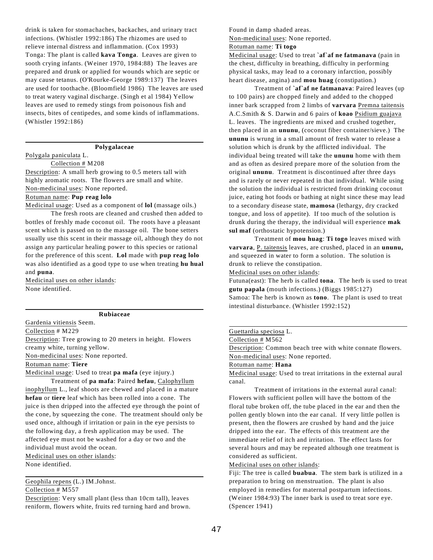drink is taken for stomachaches, backaches, and urinary tract infections. (Whistler 1992:186) The rhizomes are used to relieve internal distress and inflammation. (Cox 1993) Tonga: The plant is called **kava Tonga**. Leaves are given to sooth crying infants. (Weiner 1970, 1984:88) The leaves are prepared and drunk or applied for wounds which are septic or may cause tetanus. (O'Rourke-George 1989:137) The leaves are used for toothache. (Bloomfield 1986) The leaves are used to treat watery vaginal discharge. (Singh et al 1984) Yellow leaves are used to remedy stings from poisonous fish and insects, bites of centipedes, and some kinds of inflammations. (Whistler 1992:186)

#### **Polygalaceae**

### Polygala paniculata L.

### Collection # M208

Description: A small herb growing to 0.5 meters tall with highly aromatic roots. The flowers are small and white. Non-medicinal uses: None reported.

### Rotuman name: **Pup reag lolo**

Medicinal usage: Used as a component of **lol** (massage oils.)

The fresh roots are cleaned and crushed then added to bottles of freshly made coconut oil. The roots have a pleasant scent which is passed on to the massage oil. The bone setters usually use this scent in their massage oil, although they do not assign any particular healing power to this species or rational for the preference of this scent. **Lol** made with **pup reag lolo** was also identified as a good type to use when treating **hu hual** and **puna**.

Medicinal uses on other islands: None identified.

### **Rubiaceae**

Gardenia vitiensis Seem. Collection # M229 Description: Tree growing to 20 meters in height. Flowers creamy white, turning yellow. Non-medicinal uses: None reported. Rotuman name: **Tiere**

Medicinal usage: Used to treat **pa mafa** (eye injury.) Treatment of **pa mafa**: Paired **hefau**, Calophyllum inophyllum L., leaf shoots are chewed and placed in a mature **hefau** or **tiere** leaf which has been rolled into a cone. The juice is then dripped into the affected eye through the point of the cone, by squeezing the cone. The treatment should only be used once, although if irritation or pain in the eye persists to the following day, a fresh application may be used. The

affected eye must not be washed for a day or two and the individual must avoid the ocean. Medicinal uses on other islands:

None identified.

Geophila repens (L.) IM.Johnst. Collection # M557

Description: Very small plant (less than 10cm tall), leaves reniform, flowers white, fruits red turning hard and brown. Found in damp shaded areas. Non-medicinal uses: None reported.

### Rotuman name: **Ti togo**

Medicinal usage: Used to treat **`af`af ne fatmanava** (pain in the chest, difficulty in breathing, difficulty in performing physical tasks, may lead to a coronary infarction, possibly heart disease, angina) and **mou huag** (constipation.)

Treatment of **`af`af ne fatmanava**: Paired leaves (up to 100 pairs) are chopped finely and added to the chopped inner bark scrapped from 2 limbs of **varvara** Premna taitensis A.C.Smith & S. Darwin and 6 pairs of **koao** Psidium guajava L. leaves. The ingredients are mixed and crushed together, then placed in an **ununu**, (coconut fiber container/sieve.) The **ununu** is wrung in a small amount of fresh water to release a solution which is drunk by the afflicted individual. The individual being treated will take the **ununu** home with them and as often as desired prepare more of the solution from the original **ununu**. Treatment is discontinued after three days and is rarely or never repeated in that individual. While using the solution the individual is restricted from drinking coconut juice, eating hot foods or bathing at night since these may lead to a secondary disease state, **mamosa** (lethargy, dry cracked tongue, and loss of appetite). If too much of the solution is drunk during the therapy, the individual will experience **mak sul maf** (orthostatic hypotension.)

Treatment of **mou huag**: **Ti togo** leaves mixed with **varvara**, P. taitensis leaves, are crushed, placed in an **ununu,** and squeezed in water to form a solution. The solution is drunk to relieve the constipation.

### Medicinal uses on other islands:

Futuna(east): The herb is called **tona**. The herb is used to treat **gutu papala** (mouth infections.) (Biggs 1985:127) Samoa: The herb is known as **tono**. The plant is used to treat intestinal disturbance. (Whistler 1992:152)

#### Guettardia speciosa L.

#### Collection # M562

Description: Common beach tree with white connate flowers. Non-medicinal uses: None reported.

#### Rotuman name: **Hana**

Medicinal usage: Used to treat irritations in the external aural canal.

Treatment of irritations in the external aural canal: Flowers with sufficient pollen will have the bottom of the floral tube broken off, the tube placed in the ear and then the pollen gently blown into the ear canal. If very little pollen is present, then the flowers are crushed by hand and the juice dripped into the ear. The effects of this treatment are the immediate relief of itch and irritation. The effect lasts for several hours and may be repeated although one treatment is considered as sufficient.

#### Medicinal uses on other islands:

Fiji: The tree is called **buabua**. The stem bark is utilized in a preparation to bring on menstruation. The plant is also employed in remedies for maternal postpartum infections. (Weiner 1984:93) The inner bark is used to treat sore eye. (Spencer 1941)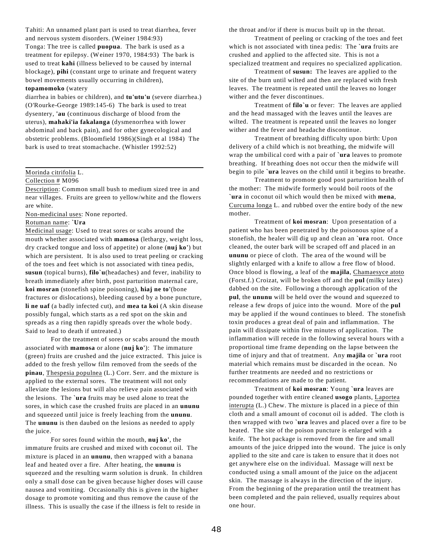Tahiti: An unnamed plant part is used to treat diarrhea, fever and nervous system disorders. (Weiner 1984:93) Tonga: The tree is called **puopua**. The bark is used as a treatment for epilepsy. (Weiner 1970, 1984:93) The bark is used to treat **kahi** (illness believed to be caused by internal blockage), **pihi** (constant urge to urinate and frequent watery bowel movements usually occurring in children),

### **topamomoko** (watery

diarrhea in babies or children), and **tu'utu'u** (severe diarrhea.) (O'Rourke-George 1989:145-6) The bark is used to treat dysentery, **'au** (continuous discharge of blood from the uterus), **mahaki'ia fakalanga** (dysmenorrhea with lower abdominal and back pain), and for other gynecological and obstetric problems. (Bloomfield 1986)(Singh et al 1984) The bark is used to treat stomachache. (Whistler 1992:52)

### Morinda citrifolia L.

#### Collection # M096

Description: Common small bush to medium sized tree in and near villages. Fruits are green to yellow/white and the flowers are white.

Non-medicinal uses: None reported.

#### Rotuman name: **`Ura**

Medicinal usage: Used to treat sores or scabs around the mouth whether associated with **mamosa** (lethargy, weight loss, dry cracked tongue and loss of appetite) or alone (**nuj ko'**) but which are persistent. It is also used to treat peeling or cracking of the toes and feet which is not associated with tinea pedis, **susun** (topical burns), **filo`u**(headaches) and fever, inability to breath immediately after birth, post parturition maternal care, **koi mosran** (stonefish spine poisoning), **hiaj ne to'**(bone fractures or dislocations), bleeding caused by a bone puncture, **li ne uaf** (a badly infected cut), and **mea ta koi** (A skin disease possibly fungal, which starts as a red spot on the skin and spreads as a ring then rapidly spreads over the whole body. Said to lead to death if untreated.)

For the treatment of sores or scabs around the mouth associated with **mamosa** or alone (**nuj ko'**): The immature (green) fruits are crushed and the juice extracted. This juice is added to the fresh yellow film removed from the seeds of the **pinau**, Thespesia populnea (L.) Corr. Serr. and the mixture is applied to the external sores. The treatment will not only alleviate the lesions but will also relieve pain associated with the lesions. The **`ura** fruits may be used alone to treat the sores, in which case the crushed fruits are placed in an **ununu** and squeezed until juice is freely leaching from the **ununu**. The **ununu** is then daubed on the lesions as needed to apply the juice.

For sores found within the mouth, **nuj ko'**, the immature fruits are crushed and mixed with coconut oil. The mixture is placed in an **ununu**, then wrapped with a banana leaf and heated over a fire. After heating, the **ununu** is squeezed and the resulting warm solution is drunk. In children only a small dose can be given because higher doses will cause nausea and vomiting. Occasionally this is given in the higher dosage to promote vomiting and thus remove the cause of the illness. This is usually the case if the illness is felt to reside in

the throat and/or if there is mucus built up in the throat.

Treatment of peeling or cracking of the toes and feet which is not associated with tinea pedis: The **`ura** fruits are crushed and applied to the affected site. This is not a specialized treatment and requires no specialized application.

Treatment of **susun:** The leaves are applied to the site of the burn until wilted and then are replaced with fresh leaves. The treatment is repeated until the leaves no longer wither and the fever discontinues.

Treatment of **filo`u** or fever: The leaves are applied and the head massaged with the leaves until the leaves are wilted. The treatment is repeated until the leaves no longer wither and the fever and headache discontinue.

Treatment of breathing difficulty upon birth: Upon delivery of a child which is not breathing, the midwife will wrap the umbilical cord with a pair of **`ura** leaves to promote breathing. If breathing does not occur then the midwife will begin to pile **`ura** leaves on the child until it begins to breathe.

Treatment to promote good post parturition health of the mother: The midwife formerly would boil roots of the **`ura** in coconut oil which would then be mixed with **mena**, Curcuma longa L. and rubbed over the entire body of the new mother.

Treatment of **koi mosran**: Upon presentation of a patient who has been penetrated by the poisonous spine of a stonefish, the healer will dig up and clean an **`ura** root. Once cleaned, the outer bark will be scraped off and placed in an **ununu** or piece of cloth. The area of the wound will be slightly enlarged with a knife to allow a free flow of blood. Once blood is flowing, a leaf of the **majila**, Chamaesyce atoto (Forst.f.) Croizat, will be broken off and the **pul** (milky latex) dabbed on the site. Following a thorough application of the **pul**, the **ununu** will be held over the wound and squeezed to release a few drops of juice into the wound. More of the **pul** may be applied if the wound continues to bleed. The stonefish toxin produces a great deal of pain and inflammation. The pain will dissipate within five minutes of application. The inflammation will recede in the following several hours with a proportional time frame depending on the lapse between the time of injury and that of treatment. Any **majila** or **`ura** root material which remains must be discarded in the ocean. No further treatments are needed and no restrictions or recommendations are made to the patient.

Treatment of **koi mosran**: Young **`ura** leaves are pounded together with entire cleaned **usogo** plants, Laportea interupta (L.) Chew. The mixture is placed in a piece of thin cloth and a small amount of coconut oil is added. The cloth is then wrapped with two **`ura** leaves and placed over a fire to be heated. The site of the poison puncture is enlarged with a knife. The hot package is removed from the fire and small amounts of the juice dripped into the wound. The juice is only applied to the site and care is taken to ensure that it does not get anywhere else on the individual. Massage will next be conducted using a small amount of the juice on the adjacent skin. The massage is always in the direction of the injury. From the beginning of the preparation until the treatment has been completed and the pain relieved, usually requires about one hour.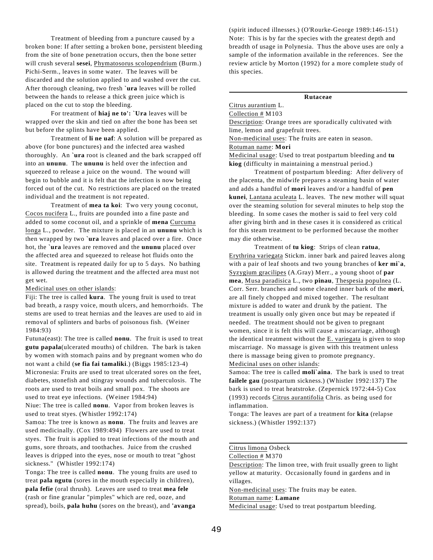Treatment of bleeding from a puncture caused by a broken bone: If after setting a broken bone, persistent bleeding from the site of bone penetration occurs, then the bone setter will crush several **sesei**, Phymatosorus scolopendrium (Burm.) Pichi-Serm., leaves in some water. The leaves will be discarded and the solution applied to and washed over the cut. After thorough cleaning, two fresh **`ura** leaves will be rolled between the hands to release a thick green juice which is placed on the cut to stop the bleeding.

For treatment of **hiaj ne to': `Ura** leaves will be wrapped over the skin and tied on after the bone has been set but before the splints have been applied.

Treatment of **li ne uaf**: A solution will be prepared as above (for bone punctures) and the infected area washed thoroughly. An **`ura** root is cleaned and the bark scrapped off into an **ununu**. The **ununu** is held over the infection and squeezed to release a juice on the wound. The wound will begin to bubble and it is felt that the infection is now being forced out of the cut. No restrictions are placed on the treated individual and the treatment is not repeated.

Treatment of **mea ta koi**: Two very young coconut, Cocos nucifera L., fruits are pounded into a fine paste and added to some coconut oil, and a sprinkle of **mena** Curcuma longa L., powder. The mixture is placed in an **ununu** which is then wrapped by two **`ura** leaves and placed over a fire. Once hot, the **`ura** leaves are removed and the **ununu** placed over the affected area and squeezed to release hot fluids onto the site. Treatment is repeated daily for up to 5 days. No bathing is allowed during the treatment and the affected area must not get wet.

Medicinal uses on other islands:

Fiji: The tree is called **kura**. The young fruit is used to treat bad breath, a raspy voice, mouth ulcers, and hemorrhoids. The stems are used to treat hernias and the leaves are used to aid in removal of splinters and barbs of poisonous fish. (Weiner 1984:93)

Futuna(east): The tree is called **nonu**. The fruit is used to treat **gutu papala**(ulcerated mouths) of children. The bark is taken by women with stomach pains and by pregnant women who do not want a child (**se fia fai tamaliki**.) (Biggs 1985:123-4) Micronesia: Fruits are used to treat ulcerated sores on the feet, diabetes, stonefish and stingray wounds and tuberculosis. The roots are used to treat boils and small pox. The shoots are used to treat eye infections. (Weiner 1984:94)

Niue: The tree is called **nonu**. Vapor from broken leaves is used to treat styes. (Whistler 1992:174)

Samoa: The tree is known as **nonu**. The fruits and leaves are used medicinally. (Cox 1989:494) Flowers are used to treat styes. The fruit is applied to treat infections of the mouth and gums, sore throats, and toothaches. Juice from the crushed leaves is dripped into the eyes, nose or mouth to treat "ghost sickness." (Whistler 1992:174)

Tonga: The tree is called **nonu**. The young fruits are used to treat **pala ngutu** (sores in the mouth especially in children), **pala fefie** (oral thrush). Leaves are used to treat **mea fele** (rash or fine granular "pimples" which are red, ooze, and spread), boils, **pala huhu** (sores on the breast), and **'avanga**

(spirit induced illnesses.) (O'Rourke-George 1989:146-151) Note: This is by far the species with the greatest depth and breadth of usage in Polynesia. Thus the above uses are only a sample of the information available in the references. See the review article by Morton (1992) for a more complete study of this species.

#### **Rutaceae**

Citrus aurantium L. Collection # M103

Description: Orange trees are sporadically cultivated with lime, lemon and grapefruit trees.

Non-medicinal uses: The fruits are eaten in season.

### Rotuman name: **Mori**

Medicinal usage: Used to treat postpartum bleeding and **tu kiog** (difficulty in maintaining a menstrual period.)

Treatment of postpartum bleeding: After delivery of the placenta, the midwife prepares a steaming basin of water and adds a handful of **mori** leaves and/or a handful of **pen kunei**, Lantana aculeata L. leaves. The new mother will squat over the steaming solution for several minutes to help stop the bleeding. In some cases the mother is said to feel very cold after giving birth and in these cases it is considered as critical for this steam treatment to be performed because the mother may die otherwise.

Treatment of **tu kiog**: Strips of clean **ratua**, Erythrina variegata Stickm. inner bark and paired leaves along with a pair of leaf shoots and two young branches of **ker mi`a**, Syzygium gracilipes (A.Gray) Merr., a young shoot of **par mea**, Musa paradisica L., two **pinau**, Thespesia populnea (L. Corr. Serr. branches and some cleaned inner bark of the **mori**, are all finely chopped and mixed together. The resultant mixture is added to water and drunk by the patient. The treatment is usually only given once but may be repeated if needed. The treatment should not be given to pregnant women, since it is felt this will cause a miscarriage, although the identical treatment without the E. variegata is given to stop miscarriage. No massage is given with this treatment unless there is massage being given to promote pregnancy. Medicinal uses on other islands:

Samoa: The tree is called **moli`aina**. The bark is used to treat **failele gau** (postpartum sickness.) (Whistler 1992:137) The bark is used to treat heatstroke. (Zepernick 1972:44-5) Cox (1993) records Citrus aurantifolia Chris. as being used for inflammation.

Tonga: The leaves are part of a treatment for **kita** (relapse sickness.) (Whistler 1992:137)

### Citrus limona Osbeck

Collection # M370

Description: The limon tree, with fruit usually green to light yellow at maturity. Occasionally found in gardens and in villages.

Non-medicinal uses: The fruits may be eaten.

Rotuman name: **Lamane**

Medicinal usage: Used to treat postpartum bleeding.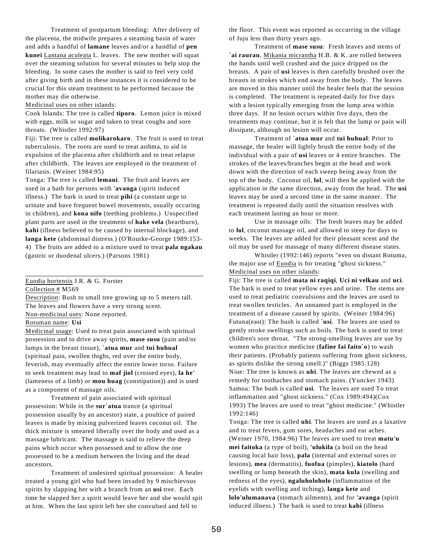Treatment of postpartum bleeding: After delivery of the placenta, the midwife prepares a steaming basin of water and adds a handful of **lamane** leaves and/or a handful of **pen kunei** Lantana aculeata L. leaves. The new mother will squat over the steaming solution for several minutes to help stop the bleeding. In some cases the mother is said to feel very cold after giving birth and in these instances it is considered to be crucial for this steam treatment to be performed because the mother may die otherwise.

#### Medicinal uses on other islands:

Cook Islands: The tree is called **tiporo**. Lemon juice is mixed with eggs, milk or sugar and taken to treat coughs and sore throats. (Whistler 1992:97)

Fiji: The tree is called **molikarokaro**. The fruit is used to treat tuberculosis. The roots are used to treat asthma, to aid in expulsion of the placenta after childbirth and to treat relapse after childbirth. The leaves are employed in the treatment of filariasis. (Weiner 1984:95)

Tonga: The tree is called **lemani**. The fruit and leaves are used in a bath for persons with **'avanga** (spirit induced illness.) The bark is used to treat **pihi** (a constant urge to urinate and have frequent bowel movements, usually occuring in children), and **kona nifo** (teething problems.) Unspecified plant parts are used in the treatment of **hake vela** (heartburn), **kahi** (illness believed to be caused by internal blockage), and **langa kete** (abdominal distress.) (O'Rourke-George 1989:153- 4) The fruits are added to a mixture used to treat **pala ngakau** (gastric or duodenal ulcers.) (Parsons 1981)

# Euodia hortensis J.R. & G. Forster

Collection # M569

Description: Bush to small tree growing up to 5 meters tall. The leaves and flowers have a very strong scent. Non-medicinal uses: None reported. Rotuman name: **Usi**

Medicinal usage: Used to treat pain associated with spiritual possession and to drive away spirits, **mase susu** (pain and/or lumps in the breast tissue), **`atua mur** and **tui huhual** (spiritual pain, swollen thighs, red over the entire body, feverish, may eventually affect the entire lower torso. Failure to seek treatment may lead to **maf jiol** (crossed eyes), **la he'** (lameness of a limb) or **mou huag** (constipation)) and is used as a component of massage oils.

Treatment of pain associated with spiritual possession: While in the **sur`atua** trance (a spiritual possession usually by an ancestor) state, a poultice of paired leaves is made by mixing pulverized leaves coconut oil. The thick mixture is smeared liberally over the body and used as a massage lubricant. The massage is said to relieve the deep pains which occur when possessed and to allow the one possessed to be a medium between the living and the dead ancestors.

Treatment of undesired spiritual possession: A healer treated a young girl who had been invaded by 9 mischievous spirits by slapping her with a branch from an **usi** tree. Each time he slapped her a spirit would leave her and she would spit at him. When the last spirit left her she convulsed and fell to

the floor. This event was reported as occurring in the village of Juju less than thirty years ago.

Treatment of **mase susu**: Fresh leaves and stems of **`ai raurau**, Mikania micrantha H.B. & K. are rolled between the hands until well crushed and the juice dripped on the breasts. A pair of **usi** leaves is then carefully brushed over the breasts in strokes which end away from the body. The leaves are moved in this manner until the healer feels that the session is completed. The treatment is repeated daily for five days with a lesion typically emerging from the lump area within three days. If no lesion occurs within five days, then the treatments may continue, but it is felt that the lump or pain will dissipate, although no lesion will occur.

Treatment of **`atua mur** and **tui huhual**: Prior to massage, the healer will lightly brush the entire body of the individual with a pair of **usi** leaves or 4 entire branches. The strokes of the leaves/branches begin at the head and work down with the direction of each sweep being away from the top of the body. Coconut oil, **lol**, will then be applied with the application in the same direction, away from the head. The **usi** leaves may be used a second time in the same manner. The treatment is repeated daily until the situation resolves with each treatment lasting an hour or more.

Use in massage oils: The fresh leaves may be added to **lol**, coconut massage oil, and allowed to steep for days to weeks. The leaves are added for their pleasant scent and the oil may be used for massage of many different disease states.

Whistler (1992:146) reports "even on distant Rotuma, the major use of Euodia is for treating "ghost sickness." Medicinal uses on other islands:

Fiji: The tree is called **mata ni raqiqi**, **Uci ni velkau** and **uci**. The bark is used to treat yellow eyes and urine. The stems are used to treat pediatric convulsions and the leaves are used to treat swollen testicles. An unnamed part is employed in the treatment of a disease caused by spirits. (Weiner 1984:96) Futuna(east): The bush is called **`usi**. The leaves are used to gently stroke swellings such as boils. The bark is used to treat children's sore throat. "The strong-smelling leaves are use by women who practice medicine (**fafine fai faito`o**) to wash their patients. (Probably patients suffering from ghost sickness, as spirits dislike the strong smell.)" (Biggs 1985:128) Niue: The tree is known as **uhi**. The leaves are chewed as a remedy for toothaches and stomach pains. (Yuncker 1943) Samoa: The bush is called **usi**. The leaves are used To treat inflammation and "ghost sickness." (Cox 1989:494)(Cox 1993) The leaves are used to treat "ghost medicine." (Whistler 1992:146)

Tonga: The tree is called **uhi**. The leaves are used as a laxative and to treat fevers, gum sores, headaches and ear aches. (Weiner 1970, 1984:96) The leaves are used to treat **matu'u mei faitoka** (a type of boil), **'ulukila** (a boil on the head causing local hair loss), **pala** (internal and external sores or lesions), **mea** (dermatitis), **fuofua** (pimples), **kiatolo** (hard swelling or lump beneath the skin), **mata kula** (swelling and redness of the eyes), **ngaluholoholo** (inflammation of the eyelids with swelling and itching), **langa kete** and **lolo'ulumanava** (stomach ailments), and for **'avanga** (spirit induced illness.) The bark is used to treat **kahi** (illness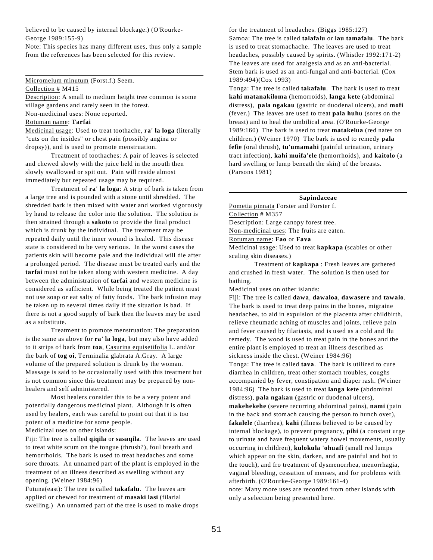believed to be caused by internal blockage.) (O'Rourke-George 1989:155-9)

Note: This species has many different uses, thus only a sample from the references has been selected for this review.

Micromelum minutum (Forst.f.) Seem. Collection # M415

Description: A small to medium height tree common is some village gardens and rarely seen in the forest. Non-medicinal uses: None reported.

Rotuman name: **Tarfai**

Medicinal usage: Used to treat toothache, **ra' la loga** (literally "cuts on the insides" or chest pain (possibly angina or dropsy)), and is used to promote menstruation.

Treatment of toothaches: A pair of leaves is selected and chewed slowly with the juice held in the mouth then slowly swallowed or spit out. Pain will reside almost immediately but repeated usage may be required.

Treatment of **ra' la loga**: A strip of bark is taken from a large tree and is pounded with a stone until shredded. The shredded bark is then mixed with water and worked vigorously by hand to release the color into the solution. The solution is then strained through a **sakoto** to provide the final product which is drunk by the individual. The treatment may be repeated daily until the inner wound is healed. This disease state is considered to be very serious. In the worst cases the patients skin will become pale and the individual will die after a prolonged period. The disease must be treated early and the **tarfai** must not be taken along with western medicine. A day between the administration of **tarfai** and western medicine is considered as sufficient. While being treated the patient must not use soap or eat salty of fatty foods. The bark infusion may be taken up to several times daily if the situation is bad. If there is not a good supply of bark then the leaves may be used as a substitute.

Treatment to promote menstruation: The preparation is the same as above for **ra' la loga**, but may also have added to it strips of bark from **toa**, Casurina equisetifolia L. and/or the bark of **tog oi**, Terminalia glabrata A.Gray. A large volume of the prepared solution is drunk by the woman. Massage is said to be occasionally used with this treatment but is not common since this treatment may be prepared by nonhealers and self administered.

Most healers consider this to be a very potent and potentially dangerous medicinal plant. Although it is often used by healers, each was careful to point out that it is too potent of a medicine for some people.

### Medicinal uses on other islands:

Fiji: The tree is called **qiqila** or **sasaqila**. The leaves are used to treat white scum on the tongue (thrush?), foul breath and hemorrhoids. The bark is used to treat headaches and some sore throats. An unnamed part of the plant is employed in the treatment of an illness described as swelling without any opening. (Weiner 1984:96)

Futuna(east): The tree is called **takafalu**. The leaves are applied or chewed for treatment of **masaki lasi** (filarial swelling.) An unnamed part of the tree is used to make drops

for the treatment of headaches. (Biggs 1985:127) Samoa: The tree is called **talafalu** or **lau tamafalu**. The bark is used to treat stomachache. The leaves are used to treat headaches, possibly caused by spirits. (Whistler 1992:171-2) The leaves are used for analgesia and as an anti-bacterial. Stem bark is used as an anti-fungal and anti-bacterial. (Cox 1989:494)(Cox 1993)

Tonga: The tree is called **takafalu**. The bark is used to treat **kahi matanakiloma** (hemorroids), **langa kete** (abdominal distress), **pala ngakau** (gastric or duodenal ulcers), and **mofi** (fever.) The leaves are used to treat **pala huhu** (sores on the breast) and to heal the umbilical area. (O'Rourke-George 1989:160) The bark is used to treat **matakelua** (red nates on children.) (Weiner 1970) The bark is used to remedy **pala fefie** (oral thrush), **tu'umamahi** (painful urination, urinary tract infection), **kahi muifa'ele** (hemorrhoids), and **kaitolo** (a hard swelling or lump beneath the skin) of the breasts. (Parsons 1981)

### **Sapindaceae**

Pometia pinnata Forster and Forster f. Collection # M357 Description: Large canopy forest tree. Non-medicinal uses: The fruits are eaten. Rotuman name: **Fao** or **Fava** Medicinal usage: Used to treat **kapkapa** (scabies or other

scaling skin diseases.) Treatment of **kapkapa** : Fresh leaves are gathered

and crushed in fresh water. The solution is then used for bathing.

Medicinal uses on other islands:

Fiji: The tree is called **dawa**, **dawaloa**, **dawasere** and **tawalo**. The bark is used to treat deep pains in the bones, migraine headaches, to aid in expulsion of the placenta after childbirth, relieve rheumatic aching of muscles and joints, relieve pain and fever caused by filariasis, and is used as a cold and flu remedy. The wood is used to treat pain in the bones and the entire plant is employed to treat an illness described as sickness inside the chest. (Weiner 1984:96)

Tonga: The tree is called **tava**. The bark is utilized to cure diarrhea in children, treat other stomach troubles, coughs accompanied by fever, constipation and diaper rash. (Weiner 1984:96) The bark is used to treat **langa kete** (abdominal distress), **pala ngakau** (gastric or duodenal ulcers), **makehekehe** (severe recurring abdominal pains), **nami** (pain in the back and stomach causing the person to hunch over), **fakalele** (diarrhea), **kahi** (illness believed to be caused by internal blockage), to prevent pregnancy, **pihi** (a constant urge to urinate and have frequent watery bowel movements, usually occurring in children), **kulokula 'ohuafi** (small red lumps which appear on the skin, darken, and are painful and hot to the touch), and fro treatment of dysmenorrhea, menorrhagia, vaginal bleeding, cessation of menses, and for problems with afterbirth. (O'Rourke-George 1989:161-4) note: Many more uses are recorded from other islands with only a selection being presented here.

51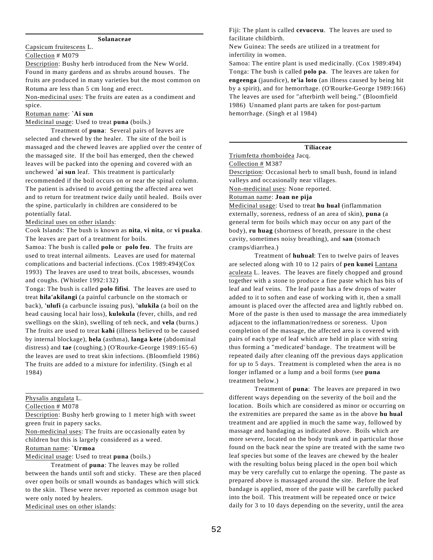### **Solanaceae**

Capsicum fruitescens L. Collection # M079

Description: Bushy herb introduced from the New World. Found in many gardens and as shrubs around houses. The fruits are produced in many varieties but the most common on Rotuma are less than 5 cm long and erect.

Non-medicinal uses: The fruits are eaten as a condiment and spice.

### Rotuman name: **`Ai sun**

Medicinal usage: Used to treat **puna** (boils.)

Treatment of **puna**: Several pairs of leaves are selected and chewed by the healer. The site of the boil is massaged and the chewed leaves are applied over the center of the massaged site. If the boil has emerged, then the chewed leaves will be packed into the opening and covered with an unchewed **`ai sun** leaf. This treatment is particularly recommended if the boil occurs on or near the spinal column. The patient is advised to avoid getting the affected area wet and to return for treatment twice daily until healed. Boils over the spine, particularly in children are considered to be potentially fatal.

### Medicinal uses on other islands:

Cook Islands: The bush is known as **nita**, **vi nita**, or **vi puaka**. The leaves are part of a treatment for boils.

Samoa: The bush is called **polo** or **polo feu**. The fruits are used to treat internal ailments. Leaves are used for maternal complications and bacterial infections. (Cox 1989:494)(Cox 1993) The leaves are used to treat boils, abscesses, wounds and coughs. (Whistler 1992:132)

Tonga: The bush is called **polo fifisi**. The leaves are used to treat **hila'akilangi** (a painful carbuncle on the stomach or back), **'ulufi** (a carbuncle issuing pus), **'ulukila** (a boil on the head causing local hair loss), **kulokula** (fever, chills, and red swellings on the skin), swelling of teh neck, and **vela** (burns.) The fruits are used to treat **kahi** (illness believed to be caused by internal blockage), **hela** (asthma), **langa kete** (abdominal distress) and **tae** (coughing.) (O'Rourke-George 1989:165-6) the leaves are used to treat skin infections. (Bloomfield 1986) The fruits are added to a mixture for infertility. (Singh et al 1984)

#### Physalis angulata L.

Collection # M078

Description: Bushy herb growing to 1 meter high with sweet green fruit in papery sacks.

Non-medicinal uses: The fruits are occasionally eaten by children but this is largely considered as a weed.

Rotuman name: **`Urmoa**

Medicinal usage: Used to treat **puna** (boils.)

Treatment of **puna**: The leaves may be rolled between the hands until soft and sticky. These are then placed over open boils or small wounds as bandages which will stick to the skin. These were never reported as common usage but were only noted by healers.

Medicinal uses on other islands:

Fiji: The plant is called **cevucevu**. The leaves are used to facilitate childbirth.

New Guinea: The seeds are utilized in a treatment for infertility in women.

Samoa: The entire plant is used medicinally. (Cox 1989:494) Tonga: The bush is called **polo pa**. The leaves are taken for **engeenga** (jaundice), **te'ia loto** (an illness caused by being hit by a spirit), and for hemorrhage. (O'Rourke-George 1989:166) The leaves are used for "afterbirth well being." (Bloomfield 1986) Unnamed plant parts are taken for post-partum hemorrhage. (Singh et al 1984)

#### **Tiliaceae**

Triumfetta rhomboidea Jacq.

Collection # M387

Description: Occasional herb to small bush, found in inland valleys and occasionally near villages.

Non-medicinal uses: None reported.

#### Rotuman name: **Joan ne pija**

Medicinal usage: Used to treat **hu hual** (inflammation externally, soreness, redness of an area of skin), **puna** (a general term for boils which may occur on any part of the body), **ru huag** (shortness of breath, pressure in the chest cavity, sometimes noisy breathing), and **san** (stomach cramps/diarrhea.)

Treatment of **huhual**: Ten to twelve pairs of leaves are selected along with 10 to 12 pairs of **pen kunei** Lantana aculeata L. leaves. The leaves are finely chopped and ground together with a stone to produce a fine paste which has bits of leaf and leaf veins. The leaf paste has a few drops of water added to it to soften and ease of working with it, then a small amount is placed over the affected area and lightly rubbed on. More of the paste is then used to massage the area immediately adjacent to the inflammation/redness or soreness. Upon completion of the massage, the affected area is covered with pairs of each type of leaf which are held in place with string thus forming a "medicated' bandage. The treatment will be repeated daily after cleaning off the previous days application for up to 5 days. Treatment is completed when the area is no longer inflamed or a lump and a boil forms (see **puna** treatment below.)

Treatment of **puna**: The leaves are prepared in two different ways depending on the severity of the boil and the location. Boils which are considered as minor or occurring on the extremities are prepared the same as in the above **hu hual** treatment and are applied in much the same way, followed by massage and bandaging as indicated above. Boils which are more severe, located on the body trunk and in particular those found on the back near the spine are treated with the same two leaf species but some of the leaves are chewed by the healer with the resulting bolus being placed in the open boil which may be very carefully cut to enlarge the opening. The paste as prepared above is massaged around the site. Before the leaf bandage is applied, more of the paste will be carefully packed into the boil. This treatment will be repeated once or twice daily for 3 to 10 days depending on the severity, until the area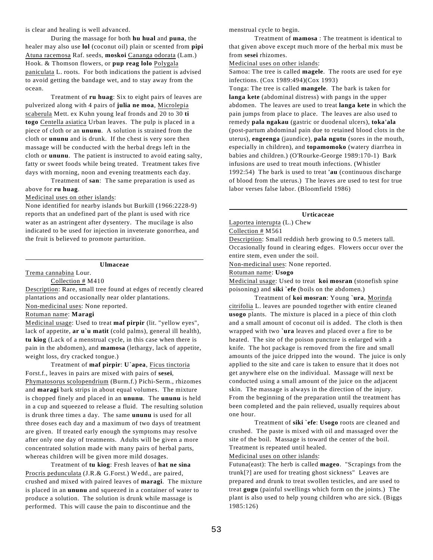is clear and healing is well advanced.

During the massage for both **hu hual** and **puna**, the healer may also use **lol** (coconut oil) plain or scented from **pipi** Atuna racemosa Raf. seeds, **moskoi** Cananga odorata (Lam.) Hook. & Thomson flowers, or **pup reag lolo** Polygala paniculata L. roots. For both indications the patient is advised to avoid getting the bandage wet, and to stay away from the ocean.

Treatment of **ru huag**: Six to eight pairs of leaves are pulverized along with 4 pairs of **julia ne moa**, Microlepia scaberula Mett. ex Kuhn young leaf fronds and 20 to 30 **ti togo** Centella asiatica Urban leaves. The pulp is placed in a piece of cloth or an **ununu**. A solution is strained from the cloth or **ununu** and is drunk. If the chest is very sore then massage will be conducted with the herbal dregs left in the cloth or **ununu**. The patient is instructed to avoid eating salty, fatty or sweet foods while being treated. Treatment takes five days with morning, noon and evening treatments each day.

Treatment of **san**: The same preparation is used as above for **ru huag**.

#### Medicinal uses on other islands:

None identified for nearby islands but Burkill (1966:2228-9) reports that an undefined part of the plant is used with rice water as an astringent after dysentery. The mucilage is also indicated to be used for injection in inveterate gonorrhea, and the fruit is believed to promote parturition.

### **Ulmaceae**

Trema cannabina Lour.

Collection # M410

Description: Rare, small tree found at edges of recently cleared plantations and occasionally near older plantations. Non-medicinal uses: None reported.

### Rotuman name: **Maragi**

Medicinal usage: Used to treat **maf pirpir** (lit. "yellow eyes", lack of appetite, **ar u`u matit** (cold palms), general ill health), **tu kiog** (Lack of a menstrual cycle, in this case when there is pain in the abdomen), and **mamosa** (lethargy, lack of appetite, weight loss, dry cracked tongue.)

Treatment of **maf pirpir**: **U`apea**, Ficus tinctoria Forst.f., leaves in pairs are mixed with pairs of **sesei**, Phymatosorus scolopendrium (Burm.f.) Pichi-Serm., rhizomes and **maragi** bark strips in about equal volumes. The mixture is chopped finely and placed in an **ununu**. The **ununu** is held in a cup and squeezed to release a fluid. The resulting solution is drunk three times a day. The same **ununu** is used for all three doses each day and a maximum of two days of treatment are given. If treated early enough the symptoms may resolve after only one day of treatments. Adults will be given a more concentrated solution made with many pairs of herbal parts, whereas children will be given more mild dosages.

Treatment of **tu kiog**: Fresh leaves of **hat ne sina** Procris pedunculata (J.R.& G.Forst.) Wedd., are paired, crushed and mixed with paired leaves of **maragi**. The mixture is placed in an **ununu** and squeezed in a container of water to produce a solution. The solution is drunk while massage is performed. This will cause the pain to discontinue and the

menstrual cycle to begin.

Treatment of **mamosa** : The treatment is identical to that given above except much more of the herbal mix must be from **sesei** rhizomes.

#### Medicinal uses on other islands:

Samoa: The tree is called **magele**. The roots are used for eye infections. (Cox 1989:494)(Cox 1993)

Tonga: The tree is called **mangele**. The bark is taken for **langa kete** (abdominal distress) with pangs in the upper abdomen. The leaves are used to treat **langa kete** in which the pain jumps from place to place. The leaves are also used to remedy **pala ngakau** (gastric or duodenal ulcers), **toka'ala** (post-partum abdominal pain due to retained blood clots in the uterus), **engeenga** (jaundice), **pala ngutu** (sores in the mouth, especially in children), and **topamomoko** (watery diarrhea in babies and children.) (O'Rourke-George 1989:170-1) Bark infusions are used to treat mouth infections. (Whistler 1992:54) The bark is used to treat **'au** (continuous discharge of blood from the uterus.) The leaves are used to test for true labor verses false labor. (Bloomfield 1986)

### **Urticaceae**

Laportea interupta (L.) Chew

### Collection # M561

Description: Small reddish herb growing to 0.5 meters tall. Occasionally found in clearing edges. Flowers occur over the entire stem, even under the soil.

Non-medicinal uses: None reported.

### Rotuman name: **Usogo**

Medicinal usage: Used to treat **koi mosran** (stonefish spine poisoning) and **siki `efe** (boils on the abdomen.)

Treatment of **koi mosran**: Young **`ura**, Morinda citrifolia L. leaves are pounded together with entire cleaned **usogo** plants. The mixture is placed in a piece of thin cloth and a small amount of coconut oil is added. The cloth is then wrapped with two **`ura** leaves and placed over a fire to be heated. The site of the poison puncture is enlarged with a knife. The hot package is removed from the fire and small amounts of the juice dripped into the wound. The juice is only applied to the site and care is taken to ensure that it does not get anywhere else on the individual. Massage will next be conducted using a small amount of the juice on the adjacent skin. The massage is always in the direction of the injury. From the beginning of the preparation until the treatment has been completed and the pain relieved, usually requires about one hour.

Treatment of **siki `efe**: **Usogo** roots are cleaned and crushed. The paste is mixed with oil and massaged over the site of the boil. Massage is toward the center of the boil. Treatment is repeated until healed.

Medicinal uses on other islands:

Futuna(east): The herb is called **mageo**. "Scrapings from the trunk[?] are used for treating ghost sickness" Leaves are prepared and drunk to treat swollen testicles, and are used to treat **gugu** (painful swellings which form on the joints.) The plant is also used to help young children who are sick. (Biggs 1985:126)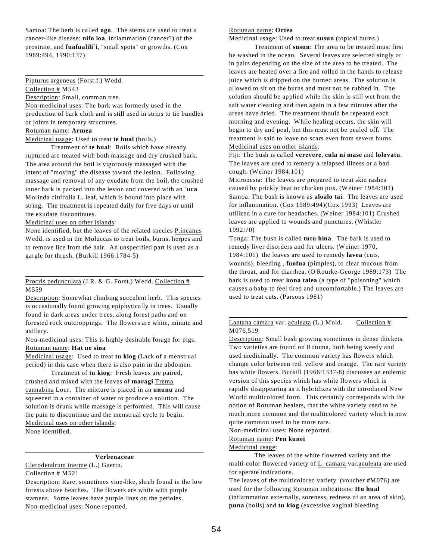Samoa: The herb is called **ogo**. The stems are used to treat a cancer-like disease: **nifo loa**, inflammation (cancer?) of the prostrate, and **fuafualili`i**, "small spots" or growths. (Cox 1989:494, 1990:137)

Pipturus argeneus (Forst.f.) Wedd. Collection # M543

Description: Small, common tree.

Non-medicinal uses: The bark was formerly used in the production of bark cloth and is still used in strips to tie bundles or joints in temporary structures.

#### Rotuman name: **Armea**

Medicinal usage: Used to treat **te hual** (boils.)

Treatment of **te hual**: Boils which have already ruptured are treated with both massage and dry crushed bark. The area around the boil is vigorously massaged with the intent of "moving" the disease toward the lesion. Following massage and removal of any exudate from the boil, the crushed inner bark is packed into the lesion and covered with an **`ura** Morinda citrifolia L. leaf, which is bound into place with string. The treatment is repeated daily for five days or until the exudate discontinues.

Medicinal uses on other islands:

None identified, but the leaves of the related species P.incanus Wedd. is used in the Moluccas to treat boils, burns, herpes and to remove lice from the hair. An unspecified part is used as a gargle for thrush. (Burkill 1966:1784-5)

### Procris pedunculata (J.R. & G. Forst.) Wedd. Collection # M559

Description: Somewhat climbing succulent herb. This species is occasionally found growing epiphytically in trees. Usually found in dark areas under trees, along forest paths and on forested rock outcroppings. The flowers are white, minute and axillary.

Non-medicinal uses: This is highly desirable forage for pigs. Rotuman name: **Hat ne sina**

Medicinal usage: Used to treat **tu kiog** (Lack of a menstrual period) in this case when there is also pain in the abdomen.

Treatment of **tu kiog**: Fresh leaves are paired, crushed and mixed with the leaves of **maragi** Trema cannabina Lour. The mixture is placed in an **ununu** and squeezed in a container of water to produce a solution. The solution is drunk while massage is performed. This will cause the pain to discontinue and the menstrual cycle to begin. Medicinal uses on other islands: None identified.

#### **Verbenaceae**

Clerodendrum inerme (L.) Gaertn.

Collection # M521

Description: Rare, sometimes vine-like, shrub found in the low forests above beaches. The flowers are white with purple stamens. Some leaves have purple lines on the petioles. Non-medicinal uses: None reported.

### Rotuman name: **Ortea**

Medicinal usage: Used to treat **susun** (topical burns.)

Treatment of **susun**: The area to be treated must first be washed in the ocean. Several leaves are selected singly or in pairs depending on the size of the area to be treated. The leaves are heated over a fire and rolled in the hands to release juice which is dripped on the burned areas. The solution is allowed to sit on the burns and must not be rubbed in. The solution should be applied while the skin is still wet from the salt water cleaning and then again in a few minutes after the areas have dried. The treatment should be repeated each morning and evening. While healing occurs, the skin will begin to dry and peal, but this must not be pealed off. The treatment is said to leave no scars even from severe burns. Medicinal uses on other islands:

Fiji: The bush is called **verevere**, **cula ni mase** and **lolovatu**. The leaves are used to remedy a relapsed illness or a bad cough. (Weiner 1984:101)

Micronesia: The leaves are prepared to treat skin rashes caused by prickly heat or chicken pox. (Weiner 1984:101) Samoa: The bush is known as **aloalo tai**. The leaves are used for inflammation. (Cox 1989:494)(Cox 1993) Leaves are utilized in a cure for headaches. (Weiner 1984:101) Crushed leaves are applied to wounds and punctures. (Whistler 1992:70)

Tonga: The bush is called **tutu hina**. The bark is used to remedy liver disorders and for ulcers. (Weiner 1970, 1984:101) the leaves are used to remedy **lavea** (cuts, wounds), bleeding , **fuofua** (pimples), to clear mucous from the throat, and for diarrhea. (O'Rourke-George 1989:173) The bark is used to treat **kona talea** (a type of "poisoning" which causes a baby to feel tired and uncomfortable.) The leaves are used to treat cuts. (Parsons 1981)

### Lantana camara var. aculeata (L.) Mold. Collection #: M076,519

Description: Small bush growing sometimes in dense thickets. Two varieties are found on Rotuma, both being weedy and used medicinally. The common variety has flowers which change color between red, yellow and orange. The rare variety has white flowers. Burkill (1966:1337-8) discusses an endemic version of this species which has white flowers which is rapidly disappearing as it hybridizes with the introduced New World multicolored form. This certainly corresponds with the notion of Rotuman healers, that the white variety used to be much more common and the multicolored variety which is now quite common used to be more rare.

Non-medicinal uses: None reported.

Rotuman name: **Pen kunei**

Medicinal usage:

The leaves of the white flowered variety and the multi-color flowered variety of L. camara var.aculeata are used for sperate indications.

The leaves of the multicolored variety (voucher #M076) are used for the following Rotuman indications: **Hu hual** (inflammation externally, soreness, redness of an area of skin), **puna** (boils) and **tu kiog** (excessive vaginal bleeding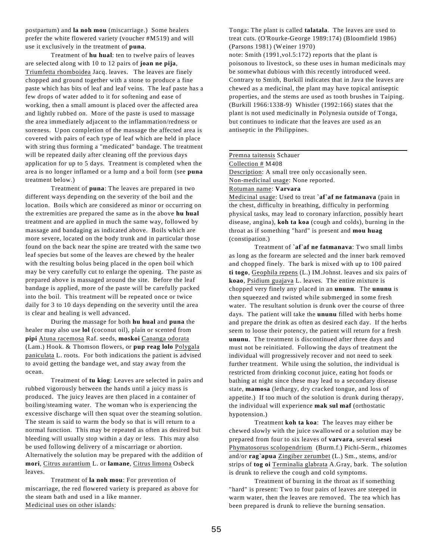postpartum) and **la noh mou** (miscarriage.) Some healers prefer the white flowered variety (voucher #M519) and will use it exclusively in the treatment of **puna**.

Treatment of **hu hual**: ten to twelve pairs of leaves are selected along with 10 to 12 pairs of **joan ne pija**, Triumfetta rhomboidea Jacq. leaves. The leaves are finely chopped and ground together with a stone to produce a fine paste which has bits of leaf and leaf veins. The leaf paste has a few drops of water added to it for softening and ease of working, then a small amount is placed over the affected area and lightly rubbed on. More of the paste is used to massage the area immediately adjacent to the inflammation/redness or soreness. Upon completion of the massage the affected area is covered with pairs of each type of leaf which are held in place with string thus forming a "medicated" bandage. The treatment will be repeated daily after cleaning off the previous days application for up to 5 days. Treatment is completed when the area is no longer inflamed or a lump and a boil form (see **puna** treatment below.)

Treatment of **puna**: The leaves are prepared in two different ways depending on the severity of the boil and the location. Boils which are considered as minor or occurring on the extremities are prepared the same as in the above **hu hual** treatment and are applied in much the same way, followed by massage and bandaging as indicated above. Boils which are more severe, located on the body trunk and in particular those found on the back near the spine are treated with the same two leaf species but some of the leaves are chewed by the healer with the resulting bolus being placed in the open boil which may be very carefully cut to enlarge the opening. The paste as prepared above is massaged around the site. Before the leaf bandage is applied, more of the paste will be carefully packed into the boil. This treatment will be repeated once or twice daily for 3 to 10 days depending on the severity until the area is clear and healing is well advanced.

During the massage for both **hu hual** and **puna** the healer may also use **lol** (coconut oil), plain or scented from **pipi** Atuna racemosa Raf. seeds, **moskoi** Cananga odorata (Lam.) Hook. & Thomson flowers, or **pup reag lolo** Polygala paniculata L. roots. For both indications the patient is advised to avoid getting the bandage wet, and stay away from the ocean.

Treatment of **tu kiog**: Leaves are selected in pairs and rubbed vigorously between the hands until a juicy mass is produced. The juicy leaves are then placed in a container of boiling/steaming water. The woman who is experiencing the excessive discharge will then squat over the steaming solution. The steam is said to warm the body so that is will return to a normal function. This may be repeated as often as desired but bleeding will usually stop within a day or less. This may also be used following delivery of a miscarriage or abortion. Alternatively the solution may be prepared with the addition of **mori**, Citrus aurantium L. or **lamane**, Citrus limona Osbeck leaves.

Treatment of **la noh mou**: For prevention of miscarriage, the red flowered variety is prepared as above for the steam bath and used in a like manner. Medicinal uses on other islands:

Tonga: The plant is called **talatala**. The leaves are used to treat cuts. (O'Rourke-George 1989:174) (Bloomfield 1986) (Parsons 1981) (Weiner 1970)

note: Smith (1991,vol.5:172) reports that the plant is poisonous to livestock, so these uses in human medicinals may be somewhat dubious with this recently introduced weed. Contrary to Smith, Burkill indicates that in Java the leaves are chewed as a medicinal, the plant may have topical antiseptic properties, and the stems are used as tooth brushes in Taiping. (Burkill 1966:1338-9) Whistler (1992:166) states that the plant is not used medicinally in Polynesia outside of Tonga, but continues to indicate that the leaves are used as an antiseptic in the Philippines.

### Premna taitensis Schauer Collection # M408

Description: A small tree only occasionally seen.

Non-medicinal usage: None reported.

#### Rotuman name: **Varvara**

Medicinal usage: Used to treat **`af`af ne fatmanava** (pain in the chest, difficulty in breathing, difficulty in performing physical tasks, may lead to coronary infarction, possibly heart disease, angina), **koh ta koa** (cough and colds), burning in the throat as if something "hard" is present and **mou huag** (constipation.)

Treatment of **`af`af ne fatmanava**: Two small limbs as long as the forearm are selected and the inner bark removed and chopped finely. The bark is mixed with up to 100 paired **ti togo**, Geophila repens (L.) IM.Johnst. leaves and six pairs of **koao**, Psidium guajava L. leaves. The entire mixture is chopped very finely any placed in an **ununu**. The **ununu** is then squeezed and twisted while submerged in some fresh water. The resultant solution is drunk over the course of three days. The patient will take the **ununu** filled with herbs home and prepare the drink as often as desired each day. If the herbs seem to loose their potency, the patient will return for a fresh **ununu**. The treatment is discontinued after three days and must not be reinitiated. Following the days of treatment the individual will progressively recover and not need to seek further treatment. While using the solution, the individual is restricted from drinking coconut juice, eating hot foods or bathing at night since these may lead to a secondary disease state, **mamosa** (lethargy, dry cracked tongue, and loss of appetite.) If too much of the solution is drunk during therapy, the individual will experience **mak sul maf** (orthostatic hypotension.)

Treatment **koh ta koa**: The leaves may either be chewed slowly with the juice swallowed or a solution may be prepared from four to six leaves of **varvara**, several **sesei** Phymatosorus scolopendrium (Burm.f.) Pichi-Serm., rhizomes and/or **rag`apua** Zingiber zerumbet (L.) Sm., stems, and/or strips of **tog oi** Terminalia glabrata A.Gray, bark. The solution is drunk to relieve the cough and cold symptoms.

Treatment of burning in the throat as if something "hard" is present: Two to four pairs of leaves are steeped in warm water, then the leaves are removed. The tea which has been prepared is drunk to relieve the burning sensation.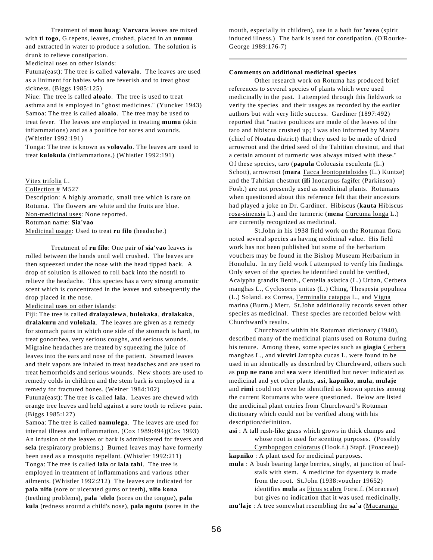Treatment of **mou huag**: **Varvara** leaves are mixed with **ti togo**, G.repens, leaves, crushed, placed in an **ununu** and extracted in water to produce a solution. The solution is drunk to relieve constipation.

Medicinal uses on other islands:

Futuna(east): The tree is called **valovalo**. The leaves are used as a liniment for babies who are feverish and to treat ghost sickness. (Biggs 1985:125)

Niue: The tree is called **aloalo**. The tree is used to treat asthma and is employed in "ghost medicines." (Yuncker 1943) Samoa: The tree is called **aloalo**. The tree may be used to treat fever. The leaves are employed in treating **mumu** (skin inflammations) and as a poultice for sores and wounds. (Whistler 1992:191)

Tonga: The tree is known as **volovalo**. The leaves are used to treat **kulokula** (inflammations.) (Whistler 1992:191)

### Vitex trifolia L.

Collection # M527

Description: A highly aromatic, small tree which is rare on Rotuma. The flowers are white and the fruits are blue. Non-medicinal uses: None reported. Rotuman name: **Sia'vao**

Medicinal usage: Used to treat **ru filo** (headache.)

Treatment of **ru filo**: One pair of **sia'vao** leaves is rolled between the hands until well crushed. The leaves are then squeezed under the nose with the head tipped back. A drop of solution is allowed to roll back into the nostril to relieve the headache. This species has a very strong aromatic scent which is concentrated in the leaves and subsequently the drop placed in the nose.

Medicinal uses on other islands:

Fiji: The tree is called **dralayalewa**, **bulokaka**, **dralakaka**, **dralakuru** and **vulokala**. The leaves are given as a remedy for stomach pains in which one side of the stomach is hard, to treat gonorrhea, very serious coughs, and serious wounds. Migraine headaches are treated by squeezing the juice of leaves into the ears and nose of the patient. Steamed leaves and their vapors are inhaled to treat headaches and are used to treat hemorrhoids and serious wounds. New shoots are used to remedy colds in children and the stem bark is employed in a remedy for fractured bones. (Weiner 1984:102)

Futuna(east): The tree is called **lala**. Leaves are chewed with orange tree leaves and held against a sore tooth to relieve pain. (Biggs 1985:127)

Samoa: The tree is called **namulega**. The leaves are used for internal illness and inflammation. (Cox 1989:494)(Cox 1993) An infusion of the leaves or bark is administered for fevers and **sela** (respiratory problems.) Burned leaves may have formerly been used as a mosquito repellant. (Whistler 1992:211) Tonga: The tree is called **lala** or **lala tahi**. The tree is employed in treatment of inflammations and various other ailments. (Whistler 1992:212) The leaves are indicated for **pala nifo** (sore or ulcerated gums or teeth), **nifo kona** (teething problems), **pala 'elelo** (sores on the tongue), **pala kula** (redness around a child's nose), **pala ngutu** (sores in the

mouth, especially in children), use in a bath for **'avea** (spirit induced illness.) The bark is used for constipation. (O'Rourke-George 1989:176-7)

#### **Comments on additional medicinal species**

Other research work on Rotuma has produced brief references to several species of plants which were used medicinally in the past. I attempted through this fieldwork to verify the species and their usages as recorded by the earlier authors but with very little success. Gardiner (1897:492) reported that "native poultices are made of the leaves of the taro and hibiscus crushed up; I was also informed by Marafu (chief of Noatau district) that they used to be made of dried arrowroot and the dried seed of the Tahitian chestnut, and that a certain amount of turmeric was always mixed with these." Of these species, taro (**papula** Colocasia esculenta (L.) Schott), arrowroot (**mara** Tacca leontopetaloides (L.) Kuntze) and the Tahitian chestnut (**ifi** Inocarpus fagifer (Parkinson) Fosb.) are not presently used as medicinal plants. Rotumans when questioned about this reference felt that their ancestors had played a joke on Dr. Gardiner. Hibiscus (**kauta** Hibiscus rosa-sinensis L.) and the turmeric (**mena** Curcuma longa L.) are currently recognized as medicinal.

St.John in his 1938 field work on the Rotuman flora noted several species as having medicinal value. His field work has not been published but some of the herbarium vouchers may be found in the Bishop Museum Herbarium in Honolulu. In my field work I attempted to verify his findings. Only seven of the species he identified could be verified, Acalypha grandis Benth., Centella asiatica (L.) Urban, Cerbera manghas L., Cyclosorus unitus (L.) Ching, Thespesia populnea (L.) Soland. ex Correa, Terminalia catappa L., and Vigna marina (Burm.) Merr. St.John additionally records seven other species as medicinal. These species are recorded below with Churchward's results.

Churchward within his Rotuman dictionary (1940), described many of the medicinal plants used on Rotuma during his tenure. Among these, some species such as **giagia** Cerbera manghas L., and **virviri** Jatropha cucas L. were found to be used in an identically as described by Churchward, others such as **pup ne rano** and **sea** were identified but never indicated as medicinal and yet other plants, **asi**, **kapniko**, **mula**, **mulaje** and **rimi** could not even be identified as known species among the current Rotumans who were questioned. Below are listed the medicinal plant entries from Churchward's Rotuman dictionary which could not be verified along with his description/definition.

**asi** : A tall rush-like grass which grows in thick clumps and whose root is used for scenting purposes. (Possibly Cymbopogon coloratus (Hook.f.) Stapf. (Poaceae))

**kapniko** : A plant used for medicinal purposes.

**mula** : A bush bearing large berries, singly, at junction of leafstalk with stem. A medicine for dysentery is made from the root. St.John (1938:voucher 19652) identifies **mula** as Ficus scabra Forst.f. (Moraceae) but gives no indication that it was used medicinally.

**mu'laje** : A tree somewhat resembling the **sa`a** (Macaranga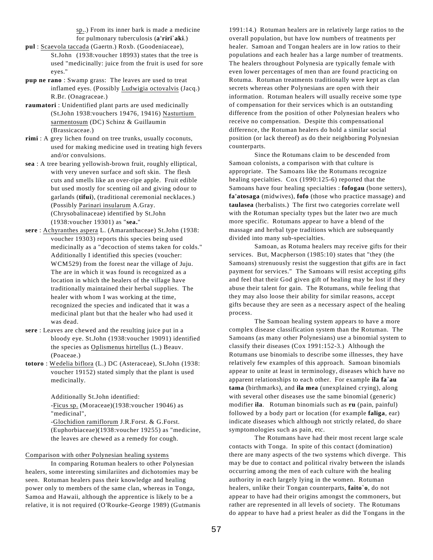sp..) From its inner bark is made a medicine for pulmonary tuberculosis (**a'riri`aki**.)

- **pul** : Scaevola taccada (Gaertn.) Roxb. (Goodeniaceae), St.John (1938:voucher 18993) states that the tree is used "medicinally: juice from the fruit is used for sore eyes."
- **pup ne rano** : Swamp grass: The leaves are used to treat inflamed eyes. (Possibly Ludwigia octovalvis (Jacq.) R.Br. (Onagraceae.)
- **raumatori** : Unidentified plant parts are used medicinally (St.John 1938:vouchers 19476, 19416) Nasturtium sarmentosum (DC) Schinz & Guillaumin (Brassicaceae.)
- **rimi** : A grey lichen found on tree trunks, usually coconuts, used for making medicine used in treating high fevers and/or convulsions.
- **sea** : A tree bearing yellowish-brown fruit, roughly elliptical, with very uneven surface and soft skin. The flesh cuts and smells like an over-ripe apple. Fruit edible but used mostly for scenting oil and giving odour to garlands (**tifui**), (traditional ceremonial necklaces.) (Possibly Parinari insularum A.Gray. (Chrysobalinaceae) identified by St.John (1938:voucher 19301) as "**sea.**"
- **sere** : Achyranthes aspera L. (Amaranthaceae) St.John (1938: voucher 19303) reports this species being used medicinally as a "decoction of stems taken for colds." Additionally I identified this species (voucher: WCM529) from the forest near the village of Juju. The are in which it was found is recognized as a location in which the healers of the village have traditionally maintained their herbal supplies. The healer with whom I was working at the time, recognized the species and indicated that it was a medicinal plant but that the healer who had used it was dead.
- **sere** : Leaves are chewed and the resulting juice put in a bloody eye. St.John (1938:voucher 19091) identified the species as Oplismenus hirtellus (L.) Beauv. (Poaceae.)
- **totoro** : Wedelia biflora (L.) DC (Asteraceae), St.John (1938: voucher 19152) stated simply that the plant is used medicinally.

Additionally St.John identified:

-Ficus sp. (Moraceae)(1938:voucher 19046) as "medicinal",

-Glochidion ramiflorum J.R.Forst. & G.Forst. (Euphorbiaceae)(1938:voucher 19255) as "medicine, the leaves are chewed as a remedy for cough.

#### Comparison with other Polynesian healing systems

In comparing Rotuman healers to other Polynesian healers, some interesting similariites and dichotomies may be seen. Rotuman healers pass their knowledge and healing power only to members of the same clan, whereas in Tonga, Samoa and Hawaii, although the apprentice is likely to be a relative, it is not required (O'Rourke-George 1989) (Gutmanis 1991:14.) Rotuman healers are in relatively large ratios to the overall population, but have low numbers of treatments per healer. Samoan and Tongan healers are in low ratios to their populations and each healer has a large number of treatments. The healers throughout Polynesia are typically female with even lower percentages of men than are found practicing on Rotuma. Rotuman treatments traditionally were kept as clan secrets whereas other Polynesians are open with their information. Rotuman healers will usually receive some type of compensation for their services which is an outstanding difference from the position of other Polynesian healers who receive no compensation. Despite this compensational difference, the Rotuman healers do hold a similar social position (or lack thereof) as do their neighboring Polynesian counterparts.

Since the Rotumans claim to be descended from Samoan colonists, a comparison with that culture is appropriate. The Samoans like the Rotumans recognize healing specialties. Cox (1990:125-6) reported that the Samoans have four healing specialties : **fofogau** (bone setters), **fa'atosaga** (midwives), **fofo** (those who practice massage) and **taulasea** (herbalists.) The first two categories correlate well with the Rotuman specialty types but the later two are much more specific. Rotumans appear to have a blend of the massage and herbal type traditions which are subsequantly divided into many sub-specialties.

Samoan, as Rotuma healers may receive gifts for their services. But, Macpherson (1985:10) states that "they (the Samoans) strenuously resist the suggestion that gifts are in fact payment for services." The Samoans will resist accepting gifts and feel that their God given gift of healing may be lost if they abuse their talent for gain. The Rotumans, while feeling that they may also loose their ability for similar reasons, accept gifts because they are seen as a necessary aspect of the healing process.

The Samoan healing system appears to have a more complex disease classification system than the Rotuman. The Samoans (as many other Polynesians) use a binomial system to classify their diseases (Cox 1991:152-3.) Although the Rotumans use binomials to describe some illnesses, they have relatively few examples of this approach. Samoan binomials appear to unite at least in terminology, diseases which have no apparent relationships to each other. For example **ila fa`au tama** (birthmarks), and **ila mea** (unexplained crying), along with several other diseases use the same binomial (generic) modifier **ila**. Rotuman binomials such as **ru** (pain, painful) followed by a body part or location (for example **faliga**, ear) indicate diseases which although not strictly related, do share symptomologies such as pain, etc.

The Rotumans have had their most recent large scale contacts with Tonga. In spite of this contact (domination) there are many aspects of the two systems which diverge. This may be due to contact and political rivalry between the islands occurring among the men of each culture with the healing authority in each largely lying in the women. Rotuman healers, unlike their Tongan counterparts, **faito`o**, do not appear to have had their origins amongst the commoners, but rather are represented in all levels of society. The Rotumans do appear to have had a priest healer as did the Tongans in the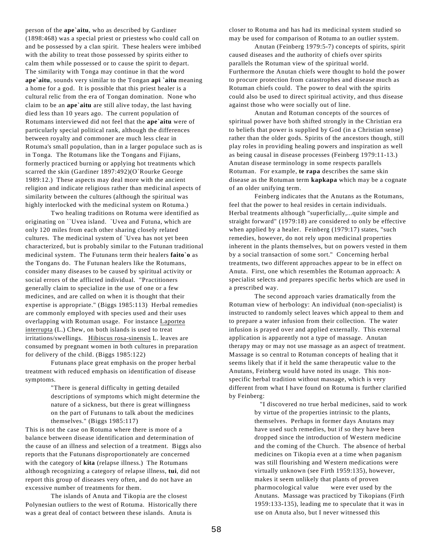person of the **ape`aitu**, who as described by Gardiner (1898:468) was a special priest or priestess who could call on and be possessed by a clan spirit. These healers were imbibed with the ability to treat those possessed by spirits either to calm them while possessed or to cause the spirit to depart. The similarity with Tonga may continue in that the word **ape`aitu**, sounds very similar to the Tongan **api `aitu** meaning a home for a god. It is possible that this priest healer is a cultural relic from the era of Tongan domination. None who claim to be an **ape`aitu** are still alive today, the last having died less than 10 years ago. The current population of Rotumans interviewed did not feel that the **ape`aitu** were of particularly special political rank, although the differences between royalty and commoner are much less clear in Rotuma's small population, than in a larger populace such as is in Tonga. The Rotumans like the Tongans and Fijians, formerly practiced burning or applying hot treatments which scarred the skin (Gardiner 1897:492)(O`Rourke George 1989:12.) These aspects may deal more with the ancient religion and indicate religious rather than medicinal aspects of similarity between the cultures (although the spiritual was highly interlocked with the medicinal system on Rotuma.)

Two healing traditions on Rotuma were identified as originating on ``Uvea island. `Uvea and Futuna, which are only 120 miles from each other sharing closely related cultures. The medicinal system of `Uvea has not yet been characterized, but is probably similar to the Futunan traditional medicinal system. The Futunans term their healers **faito`o** as the Tongans do. The Futunan healers like the Rotumans, consider many diseases to be caused by spiritual activity or social errors of the afflicted individual. "Practitioners generally claim to specialize in the use of one or a few medicines, and are called on when it is thought that their expertise is appropriate." (Biggs 1985:113) Herbal remedies are commonly employed with species used and their uses overlapping with Rotuman usage. For instance Laportea interrupta (L.) Chew, on both islands is used to treat irritations/swellings. Hibiscus rosa-sinensis L. leaves are consumed by pregnant women in both cultures in preparation for delivery of the child. (Biggs 1985:122)

Futunans place great emphasis on the proper herbal treatment with reduced emphasis on identification of disease symptoms.

> "There is general difficulty in getting detailed descriptions of symptoms which might determine the nature of a sickness, but there is great willingness on the part of Futunans to talk about the medicines themselves." (Biggs 1985:117)

This is not the case on Rotuma where there is more of a balance between disease identification and determination of the cause of an illness and selection of a treatment. Biggs also reports that the Futunans disproportionately are concerned with the category of **kita** (relapse illness.) The Rotumans although recognizing a category of relapse illness, **tui**, did not report this group of diseases very often, and do not have an excessive number of treatments for them.

The islands of Anuta and Tikopia are the closest Polynesian outliers to the west of Rotuma. Historically there was a great deal of contact between these islands. Anuta is

closer to Rotuma and has had its medicinal system studied so may be used for comparison of Rotuma to an outlier system.

Anutan (Feinberg 1979:5-7) concepts of spirits, spirit caused diseases and the authority of chiefs over spirits parallels the Rotuman view of the spiritual world. Furthermore the Anutan chiefs were thought to hold the power to procure protection from catastrophes and disease much as Rotuman chiefs could. The power to deal with the spirits could also be used to direct spiritual activity, and thus disease against those who were socially out of line.

Anutan and Rotuman concepts of the sources of spiritual power have both shifted strongly in the Christian era to beliefs that power is supplied by God (in a Christian sense) rather than the older gods. Spirits of the ancestors though, still play roles in providing healing powers and inspiration as well as being causal in disease processes (Feinberg 1979:11-13.) Anutan disease terminology in some respects parallels Rotuman. For example, **te rapa** describes the same skin disease as the Rotuman term **kapkapa** which may be a cognate of an older unifying term.

Feinberg indicates that the Anutans as the Rotumans, feel that the power to heal resides in certain individuals. Herbal treatments although "superficially,...quite simple and straight forward" (1979:18) are considered to only be effective when applied by a healer. Feinberg (1979:17) states, "such remedies, however, do not rely upon medicinal properties inherent in the plants themselves, but on powers vested in them by a social transaction of some sort." Concerning herbal treatments, two different approaches appear to be in effect on Anuta. First, one which resembles the Rotuman approach: A specialist selects and prepares specific herbs which are used in a prescribed way.

The second approach varies dramatically from the Rotuman view of herbology: An individual (non-specialist) is instructed to randomly select leaves which appeal to them and to prepare a water infusion from their collection. The water infusion is prayed over and applied externally. This external application is apparently not a type of massage. Anutan therapy may or may not use massage as an aspect of treatment. Massage is so central to Rotuman concepts of healing that it seems likely that if it held the same therapeutic value to the Anutans, Feinberg would have noted its usage. This nonspecific herbal tradition without massage, which is very different from what I have found on Rotuma is further clarified by Feinberg:

> "I discovered no true herbal medicines, said to work by virtue of the properties intrinsic to the plants, themselves. Perhaps in former days Anutans may have used such remedies, but if so they have been dropped since the introduction of Western medicine and the coming of the Church. The absence of herbal medicines on Tikopia even at a time when paganism was still flourishing and Western medications were virtually unknown (see Firth 1959:135), however, makes it seem unlikely that plants of proven pharmocological value were ever used by the Anutans. Massage was practiced by Tikopians (Firth 1959:133-135), leading me to speculate that it was in use on Anuta also, but I never witnessed this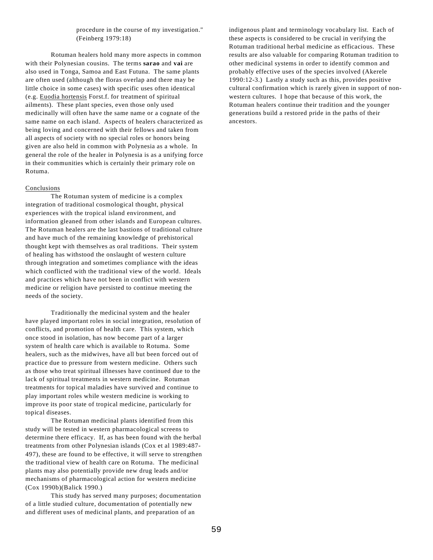procedure in the course of my investigation." (Feinberg 1979:18)

Rotuman healers hold many more aspects in common with their Polynesian cousins. The terms **sarao** and **vai** are also used in Tonga, Samoa and East Futuna. The same plants are often used (although the floras overlap and there may be little choice in some cases) with specific uses often identical (e.g. Euodia hortensis Forst.f. for treatment of spiritual ailments). These plant species, even those only used medicinally will often have the same name or a cognate of the same name on each island. Aspects of healers characterized as being loving and concerned with their fellows and taken from all aspects of society with no special roles or honors being given are also held in common with Polynesia as a whole. In general the role of the healer in Polynesia is as a unifying force in their communities which is certainly their primary role on Rotuma.

#### Conclusions

The Rotuman system of medicine is a complex integration of traditional cosmological thought, physical experiences with the tropical island environment, and information gleaned from other islands and European cultures. The Rotuman healers are the last bastions of traditional culture and have much of the remaining knowledge of prehistorical thought kept with themselves as oral traditions. Their system of healing has withstood the onslaught of western culture through integration and sometimes compliance with the ideas which conflicted with the traditional view of the world. Ideals and practices which have not been in conflict with western medicine or religion have persisted to continue meeting the needs of the society.

Traditionally the medicinal system and the healer have played important roles in social integration, resolution of conflicts, and promotion of health care. This system, which once stood in isolation, has now become part of a larger system of health care which is available to Rotuma. Some healers, such as the midwives, have all but been forced out of practice due to pressure from western medicine. Others such as those who treat spiritual illnesses have continued due to the lack of spiritual treatments in western medicine. Rotuman treatments for topical maladies have survived and continue to play important roles while western medicine is working to improve its poor state of tropical medicine, particularly for topical diseases.

The Rotuman medicinal plants identified from this study will be tested in western pharmacological screens to determine there efficacy. If, as has been found with the herbal treatments from other Polynesian islands (Cox et al 1989:487- 497), these are found to be effective, it will serve to strengthen the traditional view of health care on Rotuma. The medicinal plants may also potentially provide new drug leads and/or mechanisms of pharmacological action for western medicine (Cox 1990b)(Balick 1990.)

This study has served many purposes; documentation of a little studied culture, documentation of potentially new and different uses of medicinal plants, and preparation of an

indigenous plant and terminology vocabulary list. Each of these aspects is considered to be crucial in verifying the Rotuman traditional herbal medicine as efficacious. These results are also valuable for comparing Rotuman tradition to other medicinal systems in order to identify common and probably effective uses of the species involved (Akerele 1990:12-3.) Lastly a study such as this, provides positive cultural confirmation which is rarely given in support of nonwestern cultures. I hope that because of this work, the Rotuman healers continue their tradition and the younger generations build a restored pride in the paths of their ancestors.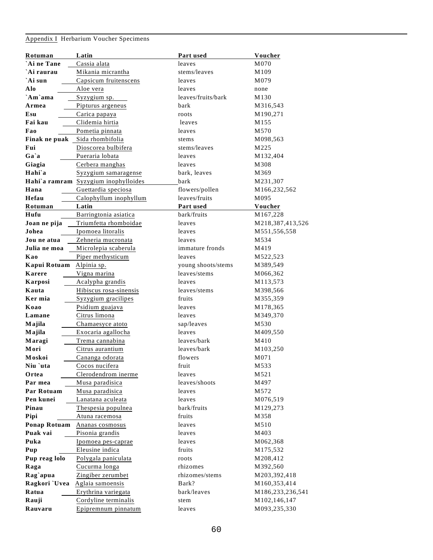# Appendix I Herbarium Voucher Specimens

| `Ai ne Tane<br>Cassia alata<br>M070<br>leaves                                                                            |  |
|--------------------------------------------------------------------------------------------------------------------------|--|
| Mikania micrantha<br>`Ai raurau<br>stems/leaves<br>M109                                                                  |  |
| `Ai sun<br>Capsicum fruitenscens<br>M079<br>leaves                                                                       |  |
| Alo<br>Aloe vera<br>leaves<br>none                                                                                       |  |
| `Am`ama<br>Syzygium sp.<br>leaves/fruits/bark<br>M130                                                                    |  |
| Pipturus argeneus<br>bark<br>M316,543<br>Armea                                                                           |  |
| Carica papaya<br>M190,271<br>Esu<br>roots                                                                                |  |
| Fai kau<br>Clidemia hirtia<br>M155<br>leaves                                                                             |  |
| Fao<br>Pometia pinnata<br>M570<br>leaves                                                                                 |  |
| Finak ne puak<br>Sida rhombifolia<br>M098,563<br>stems                                                                   |  |
| Fui<br>stems/leaves<br>M225<br>Dioscorea bulbifera                                                                       |  |
| Ga`a<br>Pueraria lobata<br>leaves<br>M132,404                                                                            |  |
| M308<br>Giagia<br>Cerbera manghas<br>leaves                                                                              |  |
| Hahi`a<br>Syzygium samaragense<br>bark, leaves<br>M369                                                                   |  |
| Hahi`a ramram Syzygium inophylloides<br>M231,307<br>bark                                                                 |  |
| Guettardia speciosa<br>flowers/pollen<br>M166,232,562<br>Hana                                                            |  |
| leaves/fruits<br>Hefau<br>Calophyllum inophyllum<br>M095                                                                 |  |
| Latin<br>Voucher<br>Rotuman<br>Part used                                                                                 |  |
| Hufu<br>Barringtonia asiatica<br>bark/fruits<br>M167,228                                                                 |  |
| Triumfetta rhomboidae<br>Joan ne pija<br>M218,387,413,526<br>leaves                                                      |  |
| Johea<br>Ipomoea litoralis<br>M551,556,558<br>leaves                                                                     |  |
| Jou ne atua<br>M534<br>Zehneria mucronata<br>leaves                                                                      |  |
| immature fronds<br>Julia ne moa<br>Microlepia scaberula<br>M419                                                          |  |
| Kao<br>Piper methysticum<br>leaves<br>M522,523                                                                           |  |
| Kapui Rotuam<br>Alpinia sp.<br>young shoots/stems<br>M389,549                                                            |  |
| <b>Karere</b><br>Vigna marina<br>leaves/stems<br>M066,362                                                                |  |
| Acalypha grandis<br>M113,573<br>Karposi<br>leaves                                                                        |  |
| Kauta<br>Hibiscus rosa-sinensis<br>leaves/stems<br>M398,566                                                              |  |
| Ker mia<br>Syzygium gracilipes<br>fruits<br>M355,359                                                                     |  |
| Koao<br>Psidium guajava<br>M178,365<br>leaves                                                                            |  |
| Citrus limona<br>M349,370<br>Lamane<br>leaves                                                                            |  |
| Majila<br>Chamaesyce atoto<br>sap/leaves<br>M530                                                                         |  |
| Majila<br>M409,550<br>Exocaria agallocha<br>leaves                                                                       |  |
| Maragi<br>leaves/bark<br>M410<br>Trema cannabina                                                                         |  |
| Mori<br>Citrus aurantium<br>leaves/bark<br>M103,250                                                                      |  |
| Moskoi<br>Cananga odorata<br>flowers<br>M071                                                                             |  |
| M533<br>Niu `uta<br>Cocos nucifera<br>fruit                                                                              |  |
| Clerodendrom inerme<br>Ortea<br>leaves<br>M521                                                                           |  |
| Par mea<br>Musa paradisica<br>leaves/shoots<br>M497                                                                      |  |
| Par Rotuam<br>Musa paradisica<br>leaves<br>M572<br>Pen kunei                                                             |  |
| Lanatana aculeata<br>M076,519<br>leaves<br>Pinau<br>Thespesia populnea<br>bark/fruits                                    |  |
| M129,273<br>Pipi<br>fruits<br>M358<br>Atuna racemosa                                                                     |  |
| Ponap Rotuam<br>M510<br>Ananas cosmosus<br>leaves                                                                        |  |
| Puak vai<br>Pisonia grandis<br>M403<br>leaves                                                                            |  |
| Puka<br>leaves<br>M062,368<br>Ipomoea pes-caprae                                                                         |  |
| Pup<br>Eleusine indica<br>fruits<br>M175,532                                                                             |  |
| Pup reag lolo<br>Polygala paniculata<br>M208,412<br>roots                                                                |  |
| Raga<br>Cucurma longa<br>rhizomes<br>M392,560                                                                            |  |
| Rag`apua<br>rhizomes/stems<br>Zingiber zerumbet<br>M203,392,418                                                          |  |
| Ragkori `Uvea<br>Aglaia samoensis<br>Bark?<br>M160,353,414                                                               |  |
|                                                                                                                          |  |
|                                                                                                                          |  |
| Ratua<br>Erythrina variegata<br>bark/leaves<br>M186,233,236,541<br>Cordyline terminalis<br>Rauji<br>M102,146,147<br>stem |  |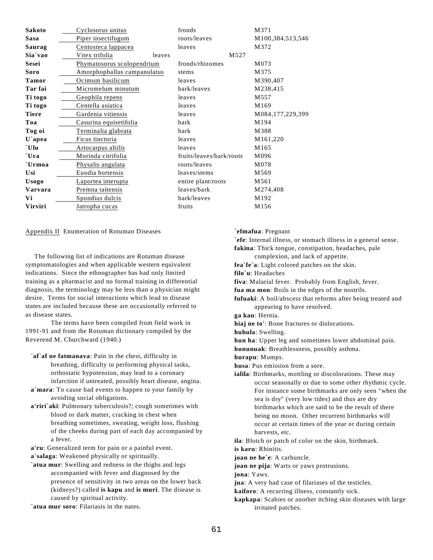| Sakoto       | Cyclosorus unitus           | fronds                   | M371             |
|--------------|-----------------------------|--------------------------|------------------|
| Sasa         | Piper insectifugum          | roots/leaves             | M100,384,513,546 |
| Saurag       | Centosteca lappacea         | leaves                   | M372             |
| Sia'vao      | Vitex trifolia<br>leaves    | M527                     |                  |
| <b>Sesei</b> | Phymatosorus scolopendrium  | fronds/rhizomes          | M073             |
| Soro         | Amorphophallus campanulatus | stems                    | M375             |
| <b>Tamor</b> | Ocimum basilicum            | leaves                   | M390,407         |
| Tar fai      | Micromelum minutum          | bark/leaves              | M238,415         |
| Ti togo      | Geophila repens             | leaves                   | M557             |
| Ti togo      | Centella asiatica           | leaves                   | M169             |
| <b>Tiere</b> | Gardenia vitiensis          | leaves                   | M084,177,229,399 |
| Toa          | Casurina equisetifolia      | bark                     | M194             |
| Tog oi       | Terminalia glabrata         | bark                     | M388             |
| U`apea       | Ficus tinctoria             | leaves                   | M161,220         |
| Ulu          | Artocarpus altilis          | leaves                   | M165             |
| `Ura         | Morinda citrifolia          | fruits/leaves/bark/roots | M096             |
| `Urmoa       | Physalis angulata           | roots/leaves             | M078             |
| Usi          | Euodia hortensis            | leaves/stems             | M569             |
| <b>Usogo</b> | Laportea interupta          | entire plant/roots       | M561             |
| Varvara      | Premna taitensis            | leaves/bark              | M274,408         |
| Vi           | Spondius dulcis             | bark/leaves              | M192             |
| Virviri      | Jatropha cucas              | fruits                   | M156             |

Appendix II Enumeration of Rotuman Diseases

 The following list of indications are Rotuman disease symptomatologies and when applicable western equivalent indications. Since the ethnographer has had only limited training as a pharmacist and no formal training in differential diagnosis, the terminology may be less than a physician might desire. Terms for social interactions which lead to disease states are included because these are occasionally referred to as disease states.

The terms have been compiled from field work in 1991-91 and from the Rotuman dictionary compiled by the Reverend M. Churchward (1940.)

- **`af`af ne fatmanava**: Pain in the chest, difficulty in breathing, difficulty in performing physical tasks, orthostatic hypotension, may lead to a coronary infarction if untreated, possibly heart disease, angina.
- **a`mara**: To cause bad events to happen to your family by avoiding social obligations.
- **a'riri`aki**: Pulmonary tuberculosis?; cough sometimes with blood or dark matter, cracking in chest when breathing sometimes, sweating, weight loss, flushing of the cheeks during part of each day accompanied by a fever.

 **a'ru**: Generalized term for pain or a painful event. **a`salaga**: Weakened physically or spiritually.

 **`atua mur**: Swelling and redness in the thighs and legs accompanied with fever and diagnosed by the presence of sensitivity in two areas on the lower back (kidneys?) called **is kapu** and **is muri**. The disease is caused by spiritual activity.

**`atua mur soro**: Filariasis in the nates.

### **`efmafua**: Pregnant

 **`efe**: Internal illness, or stomach illness in a general sense. **fakina**: Thick tongue, constipation, headaches, pale complexion, and lack of appetite. **fea`fe`a**: Light colored patches on the skin.

- **filo`u**: Headaches
- **fiva**: Malarial fever. Probably from English, fever.
- **fua ma mon**: Boils in the edges of the nostrils.
- **fufuaki**: A boil/abscess that reforms after being treated and appearing to have resolved.
- **ga kau**: Hernia.
- **hiaj ne to'**: Bone fractures or dislocations.
- **huhula**: Swelling.
- **hun ha**: Upper leg and sometimes lower abdominal pain.
- **hununuak**: Breathlessness, possibly asthma.

**hurapu**: Mumps.

- **husa**: Pus emission from a sore.
- **ialila**: Birthmarks, mottling or discolorations. These may occur seasonally or due to some other rhythmic cycle. For instance some birthmarks are only seen "when the sea is dry" (very low tides) and thus are dry birthmarks which are said to be the result of there being no moon. Other recurrent birthmarks will occur at certain times of the year or during certain harvests, etc.

**ila**: Blotch or patch of color on the skin, birthmark.

**is karu**: Rhinitis.

**joan ne he`e**: A carbuncle.

**joan ne pija**: Warts or yaws protrusions.

**jona**: Yaws.

**jua**: A very bad case of filariases of the testicles.

**kaiforo**: A recurring illness, constantly sick.

 **kapkapa**: Scabies or another itching skin diseases with large irritated patches.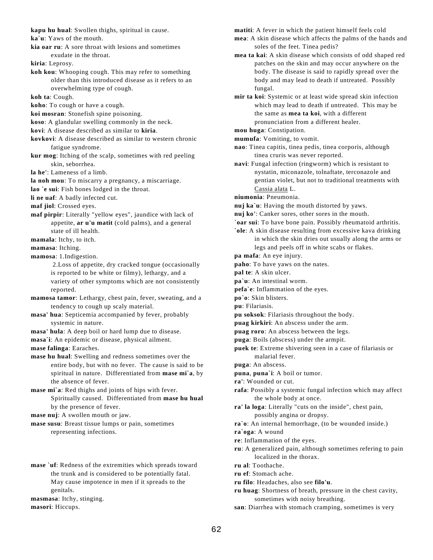**kapu hu hual**: Swollen thighs, spiritual in cause. **ka`u**: Yaws of the mouth.

 **kia oar ru**: A sore throat with lesions and sometimes exudate in the throat.

**kiria**: Leprosy.

 **koh kou**: Whooping cough. This may refer to something older than this introduced disease as it refers to an overwhelming type of cough.

**koh ta**: Cough.

- **koho**: To cough or have a cough.
- **koi mosran**: Stonefish spine poisoning.
- **koso**: A glandular swelling commonly in the neck.
- **kovi**: A disease described as similar to **kiria**.
- **kovkovi**: A disease described as similar to western chronic fatigue syndrome.
- **kur mog**: Itching of the scalp, sometimes with red peeling skin, seborrhea.
- **la he'**: Lameness of a limb.
- **la noh mou**: To miscarry a pregnancy, a miscarriage.
- **lao `e sui**: Fish bones lodged in the throat.
- **li ne uaf**: A badly infected cut.

**maf jiol**: Crossed eyes.

- **maf pirpir**: Literally "yellow eyes", jaundice with lack of appetite, **ar u'u matit** (cold palms), and a general state of ill health.
- **mamala**: Itchy, to itch.
- **mamasa**: Itching.

**mamosa**: 1.Indigestion.

- 2.Loss of appetite, dry cracked tongue (occasionally is reported to be white or filmy), lethargy, and a variety of other symptoms which are not consistently reported.
- **mamosa tamor**: Lethargy, chest pain, fever, sweating, and a tendency to cough up scaly material.
- **masa' hua**: Septicemia accompanied by fever, probably systemic in nature.
- **masa' hula**: A deep boil or hard lump due to disease.
- **masa`i**: An epidemic or disease, physical ailment.

**mase falinga**: Earaches.

 **mase hu hual**: Swelling and redness sometimes over the entire body, but with no fever. The cause is said to be spiritual in nature. Differentiated from **mase mi`a**, by the absence of fever.

 **mase mi`a**: Red thighs and joints of hips with fever. Spiritually caused. Differentiated from **mase hu hual** by the presence of fever.

**mase nuj**: A swollen mouth or jaw.

 **mase susu**: Breast tissue lumps or pain, sometimes representing infections.

 **mase `uf**: Redness of the extremities which spreads toward the trunk and is considered to be potentially fatal. May cause impotence in men if it spreads to the genitals.

**masmasa**: Itchy, stinging.

**masori**: Hiccups.

**matiti**: A fever in which the patient himself feels cold

- **mea**: A skin disease which affects the palms of the hands and soles of the feet. Tinea pedis?
- **mea ta kai**: A skin disease which consists of odd shaped red patches on the skin and may occur anywhere on the body. The disease is said to rapidly spread over the body and may lead to death if untreated. Possibly fungal.
- **mir ta koi**: Systemic or at least wide spread skin infection which may lead to death if untreated. This may be the same as **mea ta koi**, with a different pronunciation from a different healer.
- **mou huga**: Constipation.
- **mumufa**: Vomiting, to vomit.
- **nao**: Tinea capitis, tinea pedis, tinea corporis, although tinea cruris was never reported.

 **navi**: Fungal infection (ringworm) which is resistant to nystatin, miconazole, tolnaftate, terconazole and gentian violet, but not to traditional treatments with Cassia alata L.

- **niumonia**: Pneumonia.
- **nuj ka`u**: Having the mouth distorted by yaws.
- **nuj ko'**: Canker sores, other sores in the mouth.

**`oar sui**: To have bone pain. Possibly rheumatoid arthritis.

- **`ole**: A skin disease resulting from excessive kava drinking in which the skin dries out usually along the arms or legs and peels off in white scabs or flakes.
- **pa mafa**: An eye injury.
- **paho**: To have yaws on the nates.
- **pal te**: A skin ulcer.
- **pa`u**: An intestinal worm.
- **pefa`e**: Inflammation of the eyes.
- **po`o**: Skin blisters.
- **pu**: Filariasis.
- **pu soksok**: Filariasis throughout the body.
- **puag kirkiri**: An abscess under the arm.
- **puag roro**: An abscess between the legs.
- **puga**: Boils (abscess) under the armpit.
- **puek te**: Extreme shivering seen in a case of filariasis or malarial fever.

**puga**: An abscess.

- **puna**, **puna`i**: A boil or tumor.
- **ra'**: Wounded or cut.
- **rafa**: Possibly a systemic fungal infection which may affect the whole body at once.
- **ra' la loga**: Literally "cuts on the inside", chest pain, possibly angina or dropsy.
- **ra`o**: An internal hemorrhage, (to be wounded inside.)
- **ra`oga**: A wound
- **re**: Inflammation of the eyes.
- **ru**: A generalized pain, although sometimes refering to pain localized in the thorax.
- **ru al**: Toothache.
- **ru ef**: Stomach ache.
- **ru filo**: Headaches, also see **filo'u**.
- **ru huag**: Shortness of breath, pressure in the chest cavity, sometimes with noisy breathing.
- **san**: Diarrhea with stomach cramping, sometimes is very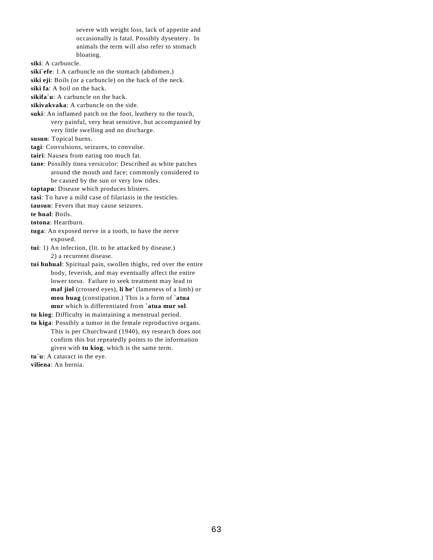severe with weight loss, lack of appetite and occasionally is fatal. Possibly dysentery. In animals the term will also refer to stomach bloating.

**siki**: A carbuncle.

**siki`efe**: 1.A carbuncle on the stomach (abdomen.)

**siki eji**: Boils (or a carbuncle) on the back of the neck.

**siki fa**: A boil on the back.

**sikifa`u**: A carbuncle on the back.

**sikivakvaka**: A carbuncle on the side.

 **suki**: An inflamed patch on the foot, leathery to the touch, very painful, very heat sensitive, but accompanied by very little swelling and no discharge.

**susun**: Topical burns.

**tagi**: Convulsions, seizures, to convulse.

**tairi**: Nausea from eating too much fat.

 **tane**: Possibly tinea versicolor: Described as white patches around the mouth and face; commonly considered to be caused by the sun or very low tides.

**taptapu**: Disease which produces blisters.

- **tasi**: To have a mild case of filariasis in the testicles.
- **tausun**: Fevers that may cause seizures.

**te hual**: Boils.

**totona**: Heartburn.

- **tuga**: An exposed nerve in a tooth, to have the nerve exposed.
- **tui**: 1) An infection, (lit. to be attacked by disease.) 2) a recurrent disease.
- **tui huhual**: Spiritual pain, swollen thighs, red over the entire body, feverish, and may eventually affect the entire lower torso. Failure to seek treatment may lead to **maf jiol** (crossed eyes), **li he'** (lameness of a limb) or **mou huag** (constipation.) This is a form of **`atua mur** which is differentiated from **`atua mur sol**.

**tu kiog**: Difficulty in maintaining a menstrual period.

 **tu kiga**: Possibly a tumor in the female reproductive organs. This is per Churchward (1940), my research does not confirm this but repeatedly points to the information given with **tu kiog**, which is the same term.

**tu`u**: A cataract in the eye.

**viliena**: An hernia.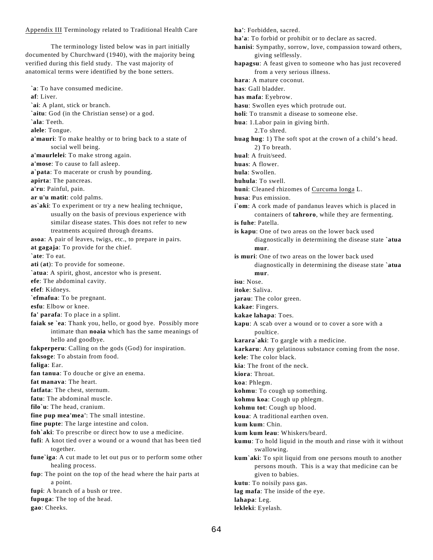#### Appendix III Terminology related to Traditional Health Care

The terminology listed below was in part initially documented by Churchward (1940), with the majority being verified during this field study. The vast majority of anatomical terms were identified by the bone setters.

 **`a**: To have consumed medicine. **af**: Liver. **`ai**: A plant, stick or branch. **`aitu**: God (in the Christian sense) or a god. **`ala**: Teeth. **alele**: Tongue. **a'mauri**: To make healthy or to bring back to a state of social well being. **a'maurlelei**: To make strong again. **a'mose**: To cause to fall asleep. **a`pata**: To macerate or crush by pounding. **apirta**: The pancreas. **a'ru**: Painful, pain. **ar u'u matit**: cold palms. **as`aki**: To experiment or try a new healing technique, usually on the basis of previous experience with similar disease states. This does not refer to new treatments acquired through dreams. **asoa**: A pair of leaves, twigs, etc., to prepare in pairs. **at gagaja**: To provide for the chief. **`ate**: To eat. **ati** (**at**): To provide for someone. **`atua**: A spirit, ghost, ancestor who is present. **efe**: The abdominal cavity. **efef**: Kidneys. **`efmafua**: To be pregnant. **esfu**: Elbow or knee. **fa' parafa**: To place in a splint. **faiak se `ea**: Thank you, hello, or good bye. Possibly more intimate than **noaia** which has the same meanings of hello and goodbye. **fakperperu**: Calling on the gods (God) for inspiration. **faksoge**: To abstain from food. **faliga**: Ear. **fan tanua**: To douche or give an enema. **fat manava**: The heart. **fatfata**: The chest, sternum. **fatu**: The abdominal muscle. **filo`u**: The head, cranium. **fine pup mea'mea'**: The small intestine. **fine pupte**: The large intestine and colon. **foh`aki**: To prescribe or direct how to use a medicine. **fufi**: A knot tied over a wound or a wound that has been tied together. **fune`iga**: A cut made to let out pus or to perform some other healing process. **fup**: The point on the top of the head where the hair parts at a point. **fupi**: A branch of a bush or tree.  **fupuga**: The top of the head. **gao**: Cheeks.

 **ha'**: Forbidden, sacred. **ha'a**: To forbid or prohibit or to declare as sacred. **hanisi**: Sympathy, sorrow, love, compassion toward others, giving selflessly. **hapagsu**: A feast given to someone who has just recovered from a very serious illness. **hara**: A mature coconut. **has**: Gall bladder. **has mafa**: Eyebrow. **hasu**: Swollen eyes which protrude out. **holi**: To transmit a disease to someone else. **hua**: 1.Labor pain in giving birth. 2.To shred. **huag hug**: 1) The soft spot at the crown of a child's head. 2) To breath. **hual**: A fruit/seed. **huas**: A flower. **hula**: Swollen. **huhula**: To swell. **huni**: Cleaned rhizomes of Curcuma longa L. **husa**: Pus emission. **i`om**: A cork made of pandanus leaves which is placed in containers of **tahroro**, while they are fermenting. **is fuhe**: Patella. **is kapu**: One of two areas on the lower back used diagnostically in determining the disease state **`atua mur**. **is muri**: One of two areas on the lower back used diagnostically in determining the disease state **`atua mur**. **isu**: Nose. **itoke**: Saliva. **jarau**: The color green. **kakae**: Fingers. **kakae lahapa**: Toes. **kapu**: A scab over a wound or to cover a sore with a poultice. **karara`aki**: To gargle with a medicine. **karkaru**: Any gelatinous substance coming from the nose. **kele**: The color black. **kia**: The front of the neck. **kiora**: Throat. **koa**: Phlegm. **kohmu**: To cough up something. **kohmu koa**: Cough up phlegm. **kohmu tot**: Cough up blood. **koua**: A traditional earthen oven. **kum kum**: Chin. **kum kum leau**: Whiskers/beard. **kumu**: To hold liquid in the mouth and rinse with it without swallowing. **kum`aki**: To spit liquid from one persons mouth to another persons mouth. This is a way that medicine can be given to babies. **kutu**: To noisily pass gas. **lag mafa**: The inside of the eye. **lahapa**: Leg. **lekleki**: Eyelash.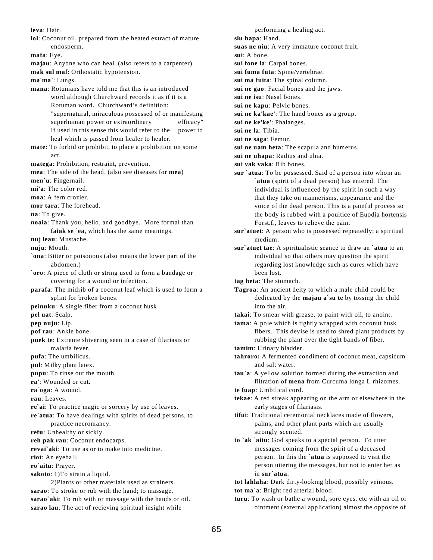**leva**: Hair. **lol**: Coconut oil, prepared from the heated extract of mature endosperm. **mafa**: Eye. **majau**: Anyone who can heal. (also refers to a carpenter) **mak sul maf**: Orthostatic hypotension. **ma'ma'**: Lungs. **mana**: Rotumans have told me that this is an introduced word although Churchward records it as if it is a Rotuman word. Churchward's definition: "supernatural, miraculous possessed of or manifesting superhuman power or extraordinary efficacy" If used in this sense this would refer to the power to heal which is passed from healer to healer. **mate**: To forbid or prohibit, to place a prohibition on some act. **matega**: Prohibition, restraint, prevention. **mea**: The side of the head. (also see diseases for **mea**) **men`u**: Fingernail. **mi'a**: The color red. **moa**: A fern crozier. **mor tara**: The forehead. **na**: To give. **noaia**: Thank you, hello, and goodbye. More formal than **faiak se `ea**, which has the same meanings. **nuj leau**: Mustache. **nuju**: Mouth. **`ona**: Bitter or poisonous (also means the lower part of the abdomen.) **`oro**: A piece of cloth or string used to form a bandage or covering for a wound or infection. **parafa**: The midrib of a coconut leaf which is used to form a splint for broken bones. **peinuku**: A single fiber from a coconut husk **pel uat**: Scalp. **pep nuju**: Lip. **pof rau**: Ankle bone. **puek te**: Extreme shivering seen in a case of filariasis or malaria fever. **pufa**: The umbilicus. **pul**: Milky plant latex. **pupu**: To rinse out the mouth. **ra'**: Wounded or cut. **ra`oga**: A wound. **rau**: Leaves. **re`ai**: To practice magic or sorcery by use of leaves. **re`atua**: To have dealings with spirits of dead persons, to practice necromancy. **refu**: Unhealthy or sickly. **reh pak rau**: Coconut endocarps. **revai`aki**: To use as or to make into medicine. **riot**: An eyeball. **ro`aitu**: Prayer. **sakoto**: 1)To strain a liquid. 2)Plants or other materials used as strainers. **sarao**: To stroke or rub with the hand; to massage. **sarao`aki**: To rub with or massage with the hands or oil.

**sarao lau**: The act of recieving spiritual insight while

performing a healing act. **siu hapa**: Hand. **suas ne niu**: A very immature coconut fruit. **sui**: A bone. **sui fone la**: Carpal bones. **sui fuma futa**: Spine/vertebrae. **sui ma fuita**: The spinal column. **sui ne gao**: Facial bones and the jaws. **sui ne isu**: Nasal bones. **sui ne kapu**: Pelvic bones. **sui ne ka'kae'**: The hand bones as a group. **sui ne ke'ke'**: Phalanges. **sui ne la**: Tibia. **sui ne saga**: Femur. **sui ne uam heta**: The scapula and humerus. **sui ne uhapa**: Radius and ulna. **sui vak vaka**: Rib bones. **sur `atua**: To be possessed. Said of a person into whom an **`atua** (spirit of a dead person) has entered. The individual is influenced by the spirit in such a way that they take on mannerisms, appearance and the voice of the dead person. This is a painful process so the body is rubbed with a poultice of Euodia hortensis Forst.f., leaves to relieve the pain. **sur`atuet**: A person who is possessed repeatedly; a spiritual medium. **sur`atuet tae**: A spiritualistic seance to draw an **`atua** to an individual so that others may question the spirit regarding lost knowledge such as cures which have been lost. **tag heta**: The stomach. **Tagroa**: An ancient deity to which a male child could be dedicated by the **majau a`su te** by tossing the child into the air. **takai**: To smear with grease, to paint with oil, to anoint. **tama**: A pole which is tightly wrapped with coconut husk fibers. This devise is used to shred plant products by rubbing the plant over the tight bands of fiber. **tamim**: Urinary bladder. **tahroro:** A fermented condiment of coconut meat, capsicum and salt water. **tau`a**: A yellow solution formed during the extraction and filtration of **mena** from Curcuma longa L rhizomes. **te fuap**: Umbilical cord. **tekae**: A red streak appearing on the arm or elsewhere in the early stages of filariasis. **tifui**: Traditional ceremonial necklaces made of flowers, palms, and other plant parts which are usually strongly scented. **to `ak `aitu**: God speaks to a special person. To utter messages coming from the spirit of a deceased person. In this the **`atua** is supposed to visit the person uttering the messages, but not to enter her as in **sur`atua**. **tot lahlaha**: Dark dirty-looking blood, possibly veinous. **tot ma`a**: Bright red arterial blood.

 **turu**: To wash or bathe a wound, sore eyes, etc with an oil or ointment (external application) almost the opposite of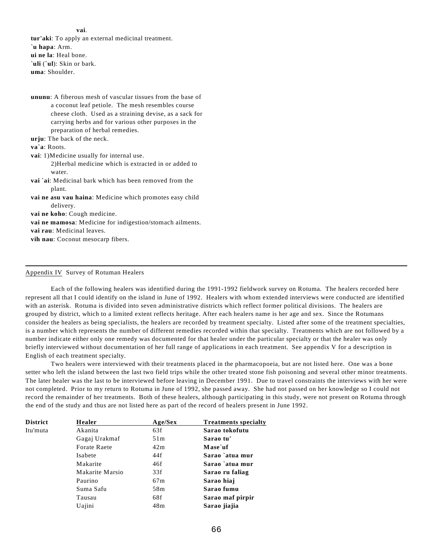**vai**.

 **tur'aki**: To apply an external medicinal treatment. **`u hapa**: Arm. **ui ne la**: Heal bone. **`uli** (**`ul**): Skin or bark.

**uma**: Shoulder.

 **ununu**: A fiberous mesh of vascular tissues from the base of a coconut leaf petiole. The mesh resembles course cheese cloth. Used as a straining devise, as a sack for carrying herbs and for various other purposes in the preparation of herbal remedies.

**urju**: The back of the neck.

**va`a**: Roots.

- **vai**: 1)Medicine usually for internal use. 2)Herbal medicine which is extracted in or added to water.
- **vai `ai**: Medicinal bark which has been removed from the plant.
- **vai ne asu vau haina**: Medicine which promotes easy child delivery.

**vai ne koho**: Cough medicine.

**vai ne mamosa**: Medicine for indigestion/stomach ailments.

**vai rau**: Medicinal leaves.

**vih nau**: Coconut mesocarp fibers.

#### Appendix IV Survey of Rotuman Healers

Each of the following healers was identified during the 1991-1992 fieldwork survey on Rotuma. The healers recorded here represent all that I could identify on the island in June of 1992. Healers with whom extended interviews were conducted are identified with an asterisk. Rotuma is divided into seven administrative districts which reflect former political divisions. The healers are grouped by district, which to a limited extent reflects heritage. After each healers name is her age and sex. Since the Rotumans consider the healers as being specialists, the healers are recorded by treatment specialty. Listed after some of the treatment specialties, is a number which represents the number of different remedies recorded within that specialty. Treatments which are not followed by a number indicate either only one remedy was documented for that healer under the particular specialty or that the healer was only briefly interviewed without documentation of her full range of applications in each treatment. See appendix V for a description in English of each treatment specialty.

Two healers were interviewed with their treatments placed in the pharmacopoeia, but are not listed here. One was a bone setter who left the island between the last two field trips while the other treated stone fish poisoning and several other minor treatments. The later healer was the last to be interviewed before leaving in December 1991. Due to travel constraints the interviews with her were not completed. Prior to my return to Rotuma in June of 1992, she passed away. She had not passed on her knowledge so I could not record the remainder of her treatments. Both of these healers, although participating in this study, were not present on Rotuma through the end of the study and thus are not listed here as part of the record of healers present in June 1992.

| <b>District</b> | Healer          | Age/Sex | <b>Treatments specialty</b> |
|-----------------|-----------------|---------|-----------------------------|
| Itu'muta        | Akanita         | 63f     | Sarao tokofutu              |
|                 | Gagaj Urakmaf   | 51m     | Sarao tu'                   |
|                 | Forate Raete    | 42m     | Mase`uf                     |
|                 | Isabete         | 44f     | Sarao `atua mur             |
|                 | Makarite        | 46f     | Sarao `atua mur             |
|                 | Makarite Marsio | 33f     | Sarao ru faliag             |
|                 | Paurino         | 67m     | Sarao hiaj                  |
|                 | Suma Safu       | 58m     | Sarao fumu                  |
|                 | Tausau          | 68f     | Sarao maf pirpir            |
|                 | Uajini          | 48m     | Sarao jiajia                |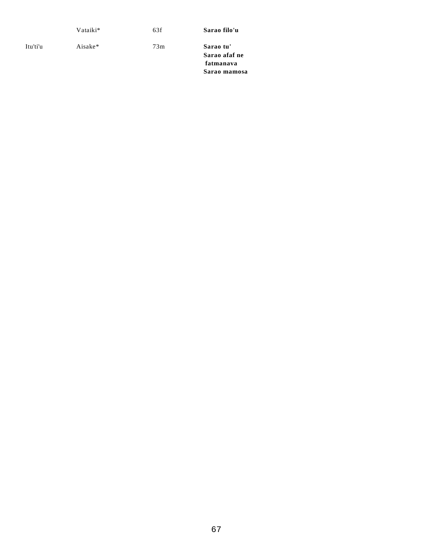|          | Vataiki* | 63f | Sarao filo'u                                            |
|----------|----------|-----|---------------------------------------------------------|
| Itu'ti'u | Aisake*  | 73m | Sarao tu'<br>Sarao afaf ne<br>fatmanava<br>Sarao mamosa |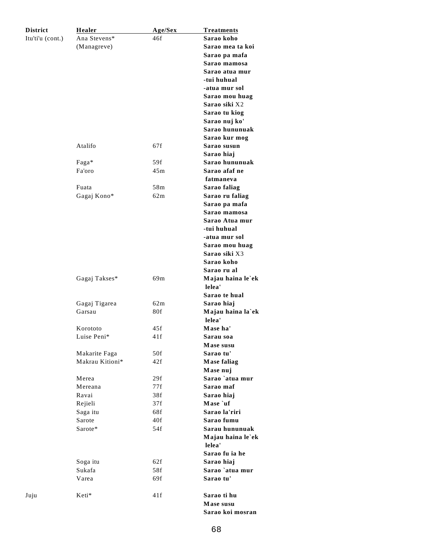| <b>District</b>  | Healer                  | Age/Sex | <b>Treatments</b>           |
|------------------|-------------------------|---------|-----------------------------|
| Itu'ti'u (cont.) | Ana Stevens*            | 46f     | Sarao koho                  |
|                  | (Managreve)             |         | Sarao mea ta koi            |
|                  |                         |         | Sarao pa mafa               |
|                  |                         |         | Sarao mamosa                |
|                  |                         |         | Sarao atua mur              |
|                  |                         |         | -tui huhual                 |
|                  |                         |         | -atua mur sol               |
|                  |                         |         | Sarao mou huag              |
|                  |                         |         | Sarao siki X2               |
|                  |                         |         | Sarao tu kiog               |
|                  |                         |         | Sarao nuj ko'               |
|                  |                         |         | Sarao hununuak              |
|                  |                         |         | Sarao kur mog               |
|                  | Atalifo                 | 67f     | Sarao susun                 |
|                  |                         |         | Sarao hiaj                  |
|                  | Faga*                   | 59f     | Sarao hununuak              |
|                  | Fa'oro                  | 45m     | Sarao afaf ne               |
|                  |                         |         | fatmaneva                   |
|                  | Fuata                   | 58m     | Sarao faliag                |
|                  | Gagaj Kono*             | 62m     | Sarao ru faliag             |
|                  |                         |         | Sarao pa mafa               |
|                  |                         |         | Sarao mamosa                |
|                  |                         |         | Sarao Atua mur              |
|                  |                         |         | -tui huhual                 |
|                  |                         |         | -atua mur sol               |
|                  |                         |         | Sarao mou huag              |
|                  |                         |         | Sarao siki X3               |
|                  |                         |         | Sarao koho                  |
|                  |                         |         | Sarao ru al                 |
|                  | Gagaj Takses*           | 69m     | Majau haina le`ek           |
|                  |                         |         | lelea'                      |
|                  |                         |         | Sarao te hual               |
|                  | Gagaj Tigarea<br>Garsau | 62m     | Sarao hiaj                  |
|                  |                         | 80f     | Majau haina la`ek<br>lelea' |
|                  | Korototo                | 45f     | Mase ha'                    |
|                  | Luise Peni*             | 41 f    | Sarau soa                   |
|                  |                         |         | Mase susu                   |
|                  | Makarite Faga           | 50f     | Sarao tu'                   |
|                  | Makrau Kitioni*         | 42f     | <b>Mase faliag</b>          |
|                  |                         |         | Mase nuj                    |
|                  | Merea                   | 29f     | Sarao `atua mur             |
|                  | Mereana                 | 77f     | Sarao maf                   |
|                  | Ravai                   | 38f     | Sarao hiaj                  |
|                  | Rejieli                 | 37f     | Mase `uf                    |
|                  | Saga itu                | 68f     | Sarao la'riri               |
|                  | Sarote                  | 40f     | Sarao fumu                  |
|                  | Sarote*                 | 54f     | Sarau hununuak              |
|                  |                         |         | Majau haina le`ek           |
|                  |                         |         | lelea'                      |
|                  |                         |         | Sarao fu ia he              |
|                  | Soga itu                | 62f     | Sarao hiaj                  |
|                  | Sukafa                  | 58f     | Sarao `atua mur             |
|                  | Varea                   | 69f     | Sarao tu'                   |
|                  |                         |         |                             |
| Juju             | Keti*                   | 41f     | Sarao ti hu                 |
|                  |                         |         | Mase susu                   |
|                  |                         |         | Sarao koi mosran            |
|                  |                         |         |                             |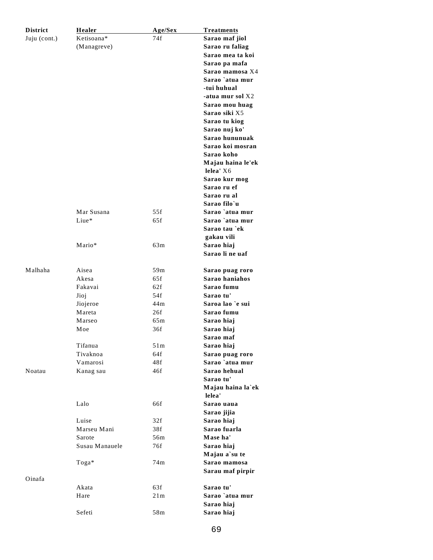| <b>District</b> | Healer         | Age/Sex | <b>Treatments</b> |
|-----------------|----------------|---------|-------------------|
| Juju (cont.)    | Ketisoana*     | 74f     | Sarao maf jiol    |
|                 | (Managreve)    |         | Sarao ru faliag   |
|                 |                |         | Sarao mea ta koi  |
|                 |                |         | Sarao pa mafa     |
|                 |                |         | Sarao mamosa X4   |
|                 |                |         | Sarao `atua mur   |
|                 |                |         | -tui huhual       |
|                 |                |         | -atua mur sol X2  |
|                 |                |         | Sarao mou huag    |
|                 |                |         | Sarao siki X5     |
|                 |                |         | Sarao tu kiog     |
|                 |                |         | Sarao nuj ko'     |
|                 |                |         | Sarao hununuak    |
|                 |                |         | Sarao koi mosran  |
|                 |                |         | Sarao koho        |
|                 |                |         | Majau haina le'ek |
|                 |                |         | lelea' X6         |
|                 |                |         | Sarao kur mog     |
|                 |                |         | Sarao ru ef       |
|                 |                |         | Sarao ru al       |
|                 |                |         | Sarao filo`u      |
|                 | Mar Susana     | 55f     | Sarao `atua mur   |
|                 | Liue*          | 65f     | Sarao `atua mur   |
|                 |                |         | Sarao tau `ek     |
|                 |                |         | gakau vili        |
|                 | Mario*         | 63m     | Sarao hiaj        |
|                 |                |         | Sarao li ne uaf   |
|                 |                |         |                   |
| Malhaha         | Aisea          | 59m     | Sarao puag roro   |
|                 | Akesa          | 65f     | Sarao haniahos    |
|                 | Fakavai        | 62f     | Sarao fumu        |
|                 | Jioj           | 54f     | Sarao tu'         |
|                 | Jiojeroe       | 44m     | Saroa lao `e sui  |
|                 | Mareta         | 26f     | Sarao fumu        |
|                 | Marseo         | 65m     | Sarao hiaj        |
|                 | Moe            | 36f     | Sarao hiaj        |
|                 |                |         | Sarao maf         |
|                 | Tifanua        | 51m     | Sarao hiaj        |
|                 | Tivaknoa       | 64f     | Sarao puag roro   |
|                 | Vamarosi       | 48f     | Sarao `atua mur   |
| Noatau          | Kanag sau      | 46f     | Sarao hehual      |
|                 |                |         | Sarao tu'         |
|                 |                |         | Majau haina la`ek |
|                 |                |         | lelea'            |
|                 | Lalo           | 66f     | Sarao uaua        |
|                 |                |         | Sarao jijia       |
|                 | Luise          | 32f     | Sarao hiaj        |
|                 | Marseu Mani    | 38f     | Sarao fuarla      |
|                 | Sarote         | 56m     | Mase ha'          |
|                 | Susau Manauele | 76f     | Sarao hiaj        |
|                 |                |         | Majau a`su te     |
|                 | Toga*          | 74m     | Sarao mamosa      |
|                 |                |         | Sarau maf pirpir  |
| Oinafa          |                |         |                   |
|                 | Akata          | 63f     | Sarao tu'         |
|                 | Hare           | 21m     | Sarao `atua mur   |
|                 |                |         |                   |
|                 |                |         | Sarao hiaj        |
|                 | Sefeti         | 58m     | Sarao hiaj        |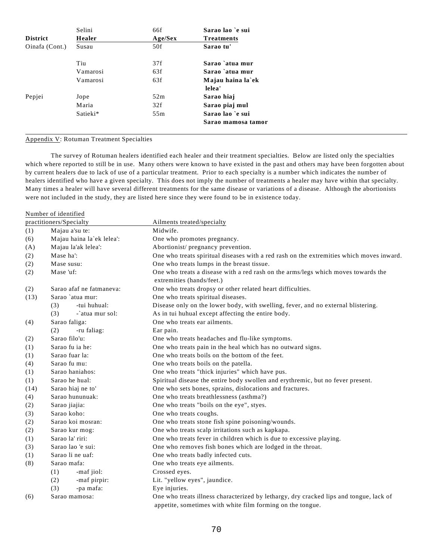|                 | Selini   | 66f     | Sarao lao `e sui   |
|-----------------|----------|---------|--------------------|
| <b>District</b> | Healer   | Age/Sex | <b>Treatments</b>  |
| Oinafa (Cont.)  | Susau    | 50f     | Sarao tu'          |
|                 | Tiu      | 37f     | Sarao `atua mur    |
|                 | Vamarosi | 63f     | Sarao `atua mur    |
|                 | Vamarosi | 63f     | Majau haina la`ek  |
|                 |          |         | lelea'             |
| Pepjei          | Jope     | 52m     | Sarao hiaj         |
|                 | Maria    | 32f     | Sarao piaj mul     |
|                 | Satieki* | 55m     | Sarao lao `e sui   |
|                 |          |         | Sarao mamosa tamor |

Appendix V: Rotuman Treatment Specialties

The survey of Rotuman healers identified each healer and their treatment specialties. Below are listed only the specialties which where reported to still be in use. Many others were known to have existed in the past and others may have been forgotten about by current healers due to lack of use of a particular treatment. Prior to each specialty is a number which indicates the number of healers identified who have a given specialty. This does not imply the number of treatments a healer may have within that specialty. Many times a healer will have several different treatments for the same disease or variations of a disease. Although the abortionists were not included in the study, they are listed here since they were found to be in existence today.

Number of identified

| practitioners/Specialty |                           | Ailments treated/specialty                                                                                                                           |  |  |
|-------------------------|---------------------------|------------------------------------------------------------------------------------------------------------------------------------------------------|--|--|
| (1)                     | Majau a'su te:            | Midwife.                                                                                                                                             |  |  |
| (6)                     | Majau haina la`ek lelea': | One who promotes pregnancy.                                                                                                                          |  |  |
| (A)                     | Majau la'ak lelea':       | Abortionist/ pregnancy prevention.                                                                                                                   |  |  |
| (2)                     | Mase ha':                 | One who treats spiritual diseases with a red rash on the extremities which moves inward.                                                             |  |  |
| (2)                     | Mase susu:                | One who treats lumps in the breast tissue.                                                                                                           |  |  |
| (2)                     | Mase 'uf:                 | One who treats a disease with a red rash on the arms/legs which moves towards the<br>extremities (hands/feet.)                                       |  |  |
| (2)                     | Sarao afaf ne fatmaneva:  | One who treats dropsy or other related heart difficulties.                                                                                           |  |  |
| (13)                    | Sarao `atua mur:          | One who treats spiritual diseases.                                                                                                                   |  |  |
|                         | (3)<br>-tui huhual:       | Disease only on the lower body, with swelling, fever, and no external blistering.                                                                    |  |  |
|                         | (3)<br>-`atua mur sol:    | As in tui huhual except affecting the entire body.                                                                                                   |  |  |
| (4)                     | Sarao faliga:             | One who treats ear ailments.                                                                                                                         |  |  |
|                         | (2)<br>-ru faliag:        | Ear pain.                                                                                                                                            |  |  |
| (2)                     | Sarao filo'u:             | One who treats headaches and flu-like symptoms.                                                                                                      |  |  |
| (1)                     | Sarao fu ia he:           | One who treats pain in the heal which has no outward signs.                                                                                          |  |  |
| (1)                     | Sarao fuar la:            | One who treats boils on the bottom of the feet.                                                                                                      |  |  |
| (4)                     | Sarao fu mu:              | One who treats boils on the patella.                                                                                                                 |  |  |
| (1)                     | Sarao haniahos:           | One who treats "thick injuries" which have pus.                                                                                                      |  |  |
| (1)                     | Sarao he hual:            | Spiritual disease the entire body swollen and erythremic, but no fever present.                                                                      |  |  |
| (14)                    | Sarao hiaj ne to'         | One who sets bones, sprains, dislocations and fractures.                                                                                             |  |  |
| (4)                     | Sarao hununuak:           | One who treats breathlessness (asthma?)                                                                                                              |  |  |
| (2)                     | Sarao jiajia:             | One who treats "boils on the eye", styes.                                                                                                            |  |  |
| (3)                     | Sarao koho:               | One who treats coughs.                                                                                                                               |  |  |
| (2)                     | Sarao koi mosran:         | One who treats stone fish spine poisoning/wounds.                                                                                                    |  |  |
| (2)                     | Sarao kur mog:            | One who treats scalp irritations such as kapkapa.                                                                                                    |  |  |
| (1)                     | Sarao la' riri:           | One who treats fever in children which is due to excessive playing.                                                                                  |  |  |
| (3)                     | Sarao lao 'e sui:         | One who removes fish bones which are lodged in the throat.                                                                                           |  |  |
| (1)                     | Sarao li ne uaf:          | One who treats badly infected cuts.                                                                                                                  |  |  |
| (8)                     | Sarao mafa:               | One who treats eye ailments.                                                                                                                         |  |  |
|                         | -maf jiol:<br>(1)         | Crossed eyes.                                                                                                                                        |  |  |
|                         | (2)<br>-maf pirpir:       | Lit. "yellow eyes", jaundice.                                                                                                                        |  |  |
|                         | (3)<br>-pa mafa:          | Eye injuries.                                                                                                                                        |  |  |
| (6)                     | Sarao mamosa:             | One who treats illness characterized by lethargy, dry cracked lips and tongue, lack of<br>appetite, sometimes with white film forming on the tongue. |  |  |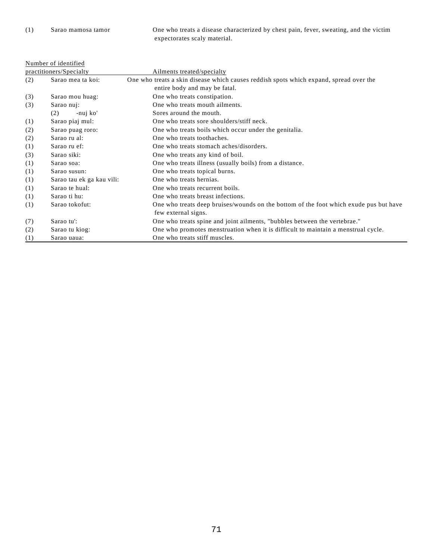(1) Sarao mamosa tamor One who treats a disease characterized by chest pain, fever, sweating, and the victim expectorates scaly material.

|  | Number of identified |
|--|----------------------|
|  |                      |

|     | practitioners/Specialty   | Ailments treated/specialty                                                             |
|-----|---------------------------|----------------------------------------------------------------------------------------|
| (2) | Sarao mea ta koi:         | One who treats a skin disease which causes reddish spots which expand, spread over the |
|     |                           | entire body and may be fatal.                                                          |
| (3) | Sarao mou huag:           | One who treats constipation.                                                           |
| (3) | Sarao nuj:                | One who treats mouth ailments.                                                         |
|     | -nuj ko'<br>(2)           | Sores around the mouth.                                                                |
| (1) | Sarao piaj mul:           | One who treats sore shoulders/stiff neck.                                              |
| (2) | Sarao puag roro:          | One who treats boils which occur under the genitalia.                                  |
| (2) | Sarao ru al:              | One who treats toothaches.                                                             |
| (1) | Sarao ru ef:              | One who treats stomach aches/disorders.                                                |
| (3) | Sarao siki:               | One who treats any kind of boil.                                                       |
| (1) | Sarao soa:                | One who treats illness (usually boils) from a distance.                                |
| (1) | Sarao susun:              | One who treats topical burns.                                                          |
| (1) | Sarao tau ek ga kau vili: | One who treats hernias.                                                                |
| (1) | Sarao te hual:            | One who treats recurrent boils.                                                        |
| (1) | Sarao ti hu:              | One who treats breast infections.                                                      |
| (1) | Sarao tokofut:            | One who treats deep bruises/wounds on the bottom of the foot which exude pus but have  |
|     |                           | few external signs.                                                                    |
| (7) | Sarao tu':                | One who treats spine and joint ailments, "bubbles between the vertebrae."              |
| (2) | Sarao tu kiog:            | One who promotes menstruation when it is difficult to maintain a menstrual cycle.      |
| (1) | Sarao uaua:               | One who treats stiff muscles.                                                          |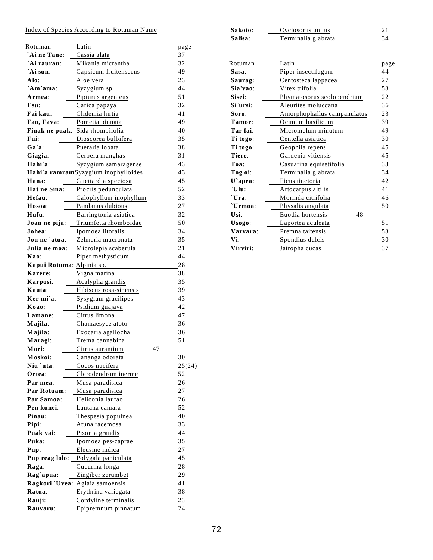| Rotuman                   | Latin                               |    | page   |
|---------------------------|-------------------------------------|----|--------|
| `Ai ne Tane:              | Cassia alata                        |    | 37     |
| `Ai raurau:               | Mikania micrantha                   |    | 32     |
| `Ai sun:                  | Capsicum fruitenscens               |    | 49     |
| Alo:                      | Aloe vera                           |    | 23     |
| `Am`ama:                  | Syzygium sp.                        |    | 44     |
| Armea:                    | Pipturus argenteus                  |    | 51     |
| Esu:                      | Carica papaya                       |    | 32     |
| Fai kau:                  | Clidemia hirtia                     |    | 41     |
| Fao. Fava:                | Pometia pinnata                     |    | 49     |
|                           | Finak ne puak: Sida rhombifolia     |    | 40     |
| Fui:                      | Dioscorea bulbifera                 |    | 35     |
| $Ga$ `a:                  | Pueraria lobata                     |    | 38     |
| Giagia:                   | Cerbera manghas                     |    | 31     |
| Hahi`a:                   | Syzygium samaragense                |    | 43     |
|                           | Hahi'a ramramSyzygium inophylloides |    | 43     |
| Hana:                     | Guettardia speciosa                 |    | 45     |
| Hat ne Sina:              | Procris pedunculata                 |    | 52     |
| Hefau:                    | Calophyllum inophyllum              |    | 33     |
| Hosoa:                    | Pandanus dubious                    |    | 27     |
| Hufu:                     | Barringtonia asiatica               |    | 32     |
| Joan ne pija:             | Triumfetta rhomboidae               |    | 50     |
| Johea:                    | Ipomoea litoralis                   |    | 34     |
| Jou ne `atua:             | Zehneria mucronata                  |    | 35     |
| Julia ne moa:             | Microlepia scaberula                |    | 21     |
| Kao:                      | Piper methysticum                   |    | 44     |
| Kapui Rotuma: Alpinia sp. |                                     |    | 28     |
| Karere:                   | Vigna marina                        |    | 38     |
| Karposi:                  | Acalypha grandis                    |    | 35     |
| Kauta:                    | Hibiscus rosa-sinensis              |    | 39     |
| Ker mi`a:                 | Sysygium gracilipes                 |    | 43     |
| Koao:                     | Psidium guajava                     |    | 42     |
| Lamane:                   | Citrus limona                       |    | 47     |
| Majila:                   | Chamaesyce atoto                    |    | 36     |
| Majila:                   | Exocaria agallocha                  |    | 36     |
| Maragi:                   | Trema cannabina                     |    | 51     |
| Mori:                     | Citrus aurantium                    | 47 |        |
| Moskoi:                   | Cananga odorata                     |    | 30     |
| Niu 'uta:                 | Cocos nucifera                      |    | 25(24) |
| Ortea:                    | Clerodendrom inerme                 |    | 52     |
| Par mea:                  | Musa paradisica                     |    | 26     |
| Par Rotuam:               | Musa paradisica                     |    | 27     |
| Par Samoa:                | Heliconia laufao                    |    | 26     |
| Pen kunei:                | Lantana camara                      |    | 52     |
| Pinau:                    | Thespesia populnea                  |    | 40     |
| Pipi:                     | Atuna racemosa                      |    | 33     |
| Puak vai:                 | Pisonia grandis                     |    | 44     |
| Puka:                     | Ipomoea pes-caprae                  |    | 35     |
| Pup:                      | Eleusine indica                     |    | $27\,$ |
| Pup reag lolo:            | Polygala paniculata                 |    | 45     |
| Raga:                     | Cucurma longa                       |    | 28     |
| Rag`apua:                 | Zingiber zerumbet                   |    | 29     |
|                           | Ragkori `Uvea: Aglaia samoensis     |    | 41     |
| Ratua:                    | Erythrina variegata                 |    | 38     |
| Rauji:                    | Cordyline terminalis                |    | 23     |
| Rauvaru:                  | Epipremnum pinnatum                 |    | 24     |
|                           |                                     |    |        |

| Sakoto: | Cyclosorus unitus   |    |
|---------|---------------------|----|
| Salisa: | Terminalia glabrata | 34 |

| Rotuman  | Latin                       | page |
|----------|-----------------------------|------|
| Sasa:    | Piper insectifugum          | 44   |
| Saurag:  | Centosteca lappacea         | 27   |
| Sia'vao: | Vitex trifolia              | 53   |
| Sisei:   | Phymatosorus scolopendrium  | 22   |
| Si`ursi: | Aleurites moluccana         | 36   |
| Soro:    | Amorphophallus campanulatus | 23   |
| Tamor:   | Ocimum basilicum            | 39   |
| Tar fai: | Micromelum minutum          | 49   |
| Ti togo: | Centella asiatica           | 30   |
| Ti togo: | Geophila repens             | 45   |
| Tiere:   | Gardenia vitiensis          | 45   |
| Toa:     | Casuarina equisetifolia     | 33   |
| Tog oi:  | Terminalia glabrata         | 34   |
| U`apea:  | Ficus tinctoria             | 42   |
| `Ulu:    | Artocarpus altilis          | 41   |
| `Ura:    | Morinda citrifolia          | 46   |
| `Urmoa:  | Physalis angulata           | 50   |
| Usi:     | 48<br>Euodia hortensis      |      |
| Usogo:   | Laportea aculeata           | 51   |
| Varvara: | Premna taitensis            | 53   |
| Vi:      | Spondius dulcis             | 30   |
| Virviri: | Jatropha cucas              | 37   |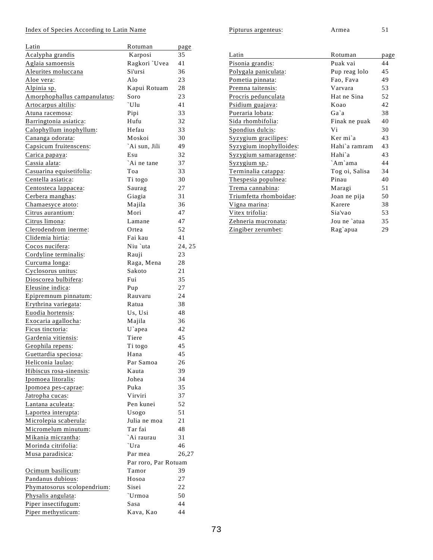## Index of Species According to Latin Name

| Latin                        | Rotuman              | page   |
|------------------------------|----------------------|--------|
| Acalypha grandis             | Karposi              | 35     |
| Aglaia samoensis             | Ragkori `Uvea        | 41     |
| Aleurites moluccana          | Si'ursi              | 36     |
| Aloe vera:                   | Alo                  | 23     |
| Alpinia sp.                  | Kapui Rotuam         | 28     |
| Amorphophallus campanulatus: | Soro                 | 23     |
| Artocarpus altilis:          | `Ulu                 | 41     |
| Atuna racemosa:              | Pipi                 | 33     |
| Barringtonia asiatica:       | Hufu                 | 32     |
| Calophyllum inophyllum:      | Hefau                | 33     |
| Cananga odorata:             | Moskoi               | 30     |
| Capsicum fruitenscens:       | `Ai sun, Jili        | 49     |
| Carica papaya:               | Esu                  | 32     |
| Cassia alata:                | `Ai ne tane          | 37     |
| Casuarina equisetifolia:     | Toa                  | 33     |
| Centella asiatica:           | Ti togo              | 30     |
| Centosteca lappacea:         | Saurag               | 27     |
| Cerbera manghas:             | Giagia               | 31     |
| Chamaesyce atoto:            | Majila               | 36     |
| Citrus aurantium:            | Mori                 | 47     |
| Citrus limona:               | Lamane               | 47     |
| Clerodendrom inerme:         | Ortea                | 52     |
| Clidemia hirtia:             | Fai kau              | 41     |
| Cocos nucifera:              | Niu `uta             | 24, 25 |
| Cordyline terminalis:        | Rauji                | 23     |
| Curcuma longa:               | Raga, Mena           | 28     |
| Cyclosorus unitus:           | Sakoto               | 21     |
| Dioscorea bulbifera:         | Fui                  | 35     |
| Eleusine indica:             | Pup                  | 27     |
| Epipremnum pinnatum:         | Rauvaru              | 24     |
| Erythrina variegata:         | Ratua                | 38     |
| Euodia hortensis:            | Us, Usi              | 48     |
| Exocaria agallocha:          | Majila               | 36     |
| Ficus tinctoria:             | U`apea               | 42     |
| Gardenia vitiensis:          | Tiere                | 45     |
| Geophila repens:             | Ti togo              | 45     |
| Guettardia speciosa:         | Hana                 | 45     |
| Heliconia laulao:            | Par Samoa            | 26     |
| Hibiscus rosa-sinensis:      | Kauta                | 39     |
| Ipomoea litoralis:           | Johea                | 34     |
| Ipomoea pes-caprae:          | Puka                 | 35     |
| Jatropha cucas:              | Virviri              | 37     |
| Lantana aculeata:            | Pen kunei            | 52     |
| Laportea interupta:          | Usogo                | 51     |
| Microlepia scaberula:        | Julia ne moa         | 21     |
| Micromelum minutum:          | Tar fai              | 48     |
| Mikania micrantha:           | `Ai raurau           | 31     |
| Morinda citrifolia:          | `Ura                 | 46     |
| Musa paradisica:             | Par mea              | 26,27  |
|                              | Par roro, Par Rotuam |        |
| Ocimum basilicum:            | Tamor                | 39     |
| Pandanus dubious:            | Hosoa                | 27     |
| Phymatosorus scolopendrium:  | Sisei                | 22     |
| Physalis angulata:           | `Urmoa               | 50     |
| Piper insectifugum:          | Sasa                 | 44     |
|                              |                      |        |
| Piper methysticum:           | Kava, Kao            | 44     |

| Pipturus argenteus: | Armea |  |
|---------------------|-------|--|
|---------------------|-------|--|

| Latin                   | Rotuman        | page |
|-------------------------|----------------|------|
| Pisonia grandis:        | Puak vai       | 44   |
| Polygala paniculata:    | Pup reag lolo  | 45   |
| Pometia pinnata:        | Fao, Fava      | 49   |
| Premna taitensis:       | Varvara        | 53   |
| Procris pedunculata     | Hat ne Sina    | 52   |
| Psidium guajava:        | Koao           | 42   |
| Pueraria lobata:        | Ga`a           | 38   |
| Sida rhombifolia:       | Finak ne puak  | 40   |
| Spondius dulcis:        | Vi             | 30   |
| Syzygium gracilipes:    | Ker mi`a       | 43   |
| Syzygium inophylloides: | Hahi`a ramram  | 43   |
| Syzygium samaragense:   | Hahi`a         | 43   |
| Syzygium sp.:           | `Am`ama        | 44   |
| Terminalia catappa:     | Tog oi, Salisa | 34   |
| Thespesia populnea:     | Pinau          | 40   |
| Trema cannabina:        | Maragi         | 51   |
| Triumfetta rhomboidae:  | Joan ne pija   | 50   |
| Vigna marina:           | Karere         | 38   |
| Vitex trifolia:         | Sia'vao        | 53   |
| Zehneria mucronata:     | Jou ne `atua   | 35   |
| Zingiber zerumbet:      | Rag`apua       | 29   |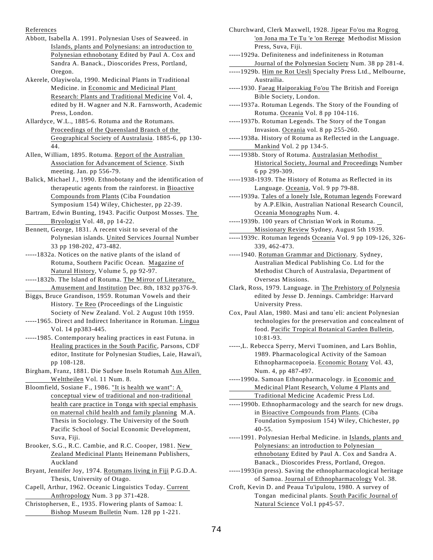References

- Abbott, Isabella A. 1991. Polynesian Uses of Seaweed. in Islands, plants and Polynesians: an introduction to Polynesian ethnobotany Edited by Paul A. Cox and Sandra A. Banack., Dioscorides Press, Portland, Oregon.
- Akerele, Olayiwola, 1990. Medicinal Plants in Traditional Medicine. in Economic and Medicinal Plant Research: Plants and Traditional Medicine Vol. 4, edited by H. Wagner and N.R. Farnsworth, Academic Press, London.
- Allardyce, W.L., 1885-6. Rotuma and the Rotumans. Proceedings of the Queensland Branch of the Geographical Society of Australasia. 1885-6, pp 130- 44.
- Allen, William, 1895. Rotuma. Report of the Australian Association for Advancement of Science. Sixth meeting. Jan. pp 556-79.
- Balick, Michael J., 1990. Ethnobotany and the identification of therapeutic agents from the rainforest. in Bioactive Compounds from Plants (Ciba Foundation Symposium 154) Wiley, Chichester, pp 22-39.
- Bartram, Edwin Bunting, 1943. Pacific Outpost Mosses. The Bryologist Vol. 48, pp 14-22.
- Bennett, George, 1831. A recent visit to several of the Polynesian islands. United Services Journal Number 33 pp 198-202, 473-482.
- -----1832a. Notices on the native plants of the island of Rotuma, Southern Pacific Ocean. Magazine of Natural History, Volume 5, pp 92-97.
- -----1832b. The Island of Rotuma. The Mirror of Literature, Amusement and Institution Dec. 8th, 1832 pp376-9.
- Biggs, Bruce Grandison, 1959. Rotuman Vowels and their History. Te Reo (Proceedings of the Linguistic Society of New Zealand. Vol. 2 August 10th 1959.
- -----1965. Direct and Indirect Inheritance in Rotuman. Lingua Vol. 14 pp383-445.
- -----1985. Contemporary healing practices in east Futuna. in Healing practices in the South Pacific, Parsons, CDF editor, Institute for Polynesian Studies, Laie, Hawai'i, pp 108-128.
- Birgham, Franz, 1881. Die Sudsee Inseln Rotumah Aus Allen Welttheilen Vol. 11 Num. 8.
- Bloomfield, Sosiane F., 1986. "It is health we want": A conceptual view of traditional and non-traditional health care practice in Tonga with special emphasis on maternal child health and family planning M.A. Thesis in Sociology. The University of the South Pacific School of Social Economic Development, Suva, Fiji.
- Brooker, S.G., R.C. Cambie, and R.C. Cooper, 1981. New Zealand Medicinal Plants Heinemann Publishers, Auckland
- Bryant, Jennifer Joy, 1974. Rotumans living in Fiji P.G.D.A. Thesis, University of Otago.
- Capell, Arthur, 1962. Oceanic Linguistics Today. Current Anthropology Num. 3 pp 371-428.
- Christophersen, E., 1935. Flowering plants of Samoa: I. Bishop Museum Bulletin Num. 128 pp 1-221.
- Churchward, Clerk Maxwell, 1928. Jipear Fo'ou ma Rogrog 'on Jona ma Te Tu 'e 'on Rerege Methodist Mission Press, Suva, Fiji.
- -----1929a. Definiteness and indefiniteness in Rotuman Journal of the Polynesian Society Num. 38 pp 281-4.
- -----1929b. Him ne Rot Uesli Specialty Press Ltd., Melbourne, Austrailia.
- -----1930. Faeag Haiporakiag Fo'ou The British and Foreign Bible Society, London.
- -----1937a. Rotuman Legends. The Story of the Founding of Rotuma. Oceania Vol. 8 pp 104-116.
- -----1937b. Rotuman Legends. The Story of the Tongan Invasion. Oceania vol. 8 pp 255-260.
- -----1938a. History of Rotuma as Reflected in the Language. Mankind Vol. 2 pp 134-5.
- -----1938b. Story of Rotuma. Australasian Methodist Historical Society, Journal and Proceedings Number 6 pp 299-309.
- -----1938-1939. The History of Rotuma as Reflected in its Language. Oceania, Vol. 9 pp 79-88.
- -----1939a. Tales of a lonely Isle, Rotuman legends Foreward by A.P.Elkin, Australian National Research Council, Oceania Monographs Num. 4.
- -----1939b. 100 years of Christian Work in Rotuma. Missionary Review Sydney, August 5th 1939.
- -----1939c. Rotuman legends Oceania Vol. 9 pp 109-126, 326- 339, 462-473.

-----1940. Rotuman Grammar and Dictionary. Sydney, Australian Medical Publishing Co. Ltd for the Methodist Church of Australasia, Department of Overseas Missions.

- Clark, Ross, 1979. Language. in The Prehistory of Polynesia edited by Jesse D. Jennings. Cambridge: Harvard University Press.
- Cox, Paul Alan, 1980. Masi and tanu`eli: ancient Polynesian technologies for the preservation and concealment of food. Pacific Tropical Botanical Garden Bulletin, 10:81-93.
- -----,L. Rebecca Sperry, Mervi Tuominen, and Lars Bohlin, 1989. Pharmacological Activity of the Samoan Ethnopharmacopoeia. Economic Botany Vol. 43, Num. 4, pp 487-497.
- -----1990a. Samoan Ethnopharmacology. in Economic and Medicinal Plant Research, Volume 4 Plants and Traditional Medicine Academic Press Ltd.
- -----1990b. Ethnopharmacology and the search for new drugs. in Bioactive Compounds from Plants. (Ciba Foundation Symposium 154) Wiley, Chichester, pp 40-55.
- -----1991. Polynesian Herbal Medicine. in Islands, plants and Polynesians: an introduction to Polynesian ethnobotany Edited by Paul A. Cox and Sandra A. Banack., Dioscorides Press, Portland, Oregon.
- -----1993(in press). Saving the ethnopharmacological heritage of Samoa. Journal of Ethnopharmacology Vol. 38.
- Croft, Kevin D. and Peaua Tu'ipulotu, 1980. A survey of Tongan medicinal plants. South Pacific Journal of Natural Science Vol.1 pp45-57.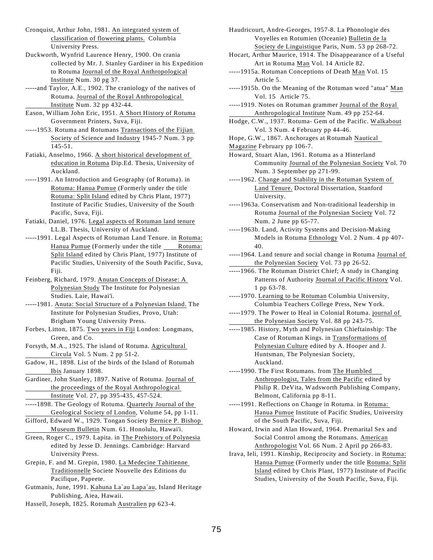Cronquist, Arthur John, 1981. An integrated system of classification of flowering plants. Columbia University Press.

Duckworth, Wynfrid Laurence Henry, 1900. On crania collected by Mr. J. Stanley Gardiner in his Expedition to Rotuma Journal of the Royal Anthropological Institute Num. 30 pg 37.

-----and Taylor, A.E., 1902. The craniology of the natives of Rotuma. Journal of the Royal Anthropological Institute Num. 32 pp 432-44.

Eason, William John Eric, 1951. A Short History of Rotuma Government Printers, Suva, Fiji.

-----1953. Rotuma and Rotumans Transactions of the Fijian Society of Science and Industry 1945-7 Num. 3 pp 145-51.

Fatiaki, Anselmo, 1966. A short historical development of education in Rotuma Dip.Ed. Thesis, University of Auckland.

-----1991. An Introduction and Geography (of Rotuma). in Rotuma: Hanua Pumue (Formerly under the title Rotuma: Split Island edited by Chris Plant, 1977) Institute of Pacific Studies, University of the South Pacific, Suva, Fiji.

Fatiaki, Daniel, 1976. Legal aspects of Rotuman land tenure LL.B. Thesis, University of Auckland.

-----1991. Legal Aspects of Rotuman Land Tenure. in Rotuma: Hanua Pumue (Formerly under the title Rotuma: Split Island edited by Chris Plant, 1977) Institute of Pacific Studies, University of the South Pacific, Suva, Fiji.

Feinberg, Richard, 1979. Anutan Concepts of Disease: A Polynesian Study The Institute for Polynesian Studies. Laie, Hawai'i.

-----1981. Anuta: Social Structure of a Polynesian Island. The Institute for Polynesian Studies, Provo, Utah: Brigham Young University Press.

Forbes, Litton, 1875. Two years in Fiji London: Longmans, Green, and Co.

Forsyth, M.A., 1925. The island of Rotuma. Agricultural Circula Vol. 5 Num. 2 pp 51-2.

Gadow, H., 1898. List of the birds of the Island of Rotumah Ibis January 1898.

Gardiner, John Stanley, 1897. Native of Rotuma. Journal of the proceedings of the Royal Anthropological Institute Vol. 27, pp 395-435, 457-524.

-----1898. The Geology of Rotuma. Quarterly Journal of the Geological Society of London, Volume 54, pp 1-11.

Gifford, Edward W., 1929. Tongan Society Bernice P. Bishop Museum Bulletin Num. 61. Honolulu, Hawai'i.

Green, Roger C., 1979. Lapita. in The Prehistory of Polynesia edited by Jesse D. Jennings. Cambridge: Harvard University Press.

Grepin, F. and M. Grepin, 1980. La Medecine Tahitienne Traditionnelle Societe Nouvelle des Editions du Pacifique, Papeete.

Gutmanis, June, 1991. Kahuna La`au Lapa`au, Island Heritage Publishing, Aiea, Hawaii.

Hassell, Joseph, 1825. Rotumah Australien pp 623-4.

Haudricourt, Andre-Georges, 1957-8. La Phonologie des Voyelles en Rotumien (Oceanie) Bulletin de la Society de Linguistique Paris, Num. 53 pp 268-72.

Hocart, Arthur Maurice, 1914. The Disappearance of a Useful Art in Rotuma Man Vol. 14 Article 82.

-----1915a. Rotuman Conceptions of Death Man Vol. 15 Article 5.

-----1915b. On the Meaning of the Rotuman word "atua" Man Vol. 15 Article 75.

-----1919. Notes on Rotuman grammer Journal of the Royal Anthropological Institute Num. 49 pp 252-64.

Hodge, C.W., 1937. Rotuma- Gem of the Pacific. Walkabout Vol. 3 Num. 4 February pp 44-46.

Hope, G.W., 1867. Anchorages at Rotumah Nautical

Magazine February pp 106-7.

Howard, Stuart Alan, 1961. Rotuma as a Hinterland Community Journal of the Polynesian Society Vol. 70 Num. 3 September pp 271-99.

-----1962. Change and Stability in the Rotuman System of Land Tenure. Doctoral Dissertation, Stanford University.

-----1963a. Conservatism and Non-traditional leadership in Rotuma Journal of the Polynesian Society Vol. 72 Num. 2 June pp 65-77.

-----1963b. Land, Activity Systems and Decision-Making Models in Rotuma Ethnology Vol. 2 Num. 4 pp 407- 40.

-----1964. Land tenure and social change in Rotuma Journal of the Polynesian Society Vol. 73 pp 26-52.

-----1966. The Rotuman District Chief; A study in Changing Patterns of Authority Journal of Pacific History Vol. 1 pp 63-78.

-----1970. Learning to be Rotuman Columbia University, Columbia Teachers College Press, New York.

-----1979. The Power to Heal in Colonial Rotuma. journal of the Polynesian Society Vol. 88 pp 243-75.

-----1985. History, Myth and Polynesian Chieftainship: The Case of Rotuman Kings. in Transformations of Polynesian Culture edited by A. Hooper and J. Huntsman, The Polynesian Society, Auckland.

-----1990. The First Rotumans. from The Humbled Anthropologist, Tales from the Pacific edited by Philip R. DeVita, Wadsworth Publishing Company, Belmont, California pp 8-11.

-----1991. Reflections on Change in Rotuma. in Rotuma: Hanua Pumue Institute of Pacific Studies, University of the South Pacific, Suva, Fiji.

Howard, Irwin and Alan Howard, 1964. Premarital Sex and Social Control among the Rotumans. American Anthropologist Vol. 66 Num. 2 April pp 266-83.

Irava, Ieli, 1991. Kinship, Reciprocity and Society. in Rotuma: Hanua Pumue (Formerly under the title Rotuma: Split Island edited by Chris Plant, 1977) Institute of Pacific Studies, University of the South Pacific, Suva, Fiji.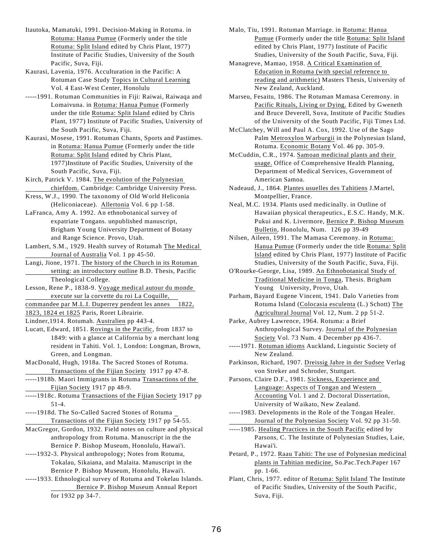Itautoka, Mamatuki, 1991. Decision-Making in Rotuma. in Rotuma: Hanua Pumue (Formerly under the title Rotuma: Split Island edited by Chris Plant, 1977) Institute of Pacific Studies, University of the South Pacific, Suva, Fiji.

Kaurasi, Lavenia, 1976. Acculturation in the Pacific: A Rotuman Case Study Topics in Cultural Learning Vol. 4 East-West Center, Honolulu

-----1991. Rotuman Communities in Fiji: Raiwai, Raiwaqa and Lomaivuna. in Rotuma: Hanua Pumue (Formerly under the title Rotuma: Split Island edited by Chris Plant, 1977) Institute of Pacific Studies, University of the South Pacific, Suva, Fiji.

Kaurasi, Mosese, 1991. Rotuman Chants, Sports and Pastimes. in Rotuma: Hanua Pumue (Formerly under the title Rotuma: Split Island edited by Chris Plant, 1977)Institute of Pacific Studies, University of the South Pacific, Suva, Fiji.

Kirch, Patrick V. 1984. The evolution of the Polynesian chiefdom. Cambridge: Cambridge University Press.

Kress, W.J., 1990. The taxonomy of Old World Heliconia (Heliconiaceae). Allertonia Vol. 6 pp 1-58.

LaFranca, Amy A. 1992. An ethnobotanical survey of expatriate Tongans. unpublished manuscript, Brigham Young University Department of Botany and Range Science. Provo, Utah.

Lambert, S.M., 1929. Health survey of Rotumah The Medical Journal of Australia Vol. 1 pp 45-50.

Langi, Jione, 1971. The history of the Church in its Rotuman setting: an introductory outline B.D. Thesis, Pacific Theological College.

Lesson, Rene P., 1838-9. Voyage medical autour du monde execute sur la corvette du roi La Coquille,

commandee par M.L.I. Duperrey pendent les annes 1822,

1823, 1824 et 1825 Paris, Roret Librairie.

Lindner,1914. Rotumah. Australien pp 443-4.

Lucatt, Edward, 1851. Rovings in the Pacific, from 1837 to 1849: with a glance at California by a merchant long resident in Tahiti. Vol. 1, London: Longman, Brown, Green, and Longman.

MacDonald, Hugh, 1918a. The Sacred Stones of Rotuma. Transactions of the Fijian Society 1917 pp 47-8.

-----1918b. Maori Immigrants in Rotuma Transactions of the Fijian Society 1917 pp 48-9.

-----1918c. Rotuma Transactions of the Fijian Society 1917 pp 51-4.

-----1918d. The So-Called Sacred Stones of Rotuma Transactions of the Fijian Society 1917 pp 54-55.

MacGregor, Gordon, 1932. Field notes on culture and physical anthropology from Rotuma. Manuscript in the the Bernice P. Bishop Museum, Honolulu, Hawai'i.

-----1932-3. Physical anthropology; Notes from Rotuma, Tokalau, Sikaiana, and Malaita. Manuscript in the Bernice P. Bishop Museum, Honolulu, Hawai'i.

-----1933. Ethnological survey of Rotuma and Tokelau Islands. Bernice P. Bishop Museum Annual Report for 1932 pp 34-7.

Malo, Tiu, 1991. Rotuman Marriage. in Rotuma: Hanua Pumue (Formerly under the title Rotuma: Split Island edited by Chris Plant, 1977) Institute of Pacific Studies, University of the South Pacific, Suva, Fiji.

Managreve, Mamao, 1958. A Critical Examination of Education in Rotuma (with special reference to reading and arithmetic) Masters Thesis, University of New Zealand, Auckland.

Marseu, Fesaitu, 1986. The Rotuman Mamasa Ceremony. in Pacific Rituals, Living or Dying. Edited by Gweneth and Bruce Deverell, Suva, Institute of Pacific Studies of the University of the South Pacific, Fiji Times Ltd.

McClatchey, Will and Paul A. Cox, 1992. Use of the Sago Palm Metroxylon Warburgii in the Polynesian Island, Rotuma. Economic Botany Vol. 46 pp. 305-9.

McCuddin, C.R., 1974. Samoan medicinal plants and their usage. Office of Comprehensive Health Planning, Department of Medical Services, Government of American Samoa.

Nadeaud, J., 1864. Plantes usuelles des Tahitiens J.Martel, Montpellier, France.

Neal, M.C. 1934. Plants used medicinally. in Outline of Hawaiian physical therapeutics., E.S.C. Handy, M.K. Pukui and K. Livermore, Bernice P. Bishop Museum Bulletin, Honolulu, Num. 126 pp 39-49

Nilsen, Aileen, 1991. The Mamasa Ceremony. in Rotuma: Hanua Pumue (Formerly under the title Rotuma: Split Island edited by Chris Plant, 1977) Institute of Pacific Studies, University of the South Pacific, Suva, Fiji.

O'Rourke-George, Lisa, 1989. An Ethnobotanical Study of Traditional Medicine in Tonga, Thesis. Brigham Young University, Provo, Utah.

Parham, Bayard Eugene Vincent, 1941. Dalo Varieties from Rotuma Island (Colocasia esculenta (L.) Schott) The Agricultural Journal Vol. 12, Num. 2 pp 51-2.

Parke, Aubrey Lawrence, 1964. Rotuma: a Brief Anthropological Survey. Journal of the Polynesian Society Vol. 73 Num. 4 December pp 436-7.

-----1971. Rotuman idioms Auckland, Linguistic Society of New Zealand.

Parkinson, Richard, 1907. Dreissig Jahre in der Sudsee Verlag von Streker and Schroder, Stuttgart.

Parsons, Claire D.F., 1981. Sickness, Experience and Language: Aspects of Tongan and Western Accounting Vol. 1 and 2. Doctoral Dissertation, University of Waikato, New Zealand.

-----1983. Developments in the Role of the Tongan Healer. Journal of the Polynesian Society Vol. 92 pp 31-50.

-----1985. Healing Practices in the South Pacific edited by Parsons, C. The Institute of Polynesian Studies, Laie, Hawai'i.

Petard, P., 1972. Raau Tahiti: The use of Polynesian medicinal plants in Tahitian medicine. So.Pac.Tech.Paper 167 pp. 1-66.

Plant, Chris, 1977. editor of Rotuma: Split Island The Institute of Pacific Studies, University of the South Pacific, Suva, Fiji.